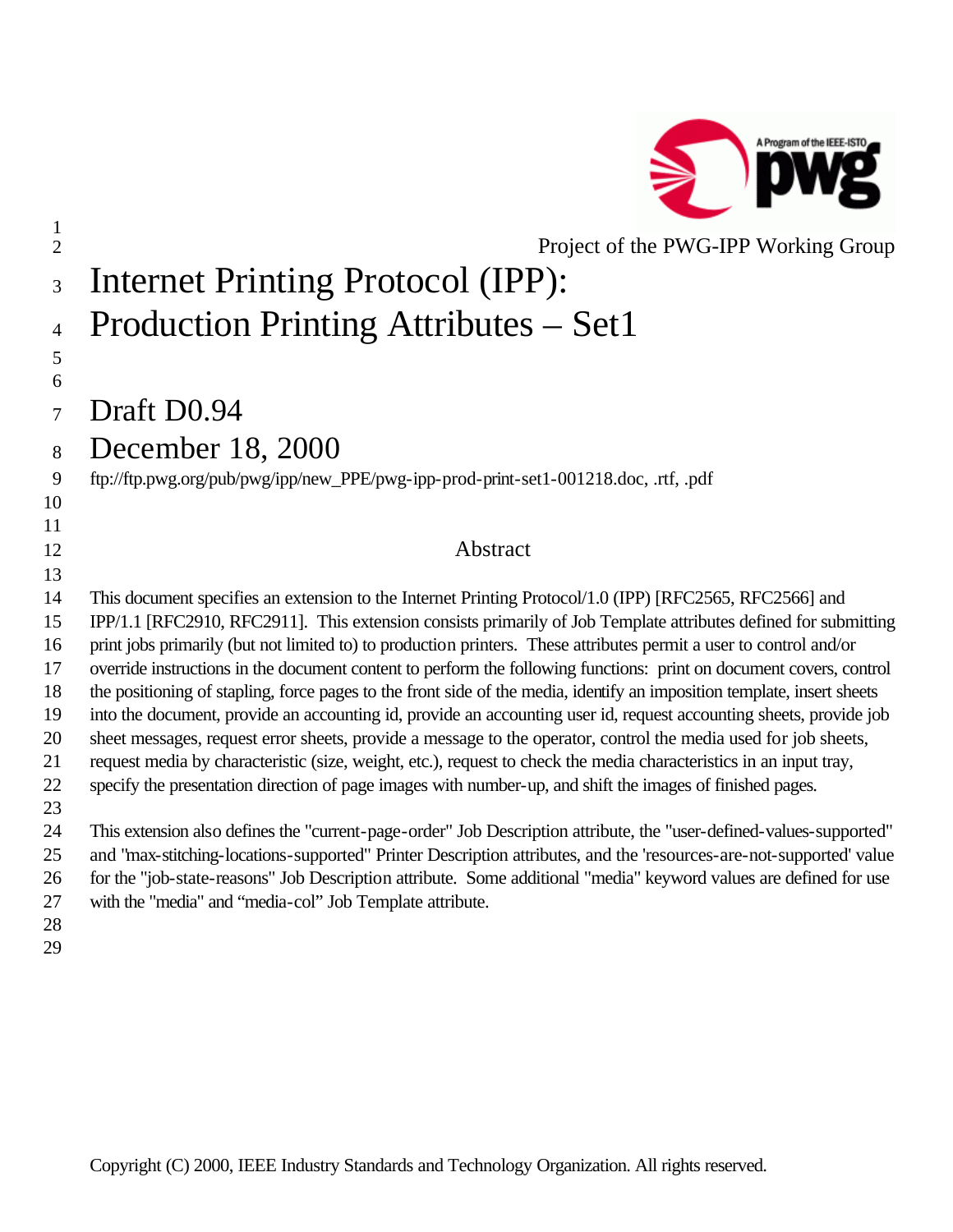

| $\mathbf{1}$<br>$\overline{2}$ | Project of the PWG-IPP Working Group                                                                                                                                                                                                       |
|--------------------------------|--------------------------------------------------------------------------------------------------------------------------------------------------------------------------------------------------------------------------------------------|
| 3                              | <b>Internet Printing Protocol (IPP):</b>                                                                                                                                                                                                   |
| $\overline{4}$                 | Production Printing Attributes - Set1                                                                                                                                                                                                      |
| 5                              |                                                                                                                                                                                                                                            |
| 6<br>$\overline{7}$            | Draft D0.94                                                                                                                                                                                                                                |
| 8                              | December 18, 2000                                                                                                                                                                                                                          |
| 9                              | ftp://ftp.pwg.org/pub/pwg/ipp/new_PPE/pwg-ipp-prod-print-set1-001218.doc, .rtf, .pdf                                                                                                                                                       |
| 10                             |                                                                                                                                                                                                                                            |
| 11                             |                                                                                                                                                                                                                                            |
| 12                             | Abstract                                                                                                                                                                                                                                   |
| 13                             |                                                                                                                                                                                                                                            |
| 14                             | This document specifies an extension to the Internet Printing Protocol/1.0 (IPP) [RFC2565, RFC2566] and                                                                                                                                    |
| 15                             | IPP/1.1 [RFC2910, RFC2911]. This extension consists primarily of Job Template attributes defined for submitting                                                                                                                            |
| 16                             | print jobs primarily (but not limited to) to production printers. These attributes permit a user to control and/or                                                                                                                         |
| 17                             | override instructions in the document content to perform the following functions: print on document covers, control                                                                                                                        |
| 18                             | the positioning of stapling, force pages to the front side of the media, identify an imposition template, insert sheets                                                                                                                    |
| 19                             | into the document, provide an accounting id, provide an accounting user id, request accounting sheets, provide job                                                                                                                         |
| 20                             | sheet messages, request error sheets, provide a message to the operator, control the media used for job sheets,                                                                                                                            |
| 21                             | request media by characteristic (size, weight, etc.), request to check the media characteristics in an input tray,                                                                                                                         |
| 22                             | specify the presentation direction of page images with number-up, and shift the images of finished pages.                                                                                                                                  |
| 23                             |                                                                                                                                                                                                                                            |
| 24<br>25                       | This extension also defines the "current-page-order" Job Description attribute, the "user-defined-values-supported"<br>and "max-stitching-locations-supported" Printer Description attributes, and the 'resources-are-not-supported' value |
| 26                             | for the "job-state-reasons" Job Description attribute. Some additional "media" keyword values are defined for use                                                                                                                          |
| 27                             | with the "media" and "media-col" Job Template attribute.                                                                                                                                                                                   |
| 28                             |                                                                                                                                                                                                                                            |
|                                |                                                                                                                                                                                                                                            |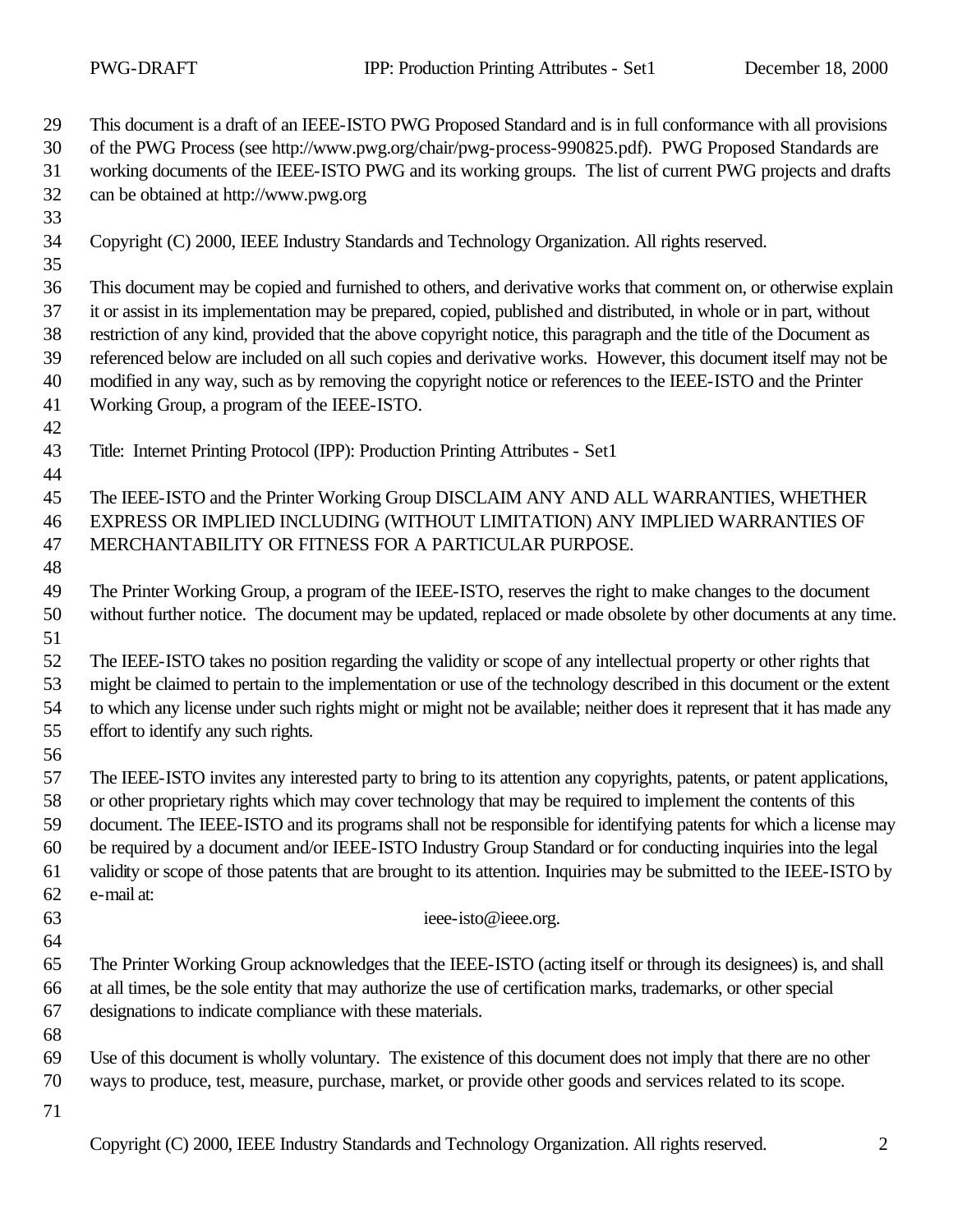| 29       | This document is a draft of an IEEE-ISTO PWG Proposed Standard and is in full conformance with all provisions          |
|----------|------------------------------------------------------------------------------------------------------------------------|
| 30       | of the PWG Process (see http://www.pwg.org/chair/pwg-process-990825.pdf). PWG Proposed Standards are                   |
| 31       | working documents of the IEEE-ISTO PWG and its working groups. The list of current PWG projects and drafts             |
| 32<br>33 | can be obtained at http://www.pwg.org                                                                                  |
|          |                                                                                                                        |
| 34<br>35 | Copyright (C) 2000, IEEE Industry Standards and Technology Organization. All rights reserved.                          |
| 36       | This document may be copied and furnished to others, and derivative works that comment on, or otherwise explain        |
| 37       | it or assist in its implementation may be prepared, copied, published and distributed, in whole or in part, without    |
| 38       | restriction of any kind, provided that the above copyright notice, this paragraph and the title of the Document as     |
| 39       | referenced below are included on all such copies and derivative works. However, this document itself may not be        |
| 40       | modified in any way, such as by removing the copyright notice or references to the IEEE-ISTO and the Printer           |
| 41       | Working Group, a program of the IEEE-ISTO.                                                                             |
| 42       |                                                                                                                        |
| 43       | Title: Internet Printing Protocol (IPP): Production Printing Attributes - Set1                                         |
| 44       |                                                                                                                        |
| 45       | The IEEE-ISTO and the Printer Working Group DISCLAIM ANY AND ALL WARRANTIES, WHETHER                                   |
| 46       | EXPRESS OR IMPLIED INCLUDING (WITHOUT LIMITATION) ANY IMPLIED WARRANTIES OF                                            |
| 47       | MERCHANTABILITY OR FITNESS FOR A PARTICULAR PURPOSE.                                                                   |
| 48       |                                                                                                                        |
| 49       | The Printer Working Group, a program of the IEEE-ISTO, reserves the right to make changes to the document              |
| 50       | without further notice. The document may be updated, replaced or made obsolete by other documents at any time.         |
| 51       |                                                                                                                        |
| 52       | The IEEE-ISTO takes no position regarding the validity or scope of any intellectual property or other rights that      |
| 53       | might be claimed to pertain to the implementation or use of the technology described in this document or the extent    |
| 54       | to which any license under such rights might or might not be available; neither does it represent that it has made any |
| 55       | effort to identify any such rights.                                                                                    |
| 56       |                                                                                                                        |
| 57       | The IEEE-ISTO invites any interested party to bring to its attention any copyrights, patents, or patent applications,  |
| 58       | or other proprietary rights which may cover technology that may be required to implement the contents of this          |
| 59       | document. The IEEE-ISTO and its programs shall not be responsible for identifying patents for which a license may      |
| 60       | be required by a document and/or IEEE-ISTO Industry Group Standard or for conducting inquiries into the legal          |
| 61       | validity or scope of those patents that are brought to its attention. Inquiries may be submitted to the IEEE-ISTO by   |
| 62       | e-mail at:                                                                                                             |
| 63       | ieee-isto@ieee.org.                                                                                                    |
| 64       |                                                                                                                        |
| 65       | The Printer Working Group acknowledges that the IEEE-ISTO (acting itself or through its designees) is, and shall       |
| 66       | at all times, be the sole entity that may authorize the use of certification marks, trademarks, or other special       |
| 67       | designations to indicate compliance with these materials.                                                              |
| 68       |                                                                                                                        |
| 69       | Use of this document is wholly voluntary. The existence of this document does not imply that there are no other        |
| 70       | ways to produce, test, measure, purchase, market, or provide other goods and services related to its scope.            |
| 71       |                                                                                                                        |
|          | Copyright (C) 2000, IEEE Industry Standards and Technology Organization. All rights reserved.<br>2                     |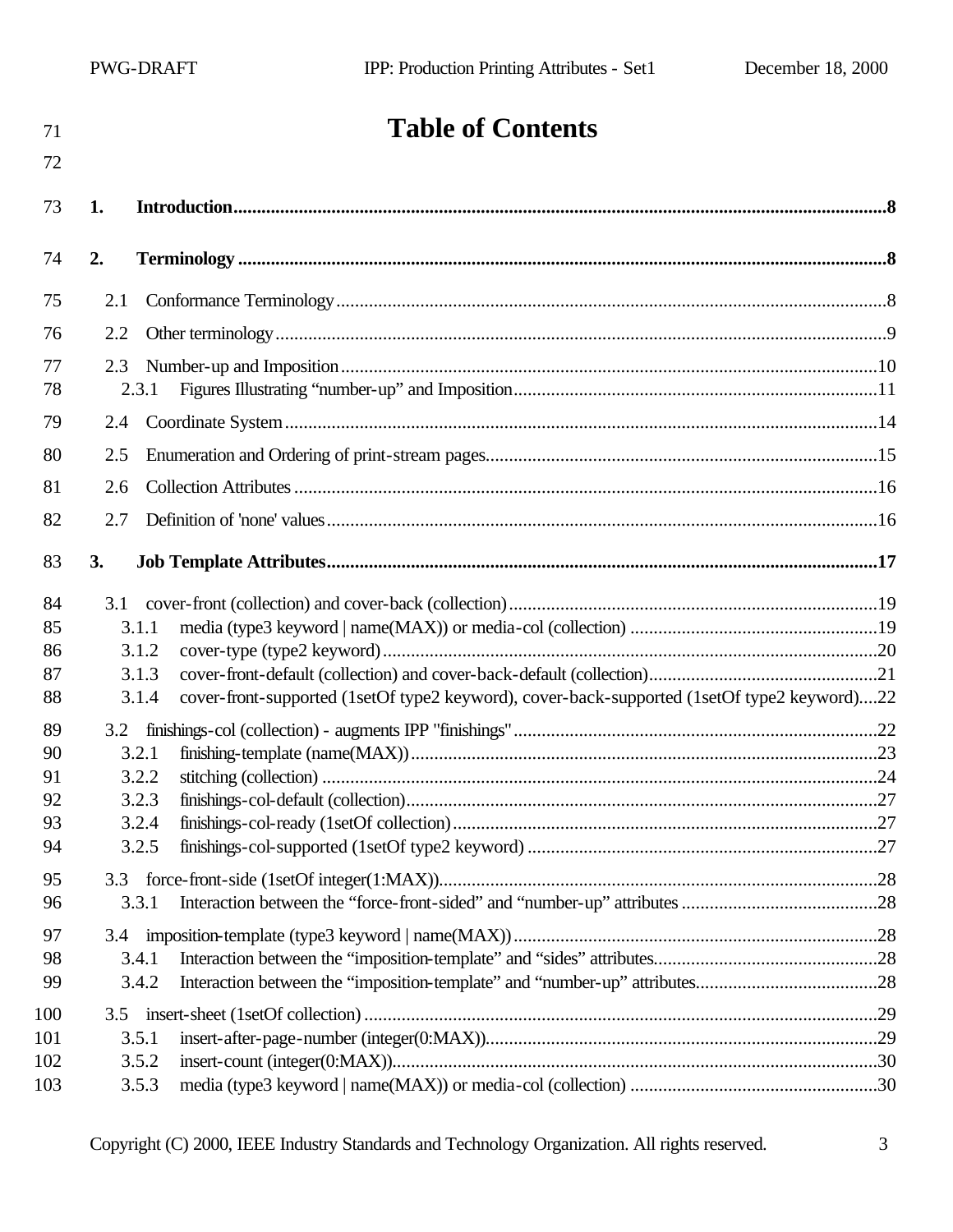# **Table of Contents**

| 73  | 1.                                                                                                   |  |
|-----|------------------------------------------------------------------------------------------------------|--|
| 74  | 2.                                                                                                   |  |
| 75  | 2.1                                                                                                  |  |
| 76  | 2.2                                                                                                  |  |
| 77  | 2.3                                                                                                  |  |
| 78  | 2.3.1                                                                                                |  |
| 79  | 2.4                                                                                                  |  |
| 80  | 2.5                                                                                                  |  |
| 81  | 2.6                                                                                                  |  |
| 82  | 2.7                                                                                                  |  |
| 83  | 3.                                                                                                   |  |
| 84  | 3.1                                                                                                  |  |
| 85  | 3.1.1                                                                                                |  |
| 86  | 3.1.2                                                                                                |  |
| 87  | 3.1.3                                                                                                |  |
| 88  | cover-front-supported (1setOf type2 keyword), cover-back-supported (1setOf type2 keyword)22<br>3.1.4 |  |
| 89  | 3.2                                                                                                  |  |
| 90  | 3.2.1                                                                                                |  |
| 91  | 3.2.2                                                                                                |  |
| 92  | 3.2.3                                                                                                |  |
| 93  | 3.2.4                                                                                                |  |
| 94  | 3.2.5                                                                                                |  |
| 95  |                                                                                                      |  |
| 96  | 3.3.1                                                                                                |  |
| 97  |                                                                                                      |  |
| 98  | 3.4.1                                                                                                |  |
| 99  | 3.4.2                                                                                                |  |
| 100 | 3.5                                                                                                  |  |
| 101 | 3.5.1                                                                                                |  |
| 102 | 3.5.2                                                                                                |  |
| 103 | 3.5.3                                                                                                |  |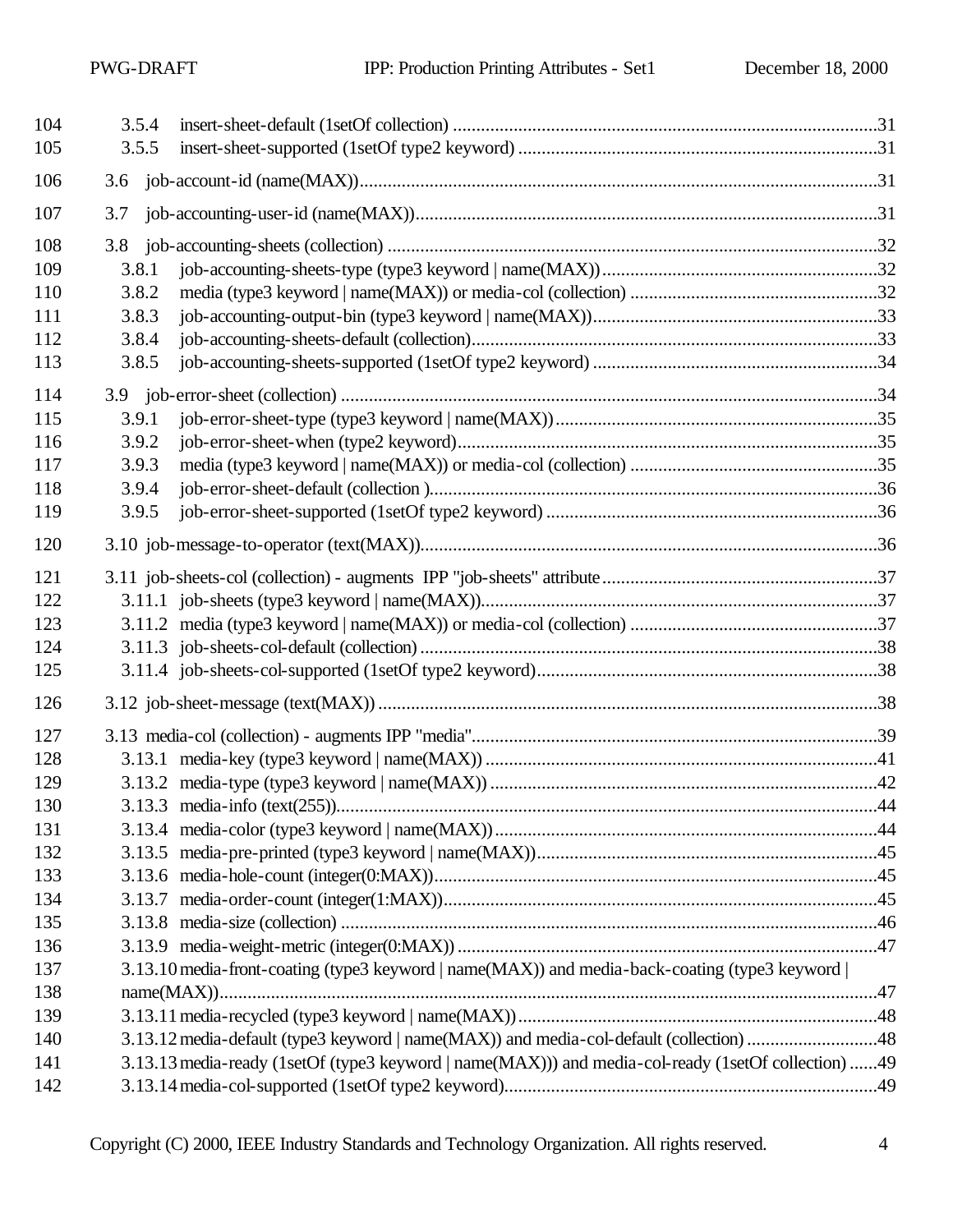| 104 | 3.5.4 |                                                                                                     |     |
|-----|-------|-----------------------------------------------------------------------------------------------------|-----|
| 105 | 3.5.5 |                                                                                                     |     |
| 106 |       |                                                                                                     |     |
| 107 | 3.7   |                                                                                                     |     |
| 108 |       |                                                                                                     |     |
| 109 | 3.8.1 |                                                                                                     |     |
| 110 | 3.8.2 |                                                                                                     |     |
| 111 | 3.8.3 |                                                                                                     |     |
| 112 | 3.8.4 |                                                                                                     |     |
| 113 | 3.8.5 |                                                                                                     |     |
| 114 |       |                                                                                                     |     |
| 115 | 3.9.1 |                                                                                                     |     |
| 116 | 3.9.2 |                                                                                                     |     |
| 117 | 3.9.3 |                                                                                                     |     |
| 118 | 3.9.4 |                                                                                                     |     |
| 119 | 3.9.5 |                                                                                                     |     |
| 120 |       |                                                                                                     |     |
| 121 |       |                                                                                                     |     |
| 122 |       |                                                                                                     |     |
| 123 |       |                                                                                                     |     |
| 124 |       |                                                                                                     |     |
| 125 |       |                                                                                                     |     |
| 126 |       |                                                                                                     |     |
| 127 |       |                                                                                                     |     |
| 128 |       |                                                                                                     |     |
| 129 |       |                                                                                                     |     |
| 130 |       |                                                                                                     | .44 |
| 131 |       |                                                                                                     |     |
| 132 |       |                                                                                                     |     |
| 133 |       |                                                                                                     |     |
| 134 |       |                                                                                                     |     |
| 135 |       |                                                                                                     |     |
| 136 |       |                                                                                                     |     |
| 137 |       | 3.13.10 media-front-coating (type3 keyword   name(MAX)) and media-back-coating (type3 keyword       |     |
| 138 |       |                                                                                                     |     |
| 139 |       |                                                                                                     |     |
| 140 |       | 3.13.12 media-default (type3 keyword   name(MAX)) and media-col-default (collection) 48             |     |
| 141 |       | 3.13.13 media-ready (1setOf (type3 keyword   name(MAX))) and media-col-ready (1setOf collection) 49 |     |
| 142 |       |                                                                                                     |     |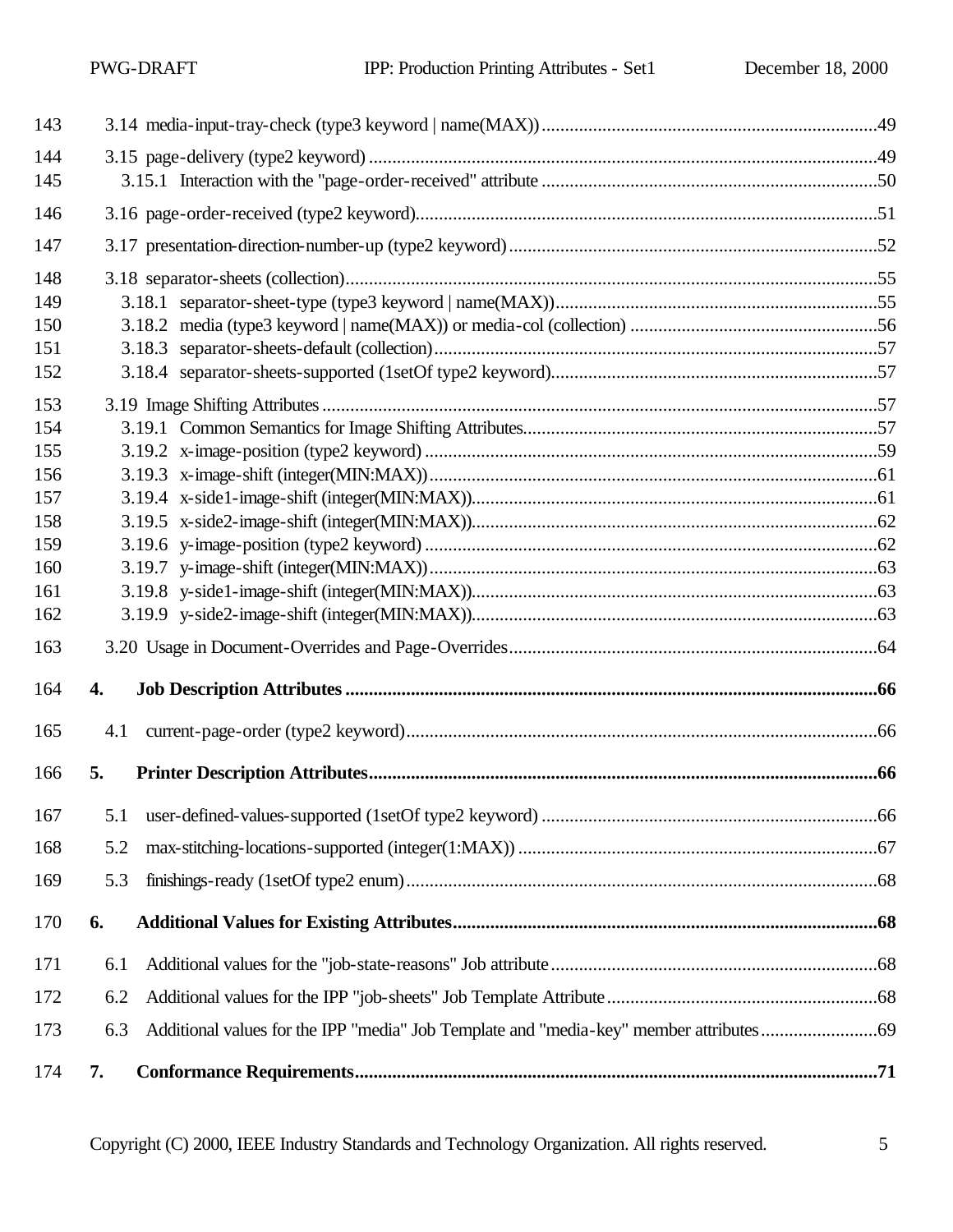| 143        |     |  |
|------------|-----|--|
| 144<br>145 |     |  |
| 146        |     |  |
| 147        |     |  |
| 148        |     |  |
| 149        |     |  |
| 150        |     |  |
| 151        |     |  |
| 152        |     |  |
| 153        |     |  |
| 154        |     |  |
| 155        |     |  |
| 156        |     |  |
| 157        |     |  |
| 158        |     |  |
| 159        |     |  |
| 160        |     |  |
| 161        |     |  |
| 162        |     |  |
| 163        |     |  |
| 164        | 4.  |  |
| 165        | 4.1 |  |
| 166        | 5.  |  |
|            |     |  |
| 168        | 5.2 |  |
| 169        | 5.3 |  |
| 170        | 6.  |  |
| 171        | 6.1 |  |
| 172        | 6.2 |  |
| 173        | 6.3 |  |
| 174        | 7.  |  |

Copyright (C) 2000, IEEE Industry Standards and Technology Organization. All rights reserved. 5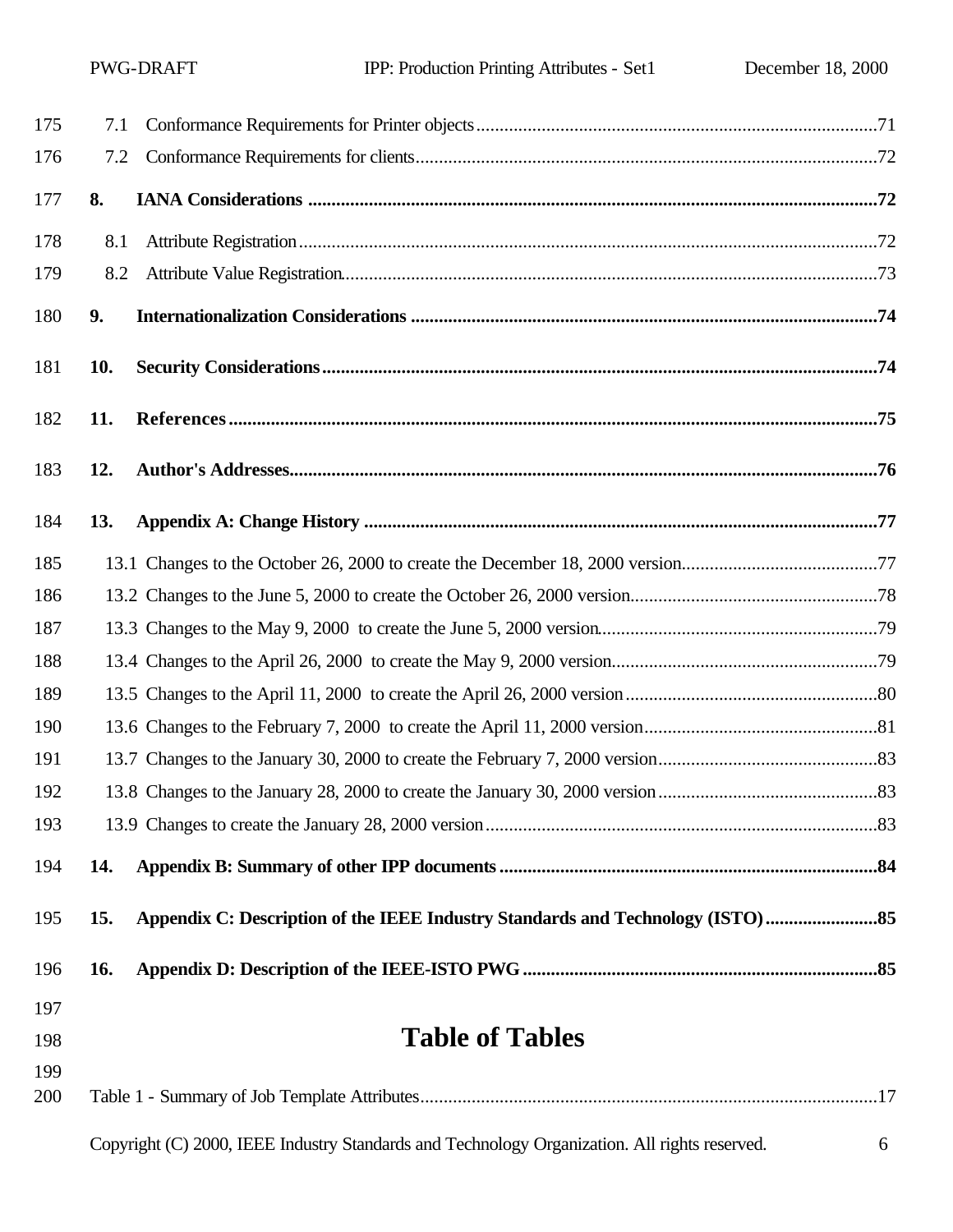| 175 | 7.1        |                                                                                               |   |  |  |
|-----|------------|-----------------------------------------------------------------------------------------------|---|--|--|
| 176 | 7.2        |                                                                                               |   |  |  |
| 177 | 8.         |                                                                                               |   |  |  |
| 178 | 8.1        |                                                                                               |   |  |  |
| 179 | 8.2        |                                                                                               |   |  |  |
| 180 | 9.         |                                                                                               |   |  |  |
| 181 | 10.        |                                                                                               |   |  |  |
| 182 | 11.        |                                                                                               |   |  |  |
| 183 | 12.        |                                                                                               |   |  |  |
| 184 | <b>13.</b> |                                                                                               |   |  |  |
| 185 |            |                                                                                               |   |  |  |
| 186 |            |                                                                                               |   |  |  |
| 187 |            |                                                                                               |   |  |  |
| 188 |            |                                                                                               |   |  |  |
| 189 |            |                                                                                               |   |  |  |
| 190 |            |                                                                                               |   |  |  |
| 191 |            |                                                                                               |   |  |  |
| 192 |            |                                                                                               |   |  |  |
| 193 |            |                                                                                               |   |  |  |
| 194 | 14.        |                                                                                               |   |  |  |
| 195 | 15.        | Appendix C: Description of the IEEE Industry Standards and Technology (ISTO)                  |   |  |  |
| 196 | <b>16.</b> |                                                                                               |   |  |  |
| 197 |            |                                                                                               |   |  |  |
| 198 |            | <b>Table of Tables</b>                                                                        |   |  |  |
| 199 |            |                                                                                               |   |  |  |
| 200 |            |                                                                                               |   |  |  |
|     |            | Copyright (C) 2000, IEEE Industry Standards and Technology Organization. All rights reserved. | 6 |  |  |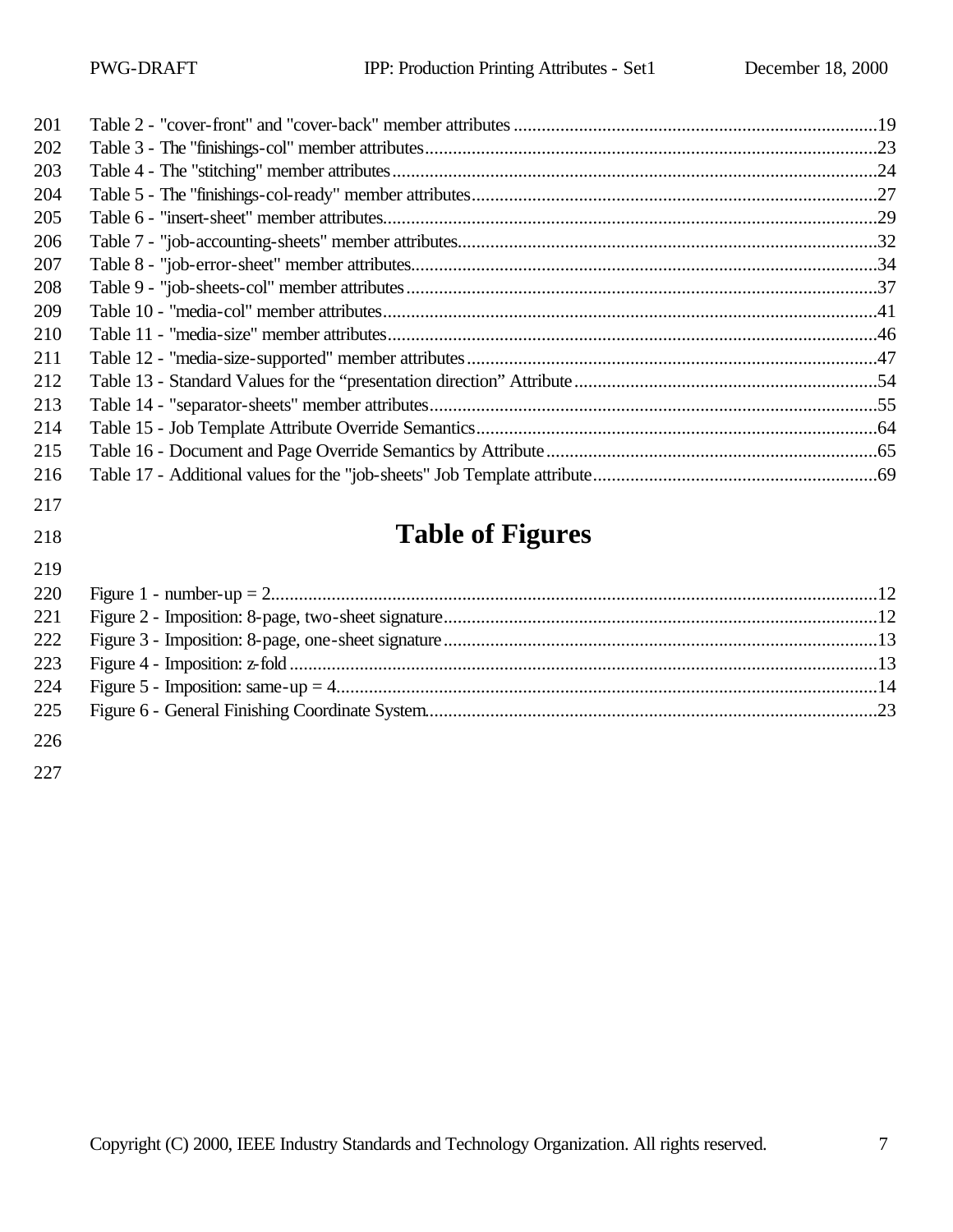| 201 |                         |  |
|-----|-------------------------|--|
| 202 |                         |  |
| 203 |                         |  |
| 204 |                         |  |
| 205 |                         |  |
| 206 |                         |  |
| 207 |                         |  |
| 208 |                         |  |
| 209 |                         |  |
| 210 |                         |  |
| 211 |                         |  |
| 212 |                         |  |
| 213 |                         |  |
| 214 |                         |  |
| 215 |                         |  |
| 216 |                         |  |
| 217 |                         |  |
| 218 | <b>Table of Figures</b> |  |
| 219 |                         |  |
| 220 |                         |  |
| 221 |                         |  |
| 222 |                         |  |
| 223 |                         |  |
| 224 |                         |  |
| 225 |                         |  |
| 226 |                         |  |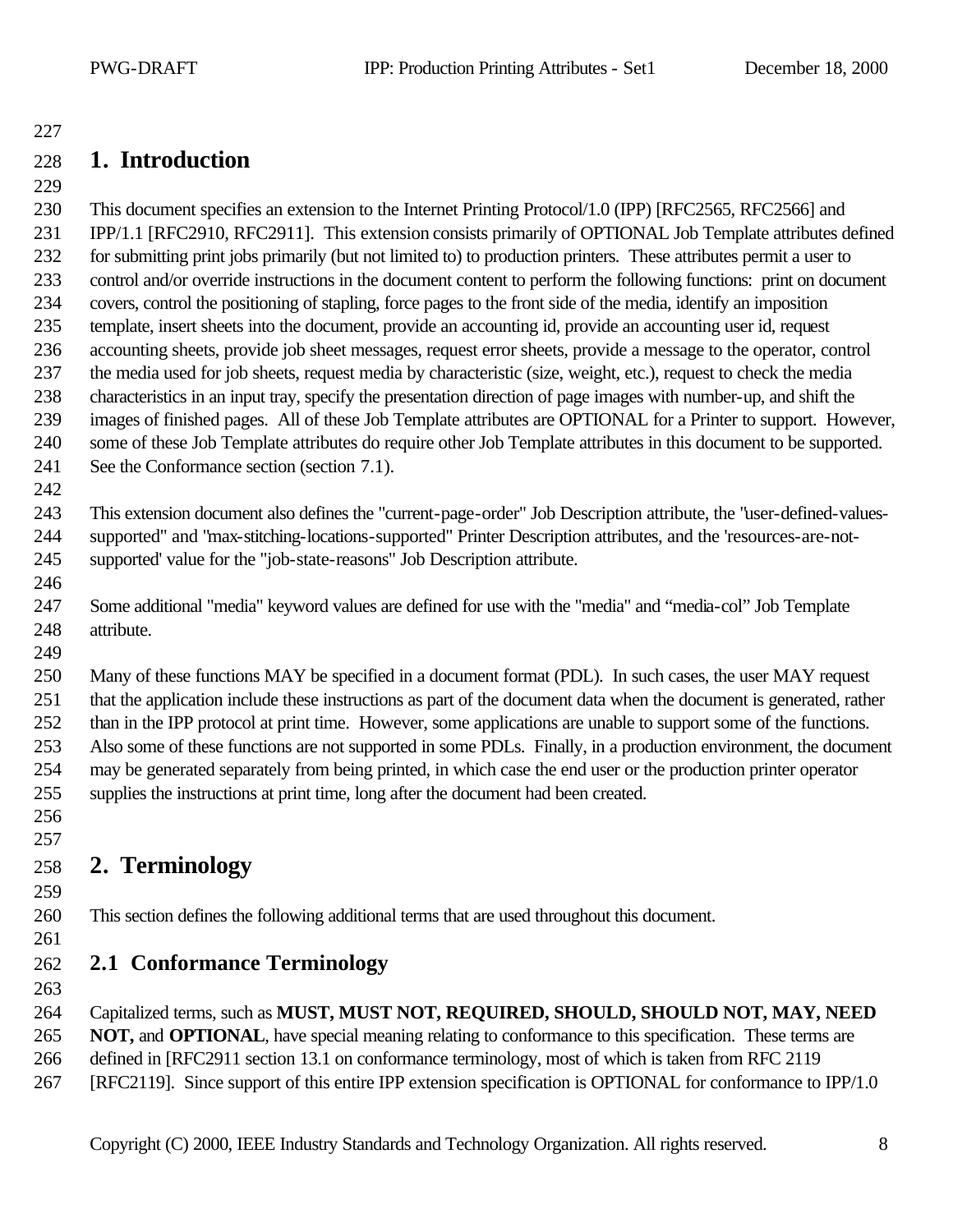# **1. Introduction**

 This document specifies an extension to the Internet Printing Protocol/1.0 (IPP) [RFC2565, RFC2566] and IPP/1.1 [RFC2910, RFC2911]. This extension consists primarily of OPTIONAL Job Template attributes defined for submitting print jobs primarily (but not limited to) to production printers. These attributes permit a user to control and/or override instructions in the document content to perform the following functions: print on document covers, control the positioning of stapling, force pages to the front side of the media, identify an imposition template, insert sheets into the document, provide an accounting id, provide an accounting user id, request accounting sheets, provide job sheet messages, request error sheets, provide a message to the operator, control the media used for job sheets, request media by characteristic (size, weight, etc.), request to check the media characteristics in an input tray, specify the presentation direction of page images with number-up, and shift the images of finished pages. All of these Job Template attributes are OPTIONAL for a Printer to support. However, some of these Job Template attributes do require other Job Template attributes in this document to be supported. See the Conformance section (section 7.1).

 This extension document also defines the "current-page-order" Job Description attribute, the "user-defined-values- supported" and "max-stitching-locations-supported" Printer Description attributes, and the 'resources-are-not-supported' value for the "job-state-reasons" Job Description attribute.

- Some additional "media" keyword values are defined for use with the "media" and "media-col" Job Template attribute.
- 

 Many of these functions MAY be specified in a document format (PDL). In such cases, the user MAY request that the application include these instructions as part of the document data when the document is generated, rather than in the IPP protocol at print time. However, some applications are unable to support some of the functions. Also some of these functions are not supported in some PDLs. Finally, in a production environment, the document may be generated separately from being printed, in which case the end user or the production printer operator supplies the instructions at print time, long after the document had been created. 

- **2. Terminology**
- 

- This section defines the following additional terms that are used throughout this document.
- 

# **2.1 Conformance Terminology**

Capitalized terms, such as **MUST, MUST NOT, REQUIRED, SHOULD, SHOULD NOT, MAY, NEED** 

**NOT,** and **OPTIONAL**, have special meaning relating to conformance to this specification. These terms are

defined in [RFC2911 section 13.1 on conformance terminology, most of which is taken from RFC 2119

[RFC2119]. Since support of this entire IPP extension specification is OPTIONAL for conformance to IPP/1.0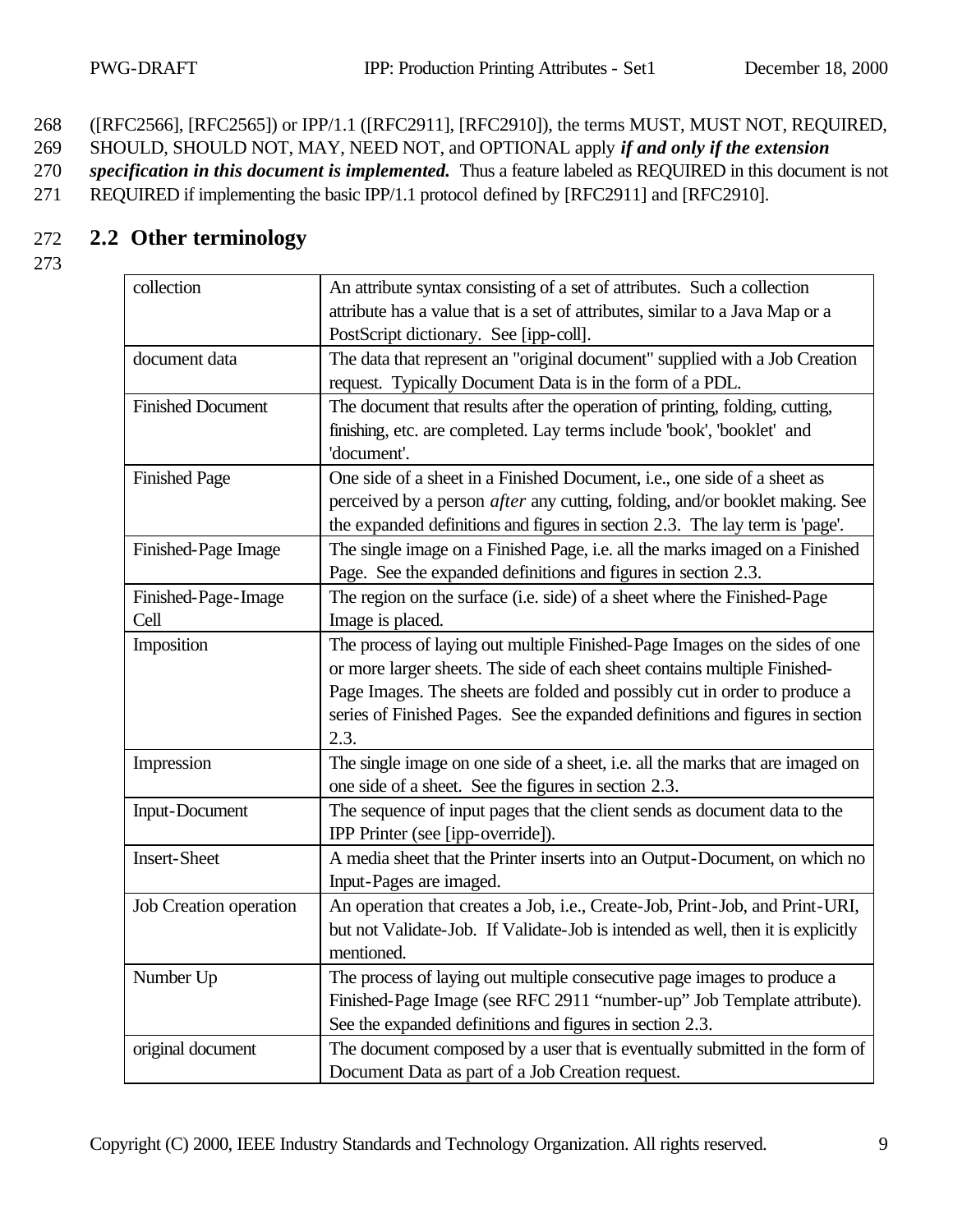268 ([RFC2566], [RFC2565]) or IPP/1.1 ([RFC2911], [RFC2910]), the terms MUST, MUST NOT, REQUIRED,

269 SHOULD, SHOULD NOT, MAY, NEED NOT, and OPTIONAL apply *if and only if the extension* 

270 *specification in this document is implemented.* Thus a feature labeled as REQUIRED in this document is not

271 REQUIRED if implementing the basic IPP/1.1 protocol defined by [RFC2911] and [RFC2910].

## 272 **2.2 Other terminology**

| collection               | An attribute syntax consisting of a set of attributes. Such a collection            |  |  |
|--------------------------|-------------------------------------------------------------------------------------|--|--|
|                          | attribute has a value that is a set of attributes, similar to a Java Map or a       |  |  |
|                          | PostScript dictionary. See [ipp-coll].                                              |  |  |
| document data            | The data that represent an "original document" supplied with a Job Creation         |  |  |
|                          | request. Typically Document Data is in the form of a PDL.                           |  |  |
| <b>Finished Document</b> | The document that results after the operation of printing, folding, cutting,        |  |  |
|                          | finishing, etc. are completed. Lay terms include 'book', 'booklet' and              |  |  |
|                          | 'document'.                                                                         |  |  |
| <b>Finished Page</b>     | One side of a sheet in a Finished Document, i.e., one side of a sheet as            |  |  |
|                          | perceived by a person <i>after</i> any cutting, folding, and/or booklet making. See |  |  |
|                          | the expanded definitions and figures in section 2.3. The lay term is 'page'.        |  |  |
| Finished-Page Image      | The single image on a Finished Page, i.e. all the marks imaged on a Finished        |  |  |
|                          | Page. See the expanded definitions and figures in section 2.3.                      |  |  |
| Finished-Page-Image      | The region on the surface (i.e. side) of a sheet where the Finished-Page            |  |  |
| Cell                     | Image is placed.                                                                    |  |  |
| Imposition               | The process of laying out multiple Finished-Page Images on the sides of one         |  |  |
|                          | or more larger sheets. The side of each sheet contains multiple Finished-           |  |  |
|                          | Page Images. The sheets are folded and possibly cut in order to produce a           |  |  |
|                          | series of Finished Pages. See the expanded definitions and figures in section       |  |  |
|                          | 2.3.                                                                                |  |  |
| Impression               | The single image on one side of a sheet, i.e. all the marks that are imaged on      |  |  |
|                          | one side of a sheet. See the figures in section 2.3.                                |  |  |
| <b>Input-Document</b>    | The sequence of input pages that the client sends as document data to the           |  |  |
|                          | IPP Printer (see [ipp-override]).                                                   |  |  |
| <b>Insert-Sheet</b>      | A media sheet that the Printer inserts into an Output-Document, on which no         |  |  |
|                          | Input-Pages are imaged.                                                             |  |  |
| Job Creation operation   | An operation that creates a Job, i.e., Create-Job, Print-Job, and Print-URI,        |  |  |
|                          | but not Validate-Job. If Validate-Job is intended as well, then it is explicitly    |  |  |
|                          | mentioned.                                                                          |  |  |
| Number Up                | The process of laying out multiple consecutive page images to produce a             |  |  |
|                          | Finished-Page Image (see RFC 2911 "number-up" Job Template attribute).              |  |  |
|                          | See the expanded definitions and figures in section 2.3.                            |  |  |
| original document        | The document composed by a user that is eventually submitted in the form of         |  |  |
|                          | Document Data as part of a Job Creation request.                                    |  |  |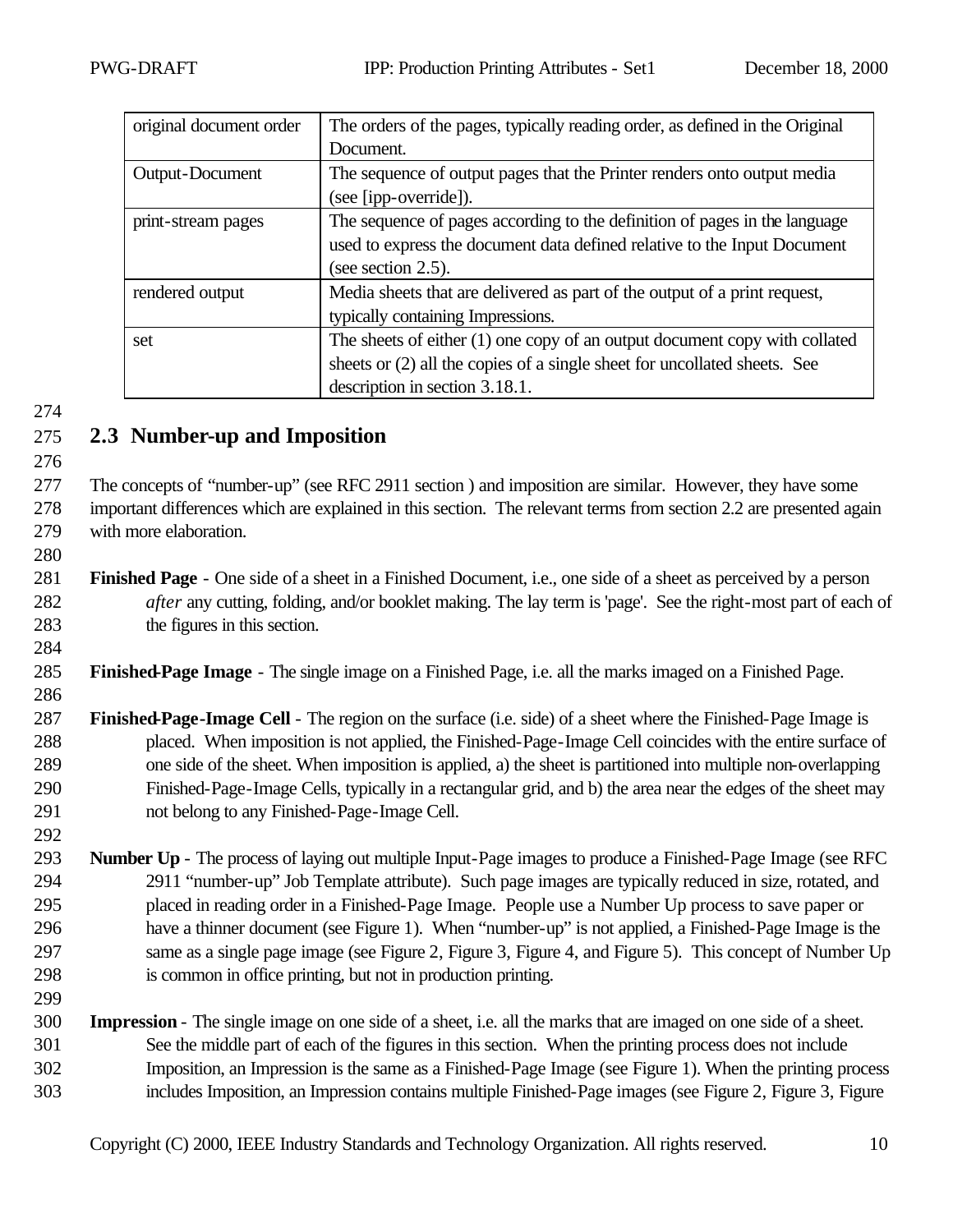| original document order | The orders of the pages, typically reading order, as defined in the Original |  |
|-------------------------|------------------------------------------------------------------------------|--|
|                         | Document.                                                                    |  |
| Output-Document         | The sequence of output pages that the Printer renders onto output media      |  |
|                         | (see [ipp-override]).                                                        |  |
| print-stream pages      | The sequence of pages according to the definition of pages in the language   |  |
|                         | used to express the document data defined relative to the Input Document     |  |
|                         | (see section $2.5$ ).                                                        |  |
| rendered output         | Media sheets that are delivered as part of the output of a print request,    |  |
|                         | typically containing Impressions.                                            |  |
| set                     | The sheets of either $(1)$ one copy of an output document copy with collated |  |
|                         | sheets or (2) all the copies of a single sheet for uncollated sheets. See    |  |
|                         | description in section 3.18.1.                                               |  |

# **2.3 Number-up and Imposition**

 The concepts of "number-up" (see RFC 2911 section ) and imposition are similar. However, they have some important differences which are explained in this section. The relevant terms from section 2.2 are presented again with more elaboration.

- **Finished Page** - One side of a sheet in a Finished Document, i.e., one side of a sheet as perceived by a person *after* any cutting, folding, and/or booklet making. The lay term is 'page'. See the right-most part of each of the figures in this section.
- **Finished-Page Image** The single image on a Finished Page, i.e. all the marks imaged on a Finished Page.
- 

 **Finished-Page-Image Cell** - The region on the surface (i.e. side) of a sheet where the Finished-Page Image is placed. When imposition is not applied, the Finished-Page-Image Cell coincides with the entire surface of one side of the sheet. When imposition is applied, a) the sheet is partitioned into multiple non-overlapping Finished-Page-Image Cells, typically in a rectangular grid, and b) the area near the edges of the sheet may not belong to any Finished-Page-Image Cell.

- **Number Up** The process of laying out multiple Input-Page images to produce a Finished-Page Image (see RFC 2911 "number-up" Job Template attribute). Such page images are typically reduced in size, rotated, and placed in reading order in a Finished-Page Image. People use a Number Up process to save paper or have a thinner document (see Figure 1). When "number-up" is not applied, a Finished-Page Image is the same as a single page image (see Figure 2, Figure 3, Figure 4, and Figure 5). This concept of Number Up is common in office printing, but not in production printing.
- **Impression** The single image on one side of a sheet, i.e. all the marks that are imaged on one side of a sheet. See the middle part of each of the figures in this section. When the printing process does not include Imposition, an Impression is the same as a Finished-Page Image (see Figure 1). When the printing process includes Imposition, an Impression contains multiple Finished-Page images (see Figure 2, Figure 3, Figure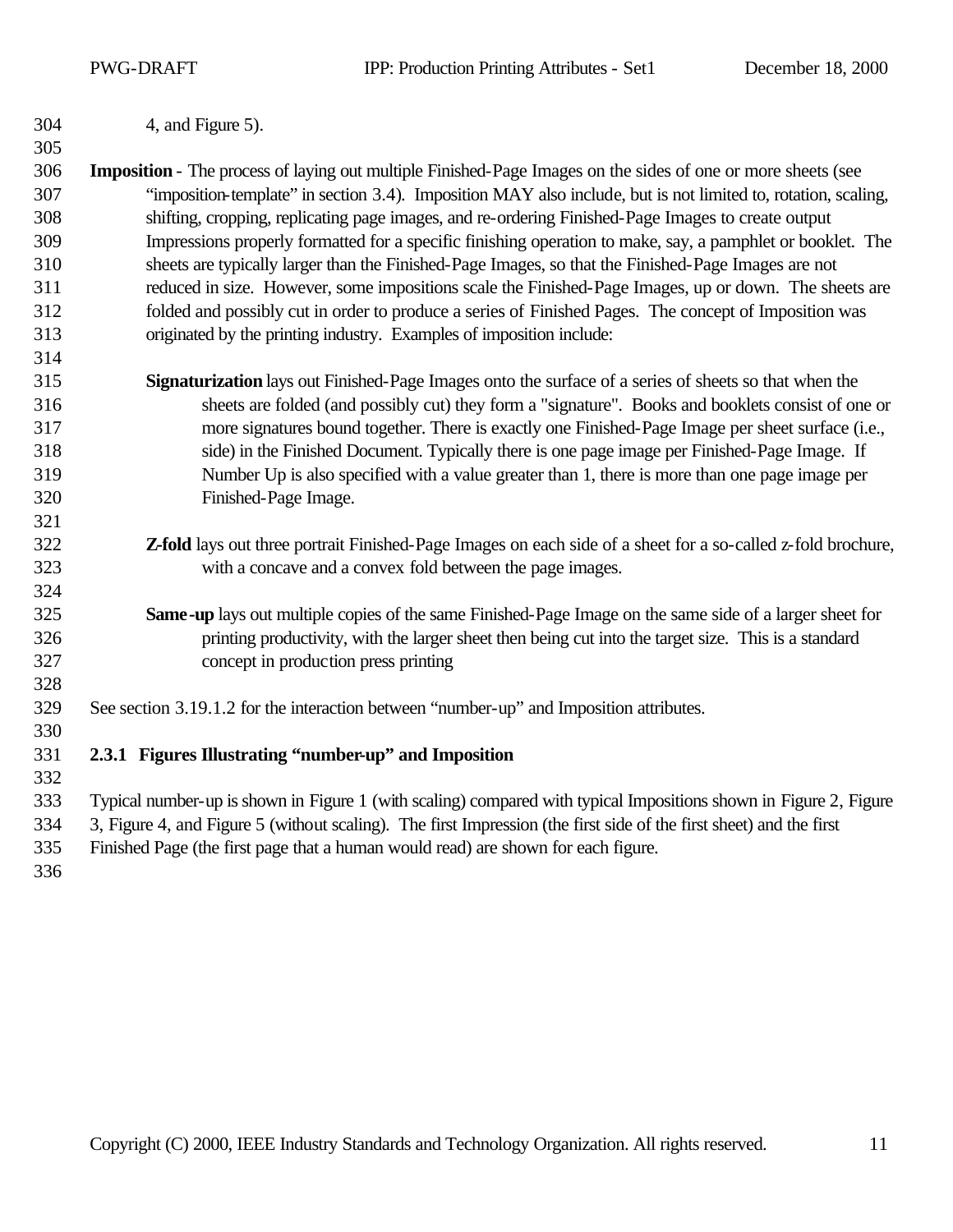4, and Figure 5).

 **Imposition** - The process of laying out multiple Finished-Page Images on the sides of one or more sheets (see "imposition-template" in section 3.4). Imposition MAY also include, but is not limited to, rotation, scaling, shifting, cropping, replicating page images, and re-ordering Finished-Page Images to create output Impressions properly formatted for a specific finishing operation to make, say, a pamphlet or booklet. The sheets are typically larger than the Finished-Page Images, so that the Finished-Page Images are not reduced in size. However, some impositions scale the Finished-Page Images, up or down. The sheets are folded and possibly cut in order to produce a series of Finished Pages. The concept of Imposition was originated by the printing industry. Examples of imposition include:

- **Signaturization** lays out Finished-Page Images onto the surface of a series of sheets so that when the sheets are folded (and possibly cut) they form a "signature". Books and booklets consist of one or more signatures bound together. There is exactly one Finished-Page Image per sheet surface (i.e., side) in the Finished Document. Typically there is one page image per Finished-Page Image. If Number Up is also specified with a value greater than 1, there is more than one page image per Finished-Page Image.
- **Z-fold** lays out three portrait Finished-Page Images on each side of a sheet for a so-called z-fold brochure, with a concave and a convex fold between the page images.
- **Same-up** lays out multiple copies of the same Finished-Page Image on the same side of a larger sheet for printing productivity, with the larger sheet then being cut into the target size. This is a standard concept in production press printing
- See section 3.19.1.2 for the interaction between "number-up" and Imposition attributes.
- **2.3.1 Figures Illustrating "number-up" and Imposition**

 Typical number-up is shown in Figure 1 (with scaling) compared with typical Impositions shown in Figure 2, Figure 3, Figure 4, and Figure 5 (without scaling). The first Impression (the first side of the first sheet) and the first

- Finished Page (the first page that a human would read) are shown for each figure.
-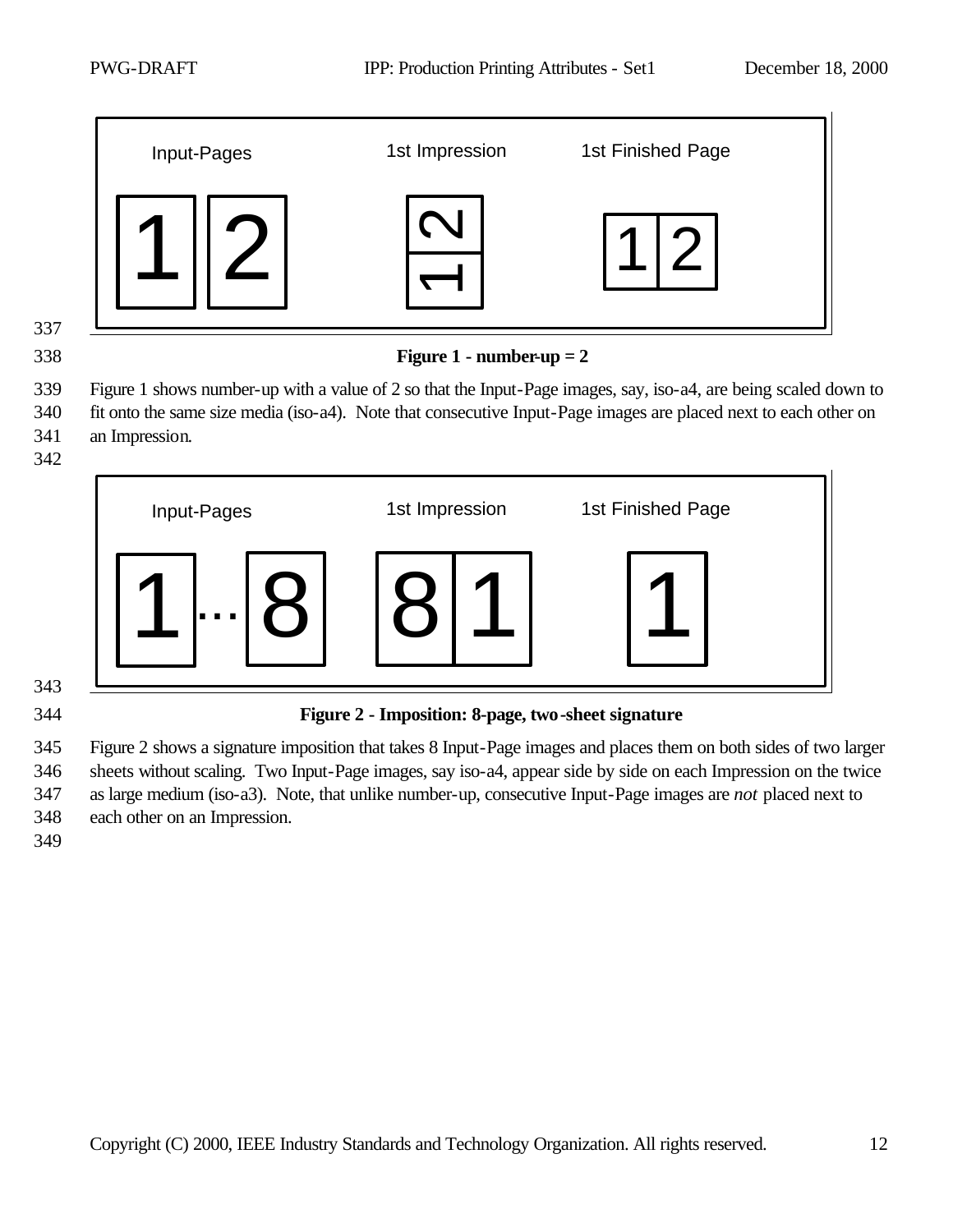



**Figure 1 - number-up = 2**

 Figure 1 shows number-up with a value of 2 so that the Input-Page images, say, iso-a4, are being scaled down to fit onto the same size media (iso-a4). Note that consecutive Input-Page images are placed next to each other on an Impression.



# 

#### **Figure 2 - Imposition: 8-page, two-sheet signature**

 Figure 2 shows a signature imposition that takes 8 Input-Page images and places them on both sides of two larger sheets without scaling. Two Input-Page images, say iso-a4, appear side by side on each Impression on the twice as large medium (iso-a3). Note, that unlike number-up, consecutive Input-Page images are *not* placed next to each other on an Impression.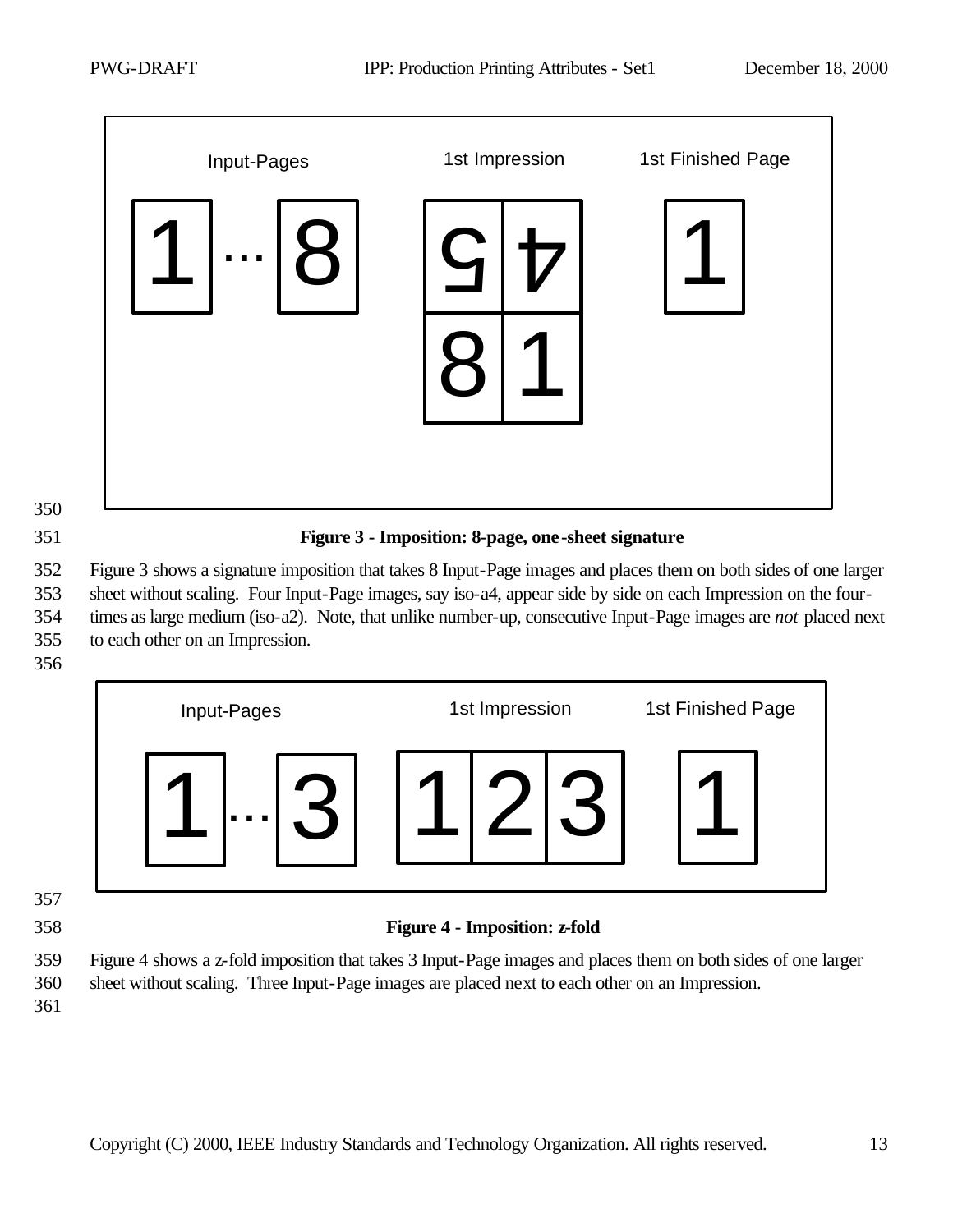

**Figure 3 - Imposition: 8-page, one-sheet signature**

 Figure 3 shows a signature imposition that takes 8 Input-Page images and places them on both sides of one larger sheet without scaling. Four Input-Page images, say iso-a4, appear side by side on each Impression on the four- times as large medium (iso-a2). Note, that unlike number-up, consecutive Input-Page images are *not* placed next to each other on an Impression.





#### **Figure 4 - Imposition: z-fold**

 Figure 4 shows a z-fold imposition that takes 3 Input-Page images and places them on both sides of one larger sheet without scaling. Three Input-Page images are placed next to each other on an Impression.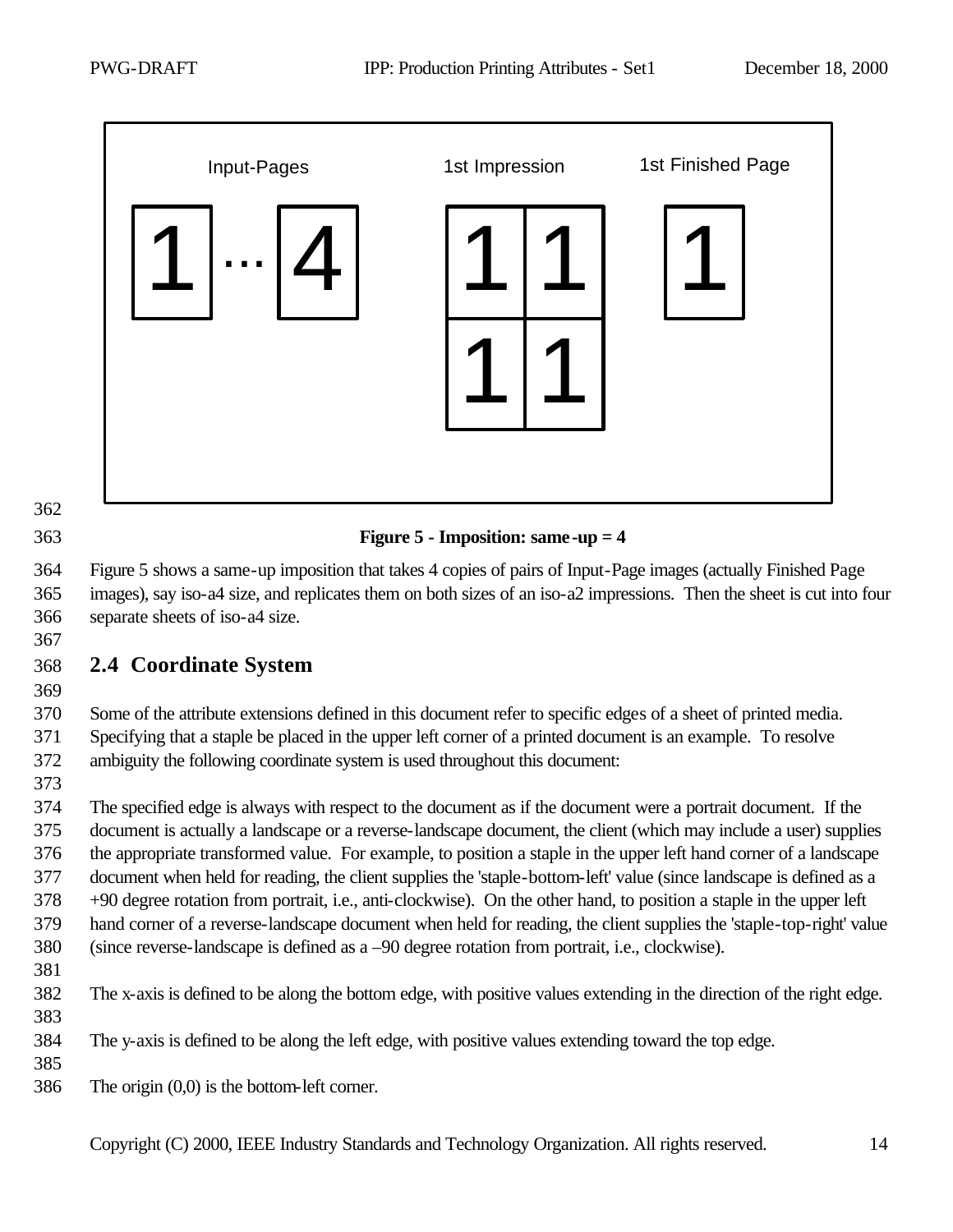

#### **Figure 5 - Imposition: same-up = 4**

 Figure 5 shows a same-up imposition that takes 4 copies of pairs of Input-Page images (actually Finished Page images), say iso-a4 size, and replicates them on both sizes of an iso-a2 impressions. Then the sheet is cut into four separate sheets of iso-a4 size.

# **2.4 Coordinate System**

#### Some of the attribute extensions defined in this document refer to specific edges of a sheet of printed media. Specifying that a staple be placed in the upper left corner of a printed document is an example. To resolve ambiguity the following coordinate system is used throughout this document:

 The specified edge is always with respect to the document as if the document were a portrait document. If the document is actually a landscape or a reverse-landscape document, the client (which may include a user) supplies the appropriate transformed value. For example, to position a staple in the upper left hand corner of a landscape document when held for reading, the client supplies the 'staple-bottom-left' value (since landscape is defined as a +90 degree rotation from portrait, i.e., anti-clockwise). On the other hand, to position a staple in the upper left hand corner of a reverse-landscape document when held for reading, the client supplies the 'staple-top-right' value (since reverse-landscape is defined as a –90 degree rotation from portrait, i.e., clockwise).

The x-axis is defined to be along the bottom edge, with positive values extending in the direction of the right edge.

The y-axis is defined to be along the left edge, with positive values extending toward the top edge.

The origin (0,0) is the bottom-left corner.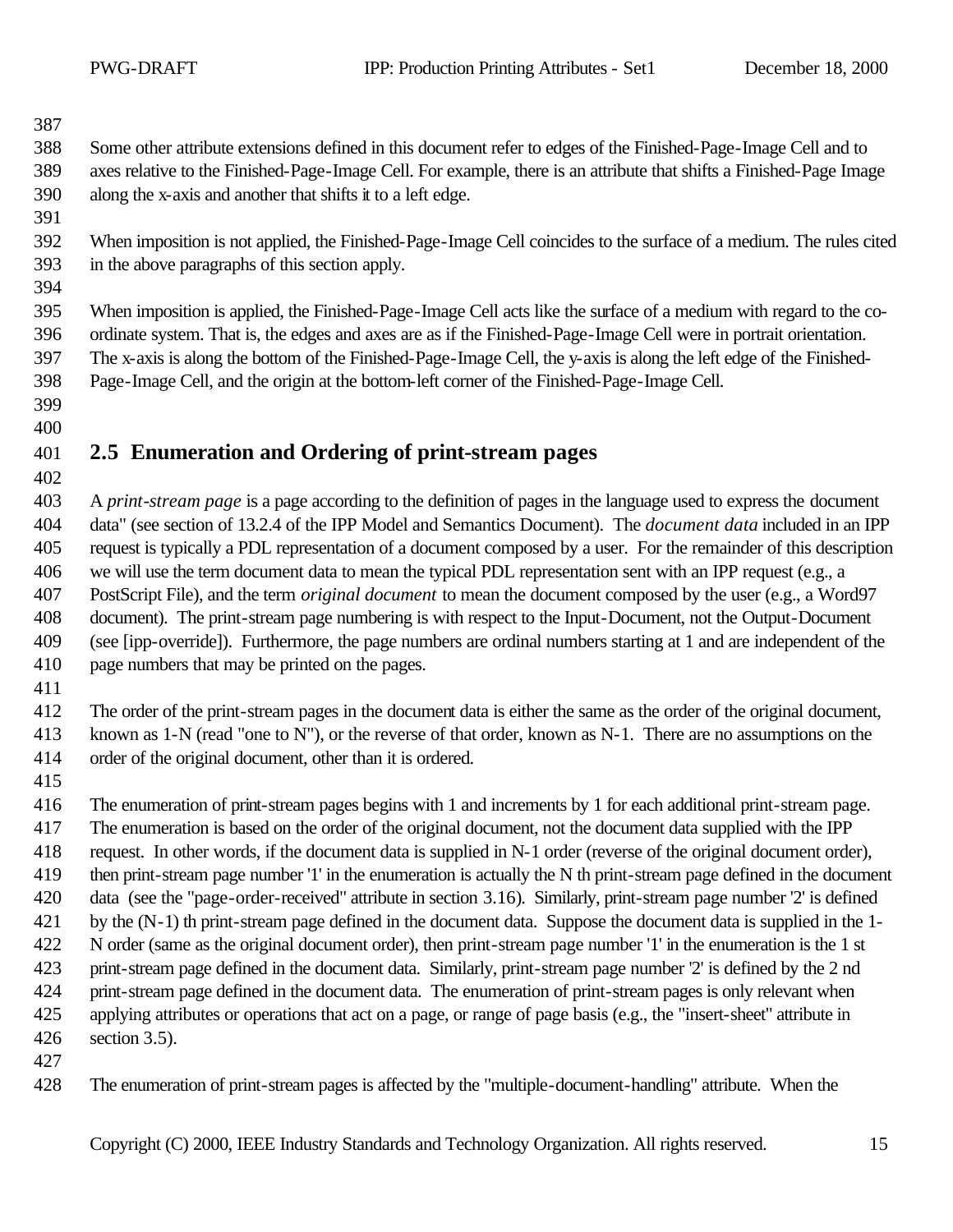Some other attribute extensions defined in this document refer to edges of the Finished-Page-Image Cell and to axes relative to the Finished-Page-Image Cell. For example, there is an attribute that shifts a Finished-Page Image along the x-axis and another that shifts it to a left edge.

 When imposition is not applied, the Finished-Page-Image Cell coincides to the surface of a medium. The rules cited in the above paragraphs of this section apply.

 When imposition is applied, the Finished-Page-Image Cell acts like the surface of a medium with regard to the co- ordinate system. That is, the edges and axes are as if the Finished-Page-Image Cell were in portrait orientation. The x-axis is along the bottom of the Finished-Page-Image Cell, the y-axis is along the left edge of the Finished-Page-Image Cell, and the origin at the bottom-left corner of the Finished-Page-Image Cell.

#### 

# **2.5 Enumeration and Ordering of print-stream pages**

 A *print-stream page* is a page according to the definition of pages in the language used to express the document data" (see section of 13.2.4 of the IPP Model and Semantics Document). The *document data* included in an IPP request is typically a PDL representation of a document composed by a user. For the remainder of this description we will use the term document data to mean the typical PDL representation sent with an IPP request (e.g., a PostScript File), and the term *original document* to mean the document composed by the user (e.g., a Word97 document). The print-stream page numbering is with respect to the Input-Document, not the Output-Document (see [ipp-override]). Furthermore, the page numbers are ordinal numbers starting at 1 and are independent of the page numbers that may be printed on the pages.

 The order of the print-stream pages in the document data is either the same as the order of the original document, 413 known as 1-N (read "one to N"), or the reverse of that order, known as N-1. There are no assumptions on the order of the original document, other than it is ordered.

The enumeration of print-stream pages begins with 1 and increments by 1 for each additional print-stream page.

The enumeration is based on the order of the original document, not the document data supplied with the IPP

request. In other words, if the document data is supplied in N-1 order (reverse of the original document order),

then print-stream page number '1' in the enumeration is actually the N th print-stream page defined in the document

data (see the "page-order-received" attribute in section 3.16). Similarly, print-stream page number '2' is defined

- by the (N-1) th print-stream page defined in the document data. Suppose the document data is supplied in the 1-
- N order (same as the original document order), then print-stream page number '1' in the enumeration is the 1 st
- print-stream page defined in the document data. Similarly, print-stream page number '2' is defined by the 2 nd print-stream page defined in the document data. The enumeration of print-stream pages is only relevant when
- applying attributes or operations that act on a page, or range of page basis (e.g., the "insert-sheet" attribute in
- section 3.5).
- 

The enumeration of print-stream pages is affected by the "multiple-document-handling" attribute. When the

Copyright (C) 2000, IEEE Industry Standards and Technology Organization. All rights reserved. 15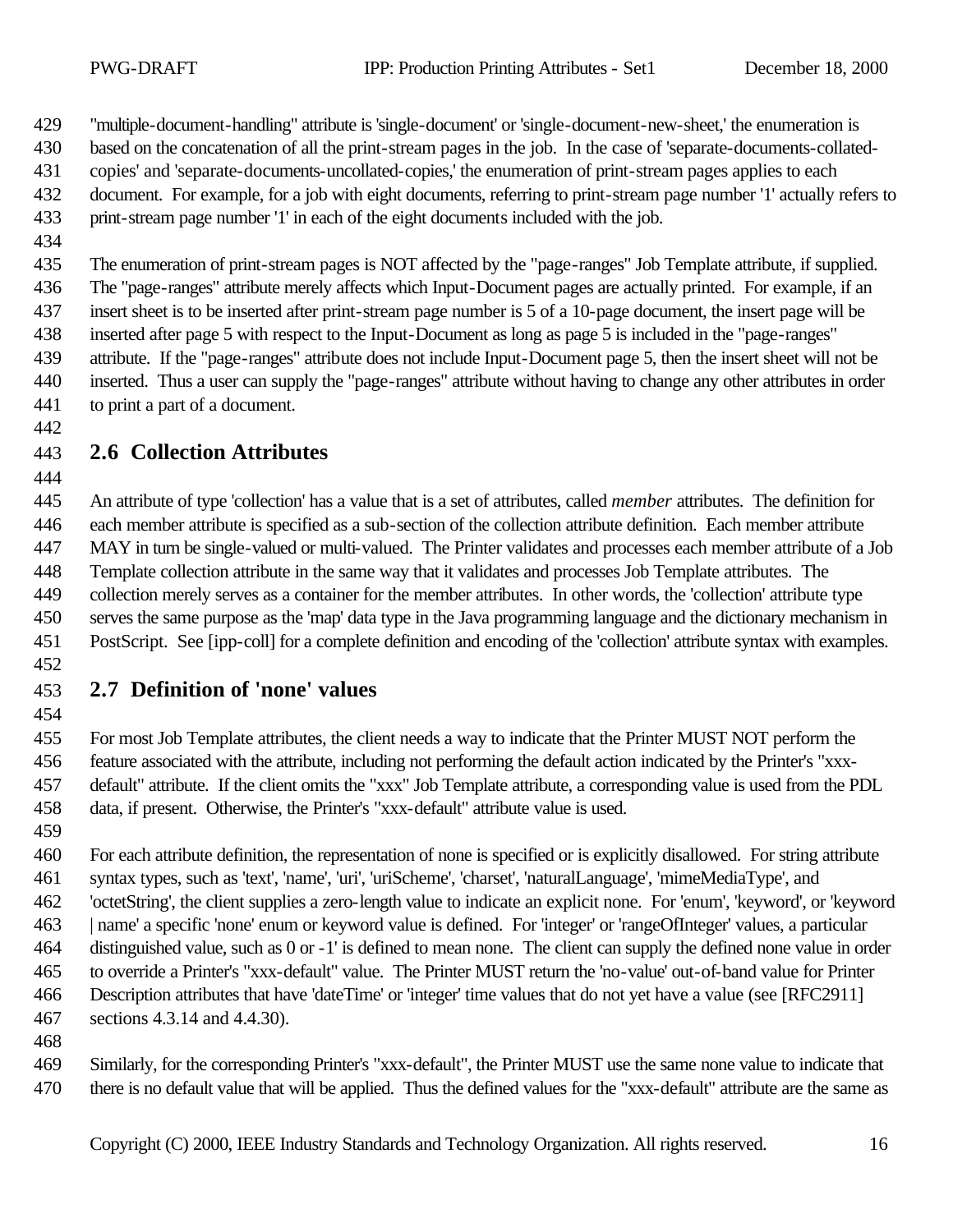"multiple-document-handling" attribute is 'single-document' or 'single-document-new-sheet,' the enumeration is

based on the concatenation of all the print-stream pages in the job. In the case of 'separate-documents-collated-

- copies' and 'separate-documents-uncollated-copies,' the enumeration of print-stream pages applies to each
- document. For example, for a job with eight documents, referring to print-stream page number '1' actually refers to print-stream page number '1' in each of the eight documents included with the job.
- 

 The enumeration of print-stream pages is NOT affected by the "page-ranges" Job Template attribute, if supplied. The "page-ranges" attribute merely affects which Input-Document pages are actually printed. For example, if an insert sheet is to be inserted after print-stream page number is 5 of a 10-page document, the insert page will be inserted after page 5 with respect to the Input-Document as long as page 5 is included in the "page-ranges" attribute. If the "page-ranges" attribute does not include Input-Document page 5, then the insert sheet will not be inserted. Thus a user can supply the "page-ranges" attribute without having to change any other attributes in order to print a part of a document.

# **2.6 Collection Attributes**

 An attribute of type 'collection' has a value that is a set of attributes, called *member* attributes. The definition for each member attribute is specified as a sub-section of the collection attribute definition. Each member attribute MAY in turn be single-valued or multi-valued. The Printer validates and processes each member attribute of a Job Template collection attribute in the same way that it validates and processes Job Template attributes. The collection merely serves as a container for the member attributes. In other words, the 'collection' attribute type serves the same purpose as the 'map' data type in the Java programming language and the dictionary mechanism in PostScript. See [ipp-coll] for a complete definition and encoding of the 'collection' attribute syntax with examples.

# **2.7 Definition of 'none' values**

 For most Job Template attributes, the client needs a way to indicate that the Printer MUST NOT perform the feature associated with the attribute, including not performing the default action indicated by the Printer's "xxx- default" attribute. If the client omits the "xxx" Job Template attribute, a corresponding value is used from the PDL data, if present. Otherwise, the Printer's "xxx-default" attribute value is used.

 For each attribute definition, the representation of none is specified or is explicitly disallowed. For string attribute syntax types, such as 'text', 'name', 'uri', 'uriScheme', 'charset', 'naturalLanguage', 'mimeMediaType', and 'octetString', the client supplies a zero-length value to indicate an explicit none. For 'enum', 'keyword', or 'keyword | name' a specific 'none' enum or keyword value is defined. For 'integer' or 'rangeOfInteger' values, a particular distinguished value, such as 0 or -1' is defined to mean none. The client can supply the defined none value in order to override a Printer's "xxx-default" value. The Printer MUST return the 'no-value' out-of-band value for Printer Description attributes that have 'dateTime' or 'integer' time values that do not yet have a value (see [RFC2911] sections 4.3.14 and 4.4.30).

 Similarly, for the corresponding Printer's "xxx-default", the Printer MUST use the same none value to indicate that there is no default value that will be applied. Thus the defined values for the "xxx-default" attribute are the same as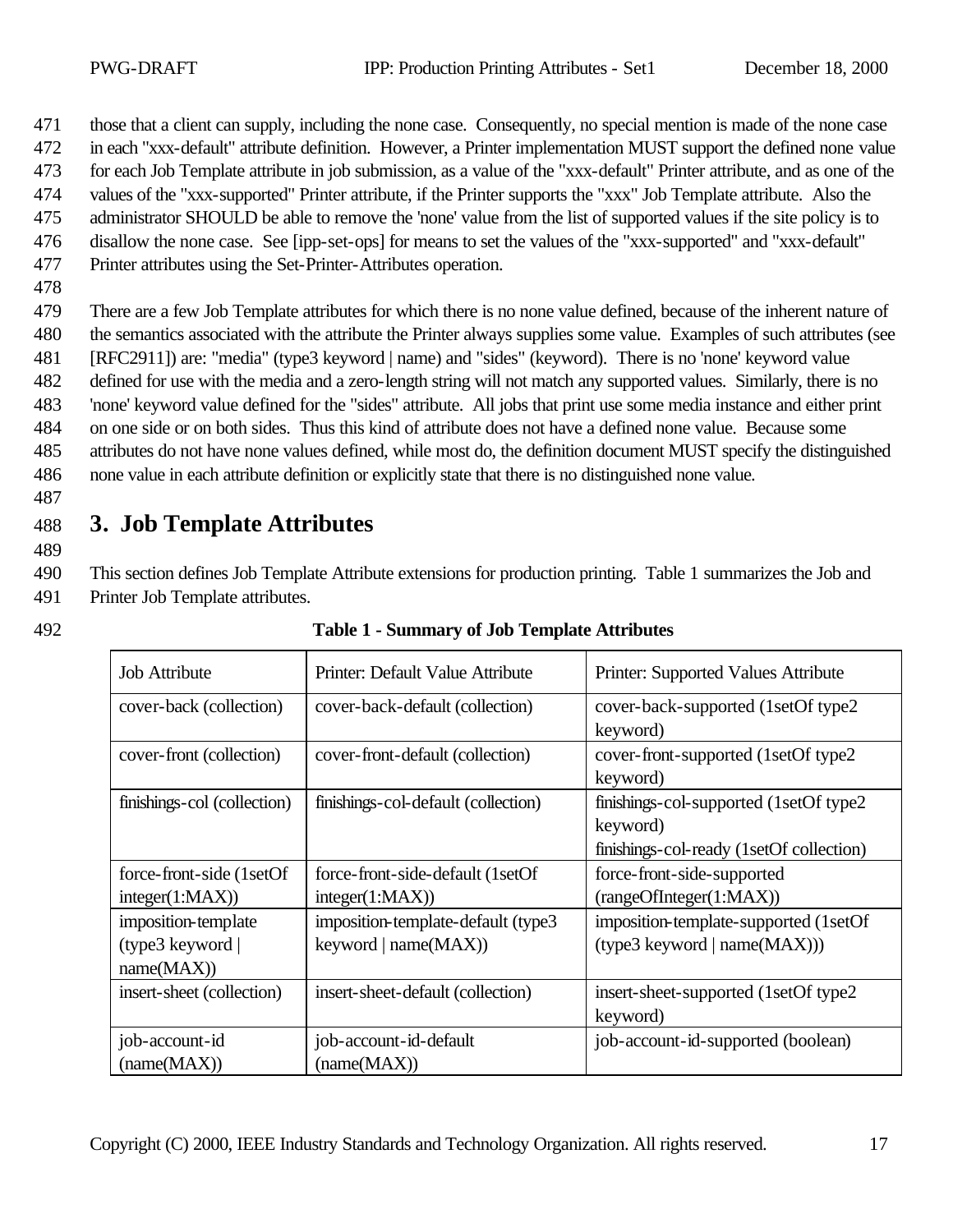471 those that a client can supply, including the none case. Consequently, no special mention is made of the none case

- 472 in each "xxx-default" attribute definition. However, a Printer implementation MUST support the defined none value
- 473 for each Job Template attribute in job submission, as a value of the "xxx-default" Printer attribute, and as one of the
- 474 values of the "xxx-supported" Printer attribute, if the Printer supports the "xxx" Job Template attribute. Also the
- 475 administrator SHOULD be able to remove the 'none' value from the list of supported values if the site policy is to
- 476 disallow the none case. See [ipp-set-ops] for means to set the values of the "xxx-supported" and "xxx-default"
- 477 Printer attributes using the Set-Printer-Attributes operation.
- 478

 There are a few Job Template attributes for which there is no none value defined, because of the inherent nature of the semantics associated with the attribute the Printer always supplies some value. Examples of such attributes (see [RFC2911]) are: "media" (type3 keyword | name) and "sides" (keyword). There is no 'none' keyword value defined for use with the media and a zero-length string will not match any supported values. Similarly, there is no 'none' keyword value defined for the "sides" attribute. All jobs that print use some media instance and either print on one side or on both sides. Thus this kind of attribute does not have a defined none value. Because some attributes do not have none values defined, while most do, the definition document MUST specify the distinguished none value in each attribute definition or explicitly state that there is no distinguished none value.

487

489

# 488 **3. Job Template Attributes**

490 This section defines Job Template Attribute extensions for production printing. Table 1 summarizes the Job and 491 Printer Job Template attributes.

| <b>Job Attribute</b>                                 | Printer: Default Value Attribute                              | Printer: Supported Values Attribute                                                             |
|------------------------------------------------------|---------------------------------------------------------------|-------------------------------------------------------------------------------------------------|
| cover-back (collection)                              | cover-back-default (collection)                               | cover-back-supported (1setOf type2)<br>keyword)                                                 |
| cover-front (collection)                             | cover-front-default (collection)                              | cover-front-supported (1setOf type2)<br>keyword)                                                |
| finishings-col (collection)                          | finishings-col-default (collection)                           | finishings-col-supported (1setOf type2)<br>keyword)<br>finishings-col-ready (1setOf collection) |
| force-front-side (1setOf)<br>integer(1:MAX))         | force-front-side-default (1setOf)<br>integer(1:MAX))          | force-front-side-supported<br>(rangeOfInteger(1:MAX))                                           |
| imposition-template<br>(type3 keyword)<br>name(MAX)) | imposition-template-default (type3)<br>keyword $  name(MAX))$ | imposition-template-supported (1setOf<br>$(type3$ keyword   name $(MAX))$ )                     |
| insert-sheet (collection)                            | insert-sheet-default (collection)                             | insert-sheet-supported (1setOf type2)<br>keyword)                                               |
| job-account-id<br>(name(MAX))                        | job-account-id-default<br>(name(MAX))                         | job-account-id-supported (boolean)                                                              |

#### 492 **Table 1 - Summary of Job Template Attributes**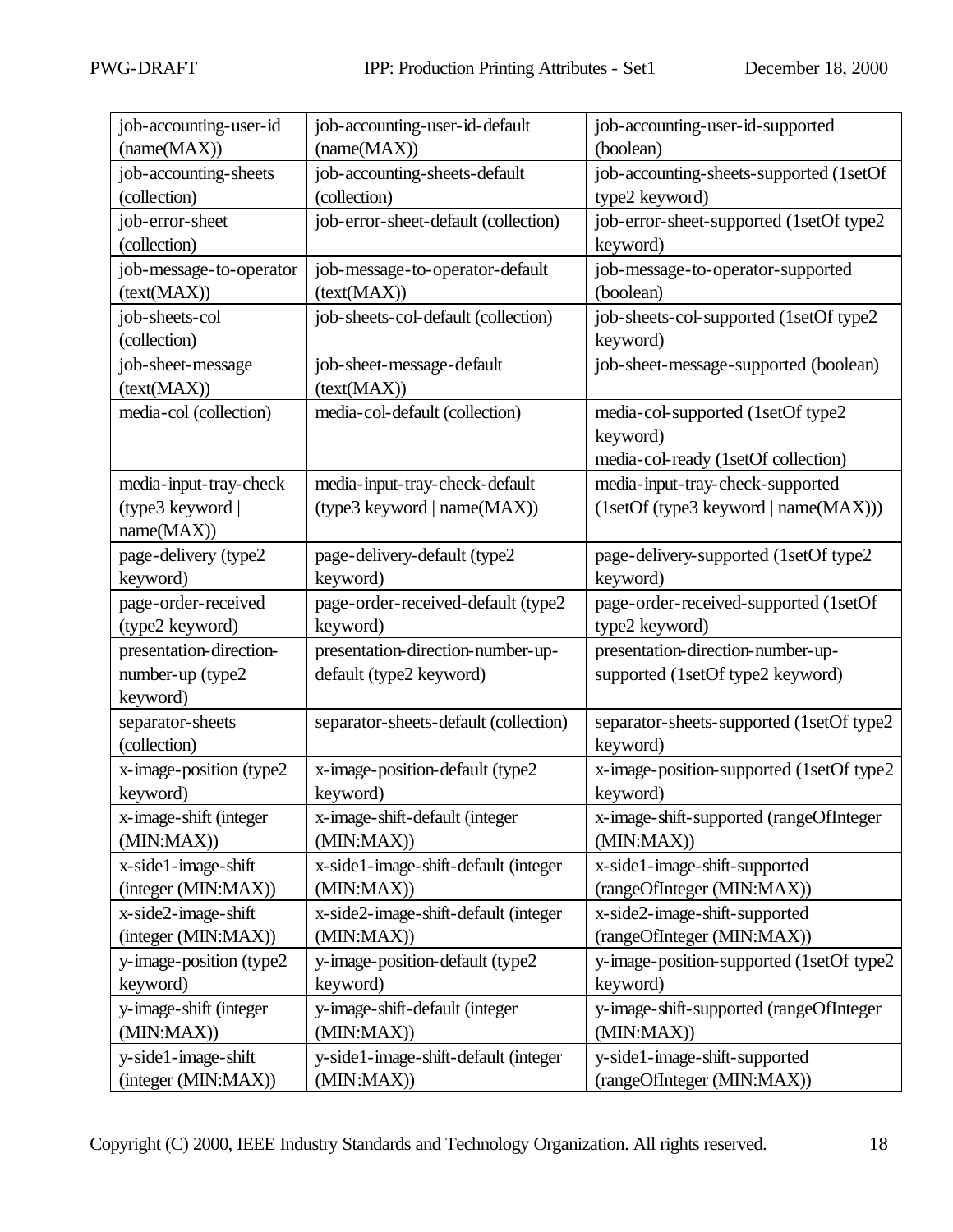| job-accounting-user-id   | job-accounting-user-id-default        | job-accounting-user-id-supported         |
|--------------------------|---------------------------------------|------------------------------------------|
| (name(MAX))              | (name(MAX))                           | (boolean)                                |
| job-accounting-sheets    | job-accounting-sheets-default         | job-accounting-sheets-supported (1setOf  |
| (collection)             | (collection)                          | type2 keyword)                           |
| job-error-sheet          | job-error-sheet-default (collection)  | job-error-sheet-supported (1setOf type2  |
| (collection)             |                                       | keyword)                                 |
| job-message-to-operator  | job-message-to-operator-default       | job-message-to-operator-supported        |
| (text(MAX))              | (text(MAX))                           | (boolean)                                |
| job-sheets-col           | job-sheets-col-default (collection)   | job-sheets-col-supported (1setOf type2   |
| (collection)             |                                       | keyword)                                 |
| job-sheet-message        | job-sheet-message-default             | job-sheet-message-supported (boolean)    |
| (text(MAX))              | (text(MAX))                           |                                          |
| media-col (collection)   | media-col-default (collection)        | media-col-supported (1setOf type2        |
|                          |                                       | keyword)                                 |
|                          |                                       | media-col-ready (1setOf collection)      |
| media-input-tray-check   | media-input-tray-check-default        | media-input-tray-check-supported         |
| (type3 keyword           | (type3 keyword   name(MAX))           | (1setOf (type3 keyword   name(MAX)))     |
| name(MAX))               |                                       |                                          |
| page-delivery (type2     | page-delivery-default (type2          | page-delivery-supported (1setOf type2    |
| keyword)                 | keyword)                              | keyword)                                 |
| page-order-received      | page-order-received-default (type2    | page-order-received-supported (1setOf    |
| (type2 keyword)          | keyword)                              | type2 keyword)                           |
| presentation-direction-  | presentation-direction-number-up-     | presentation-direction-number-up-        |
| number-up (type2         | default (type2 keyword)               | supported (1setOf type2 keyword)         |
| keyword)                 |                                       |                                          |
| separator-sheets         | separator-sheets-default (collection) | separator-sheets-supported (1setOf type2 |
| (collection)             |                                       | keyword)                                 |
| x-image-position (type2  | x-image-position-default (type2       | x-image-position-supported (1setOf type2 |
| keyword)                 | keyword)                              | keyword)                                 |
| x-image-shift (integer   | x-image-shift-default (integer        | x-image-shift-supported (rangeOfInteger  |
| (MIN:MAX))               | (MIN:MAX))                            | (MIN:MAX)                                |
| x-side1-image-shift      | x-side1-image-shift-default (integer  | x-side1-image-shift-supported            |
| (integer (MIN:MAX))      | (MIN:MAX)                             | (rangeOfInteger (MIN:MAX))               |
| x-side2-image-shift      | x-side2-image-shift-default (integer  | x-side2-image-shift-supported            |
| (integer (MIN:MAX))      | (MIN:MAX)                             | (rangeOfInteger (MIN:MAX))               |
| y-image-position (type2) | y-image-position-default (type2       | y-image-position-supported (1setOf type2 |
| keyword)                 | keyword)                              | keyword)                                 |
| y-image-shift (integer   | y-image-shift-default (integer        | y-image-shift-supported (rangeOfInteger  |
| (MIN:MAX)                | (MIN:MAX))                            | (MIN:MAX)                                |
| y-side1-image-shift      | y-side1-image-shift-default (integer  | y-side1-image-shift-supported            |
| (integer (MIN:MAX))      | (MIN:MAX)                             | (rangeOfInteger (MIN:MAX))               |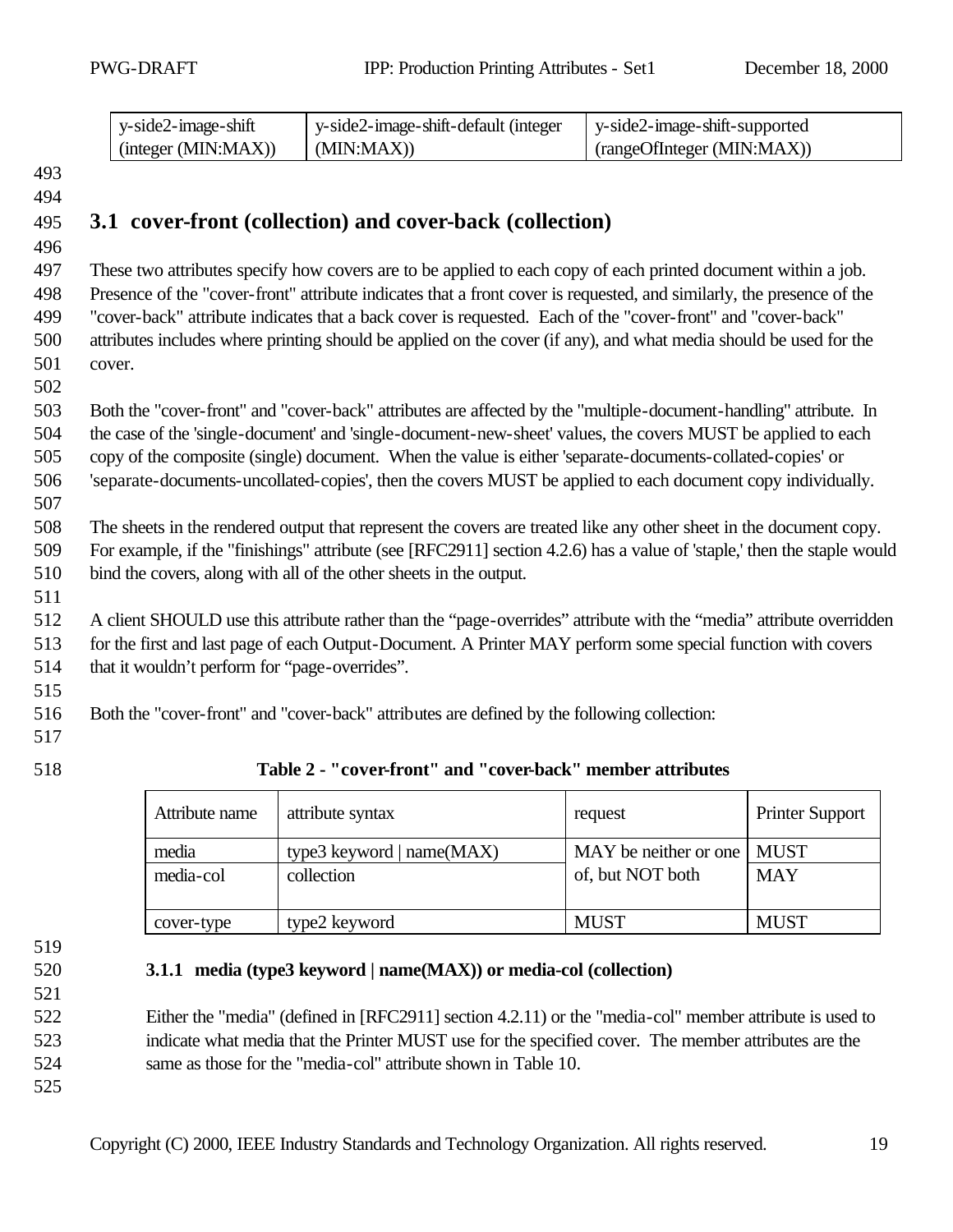| y-side2-image-shift | y-side2-image-shift-default (integer | y-side2-image-shift-supported |
|---------------------|--------------------------------------|-------------------------------|
| (integer (MIN:MAX)) | (MIN:MAX))                           | (rangeOfInteger (MIN:MAX))    |

# **3.1 cover-front (collection) and cover-back (collection)**

 These two attributes specify how covers are to be applied to each copy of each printed document within a job. Presence of the "cover-front" attribute indicates that a front cover is requested, and similarly, the presence of the "cover-back" attribute indicates that a back cover is requested. Each of the "cover-front" and "cover-back" attributes includes where printing should be applied on the cover (if any), and what media should be used for the cover.

 Both the "cover-front" and "cover-back" attributes are affected by the "multiple-document-handling" attribute. In the case of the 'single-document' and 'single-document-new-sheet' values, the covers MUST be applied to each copy of the composite (single) document. When the value is either 'separate-documents-collated-copies' or

'separate-documents-uncollated-copies', then the covers MUST be applied to each document copy individually.

 The sheets in the rendered output that represent the covers are treated like any other sheet in the document copy. For example, if the "finishings" attribute (see [RFC2911] section 4.2.6) has a value of 'staple,' then the staple would

bind the covers, along with all of the other sheets in the output.

 A client SHOULD use this attribute rather than the "page-overrides" attribute with the "media" attribute overridden for the first and last page of each Output-Document. A Printer MAY perform some special function with covers that it wouldn't perform for "page-overrides".

Both the "cover-front" and "cover-back" attributes are defined by the following collection:

- 
- 

| 518 | Table 2 - "cover-front" and "cover-back" member attributes |  |  |
|-----|------------------------------------------------------------|--|--|
|     |                                                            |  |  |

| Attribute name     | attribute syntax                          | request                                          | <b>Printer Support</b> |
|--------------------|-------------------------------------------|--------------------------------------------------|------------------------|
| media<br>media-col | type3 keyword   $name(MAX)$<br>collection | MAY be neither or one   MUST<br>of, but NOT both | <b>MAY</b>             |
|                    |                                           |                                                  |                        |
| cover-type         | type2 keyword                             | <b>MUST</b>                                      | <b>MUST</b>            |

**3.1.1 media (type3 keyword | name(MAX)) or media-col (collection)**

 Either the "media" (defined in [RFC2911] section 4.2.11) or the "media-col" member attribute is used to indicate what media that the Printer MUST use for the specified cover. The member attributes are the same as those for the "media-col" attribute shown in Table 10.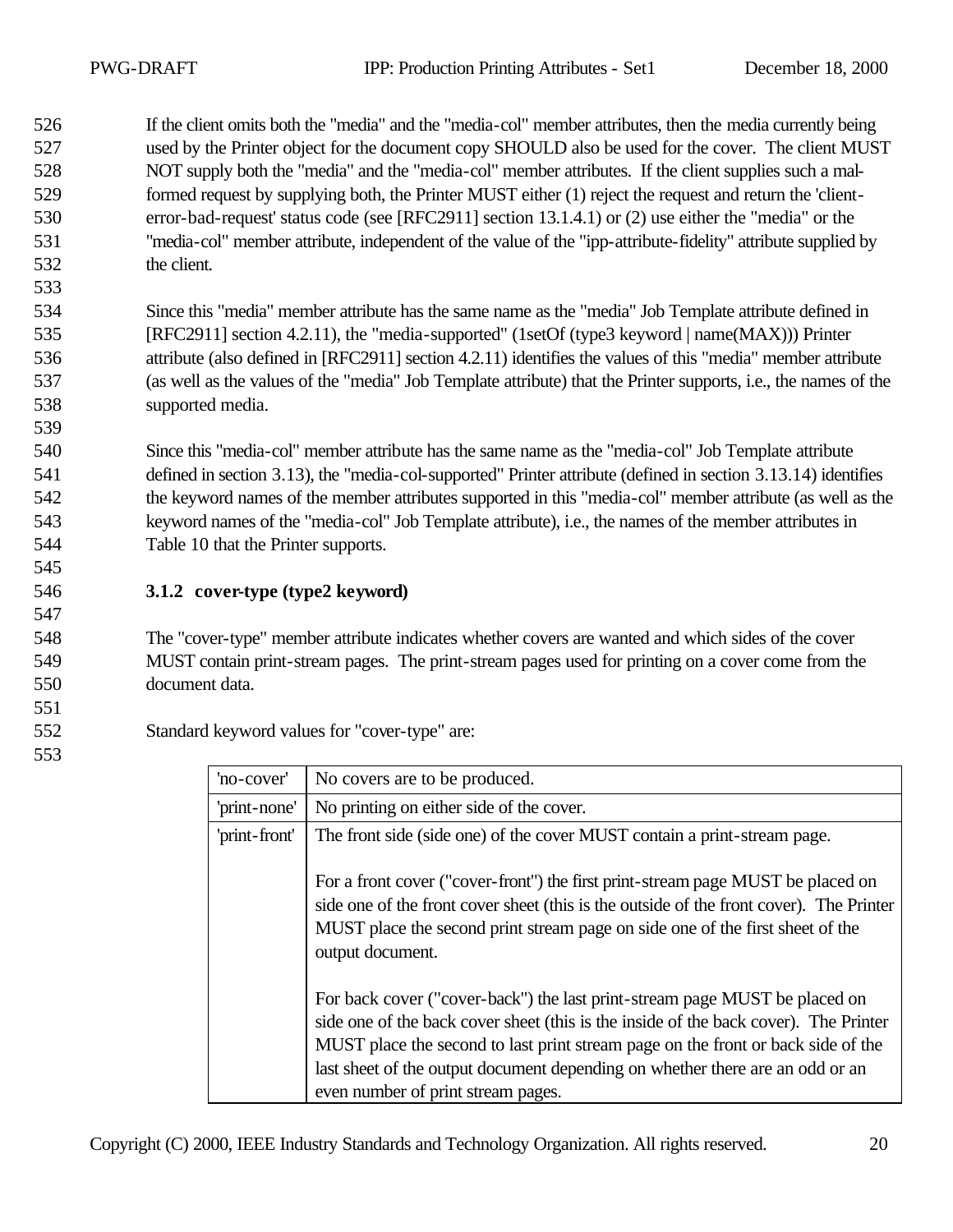If the client omits both the "media" and the "media-col" member attributes, then the media currently being used by the Printer object for the document copy SHOULD also be used for the cover. The client MUST NOT supply both the "media" and the "media-col" member attributes. If the client supplies such a mal- formed request by supplying both, the Printer MUST either (1) reject the request and return the 'client- error-bad-request' status code (see [RFC2911] section 13.1.4.1) or (2) use either the "media" or the "media-col" member attribute, independent of the value of the "ipp-attribute-fidelity" attribute supplied by the client.

 Since this "media" member attribute has the same name as the "media" Job Template attribute defined in [RFC2911] section 4.2.11), the "media-supported" (1setOf (type3 keyword | name(MAX))) Printer attribute (also defined in [RFC2911] section 4.2.11) identifies the values of this "media" member attribute (as well as the values of the "media" Job Template attribute) that the Printer supports, i.e., the names of the supported media.

 Since this "media-col" member attribute has the same name as the "media-col" Job Template attribute defined in section 3.13), the "media-col-supported" Printer attribute (defined in section 3.13.14) identifies the keyword names of the member attributes supported in this "media-col" member attribute (as well as the keyword names of the "media-col" Job Template attribute), i.e., the names of the member attributes in Table 10 that the Printer supports.

**3.1.2 cover-type (type2 keyword)**

 The "cover-type" member attribute indicates whether covers are wanted and which sides of the cover MUST contain print-stream pages. The print-stream pages used for printing on a cover come from the document data.

Standard keyword values for "cover-type" are:

| 'no-cover'    | No covers are to be produced.                                                                                                                                                                                                                                                                                                                                                 |
|---------------|-------------------------------------------------------------------------------------------------------------------------------------------------------------------------------------------------------------------------------------------------------------------------------------------------------------------------------------------------------------------------------|
| 'print-none'  | No printing on either side of the cover.                                                                                                                                                                                                                                                                                                                                      |
| 'print-front' | The front side (side one) of the cover MUST contain a print-stream page.                                                                                                                                                                                                                                                                                                      |
|               | For a front cover ("cover-front") the first print-stream page MUST be placed on<br>side one of the front cover sheet (this is the outside of the front cover). The Printer<br>MUST place the second print stream page on side one of the first sheet of the<br>output document.                                                                                               |
|               | For back cover ("cover-back") the last print-stream page MUST be placed on<br>side one of the back cover sheet (this is the inside of the back cover). The Printer<br>MUST place the second to last print stream page on the front or back side of the<br>last sheet of the output document depending on whether there are an odd or an<br>even number of print stream pages. |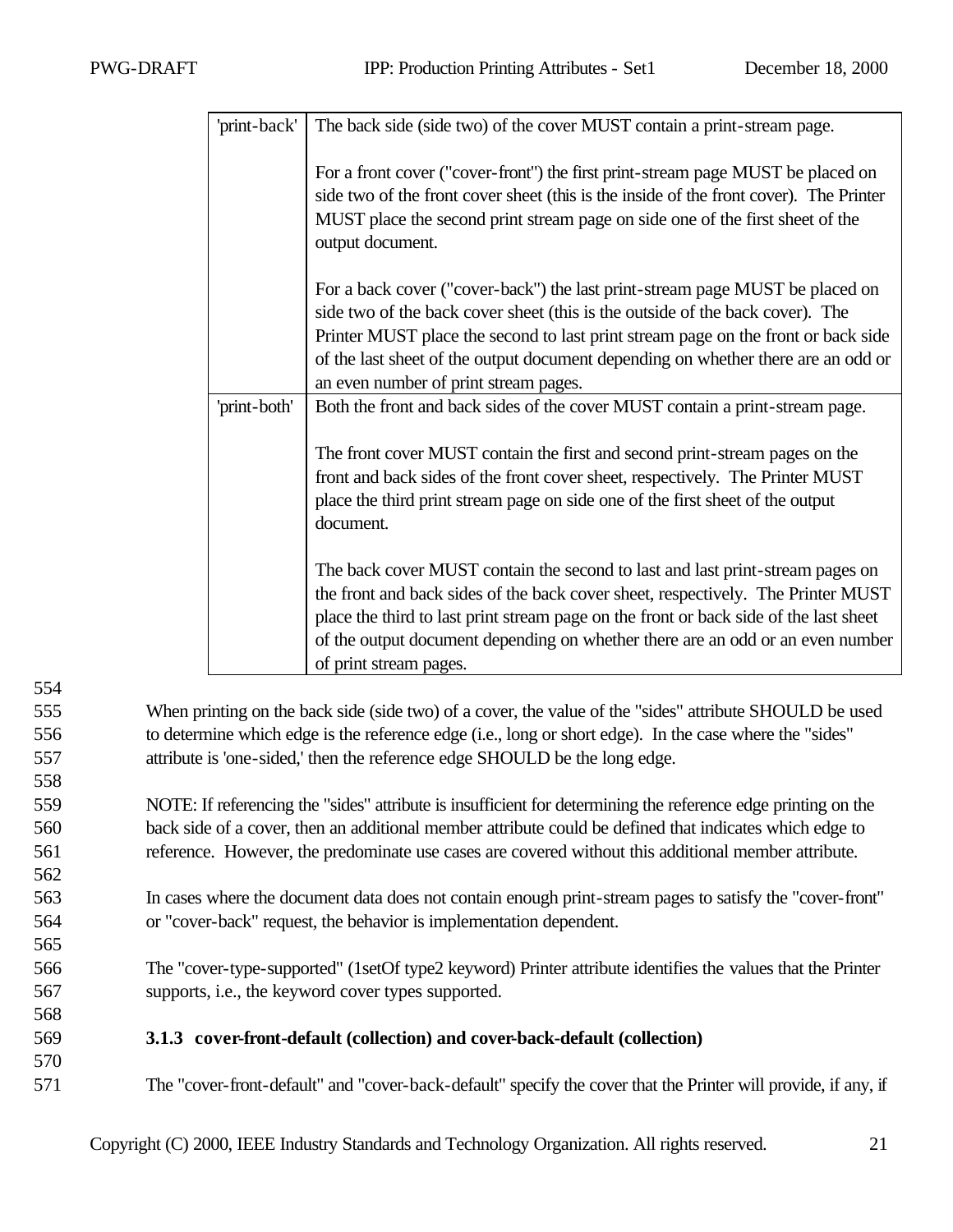| 'print-back' | The back side (side two) of the cover MUST contain a print-stream page.                                                                                                                                                                                                                                                                                                          |
|--------------|----------------------------------------------------------------------------------------------------------------------------------------------------------------------------------------------------------------------------------------------------------------------------------------------------------------------------------------------------------------------------------|
|              | For a front cover ("cover-front") the first print-stream page MUST be placed on<br>side two of the front cover sheet (this is the inside of the front cover). The Printer<br>MUST place the second print stream page on side one of the first sheet of the<br>output document.                                                                                                   |
|              | For a back cover ("cover-back") the last print-stream page MUST be placed on<br>side two of the back cover sheet (this is the outside of the back cover). The<br>Printer MUST place the second to last print stream page on the front or back side<br>of the last sheet of the output document depending on whether there are an odd or<br>an even number of print stream pages. |
| 'print-both' | Both the front and back sides of the cover MUST contain a print-stream page.                                                                                                                                                                                                                                                                                                     |
|              | The front cover MUST contain the first and second print-stream pages on the<br>front and back sides of the front cover sheet, respectively. The Printer MUST<br>place the third print stream page on side one of the first sheet of the output<br>document.                                                                                                                      |
|              | The back cover MUST contain the second to last and last print-stream pages on<br>the front and back sides of the back cover sheet, respectively. The Printer MUST<br>place the third to last print stream page on the front or back side of the last sheet<br>of the output document depending on whether there are an odd or an even number<br>of print stream pages.           |

554 When printing on the back side (side two) of a cover, the value of the "sides" attribute SHOULD be used to determine which edge is the reference edge (i.e., long or short edge). In the case where the "sides" attribute is 'one-sided,' then the reference edge SHOULD be the long edge. 558 NOTE: If referencing the "sides" attribute is insufficient for determining the reference edge printing on the back side of a cover, then an additional member attribute could be defined that indicates which edge to reference. However, the predominate use cases are covered without this additional member attribute. 562 In cases where the document data does not contain enough print-stream pages to satisfy the "cover-front" or "cover-back" request, the behavior is implementation dependent. 565 The "cover-type-supported" (1setOf type2 keyword) Printer attribute identifies the values that the Printer supports, i.e., the keyword cover types supported. 568 **3.1.3 cover-front-default (collection) and cover-back-default (collection)** 570 The "cover-front-default" and "cover-back-default" specify the cover that the Printer will provide, if any, if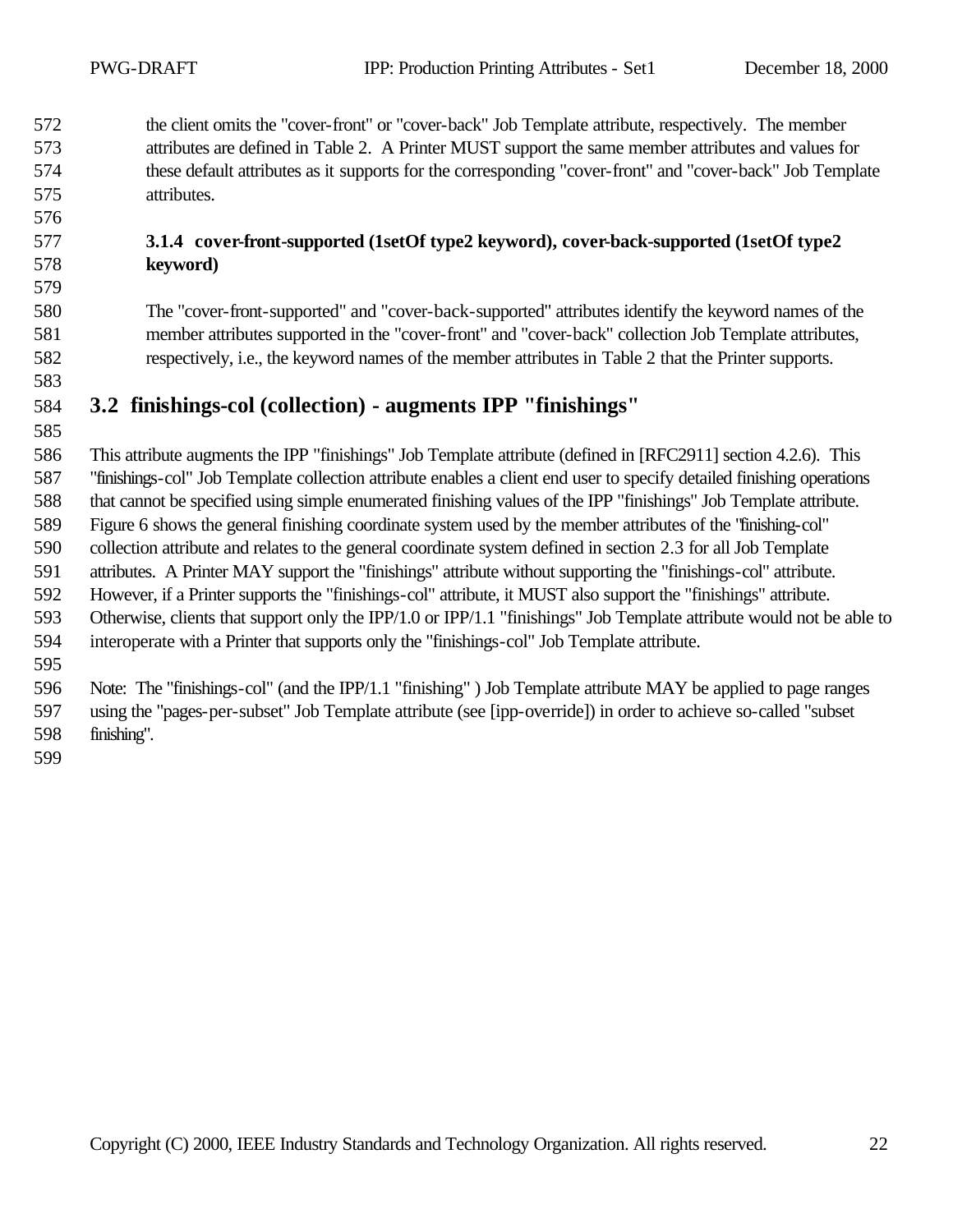the client omits the "cover-front" or "cover-back" Job Template attribute, respectively. The member attributes are defined in Table 2. A Printer MUST support the same member attributes and values for these default attributes as it supports for the corresponding "cover-front" and "cover-back" Job Template attributes.

#### **3.1.4 cover-front-supported (1setOf type2 keyword), cover-back-supported (1setOf type2 keyword)**

 The "cover-front-supported" and "cover-back-supported" attributes identify the keyword names of the member attributes supported in the "cover-front" and "cover-back" collection Job Template attributes, respectively, i.e., the keyword names of the member attributes in Table 2 that the Printer supports.

### **3.2 finishings-col (collection) - augments IPP "finishings"**

 This attribute augments the IPP "finishings" Job Template attribute (defined in [RFC2911] section 4.2.6). This "finishings-col" Job Template collection attribute enables a client end user to specify detailed finishing operations that cannot be specified using simple enumerated finishing values of the IPP "finishings" Job Template attribute. Figure 6 shows the general finishing coordinate system used by the member attributes of the "finishing-col" collection attribute and relates to the general coordinate system defined in section 2.3 for all Job Template attributes. A Printer MAY support the "finishings" attribute without supporting the "finishings-col" attribute. However, if a Printer supports the "finishings-col" attribute, it MUST also support the "finishings" attribute. Otherwise, clients that support only the IPP/1.0 or IPP/1.1 "finishings" Job Template attribute would not be able to interoperate with a Printer that supports only the "finishings-col" Job Template attribute. 

 Note: The "finishings-col" (and the IPP/1.1 "finishing" ) Job Template attribute MAY be applied to page ranges using the "pages-per-subset" Job Template attribute (see [ipp-override]) in order to achieve so-called "subset finishing".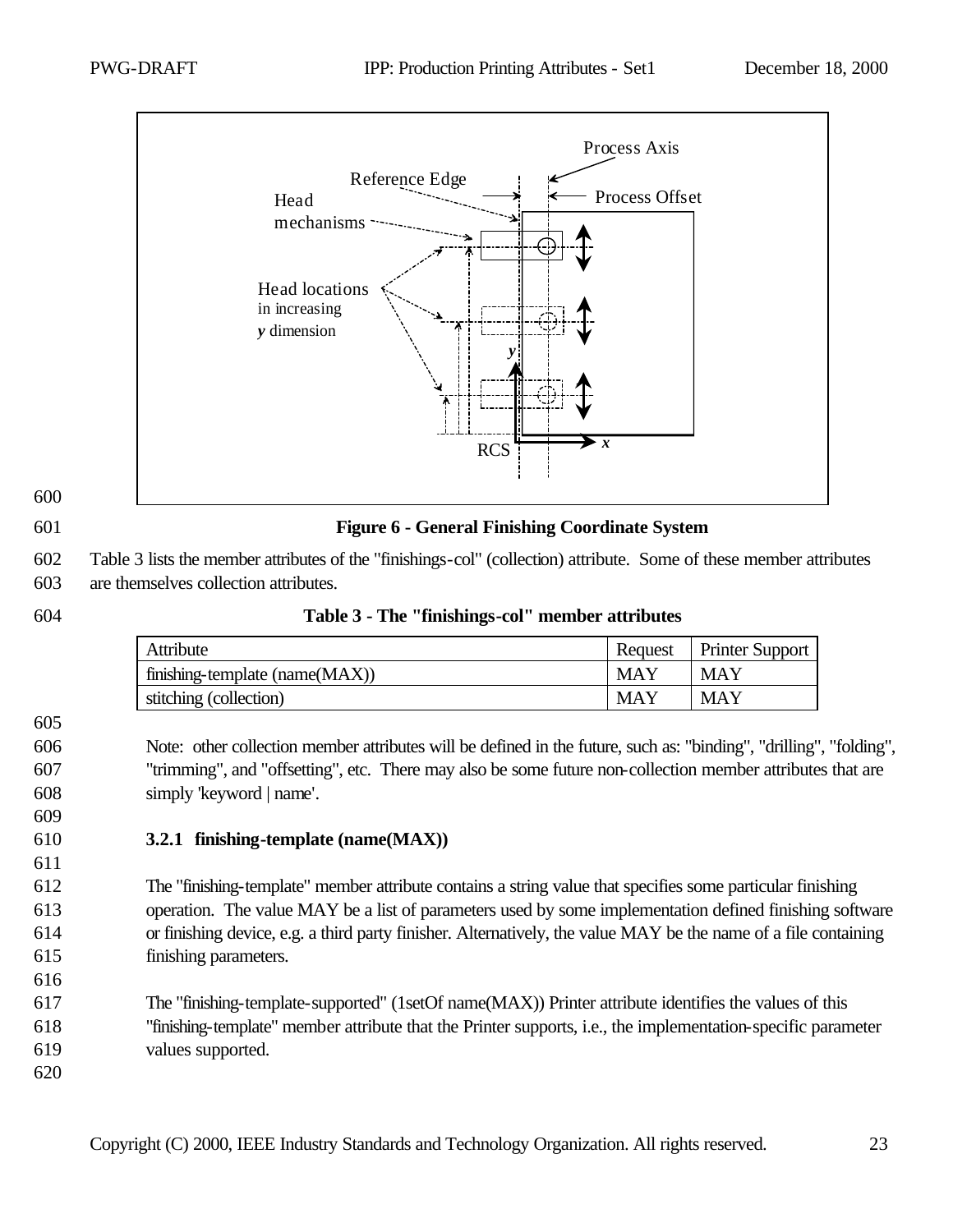

#### 601 **Figure 6 - General Finishing Coordinate System**

605

609

611

602 Table 3 lists the member attributes of the "finishings-col" (collection) attribute. Some of these member attributes

603 are themselves collection attributes.

| $1$ and $3 - 1$ in $1$ in $2 - 1$ in $2 - 1$ in $3 - 1$ in $1$ in $1$ in $1$ in $1$ in $1$ in $1$ |     |                           |
|---------------------------------------------------------------------------------------------------|-----|---------------------------|
| Attribute                                                                                         |     | Request   Printer Support |
| finishing-template (name $(MAX)$ )                                                                | MAY | <b>MAY</b>                |
| stitching (collection)                                                                            | MAY | <b>MAY</b>                |

#### 604 **Table 3 - The "finishings-col" member attributes**

606 Note: other collection member attributes will be defined in the future, such as: "binding", "drilling", "folding", 607 "trimming", and "offsetting", etc. There may also be some future non-collection member attributes that are 608 simply 'keyword | name'.

#### 610 **3.2.1 finishing-template (name(MAX))**

 The "finishing-template" member attribute contains a string value that specifies some particular finishing operation. The value MAY be a list of parameters used by some implementation defined finishing software or finishing device, e.g. a third party finisher. Alternatively, the value MAY be the name of a file containing finishing parameters.

617 The "finishing-template-supported" (1setOf name(MAX)) Printer attribute identifies the values of this 618 "finishing-template" member attribute that the Printer supports, i.e., the implementation-specific parameter 619 values supported.

620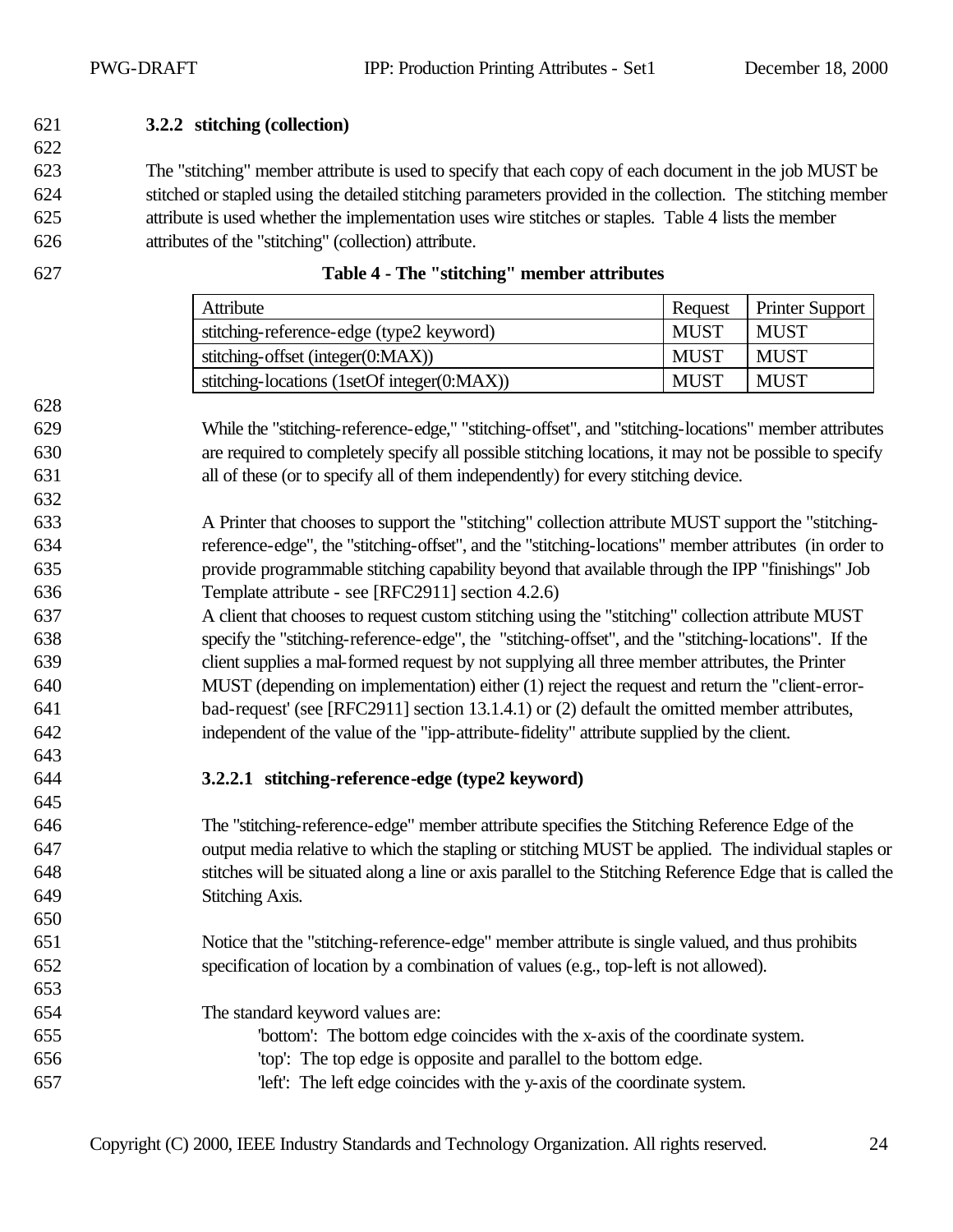#### **3.2.2 stitching (collection)**

 The "stitching" member attribute is used to specify that each copy of each document in the job MUST be stitched or stapled using the detailed stitching parameters provided in the collection. The stitching member attribute is used whether the implementation uses wire stitches or staples. Table 4 lists the member attributes of the "stitching" (collection) attribute.

| Attribute                                   | Request     | <b>Printer Support</b> |
|---------------------------------------------|-------------|------------------------|
| stitching-reference-edge (type2 keyword)    | MUST        | <b>MUST</b>            |
| stitching-offset (integer(0:MAX))           | <b>MUST</b> | <b>MUST</b>            |
| stitching-locations (1setOf integer(0:MAX)) | <b>MUST</b> | <b>MUST</b>            |

| 627 |  | Table 4 - The "stitching" member attributes |  |
|-----|--|---------------------------------------------|--|
|     |  |                                             |  |

- While the "stitching-reference-edge," "stitching-offset", and "stitching-locations" member attributes are required to completely specify all possible stitching locations, it may not be possible to specify all of these (or to specify all of them independently) for every stitching device.
- A Printer that chooses to support the "stitching" collection attribute MUST support the "stitching- reference-edge", the "stitching-offset", and the "stitching-locations" member attributes (in order to provide programmable stitching capability beyond that available through the IPP "finishings" Job Template attribute - see [RFC2911] section 4.2.6)
- A client that chooses to request custom stitching using the "stitching" collection attribute MUST specify the "stitching-reference-edge", the "stitching-offset", and the "stitching-locations". If the client supplies a mal-formed request by not supplying all three member attributes, the Printer MUST (depending on implementation) either (1) reject the request and return the "client-error- bad-request' (see [RFC2911] section 13.1.4.1) or (2) default the omitted member attributes, independent of the value of the "ipp-attribute-fidelity" attribute supplied by the client.

#### **3.2.2.1 stitching-reference-edge (type2 keyword)**

- The "stitching-reference-edge" member attribute specifies the Stitching Reference Edge of the output media relative to which the stapling or stitching MUST be applied. The individual staples or stitches will be situated along a line or axis parallel to the Stitching Reference Edge that is called the Stitching Axis.
- Notice that the "stitching-reference-edge" member attribute is single valued, and thus prohibits specification of location by a combination of values (e.g., top-left is not allowed).
- The standard keyword values are:
- 'bottom': The bottom edge coincides with the x-axis of the coordinate system. 'top': The top edge is opposite and parallel to the bottom edge. 'left': The left edge coincides with the y-axis of the coordinate system.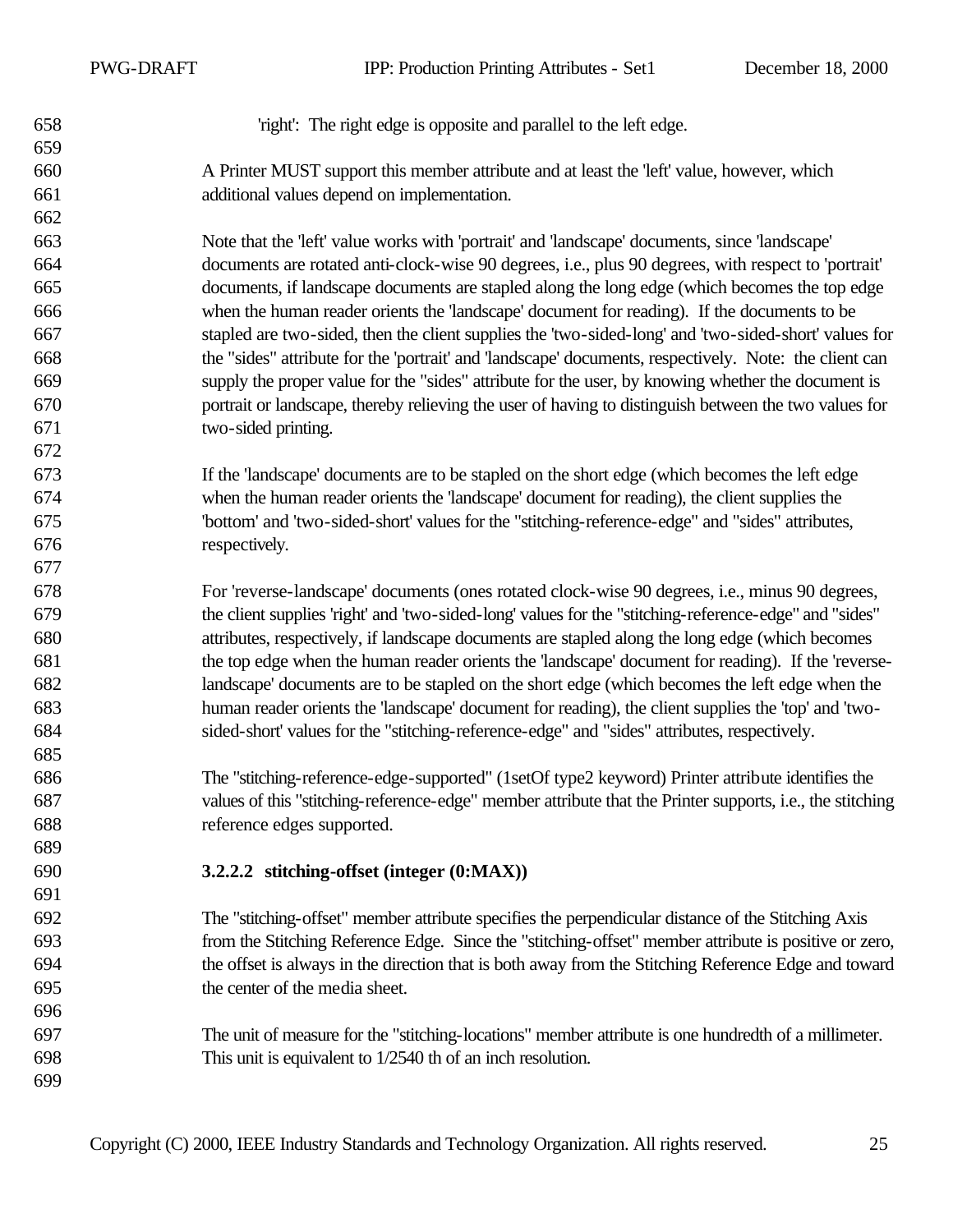PWG-DRAFT IPP: Production Printing Attributes - Set1 December 18, 2000

'right': The right edge is opposite and parallel to the left edge.

 A Printer MUST support this member attribute and at least the 'left' value, however, which additional values depend on implementation.

 Note that the 'left' value works with 'portrait' and 'landscape' documents, since 'landscape' documents are rotated anti-clock-wise 90 degrees, i.e., plus 90 degrees, with respect to 'portrait' documents, if landscape documents are stapled along the long edge (which becomes the top edge when the human reader orients the 'landscape' document for reading). If the documents to be stapled are two-sided, then the client supplies the 'two-sided-long' and 'two-sided-short' values for the "sides" attribute for the 'portrait' and 'landscape' documents, respectively. Note: the client can supply the proper value for the "sides" attribute for the user, by knowing whether the document is portrait or landscape, thereby relieving the user of having to distinguish between the two values for two-sided printing.

 If the 'landscape' documents are to be stapled on the short edge (which becomes the left edge when the human reader orients the 'landscape' document for reading), the client supplies the 'bottom' and 'two-sided-short' values for the "stitching-reference-edge" and "sides" attributes, respectively.

 For 'reverse-landscape' documents (ones rotated clock-wise 90 degrees, i.e., minus 90 degrees, the client supplies 'right' and 'two-sided-long' values for the "stitching-reference-edge" and "sides" attributes, respectively, if landscape documents are stapled along the long edge (which becomes the top edge when the human reader orients the 'landscape' document for reading). If the 'reverse- landscape' documents are to be stapled on the short edge (which becomes the left edge when the human reader orients the 'landscape' document for reading), the client supplies the 'top' and 'two-sided-short' values for the "stitching-reference-edge" and "sides" attributes, respectively.

 The "stitching-reference-edge-supported" (1setOf type2 keyword) Printer attribute identifies the values of this "stitching-reference-edge" member attribute that the Printer supports, i.e., the stitching reference edges supported.

**3.2.2.2 stitching-offset (integer (0:MAX))**

 The "stitching-offset" member attribute specifies the perpendicular distance of the Stitching Axis from the Stitching Reference Edge. Since the "stitching-offset" member attribute is positive or zero, the offset is always in the direction that is both away from the Stitching Reference Edge and toward the center of the media sheet.

 The unit of measure for the "stitching-locations" member attribute is one hundredth of a millimeter. This unit is equivalent to 1/2540 th of an inch resolution.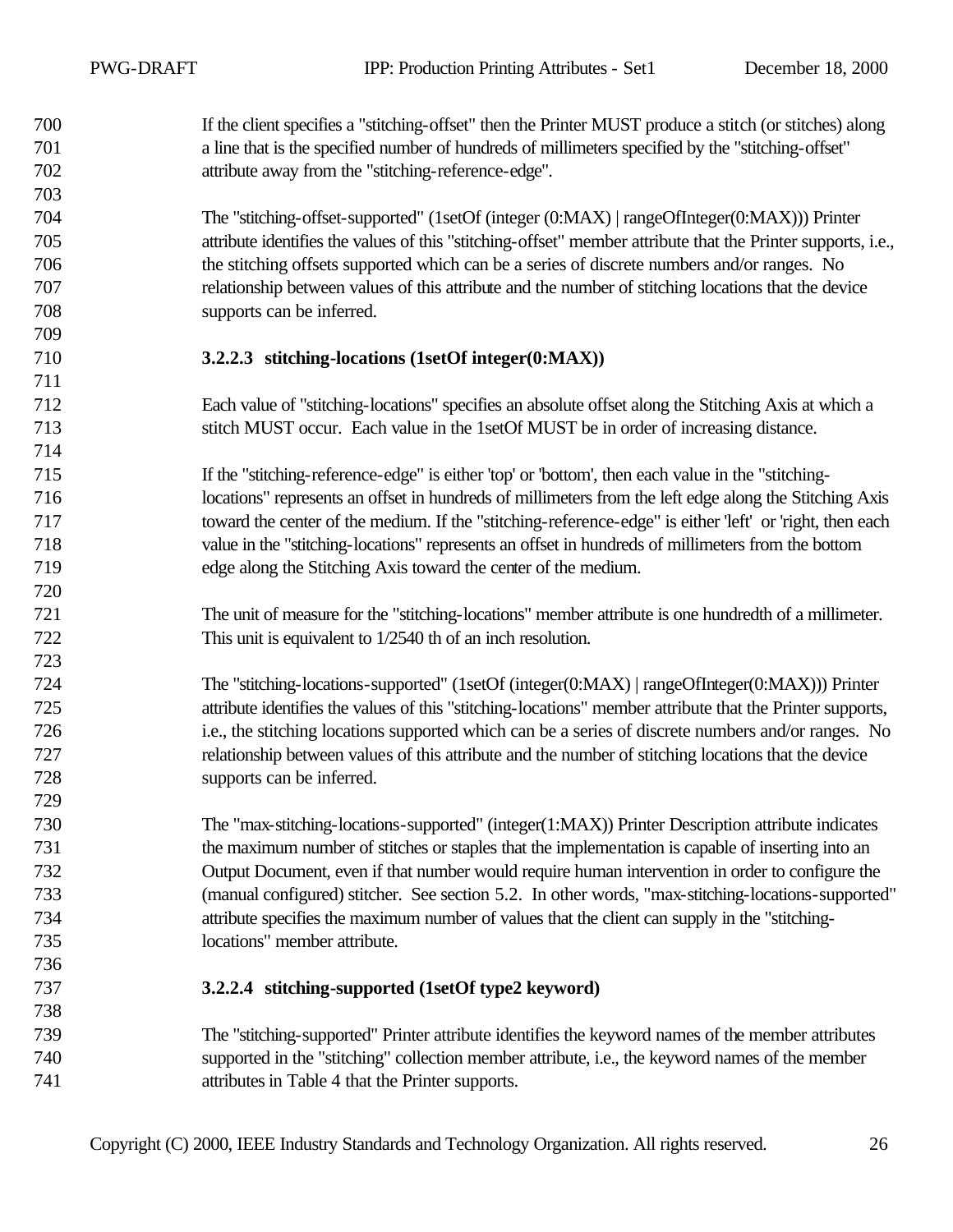If the client specifies a "stitching-offset" then the Printer MUST produce a stitch (or stitches) along a line that is the specified number of hundreds of millimeters specified by the "stitching-offset" attribute away from the "stitching-reference-edge". The "stitching-offset-supported" (1setOf (integer (0:MAX) | rangeOfInteger(0:MAX))) Printer attribute identifies the values of this "stitching-offset" member attribute that the Printer supports, i.e., the stitching offsets supported which can be a series of discrete numbers and/or ranges. No relationship between values of this attribute and the number of stitching locations that the device supports can be inferred. **3.2.2.3 stitching-locations (1setOf integer(0:MAX))** Each value of "stitching-locations" specifies an absolute offset along the Stitching Axis at which a stitch MUST occur. Each value in the 1setOf MUST be in order of increasing distance. If the "stitching-reference-edge" is either 'top' or 'bottom', then each value in the "stitching- locations" represents an offset in hundreds of millimeters from the left edge along the Stitching Axis toward the center of the medium. If the "stitching-reference-edge" is either 'left' or 'right, then each value in the "stitching-locations" represents an offset in hundreds of millimeters from the bottom edge along the Stitching Axis toward the center of the medium. The unit of measure for the "stitching-locations" member attribute is one hundredth of a millimeter. This unit is equivalent to 1/2540 th of an inch resolution. The "stitching-locations-supported" (1setOf (integer(0:MAX) | rangeOfInteger(0:MAX))) Printer attribute identifies the values of this "stitching-locations" member attribute that the Printer supports, i.e., the stitching locations supported which can be a series of discrete numbers and/or ranges. No relationship between values of this attribute and the number of stitching locations that the device supports can be inferred. The "max-stitching-locations-supported" (integer(1:MAX)) Printer Description attribute indicates the maximum number of stitches or staples that the implementation is capable of inserting into an Output Document, even if that number would require human intervention in order to configure the (manual configured) stitcher. See section 5.2. In other words, "max-stitching-locations-supported" attribute specifies the maximum number of values that the client can supply in the "stitching- locations" member attribute. **3.2.2.4 stitching-supported (1setOf type2 keyword)** The "stitching-supported" Printer attribute identifies the keyword names of the member attributes supported in the "stitching" collection member attribute, i.e., the keyword names of the member attributes in Table 4 that the Printer supports.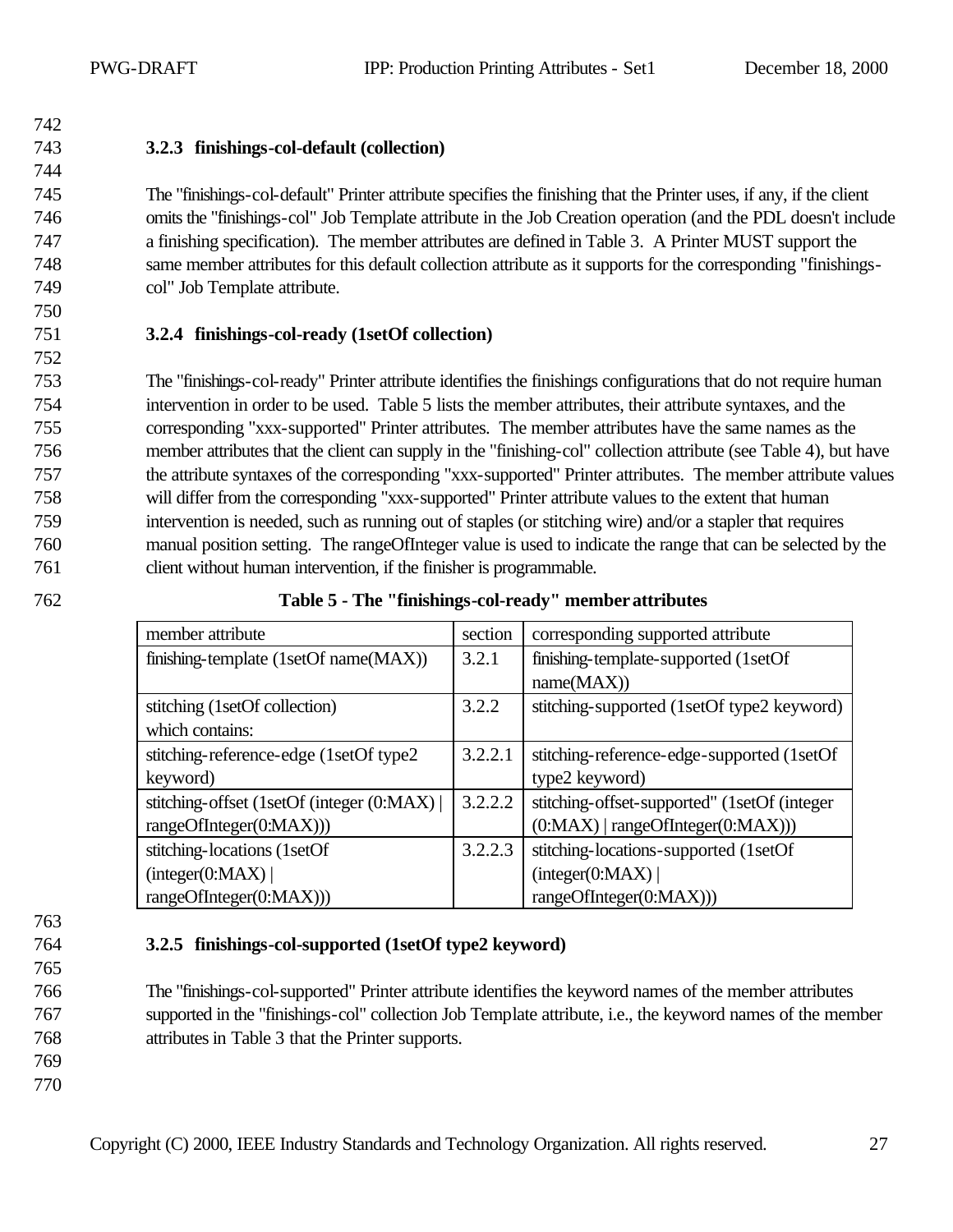744

750

752

743 **3.2.3 finishings-col-default (collection)**

 The "finishings-col-default" Printer attribute specifies the finishing that the Printer uses, if any, if the client omits the "finishings-col" Job Template attribute in the Job Creation operation (and the PDL doesn't include a finishing specification). The member attributes are defined in Table 3. A Printer MUST support the same member attributes for this default collection attribute as it supports for the corresponding "finishings-col" Job Template attribute.

### 751 **3.2.4 finishings-col-ready (1setOf collection)**

 The "finishings-col-ready" Printer attribute identifies the finishings configurations that do not require human intervention in order to be used. Table 5 lists the member attributes, their attribute syntaxes, and the corresponding "xxx-supported" Printer attributes. The member attributes have the same names as the member attributes that the client can supply in the "finishing-col" collection attribute (see Table 4), but have the attribute syntaxes of the corresponding "xxx-supported" Printer attributes. The member attribute values will differ from the corresponding "xxx-supported" Printer attribute values to the extent that human intervention is needed, such as running out of staples (or stitching wire) and/or a stapler that requires manual position setting. The rangeOfInteger value is used to indicate the range that can be selected by the client without human intervention, if the finisher is programmable.

| 762 | Table 5 - The "finishings-col-ready" member attributes |  |
|-----|--------------------------------------------------------|--|
|-----|--------------------------------------------------------|--|

| member attribute                          | section | corresponding supported attribute             |
|-------------------------------------------|---------|-----------------------------------------------|
| finishing-template (1setOf name(MAX))     | 3.2.1   | finishing-template-supported (1setOf)         |
|                                           |         | name(MAX))                                    |
| stitching (1setOf collection)             | 3.2.2   | stitching-supported (1setOf type2 keyword)    |
| which contains:                           |         |                                               |
| stitching-reference-edge (1setOf type2)   | 3.2.2.1 | stitching-reference-edge-supported (1setOf)   |
| keyword)                                  |         | type2 keyword)                                |
| stitching-offset (1setOf (integer (0:MAX) | 3.2.2.2 | stitching-offset-supported" (1setOf (integer) |
| rangeOfInteger(0:MAX)))                   |         | $(0:MAX)$   rangeOfInteger $(0:MAX))$ )       |
| stitching-locations (1setOf               | 3.2.2.3 | stitching-locations-supported (1setOf         |
| interger(0:MAX)                           |         | interger(0:MAX)                               |
| rangeOfInteger(0:MAX)))                   |         | rangeOfInteger(0:MAX)))                       |

- 763
- 
- 765

#### 764 **3.2.5 finishings-col-supported (1setOf type2 keyword)**

766 The "finishings-col-supported" Printer attribute identifies the keyword names of the member attributes 767 supported in the "finishings-col" collection Job Template attribute, i.e., the keyword names of the member 768 attributes in Table 3 that the Printer supports.

769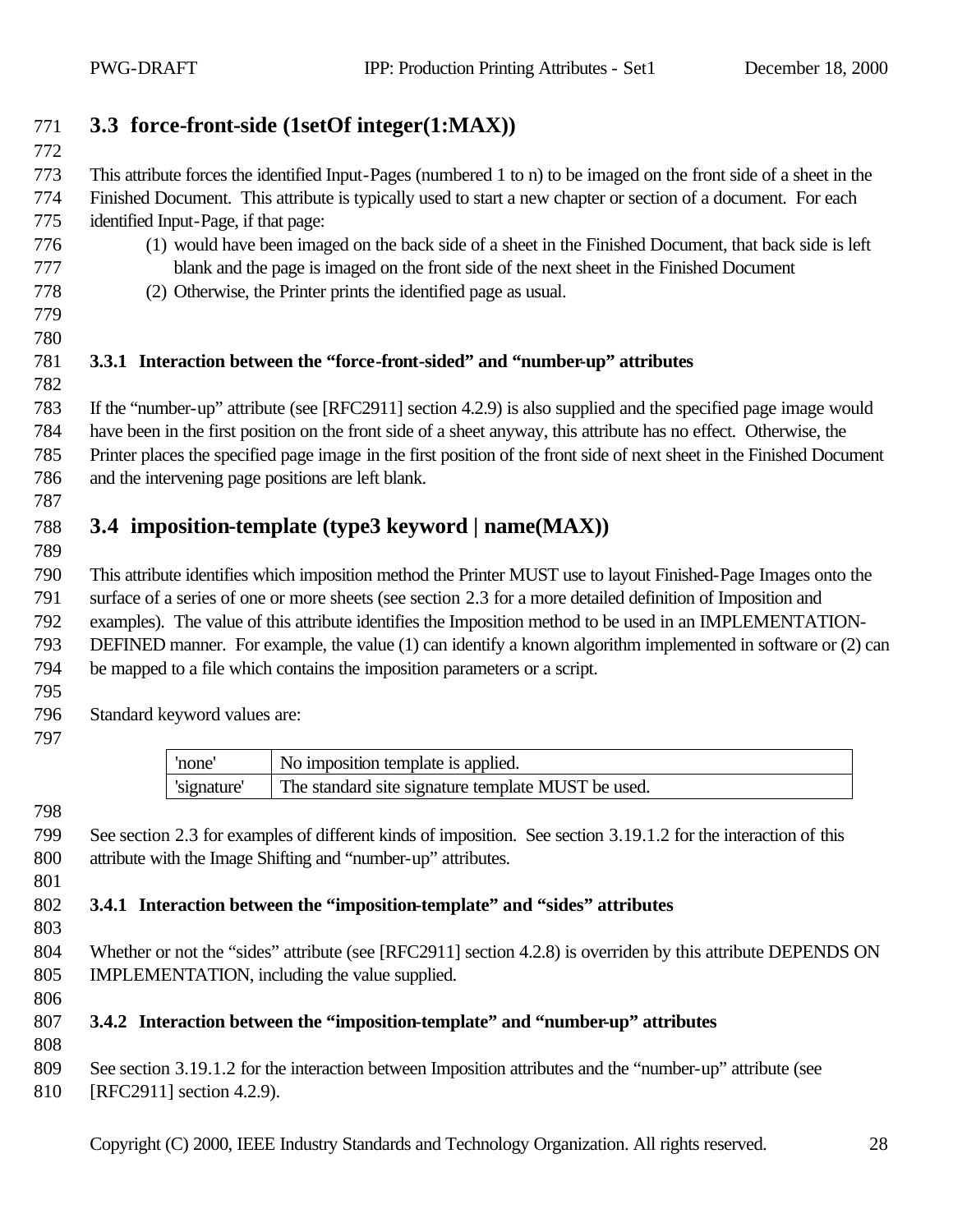# **3.3 force-front-side (1setOf integer(1:MAX))**

 This attribute forces the identified Input-Pages (numbered 1 to n) to be imaged on the front side of a sheet in the Finished Document. This attribute is typically used to start a new chapter or section of a document. For each identified Input-Page, if that page:

- (1) would have been imaged on the back side of a sheet in the Finished Document, that back side is left blank and the page is imaged on the front side of the next sheet in the Finished Document
- (2) Otherwise, the Printer prints the identified page as usual.
- 

#### **3.3.1 Interaction between the "force-front-sided" and "number-up" attributes**

 If the "number-up" attribute (see [RFC2911] section 4.2.9) is also supplied and the specified page image would have been in the first position on the front side of a sheet anyway, this attribute has no effect. Otherwise, the Printer places the specified page image in the first position of the front side of next sheet in the Finished Document and the intervening page positions are left blank.

# **3.4 imposition-template (type3 keyword | name(MAX))**

 This attribute identifies which imposition method the Printer MUST use to layout Finished-Page Images onto the surface of a series of one or more sheets (see section 2.3 for a more detailed definition of Imposition and examples). The value of this attribute identifies the Imposition method to be used in an IMPLEMENTATION- DEFINED manner. For example, the value (1) can identify a known algorithm implemented in software or (2) can be mapped to a file which contains the imposition parameters or a script. 

Standard keyword values are:

| 'none       | No imposition template is applied.                 |
|-------------|----------------------------------------------------|
| 'signature' | The standard site signature template MUST be used. |

 See section 2.3 for examples of different kinds of imposition. See section 3.19.1.2 for the interaction of this attribute with the Image Shifting and "number-up" attributes.

#### **3.4.1 Interaction between the "imposition-template" and "sides" attributes**

804 Whether or not the "sides" attribute (see [RFC2911] section 4.2.8) is overriden by this attribute DEPENDS ON IMPLEMENTATION, including the value supplied.

# **3.4.2 Interaction between the "imposition-template" and "number-up" attributes**

See section 3.19.1.2 for the interaction between Imposition attributes and the "number-up" attribute (see

810 [RFC2911] section 4.2.9).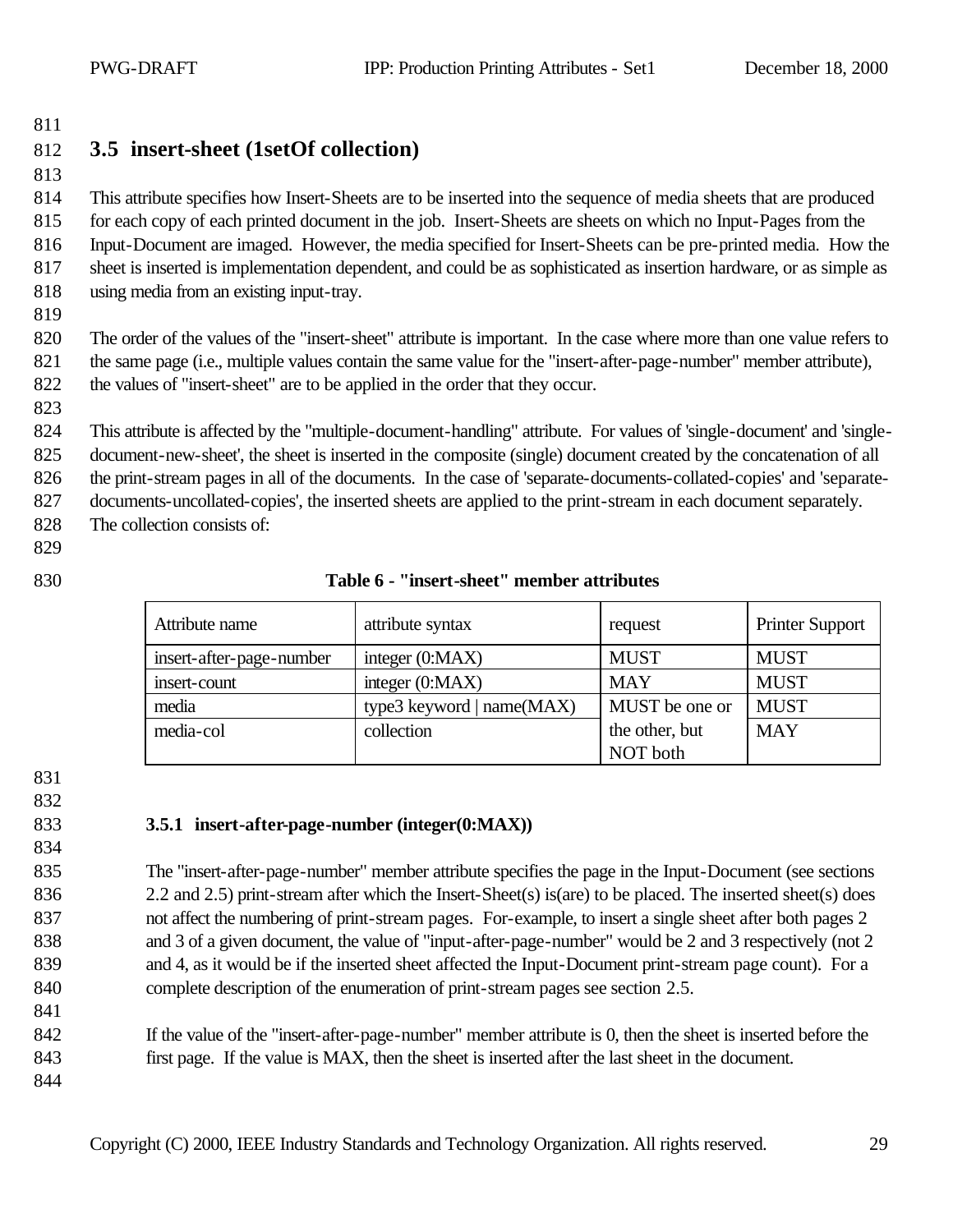# **3.5 insert-sheet (1setOf collection)**

 This attribute specifies how Insert-Sheets are to be inserted into the sequence of media sheets that are produced for each copy of each printed document in the job. Insert-Sheets are sheets on which no Input-Pages from the Input-Document are imaged. However, the media specified for Insert-Sheets can be pre-printed media. How the sheet is inserted is implementation dependent, and could be as sophisticated as insertion hardware, or as simple as using media from an existing input-tray.

 The order of the values of the "insert-sheet" attribute is important. In the case where more than one value refers to the same page (i.e., multiple values contain the same value for the "insert-after-page-number" member attribute), the values of "insert-sheet" are to be applied in the order that they occur.

This attribute is affected by the "multiple-document-handling" attribute. For values of 'single-document' and 'single-

document-new-sheet', the sheet is inserted in the composite (single) document created by the concatenation of all

the print-stream pages in all of the documents. In the case of 'separate-documents-collated-copies' and 'separate-

documents-uncollated-copies', the inserted sheets are applied to the print-stream in each document separately.

- The collection consists of:
- 
- 

#### **Table 6 - "insert-sheet" member attributes**

| Attribute name           | attribute syntax          | request        | <b>Printer Support</b> |
|--------------------------|---------------------------|----------------|------------------------|
| insert-after-page-number | integer $(0:MAX)$         | <b>MUST</b>    | <b>MUST</b>            |
| insert-count             | integer $(0:MAX)$         | <b>MAY</b>     | <b>MUST</b>            |
| media                    | type3 keyword   name(MAX) | MUST be one or | <b>MUST</b>            |
| media-col                | collection                | the other, but | <b>MAY</b>             |
|                          |                           | NOT both       |                        |

#### **3.5.1 insert-after-page-number (integer(0:MAX))**

 The "insert-after-page-number" member attribute specifies the page in the Input-Document (see sections 836 2.2 and 2.5) print-stream after which the Insert-Sheet(s) is(are) to be placed. The inserted sheet(s) does not affect the numbering of print-stream pages. For-example, to insert a single sheet after both pages 2 838 and 3 of a given document, the value of "input-after-page-number" would be 2 and 3 respectively (not 2 and 4, as it would be if the inserted sheet affected the Input-Document print-stream page count). For a complete description of the enumeration of print-stream pages see section 2.5.

 If the value of the "insert-after-page-number" member attribute is 0, then the sheet is inserted before the first page. If the value is MAX, then the sheet is inserted after the last sheet in the document.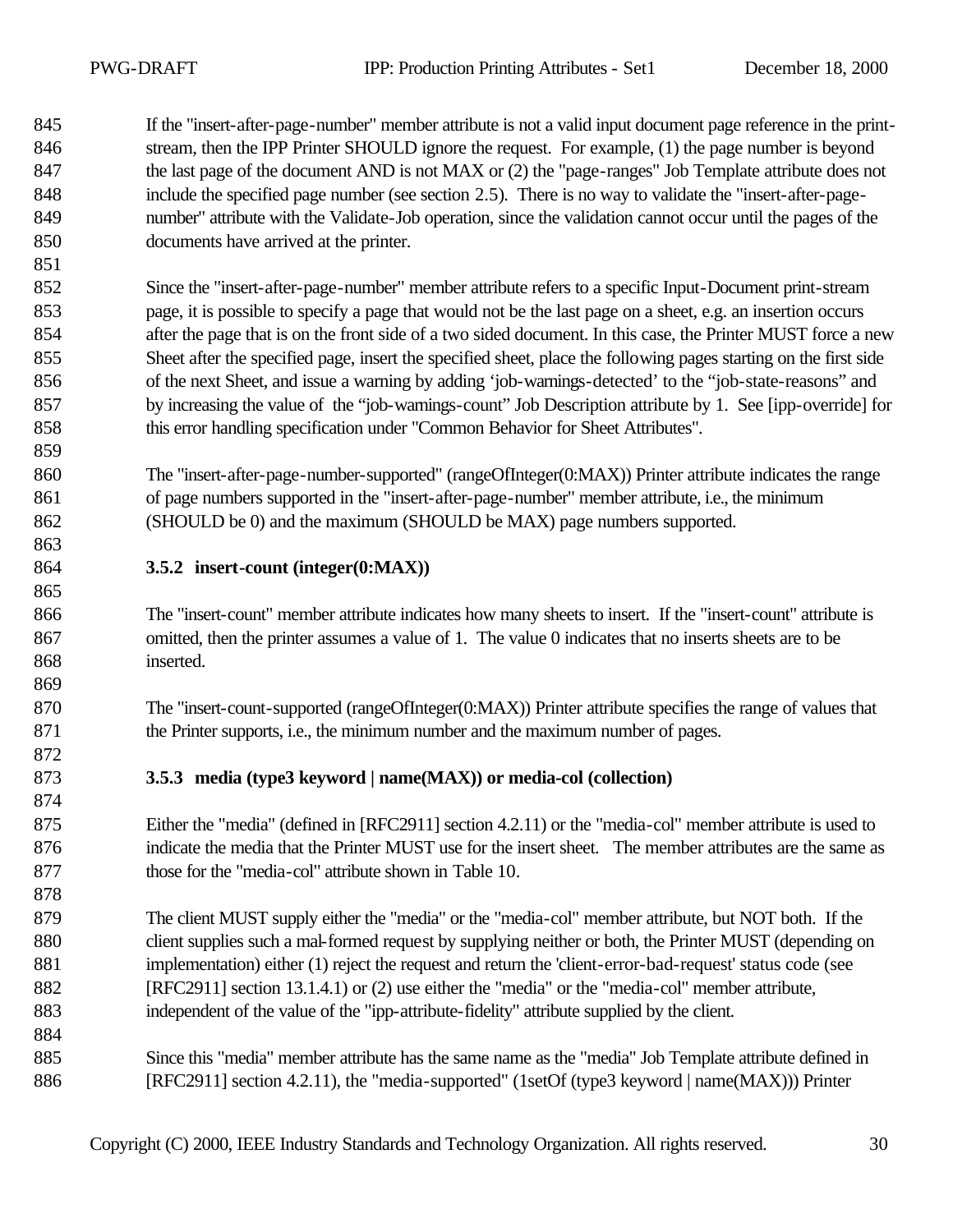- If the "insert-after-page-number" member attribute is not a valid input document page reference in the print- stream, then the IPP Printer SHOULD ignore the request. For example, (1) the page number is beyond 847 the last page of the document AND is not MAX or (2) the "page-ranges" Job Template attribute does not include the specified page number (see section 2.5). There is no way to validate the "insert-after-page- number" attribute with the Validate-Job operation, since the validation cannot occur until the pages of the documents have arrived at the printer.
- Since the "insert-after-page-number" member attribute refers to a specific Input-Document print-stream page, it is possible to specify a page that would not be the last page on a sheet, e.g. an insertion occurs after the page that is on the front side of a two sided document. In this case, the Printer MUST force a new Sheet after the specified page, insert the specified sheet, place the following pages starting on the first side of the next Sheet, and issue a warning by adding 'job-warnings-detected' to the "job-state-reasons" and by increasing the value of the "job-warnings-count" Job Description attribute by 1. See [ipp-override] for this error handling specification under "Common Behavior for Sheet Attributes".
- The "insert-after-page-number-supported" (rangeOfInteger(0:MAX)) Printer attribute indicates the range of page numbers supported in the "insert-after-page-number" member attribute, i.e., the minimum (SHOULD be 0) and the maximum (SHOULD be MAX) page numbers supported.
- **3.5.2 insert-count (integer(0:MAX))**
- The "insert-count" member attribute indicates how many sheets to insert. If the "insert-count" attribute is omitted, then the printer assumes a value of 1. The value 0 indicates that no inserts sheets are to be inserted.
- 870 The "insert-count-supported (rangeOfInteger(0:MAX)) Printer attribute specifies the range of values that 871 the Printer supports, i.e., the minimum number and the maximum number of pages.
- **3.5.3 media (type3 keyword | name(MAX)) or media-col (collection)**
- Either the "media" (defined in [RFC2911] section 4.2.11) or the "media-col" member attribute is used to indicate the media that the Printer MUST use for the insert sheet. The member attributes are the same as those for the "media-col" attribute shown in Table 10.
- The client MUST supply either the "media" or the "media-col" member attribute, but NOT both. If the 880 client supplies such a mal-formed request by supplying neither or both, the Printer MUST (depending on implementation) either (1) reject the request and return the 'client-error-bad-request' status code (see [RFC2911] section 13.1.4.1) or (2) use either the "media" or the "media-col" member attribute, independent of the value of the "ipp-attribute-fidelity" attribute supplied by the client.
- Since this "media" member attribute has the same name as the "media" Job Template attribute defined in 886 [RFC2911] section 4.2.11), the "media-supported" (1setOf (type3 keyword | name(MAX))) Printer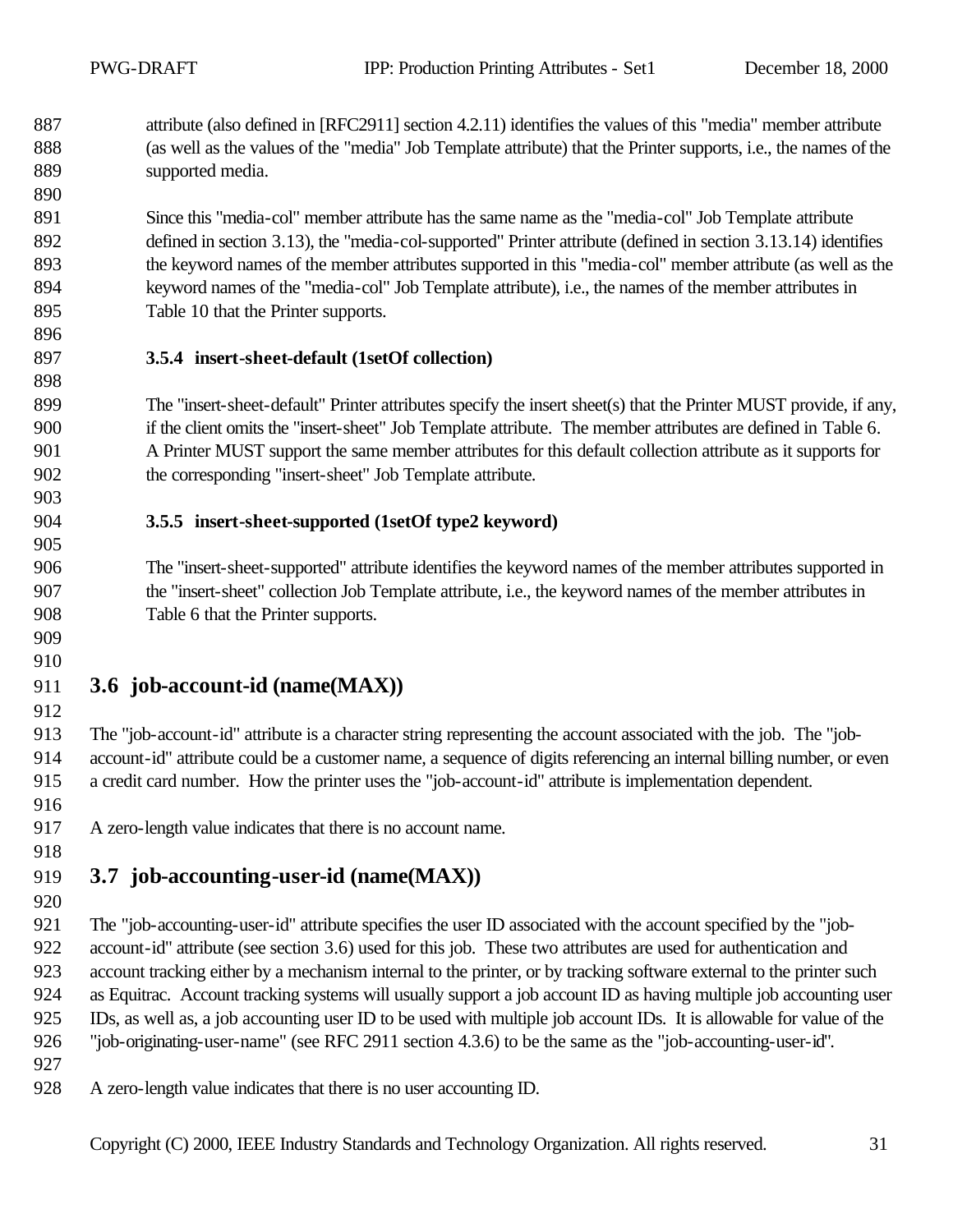attribute (also defined in [RFC2911] section 4.2.11) identifies the values of this "media" member attribute (as well as the values of the "media" Job Template attribute) that the Printer supports, i.e., the names of the supported media.

 Since this "media-col" member attribute has the same name as the "media-col" Job Template attribute defined in section 3.13), the "media-col-supported" Printer attribute (defined in section 3.13.14) identifies the keyword names of the member attributes supported in this "media-col" member attribute (as well as the keyword names of the "media-col" Job Template attribute), i.e., the names of the member attributes in Table 10 that the Printer supports.

#### **3.5.4 insert-sheet-default (1setOf collection)**

 The "insert-sheet-default" Printer attributes specify the insert sheet(s) that the Printer MUST provide, if any, if the client omits the "insert-sheet" Job Template attribute. The member attributes are defined in Table 6. A Printer MUST support the same member attributes for this default collection attribute as it supports for the corresponding "insert-sheet" Job Template attribute.

#### **3.5.5 insert-sheet-supported (1setOf type2 keyword)**

 The "insert-sheet-supported" attribute identifies the keyword names of the member attributes supported in the "insert-sheet" collection Job Template attribute, i.e., the keyword names of the member attributes in Table 6 that the Printer supports.

#### 

### **3.6 job-account-id (name(MAX))**

 The "job-account-id" attribute is a character string representing the account associated with the job. The "job- account-id" attribute could be a customer name, a sequence of digits referencing an internal billing number, or even a credit card number. How the printer uses the "job-account-id" attribute is implementation dependent.

A zero-length value indicates that there is no account name.

#### 

# **3.7 job-accounting-user-id (name(MAX))**

 The "job-accounting-user-id" attribute specifies the user ID associated with the account specified by the "job- account-id" attribute (see section 3.6) used for this job. These two attributes are used for authentication and account tracking either by a mechanism internal to the printer, or by tracking software external to the printer such as Equitrac. Account tracking systems will usually support a job account ID as having multiple job accounting user IDs, as well as, a job accounting user ID to be used with multiple job account IDs. It is allowable for value of the "job-originating-user-name" (see RFC 2911 section 4.3.6) to be the same as the "job-accounting-user-id".

- 
- A zero-length value indicates that there is no user accounting ID.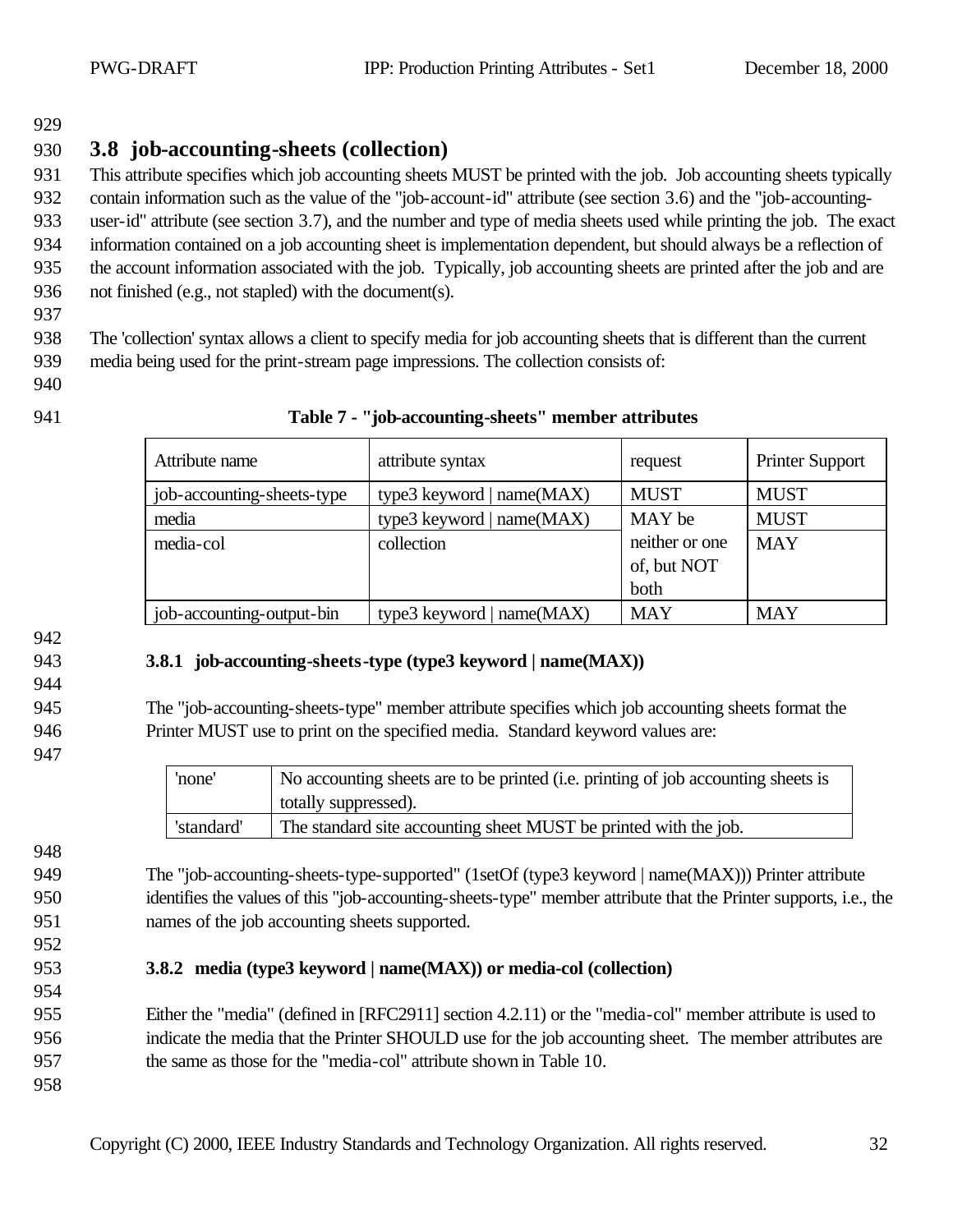# **3.8 job-accounting-sheets (collection)**

This attribute specifies which job accounting sheets MUST be printed with the job. Job accounting sheets typically

 contain information such as the value of the "job-account-id" attribute (see section 3.6) and the "job-accounting- user-id" attribute (see section 3.7), and the number and type of media sheets used while printing the job. The exact information contained on a job accounting sheet is implementation dependent, but should always be a reflection of the account information associated with the job. Typically, job accounting sheets are printed after the job and are not finished (e.g., not stapled) with the document(s).

 The 'collection' syntax allows a client to specify media for job accounting sheets that is different than the current media being used for the print-stream page impressions. The collection consists of:

- 
- 

| Attribute name             | attribute syntax             | request        | <b>Printer Support</b> |
|----------------------------|------------------------------|----------------|------------------------|
| job-accounting-sheets-type | type3 keyword   $name(MAX)$  | <b>MUST</b>    | <b>MUST</b>            |
| media                      | type3 keyword   name $(MAX)$ | MAY be         | <b>MUST</b>            |
| media-col                  | collection                   | neither or one | <b>MAY</b>             |
|                            |                              | of, but NOT    |                        |
|                            |                              | both           |                        |
| job-accounting-output-bin  | type3 keyword   $name(MAX)$  | <b>MAY</b>     | <b>MAY</b>             |

#### **Table 7 - "job-accounting-sheets" member attributes**

### **3.8.1 job-accounting-sheets-type (type3 keyword | name(MAX))**

 The "job-accounting-sheets-type" member attribute specifies which job accounting sheets format the Printer MUST use to print on the specified media. Standard keyword values are:

| 'none'     | No accounting sheets are to be printed (i.e. printing of job accounting sheets is<br>totally suppressed). |
|------------|-----------------------------------------------------------------------------------------------------------|
| 'standard' | The standard site accounting sheet MUST be printed with the job.                                          |

949 The "job-accounting-sheets-type-supported" (1setOf (type3 keyword | name(MAX))) Printer attribute identifies the values of this "job-accounting-sheets-type" member attribute that the Printer supports, i.e., the names of the job accounting sheets supported.

### **3.8.2 media (type3 keyword | name(MAX)) or media-col (collection)**

 Either the "media" (defined in [RFC2911] section 4.2.11) or the "media-col" member attribute is used to indicate the media that the Printer SHOULD use for the job accounting sheet. The member attributes are the same as those for the "media-col" attribute shown in Table 10.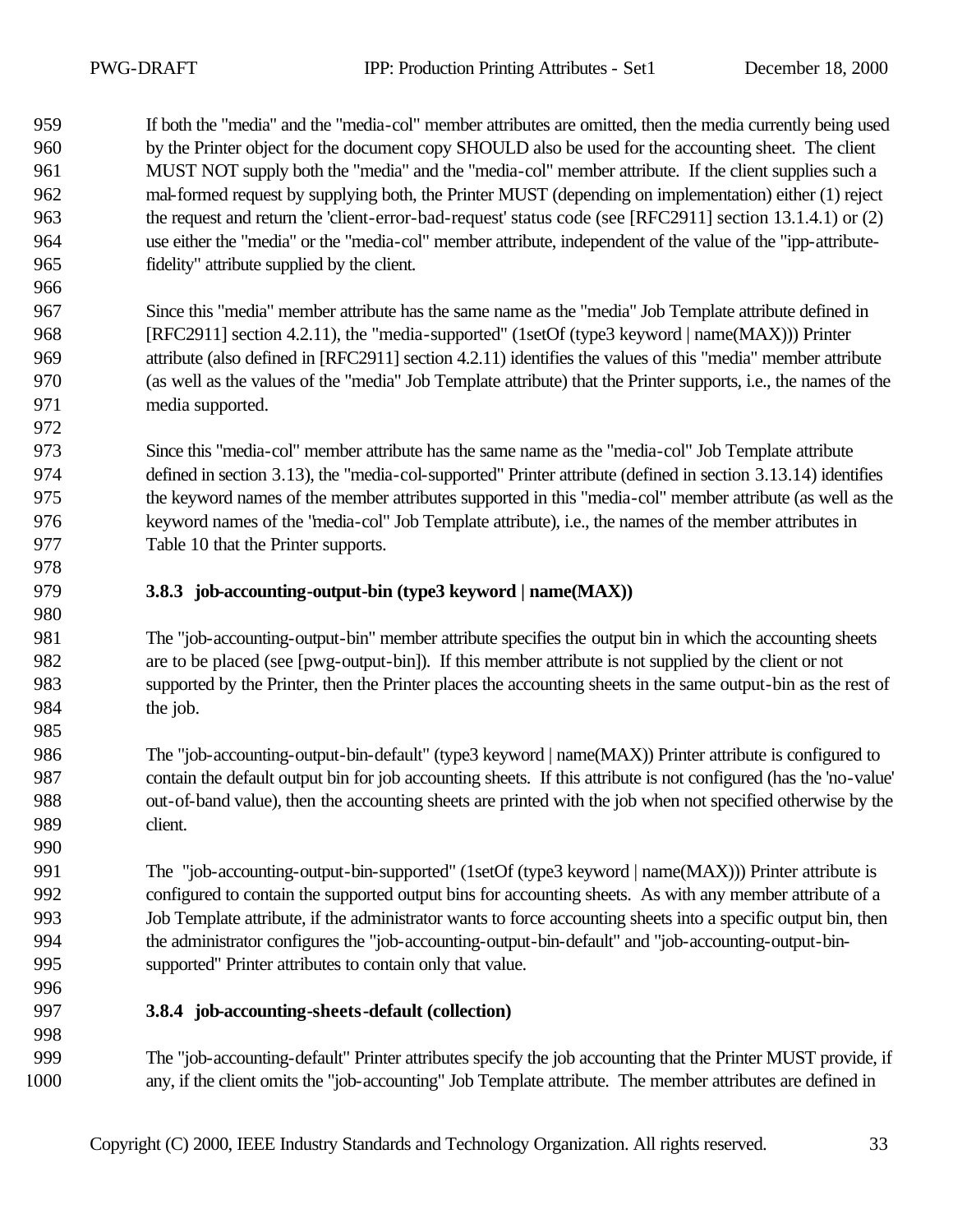If both the "media" and the "media-col" member attributes are omitted, then the media currently being used by the Printer object for the document copy SHOULD also be used for the accounting sheet. The client MUST NOT supply both the "media" and the "media-col" member attribute. If the client supplies such a mal-formed request by supplying both, the Printer MUST (depending on implementation) either (1) reject the request and return the 'client-error-bad-request' status code (see [RFC2911] section 13.1.4.1) or (2) use either the "media" or the "media-col" member attribute, independent of the value of the "ipp-attribute-fidelity" attribute supplied by the client.

 Since this "media" member attribute has the same name as the "media" Job Template attribute defined in 968 [RFC2911] section 4.2.11), the "media-supported" (1setOf (type3 keyword | name(MAX))) Printer attribute (also defined in [RFC2911] section 4.2.11) identifies the values of this "media" member attribute (as well as the values of the "media" Job Template attribute) that the Printer supports, i.e., the names of the media supported.

 Since this "media-col" member attribute has the same name as the "media-col" Job Template attribute defined in section 3.13), the "media-col-supported" Printer attribute (defined in section 3.13.14) identifies the keyword names of the member attributes supported in this "media-col" member attribute (as well as the keyword names of the "media-col" Job Template attribute), i.e., the names of the member attributes in Table 10 that the Printer supports.

**3.8.3 job-accounting-output-bin (type3 keyword | name(MAX))**

 The "job-accounting-output-bin" member attribute specifies the output bin in which the accounting sheets are to be placed (see [pwg-output-bin]). If this member attribute is not supplied by the client or not supported by the Printer, then the Printer places the accounting sheets in the same output-bin as the rest of 984 the job.

 The "job-accounting-output-bin-default" (type3 keyword | name(MAX)) Printer attribute is configured to contain the default output bin for job accounting sheets. If this attribute is not configured (has the 'no-value' out-of-band value), then the accounting sheets are printed with the job when not specified otherwise by the client.

991 The "job-accounting-output-bin-supported" (1setOf (type3 keyword | name(MAX))) Printer attribute is configured to contain the supported output bins for accounting sheets. As with any member attribute of a Job Template attribute, if the administrator wants to force accounting sheets into a specific output bin, then the administrator configures the "job-accounting-output-bin-default" and "job-accounting-output-bin-supported" Printer attributes to contain only that value.

#### **3.8.4 job-accounting-sheets-default (collection)**

 The "job-accounting-default" Printer attributes specify the job accounting that the Printer MUST provide, if any, if the client omits the "job-accounting" Job Template attribute. The member attributes are defined in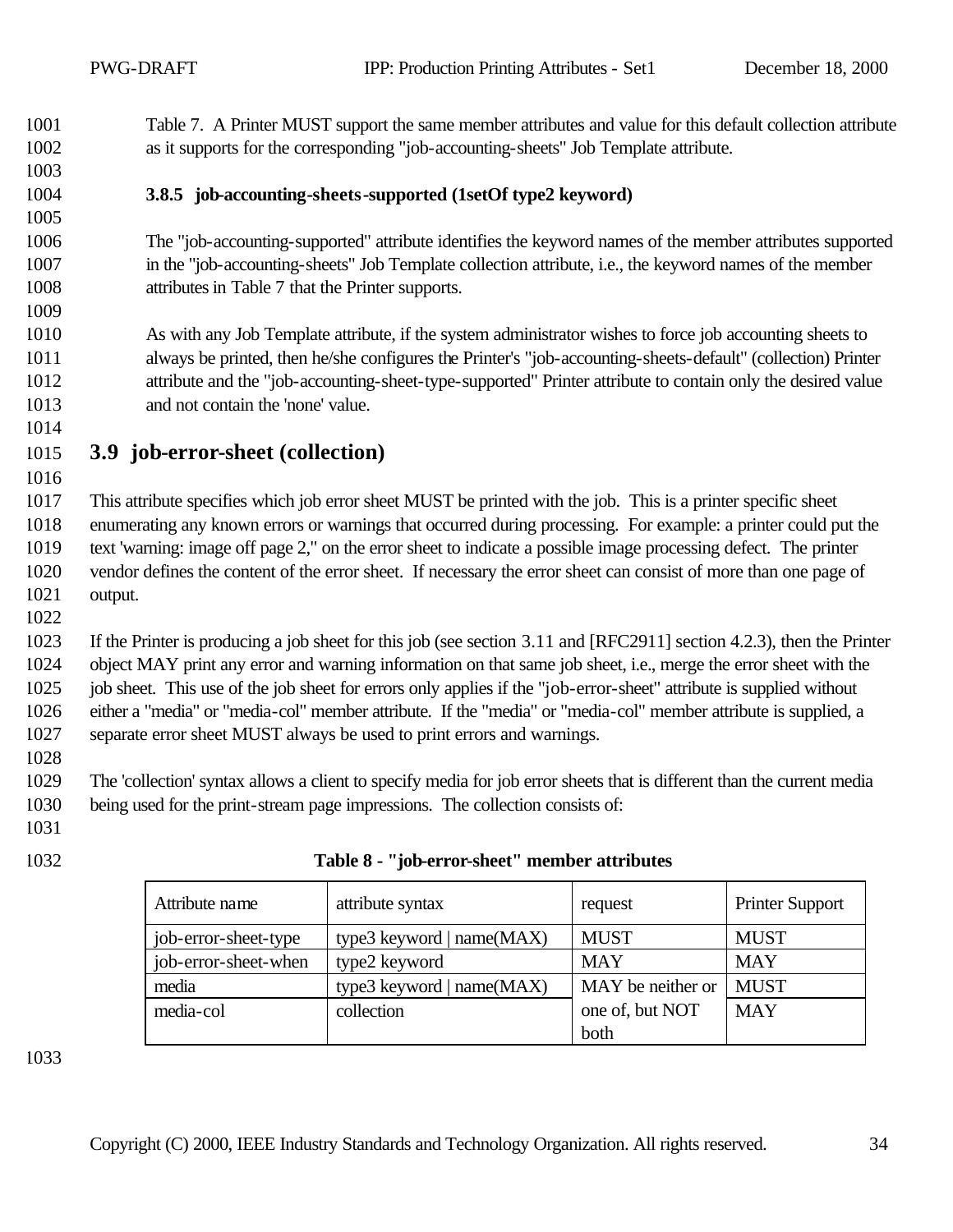Table 7. A Printer MUST support the same member attributes and value for this default collection attribute as it supports for the corresponding "job-accounting-sheets" Job Template attribute.

- 
- 

#### **3.8.5 job-accounting-sheets-supported (1setOf type2 keyword)**

 The "job-accounting-supported" attribute identifies the keyword names of the member attributes supported in the "job-accounting-sheets" Job Template collection attribute, i.e., the keyword names of the member attributes in Table 7 that the Printer supports.

 As with any Job Template attribute, if the system administrator wishes to force job accounting sheets to always be printed, then he/she configures the Printer's "job-accounting-sheets-default" (collection) Printer attribute and the "job-accounting-sheet-type-supported" Printer attribute to contain only the desired value and not contain the 'none' value.

- **3.9 job-error-sheet (collection)**
- 

 This attribute specifies which job error sheet MUST be printed with the job. This is a printer specific sheet enumerating any known errors or warnings that occurred during processing. For example: a printer could put the text 'warning: image off page 2," on the error sheet to indicate a possible image processing defect. The printer vendor defines the content of the error sheet. If necessary the error sheet can consist of more than one page of output.

 If the Printer is producing a job sheet for this job (see section 3.11 and [RFC2911] section 4.2.3), then the Printer object MAY print any error and warning information on that same job sheet, i.e., merge the error sheet with the job sheet. This use of the job sheet for errors only applies if the "job-error-sheet" attribute is supplied without either a "media" or "media-col" member attribute. If the "media" or "media-col" member attribute is supplied, a separate error sheet MUST always be used to print errors and warnings.

 The 'collection' syntax allows a client to specify media for job error sheets that is different than the current media being used for the print-stream page impressions. The collection consists of:

- 
- 

| Table 8 - "job-error-sheet" member attributes |
|-----------------------------------------------|

| Attribute name       | attribute syntax          | request           | <b>Printer Support</b> |
|----------------------|---------------------------|-------------------|------------------------|
| job-error-sheet-type | type3 keyword   name(MAX) | <b>MUST</b>       | <b>MUST</b>            |
| job-error-sheet-when | type2 keyword             | <b>MAY</b>        | <b>MAY</b>             |
| media                | type3 keyword   name(MAX) | MAY be neither or | <b>MUST</b>            |
| media-col            | collection                | one of, but NOT   | <b>MAY</b>             |
|                      |                           | both              |                        |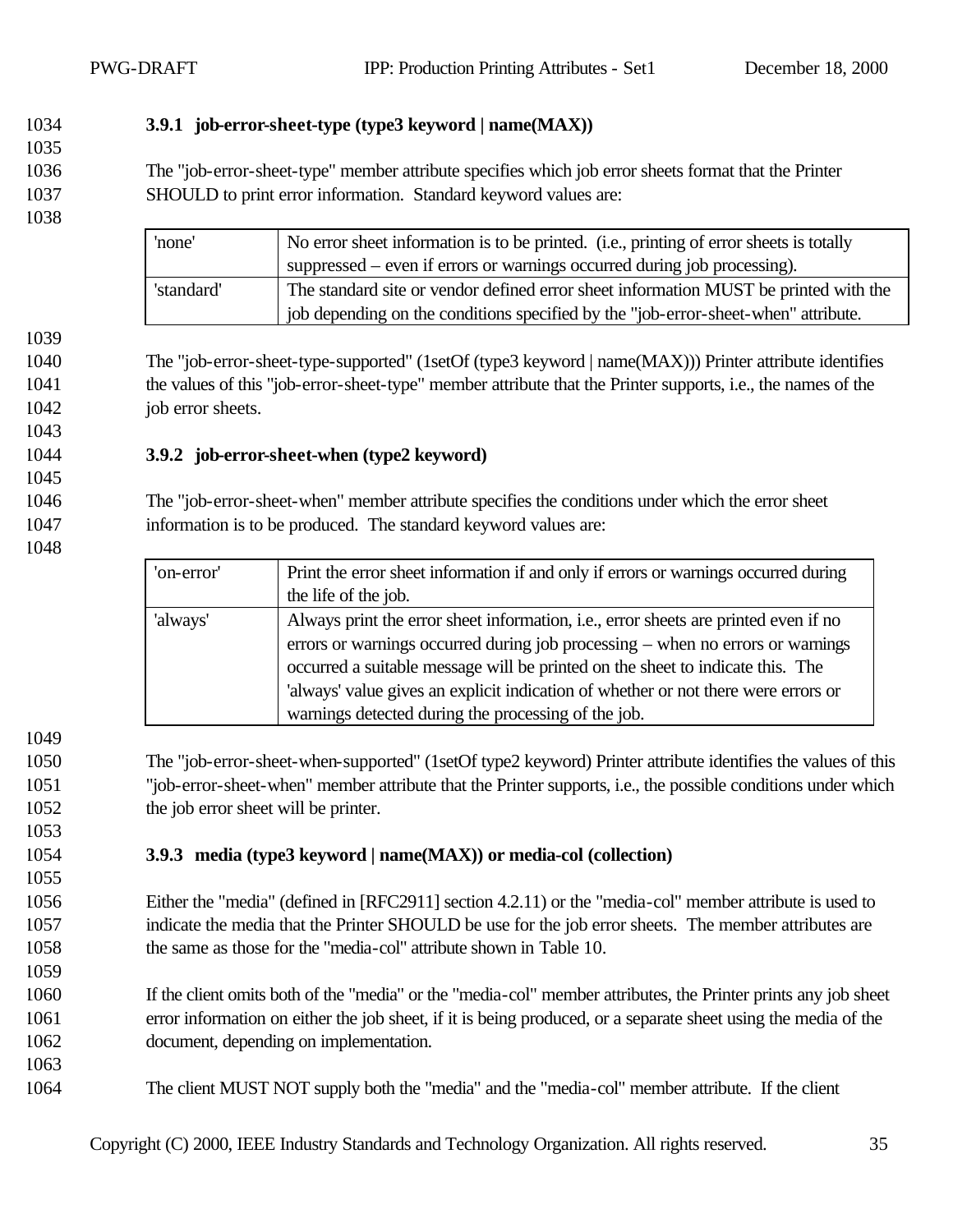#### **3.9.1 job-error-sheet-type (type3 keyword | name(MAX))**

 The "job-error-sheet-type" member attribute specifies which job error sheets format that the Printer SHOULD to print error information. Standard keyword values are:

| 'none'     | No error sheet information is to be printed. (i.e., printing of error sheets is totally |
|------------|-----------------------------------------------------------------------------------------|
|            | suppressed – even if errors or warnings occurred during job processing).                |
| 'standard' | The standard site or vendor defined error sheet information MUST be printed with the    |
|            | job depending on the conditions specified by the "job-error-sheet-when" attribute.      |

 The "job-error-sheet-type-supported" (1setOf (type3 keyword | name(MAX))) Printer attribute identifies the values of this "job-error-sheet-type" member attribute that the Printer supports, i.e., the names of the 1042 job error sheets.

#### **3.9.2 job-error-sheet-when (type2 keyword)**

 The "job-error-sheet-when" member attribute specifies the conditions under which the error sheet information is to be produced. The standard keyword values are:

| 'on-error' | Print the error sheet information if and only if errors or warnings occurred during         |
|------------|---------------------------------------------------------------------------------------------|
|            | the life of the job.                                                                        |
| 'always'   | Always print the error sheet information, <i>i.e.</i> , error sheets are printed even if no |
|            | errors or warnings occurred during job processing – when no errors or warnings              |
|            | occurred a suitable message will be printed on the sheet to indicate this. The              |
|            | 'always' value gives an explicit indication of whether or not there were errors or          |
|            | warnings detected during the processing of the job.                                         |

 The "job-error-sheet-when-supported" (1setOf type2 keyword) Printer attribute identifies the values of this "job-error-sheet-when" member attribute that the Printer supports, i.e., the possible conditions under which the job error sheet will be printer.

#### **3.9.3 media (type3 keyword | name(MAX)) or media-col (collection)**

 Either the "media" (defined in [RFC2911] section 4.2.11) or the "media-col" member attribute is used to indicate the media that the Printer SHOULD be use for the job error sheets. The member attributes are the same as those for the "media-col" attribute shown in Table 10.

 If the client omits both of the "media" or the "media-col" member attributes, the Printer prints any job sheet error information on either the job sheet, if it is being produced, or a separate sheet using the media of the document, depending on implementation.

The client MUST NOT supply both the "media" and the "media-col" member attribute. If the client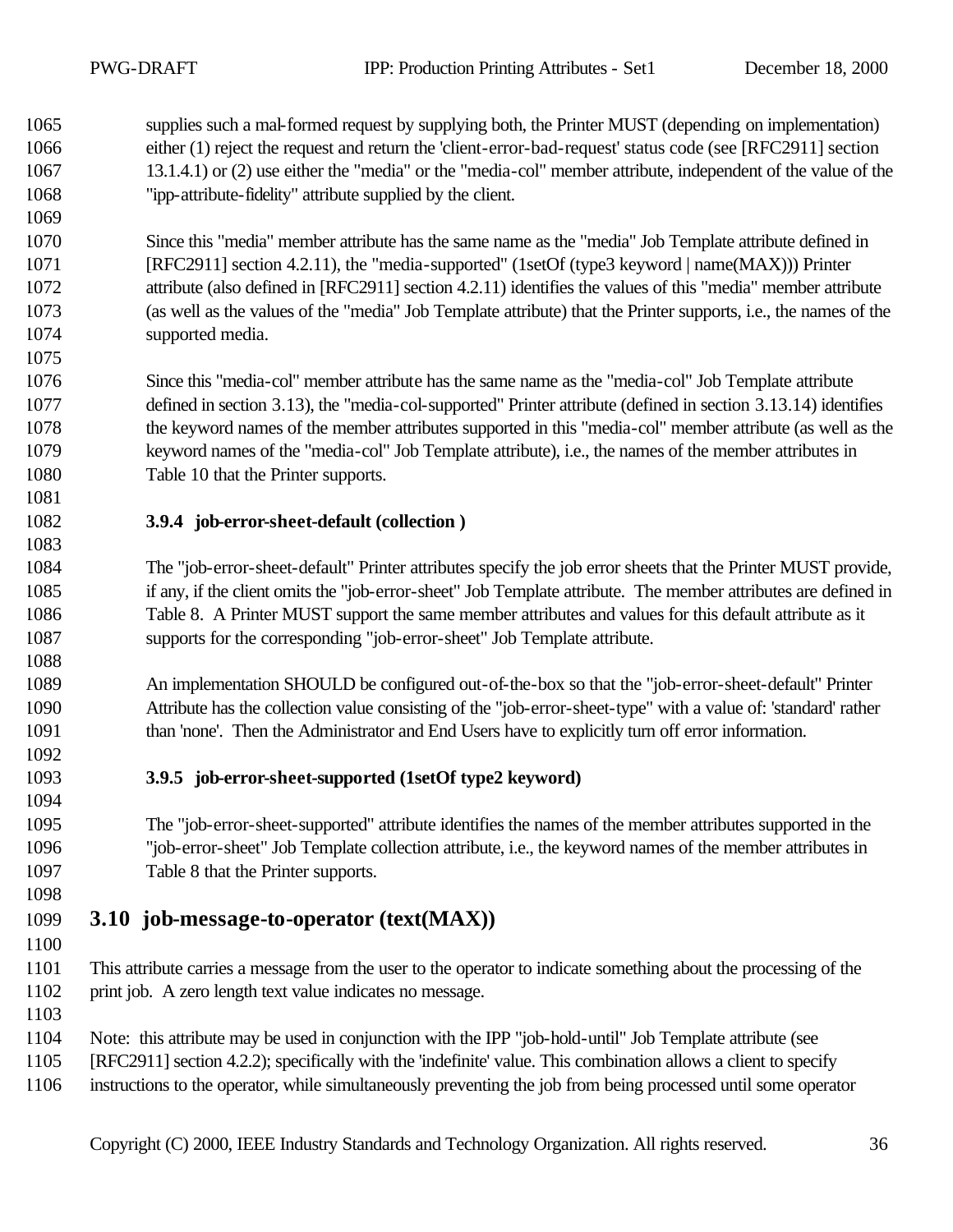supplies such a mal-formed request by supplying both, the Printer MUST (depending on implementation) either (1) reject the request and return the 'client-error-bad-request' status code (see [RFC2911] section 13.1.4.1) or (2) use either the "media" or the "media-col" member attribute, independent of the value of the "ipp-attribute-fidelity" attribute supplied by the client.

 Since this "media" member attribute has the same name as the "media" Job Template attribute defined in [RFC2911] section 4.2.11), the "media-supported" (1setOf (type3 keyword | name(MAX))) Printer attribute (also defined in [RFC2911] section 4.2.11) identifies the values of this "media" member attribute (as well as the values of the "media" Job Template attribute) that the Printer supports, i.e., the names of the supported media.

 Since this "media-col" member attribute has the same name as the "media-col" Job Template attribute defined in section 3.13), the "media-col-supported" Printer attribute (defined in section 3.13.14) identifies the keyword names of the member attributes supported in this "media-col" member attribute (as well as the keyword names of the "media-col" Job Template attribute), i.e., the names of the member attributes in Table 10 that the Printer supports.

#### 

#### **3.9.4 job-error-sheet-default (collection )**

 The "job-error-sheet-default" Printer attributes specify the job error sheets that the Printer MUST provide, if any, if the client omits the "job-error-sheet" Job Template attribute. The member attributes are defined in Table 8. A Printer MUST support the same member attributes and values for this default attribute as it supports for the corresponding "job-error-sheet" Job Template attribute.

 An implementation SHOULD be configured out-of-the-box so that the "job-error-sheet-default" Printer Attribute has the collection value consisting of the "job-error-sheet-type" with a value of: 'standard' rather than 'none'. Then the Administrator and End Users have to explicitly turn off error information.

**3.9.5 job-error-sheet-supported (1setOf type2 keyword)**

 The "job-error-sheet-supported" attribute identifies the names of the member attributes supported in the "job-error-sheet" Job Template collection attribute, i.e., the keyword names of the member attributes in Table 8 that the Printer supports.

### **3.10 job-message-to-operator (text(MAX))**

 This attribute carries a message from the user to the operator to indicate something about the processing of the print job. A zero length text value indicates no message.

Note: this attribute may be used in conjunction with the IPP "job-hold-until" Job Template attribute (see

[RFC2911] section 4.2.2); specifically with the 'indefinite' value. This combination allows a client to specify

instructions to the operator, while simultaneously preventing the job from being processed until some operator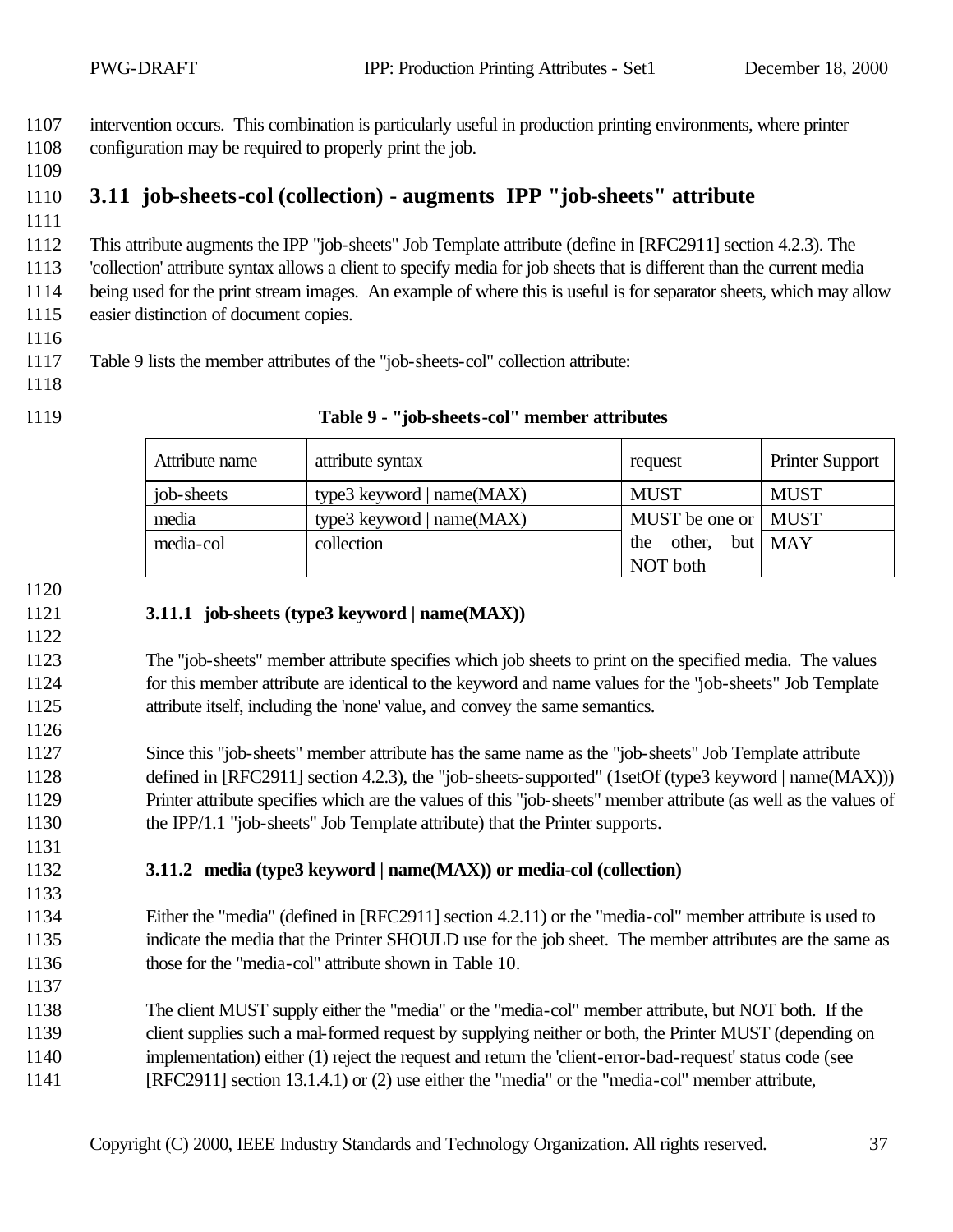intervention occurs. This combination is particularly useful in production printing environments, where printer configuration may be required to properly print the job.

# **3.11 job-sheets-col (collection) - augments IPP "job-sheets" attribute**

This attribute augments the IPP "job-sheets" Job Template attribute (define in [RFC2911] section 4.2.3). The

 'collection' attribute syntax allows a client to specify media for job sheets that is different than the current media being used for the print stream images. An example of where this is useful is for separator sheets, which may allow

easier distinction of document copies.

Table 9 lists the member attributes of the "job-sheets-col" collection attribute:

- 
- 

#### **Table 9 - "job-sheets-col" member attributes**

| Attribute name | attribute syntax            | request               | <b>Printer Support</b> |
|----------------|-----------------------------|-----------------------|------------------------|
| job-sheets     | type3 keyword $ name(MAX) $ | <b>MUST</b>           | <b>MUST</b>            |
| media          | type3 keyword   $name(MAX)$ | MUST be one or   MUST |                        |
| media-col      | collection                  | other, but MAY<br>the |                        |
|                |                             | NOT both              |                        |

#### **3.11.1 job-sheets (type3 keyword | name(MAX))**

 The "job-sheets" member attribute specifies which job sheets to print on the specified media. The values for this member attribute are identical to the keyword and name values for the "job-sheets" Job Template attribute itself, including the 'none' value, and convey the same semantics.

 Since this "job-sheets" member attribute has the same name as the "job-sheets" Job Template attribute 1128 defined in [RFC2911] section 4.2.3), the "job-sheets-supported" (1setOf (type3 keyword | name(MAX))) Printer attribute specifies which are the values of this "job-sheets" member attribute (as well as the values of the IPP/1.1 "job-sheets" Job Template attribute) that the Printer supports.

**3.11.2 media (type3 keyword | name(MAX)) or media-col (collection)**

 Either the "media" (defined in [RFC2911] section 4.2.11) or the "media-col" member attribute is used to indicate the media that the Printer SHOULD use for the job sheet. The member attributes are the same as those for the "media-col" attribute shown in Table 10.

 The client MUST supply either the "media" or the "media-col" member attribute, but NOT both. If the client supplies such a mal-formed request by supplying neither or both, the Printer MUST (depending on implementation) either (1) reject the request and return the 'client-error-bad-request' status code (see [RFC2911] section 13.1.4.1) or (2) use either the "media" or the "media-col" member attribute,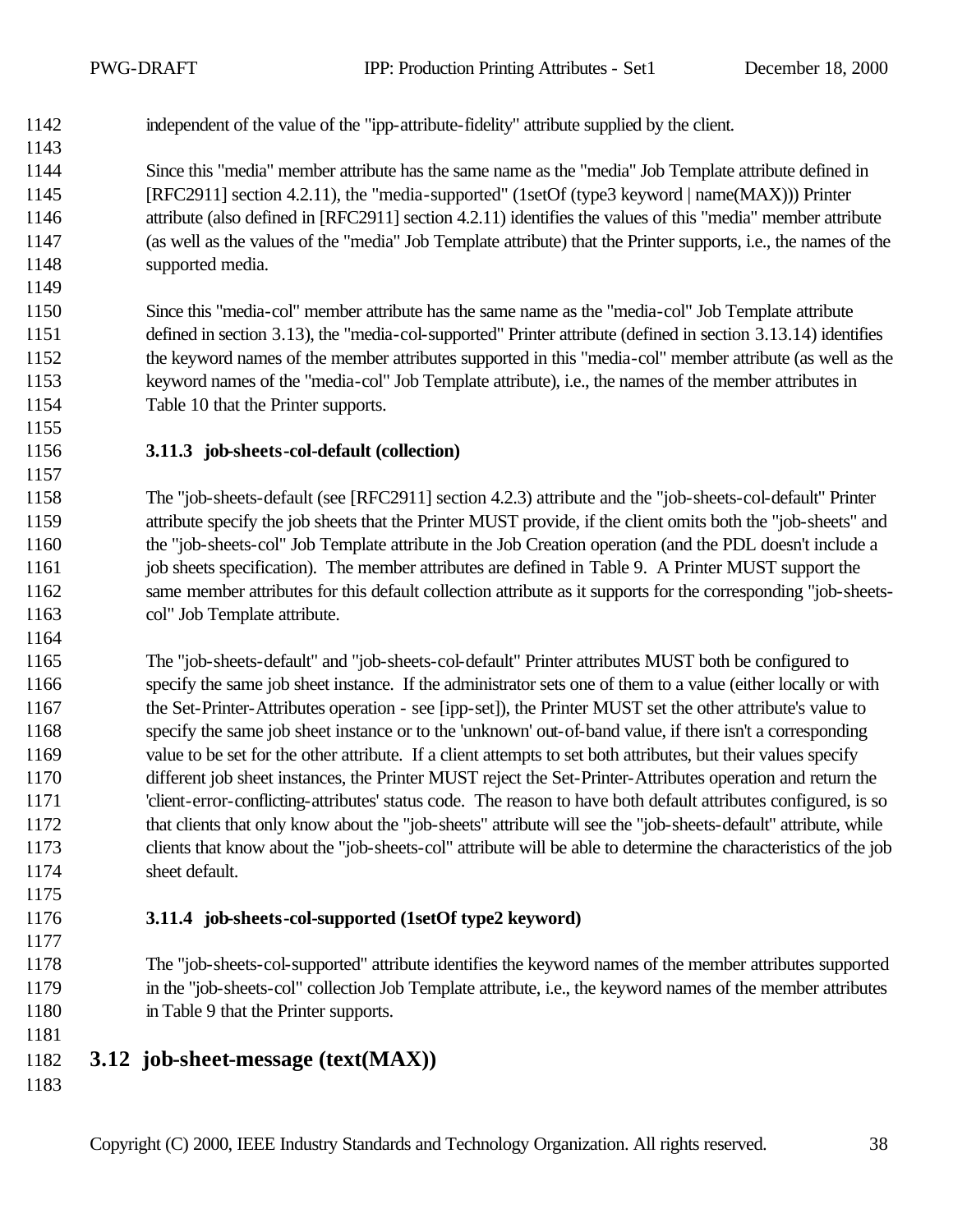- independent of the value of the "ipp-attribute-fidelity" attribute supplied by the client.
- Since this "media" member attribute has the same name as the "media" Job Template attribute defined in [RFC2911] section 4.2.11), the "media-supported" (1setOf (type3 keyword | name(MAX))) Printer attribute (also defined in [RFC2911] section 4.2.11) identifies the values of this "media" member attribute (as well as the values of the "media" Job Template attribute) that the Printer supports, i.e., the names of the supported media.
- Since this "media-col" member attribute has the same name as the "media-col" Job Template attribute defined in section 3.13), the "media-col-supported" Printer attribute (defined in section 3.13.14) identifies the keyword names of the member attributes supported in this "media-col" member attribute (as well as the keyword names of the "media-col" Job Template attribute), i.e., the names of the member attributes in Table 10 that the Printer supports.
- **3.11.3 job-sheets-col-default (collection)**

 The "job-sheets-default (see [RFC2911] section 4.2.3) attribute and the "job-sheets-col-default" Printer attribute specify the job sheets that the Printer MUST provide, if the client omits both the "job-sheets" and the "job-sheets-col" Job Template attribute in the Job Creation operation (and the PDL doesn't include a job sheets specification). The member attributes are defined in Table 9. A Printer MUST support the same member attributes for this default collection attribute as it supports for the corresponding "job-sheets-col" Job Template attribute.

- The "job-sheets-default" and "job-sheets-col-default" Printer attributes MUST both be configured to specify the same job sheet instance. If the administrator sets one of them to a value (either locally or with the Set-Printer-Attributes operation - see [ipp-set]), the Printer MUST set the other attribute's value to specify the same job sheet instance or to the 'unknown' out-of-band value, if there isn't a corresponding value to be set for the other attribute. If a client attempts to set both attributes, but their values specify different job sheet instances, the Printer MUST reject the Set-Printer-Attributes operation and return the 'client-error-conflicting-attributes' status code. The reason to have both default attributes configured, is so that clients that only know about the "job-sheets" attribute will see the "job-sheets-default" attribute, while clients that know about the "job-sheets-col" attribute will be able to determine the characteristics of the job sheet default.
- **3.11.4 job-sheets-col-supported (1setOf type2 keyword)**
- The "job-sheets-col-supported" attribute identifies the keyword names of the member attributes supported in the "job-sheets-col" collection Job Template attribute, i.e., the keyword names of the member attributes in Table 9 that the Printer supports.
- **3.12 job-sheet-message (text(MAX))**
-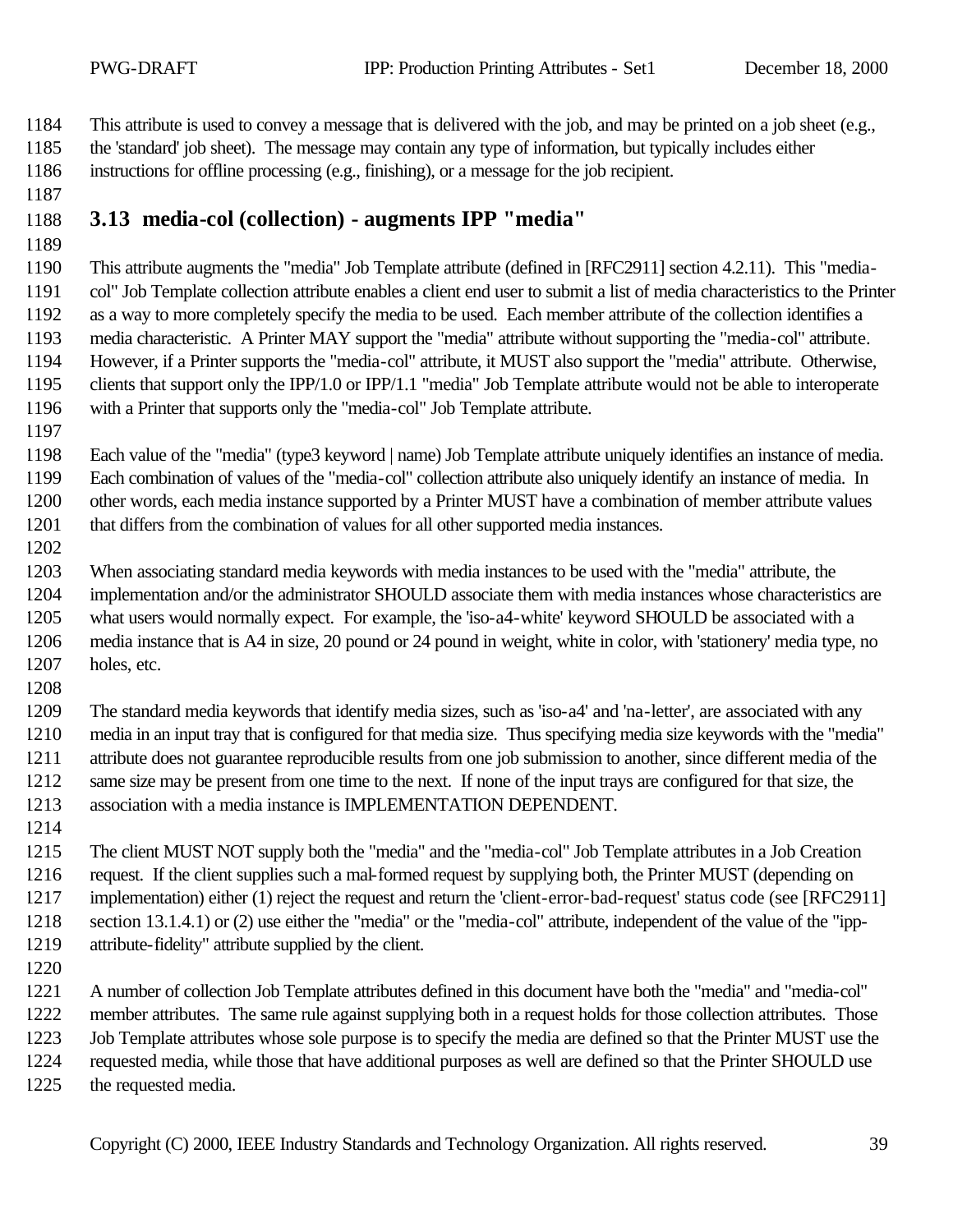This attribute is used to convey a message that is delivered with the job, and may be printed on a job sheet (e.g.,

- the 'standard' job sheet). The message may contain any type of information, but typically includes either instructions for offline processing (e.g., finishing), or a message for the job recipient.
- 
- **3.13 media-col (collection) augments IPP "media"**
- 

 This attribute augments the "media" Job Template attribute (defined in [RFC2911] section 4.2.11). This "media- col" Job Template collection attribute enables a client end user to submit a list of media characteristics to the Printer as a way to more completely specify the media to be used. Each member attribute of the collection identifies a media characteristic. A Printer MAY support the "media" attribute without supporting the "media-col" attribute. However, if a Printer supports the "media-col" attribute, it MUST also support the "media" attribute. Otherwise, clients that support only the IPP/1.0 or IPP/1.1 "media" Job Template attribute would not be able to interoperate with a Printer that supports only the "media-col" Job Template attribute.

 Each value of the "media" (type3 keyword | name) Job Template attribute uniquely identifies an instance of media. Each combination of values of the "media-col" collection attribute also uniquely identify an instance of media. In other words, each media instance supported by a Printer MUST have a combination of member attribute values that differs from the combination of values for all other supported media instances.

- When associating standard media keywords with media instances to be used with the "media" attribute, the implementation and/or the administrator SHOULD associate them with media instances whose characteristics are what users would normally expect. For example, the 'iso-a4-white' keyword SHOULD be associated with a media instance that is A4 in size, 20 pound or 24 pound in weight, white in color, with 'stationery' media type, no holes, etc.
- 

 The standard media keywords that identify media sizes, such as 'iso-a4' and 'na-letter', are associated with any media in an input tray that is configured for that media size. Thus specifying media size keywords with the "media" attribute does not guarantee reproducible results from one job submission to another, since different media of the same size may be present from one time to the next. If none of the input trays are configured for that size, the association with a media instance is IMPLEMENTATION DEPENDENT.

- The client MUST NOT supply both the "media" and the "media-col" Job Template attributes in a Job Creation request. If the client supplies such a mal-formed request by supplying both, the Printer MUST (depending on implementation) either (1) reject the request and return the 'client-error-bad-request' status code (see [RFC2911] section 13.1.4.1) or (2) use either the "media" or the "media-col" attribute, independent of the value of the "ipp-attribute-fidelity" attribute supplied by the client.
- 

 A number of collection Job Template attributes defined in this document have both the "media" and "media-col" member attributes. The same rule against supplying both in a request holds for those collection attributes. Those Job Template attributes whose sole purpose is to specify the media are defined so that the Printer MUST use the requested media, while those that have additional purposes as well are defined so that the Printer SHOULD use the requested media.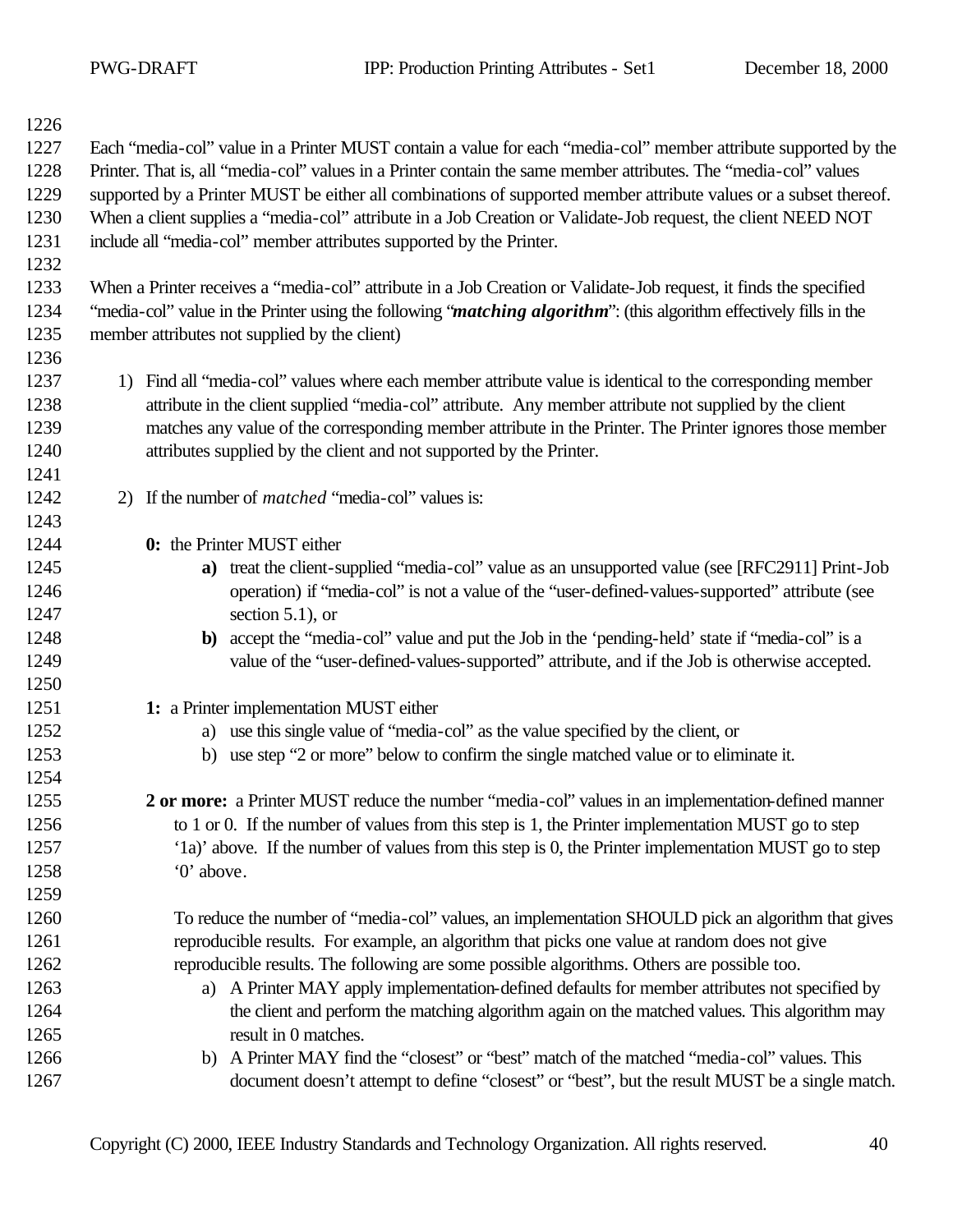| 1226 |                                                                                                                              |
|------|------------------------------------------------------------------------------------------------------------------------------|
| 1227 | Each "media-col" value in a Printer MUST contain a value for each "media-col" member attribute supported by the              |
| 1228 | Printer. That is, all "media-col" values in a Printer contain the same member attributes. The "media-col" values             |
| 1229 | supported by a Printer MUST be either all combinations of supported member attribute values or a subset thereof.             |
| 1230 | When a client supplies a "media-col" attribute in a Job Creation or Validate-Job request, the client NEED NOT                |
| 1231 | include all "media-col" member attributes supported by the Printer.                                                          |
| 1232 |                                                                                                                              |
| 1233 | When a Printer receives a "media-col" attribute in a Job Creation or Validate-Job request, it finds the specified            |
| 1234 | "media-col" value in the Printer using the following " <i>matching algorithm</i> ": (this algorithm effectively fills in the |
| 1235 | member attributes not supplied by the client)                                                                                |
| 1236 |                                                                                                                              |
| 1237 | Find all "media-col" values where each member attribute value is identical to the corresponding member<br>1)                 |
| 1238 | attribute in the client supplied "media-col" attribute. Any member attribute not supplied by the client                      |
| 1239 | matches any value of the corresponding member attribute in the Printer. The Printer ignores those member                     |
| 1240 | attributes supplied by the client and not supported by the Printer.                                                          |
| 1241 |                                                                                                                              |
| 1242 | 2) If the number of <i>matched</i> "media-col" values is:                                                                    |
| 1243 |                                                                                                                              |
| 1244 | 0: the Printer MUST either                                                                                                   |
| 1245 | a) treat the client-supplied "media-col" value as an unsupported value (see [RFC2911] Print-Job                              |
| 1246 | operation) if "media-col" is not a value of the "user-defined-values-supported" attribute (see                               |
| 1247 | section $5.1$ ), or                                                                                                          |
| 1248 | b) accept the "media-col" value and put the Job in the 'pending-held' state if "media-col" is a                              |
| 1249 | value of the "user-defined-values-supported" attribute, and if the Job is otherwise accepted.                                |
| 1250 |                                                                                                                              |
| 1251 | 1: a Printer implementation MUST either                                                                                      |
| 1252 | a) use this single value of "media-col" as the value specified by the client, or                                             |
| 1253 | b) use step "2 or more" below to confirm the single matched value or to eliminate it.                                        |
| 1254 |                                                                                                                              |
| 1255 | 2 or more: a Printer MUST reduce the number "media-col" values in an implementation-defined manner                           |
| 1256 | to 1 or 0. If the number of values from this step is 1, the Printer implementation MUST go to step                           |
| 1257 | '1a)' above. If the number of values from this step is 0, the Printer implementation MUST go to step                         |
| 1258 | '0' above.                                                                                                                   |
| 1259 |                                                                                                                              |
| 1260 | To reduce the number of "media-col" values, an implementation SHOULD pick an algorithm that gives                            |
| 1261 | reproducible results. For example, an algorithm that picks one value at random does not give                                 |
| 1262 | reproducible results. The following are some possible algorithms. Others are possible too.                                   |
| 1263 | a) A Printer MAY apply implementation-defined defaults for member attributes not specified by                                |
| 1264 | the client and perform the matching algorithm again on the matched values. This algorithm may                                |
| 1265 | result in 0 matches.                                                                                                         |
| 1266 | b) A Printer MAY find the "closest" or "best" match of the matched "media-col" values. This                                  |
| 1267 | document doesn't attempt to define "closest" or "best", but the result MUST be a single match.                               |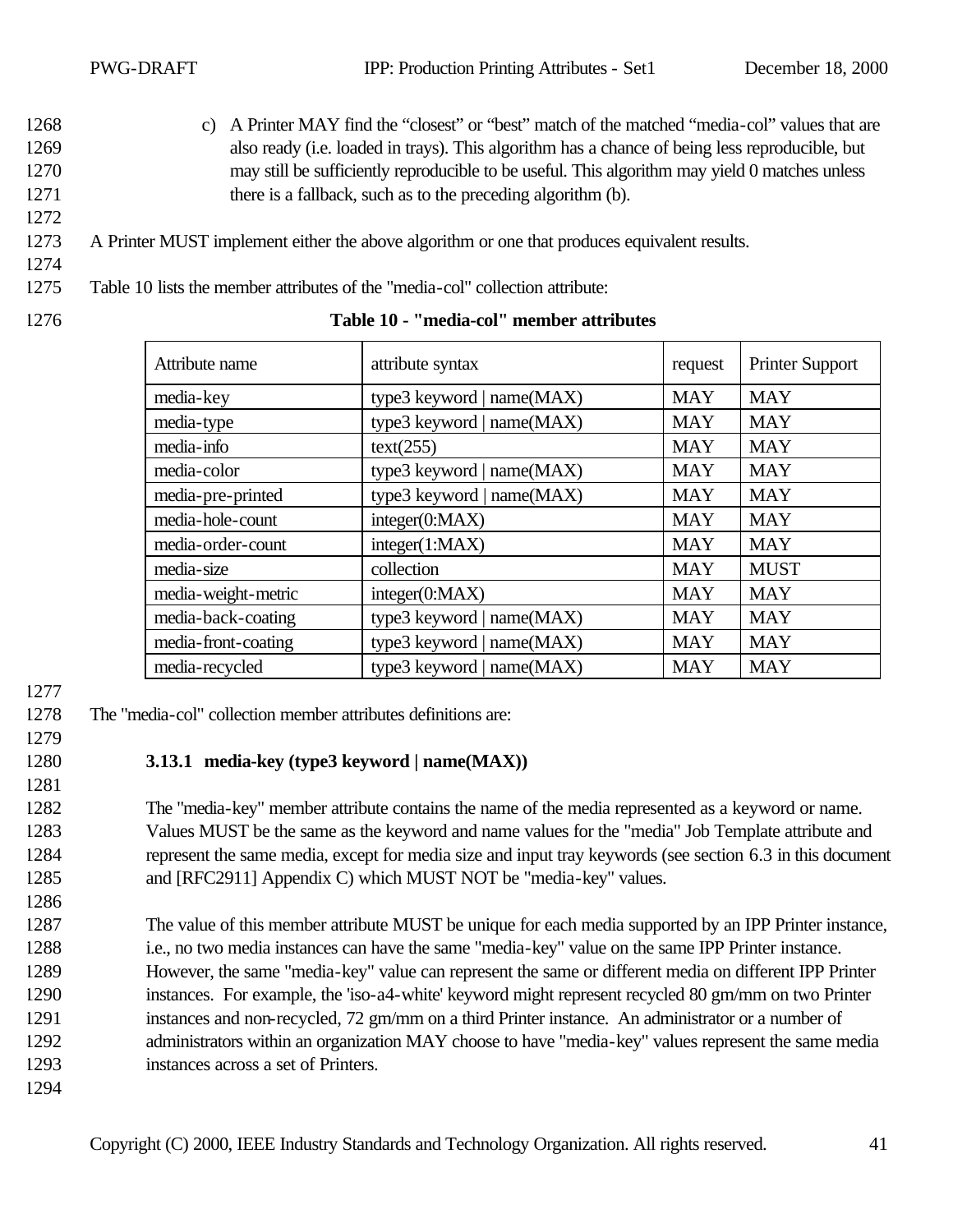- 1268 c) A Printer MAY find the "closest" or "best" match of the matched "media-col" values that are 1269 also ready (i.e. loaded in trays). This algorithm has a chance of being less reproducible, but 1270 may still be sufficiently reproducible to be useful. This algorithm may yield 0 matches unless 1271 there is a fallback, such as to the preceding algorithm (b).
- 1273 A Printer MUST implement either the above algorithm or one that produces equivalent results.
- 1274

- 1275 Table 10 lists the member attributes of the "media-col" collection attribute:
- 

# 1276 **Table 10 - "media-col" member attributes**

| Attribute name      | attribute syntax            | request    | <b>Printer Support</b> |
|---------------------|-----------------------------|------------|------------------------|
| media-key           | type3 keyword   $name(MAX)$ | <b>MAY</b> | <b>MAY</b>             |
| media-type          | type3 keyword   name(MAX)   | <b>MAY</b> | <b>MAY</b>             |
| media-info          | text(255)                   | <b>MAY</b> | <b>MAY</b>             |
| media-color         | type3 keyword   name(MAX)   | <b>MAY</b> | <b>MAY</b>             |
| media-pre-printed   | type3 keyword $ name(MAX) $ | <b>MAY</b> | <b>MAY</b>             |
| media-hole-count    | integer(0:MAX)              | <b>MAY</b> | <b>MAY</b>             |
| media-order-count   | integer(1:MAX)              | <b>MAY</b> | <b>MAY</b>             |
| media-size          | collection                  | <b>MAY</b> | <b>MUST</b>            |
| media-weight-metric | integer(0:MAX)              | <b>MAY</b> | <b>MAY</b>             |
| media-back-coating  | type3 keyword   $name(MAX)$ | <b>MAY</b> | <b>MAY</b>             |
| media-front-coating | type3 keyword   name(MAX)   | <b>MAY</b> | <b>MAY</b>             |
| media-recycled      | type3 keyword   $name(MAX)$ | <b>MAY</b> | <b>MAY</b>             |

#### 1277

- 1278 The "media-col" collection member attributes definitions are:
- 1279

#### 1280 **3.13.1 media-key (type3 keyword | name(MAX))**

1281

 The "media-key" member attribute contains the name of the media represented as a keyword or name. Values MUST be the same as the keyword and name values for the "media" Job Template attribute and represent the same media, except for media size and input tray keywords (see section 6.3 in this document and [RFC2911] Appendix C) which MUST NOT be "media-key" values.

1286

 The value of this member attribute MUST be unique for each media supported by an IPP Printer instance, i.e., no two media instances can have the same "media-key" value on the same IPP Printer instance. However, the same "media-key" value can represent the same or different media on different IPP Printer instances. For example, the 'iso-a4-white' keyword might represent recycled 80 gm/mm on two Printer instances and non-recycled, 72 gm/mm on a third Printer instance. An administrator or a number of 1292 administrators within an organization MAY choose to have "media-key" values represent the same media instances across a set of Printers.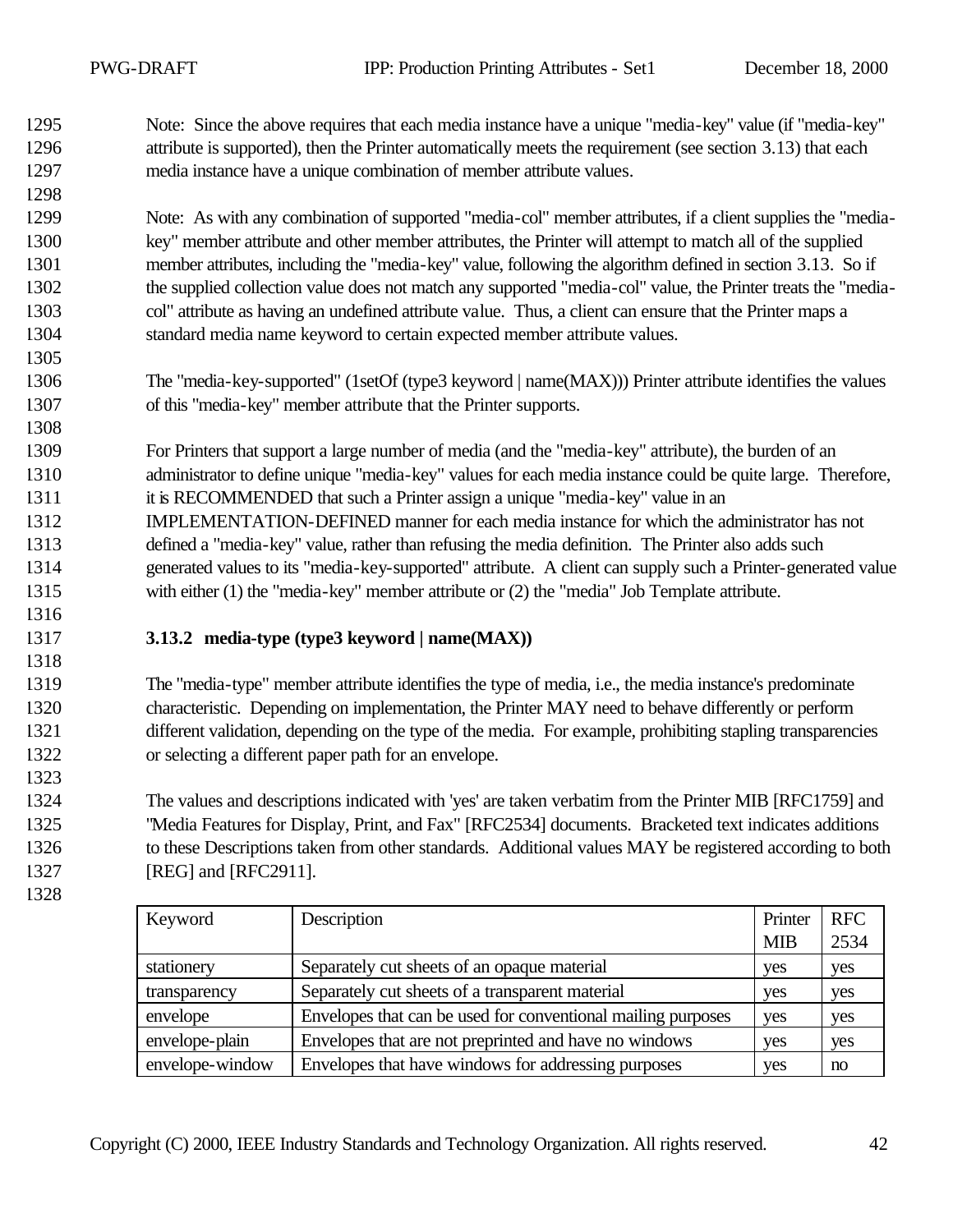Note: Since the above requires that each media instance have a unique "media-key" value (if "media-key" 1296 attribute is supported), then the Printer automatically meets the requirement (see section 3.13) that each media instance have a unique combination of member attribute values.

 Note: As with any combination of supported "media-col" member attributes, if a client supplies the "media- key" member attribute and other member attributes, the Printer will attempt to match all of the supplied member attributes, including the "media-key" value, following the algorithm defined in section 3.13. So if the supplied collection value does not match any supported "media-col" value, the Printer treats the "media- col" attribute as having an undefined attribute value. Thus, a client can ensure that the Printer maps a standard media name keyword to certain expected member attribute values.

 The "media-key-supported" (1setOf (type3 keyword | name(MAX))) Printer attribute identifies the values of this "media-key" member attribute that the Printer supports.

 For Printers that support a large number of media (and the "media-key" attribute), the burden of an administrator to define unique "media-key" values for each media instance could be quite large. Therefore, it is RECOMMENDED that such a Printer assign a unique "media-key" value in an IMPLEMENTATION-DEFINED manner for each media instance for which the administrator has not defined a "media-key" value, rather than refusing the media definition. The Printer also adds such generated values to its "media-key-supported" attribute. A client can supply such a Printer-generated value with either (1) the "media-key" member attribute or (2) the "media" Job Template attribute.

#### **3.13.2 media-type (type3 keyword | name(MAX))**

 The "media-type" member attribute identifies the type of media, i.e., the media instance's predominate characteristic. Depending on implementation, the Printer MAY need to behave differently or perform different validation, depending on the type of the media. For example, prohibiting stapling transparencies or selecting a different paper path for an envelope.

 The values and descriptions indicated with 'yes' are taken verbatim from the Printer MIB [RFC1759] and "Media Features for Display, Print, and Fax" [RFC2534] documents. Bracketed text indicates additions to these Descriptions taken from other standards. Additional values MAY be registered according to both [REG] and [RFC2911].

| Keyword         | Description                                                  | Printer    | <b>RFC</b> |
|-----------------|--------------------------------------------------------------|------------|------------|
|                 |                                                              | <b>MIB</b> | 2534       |
| stationery      | Separately cut sheets of an opaque material                  | yes        | yes        |
| transparency    | Separately cut sheets of a transparent material              | yes        | yes        |
| envelope        | Envelopes that can be used for conventional mailing purposes | yes        | yes        |
| envelope-plain  | Envelopes that are not preprinted and have no windows        | yes        | yes        |
| envelope-window | Envelopes that have windows for addressing purposes          | yes        | no         |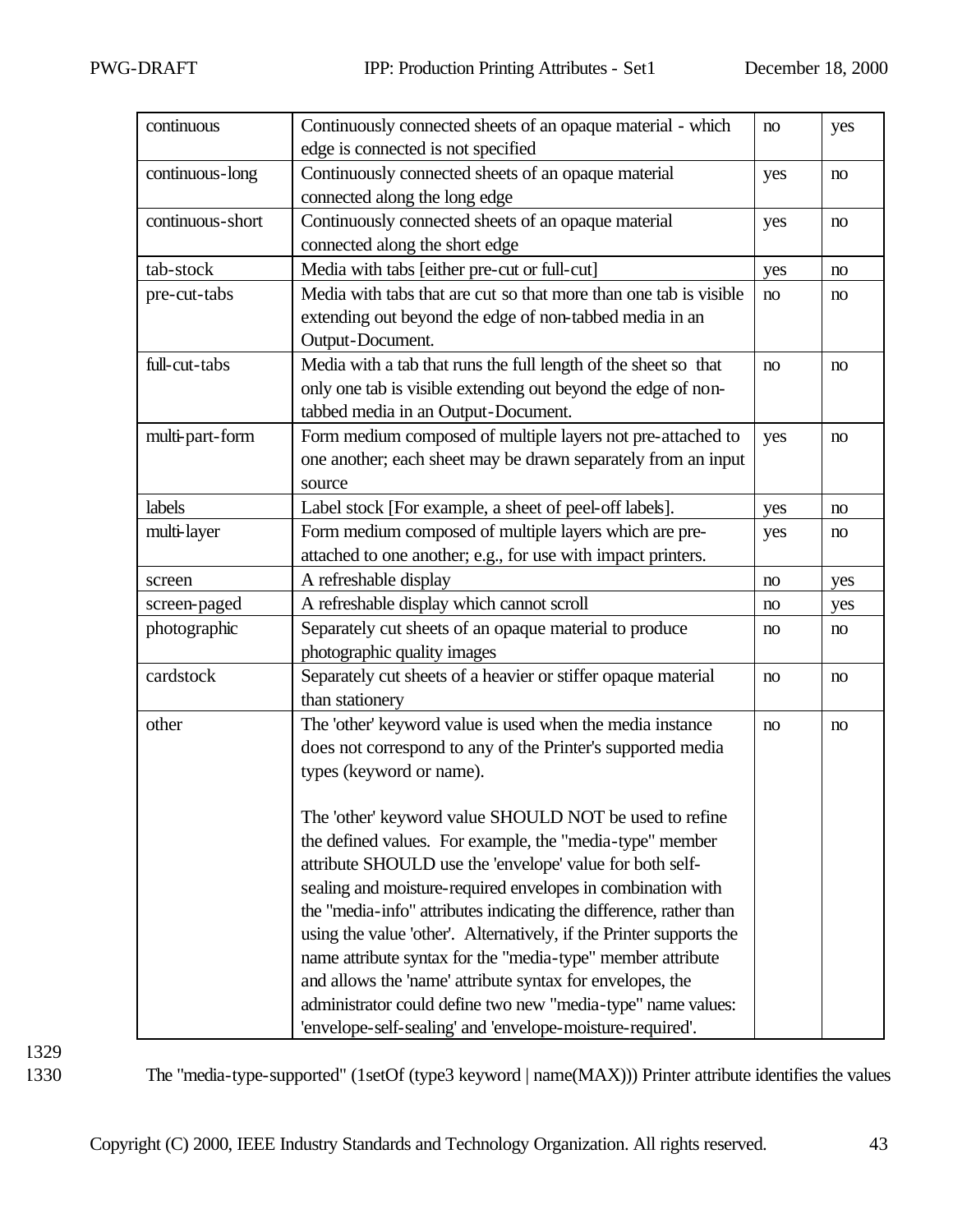| continuous       | Continuously connected sheets of an opaque material - which         | no  | yes |
|------------------|---------------------------------------------------------------------|-----|-----|
|                  | edge is connected is not specified                                  |     |     |
| continuous-long  | Continuously connected sheets of an opaque material                 | yes | no  |
|                  | connected along the long edge                                       |     |     |
| continuous-short | Continuously connected sheets of an opaque material                 | yes | no  |
|                  | connected along the short edge                                      |     |     |
| tab-stock        | Media with tabs [either pre-cut or full-cut]                        | yes | no  |
| pre-cut-tabs     | Media with tabs that are cut so that more than one tab is visible   | no  | no  |
|                  | extending out beyond the edge of non-tabbed media in an             |     |     |
|                  | Output-Document.                                                    |     |     |
| full-cut-tabs    | Media with a tab that runs the full length of the sheet so that     | no  | no  |
|                  | only one tab is visible extending out beyond the edge of non-       |     |     |
|                  | tabbed media in an Output-Document.                                 |     |     |
| multi-part-form  | Form medium composed of multiple layers not pre-attached to         | yes | no  |
|                  | one another; each sheet may be drawn separately from an input       |     |     |
|                  | source                                                              |     |     |
| labels           | Label stock [For example, a sheet of peel-off labels].              | yes | no  |
| multi-layer      | Form medium composed of multiple layers which are pre-              | yes | no  |
|                  | attached to one another; e.g., for use with impact printers.        |     |     |
| screen           | A refreshable display                                               | no  | yes |
| screen-paged     | A refreshable display which cannot scroll                           | no  | yes |
| photographic     | Separately cut sheets of an opaque material to produce              | no  | no  |
|                  | photographic quality images                                         |     |     |
| cardstock        | Separately cut sheets of a heavier or stiffer opaque material       | no  | no  |
|                  | than stationery                                                     |     |     |
| other            | The 'other' keyword value is used when the media instance           | no  | no  |
|                  | does not correspond to any of the Printer's supported media         |     |     |
|                  | types (keyword or name).                                            |     |     |
|                  |                                                                     |     |     |
|                  | The 'other' keyword value SHOULD NOT be used to refine              |     |     |
|                  | the defined values. For example, the "media-type" member            |     |     |
|                  | attribute SHOULD use the 'envelope' value for both self-            |     |     |
|                  | sealing and moisture-required envelopes in combination with         |     |     |
|                  | the "media-info" attributes indicating the difference, rather than  |     |     |
|                  | using the value 'other'. Alternatively, if the Printer supports the |     |     |
|                  | name attribute syntax for the "media-type" member attribute         |     |     |
|                  | and allows the 'name' attribute syntax for envelopes, the           |     |     |
|                  | administrator could define two new "media-type" name values:        |     |     |
|                  | 'envelope-self-sealing' and 'envelope-moisture-required'.           |     |     |

1330 The "media-type-supported" (1setOf (type3 keyword | name(MAX))) Printer attribute identifies the values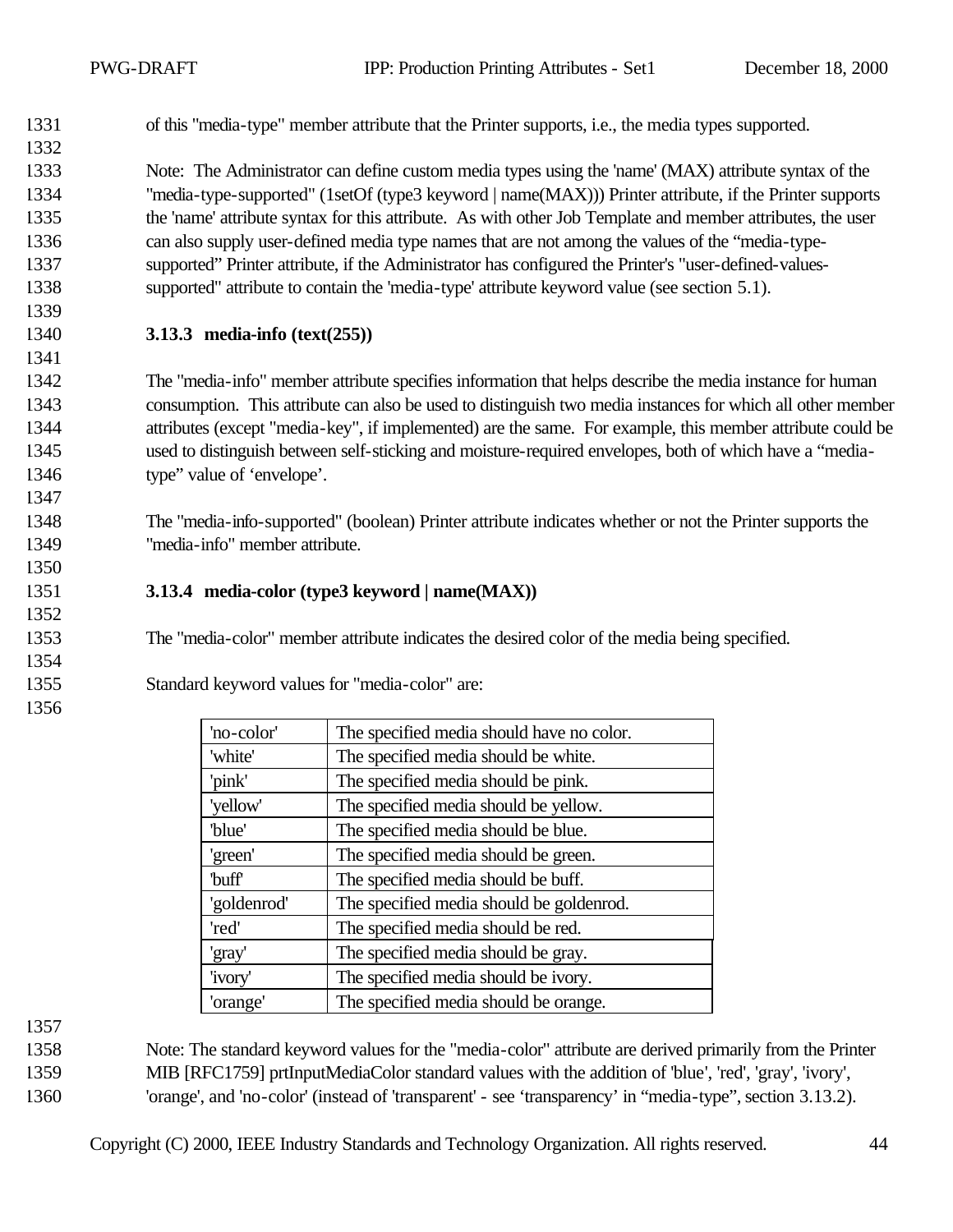of this "media-type" member attribute that the Printer supports, i.e., the media types supported.

 Note: The Administrator can define custom media types using the 'name' (MAX) attribute syntax of the "media-type-supported" (1setOf (type3 keyword | name(MAX))) Printer attribute, if the Printer supports the 'name' attribute syntax for this attribute. As with other Job Template and member attributes, the user can also supply user-defined media type names that are not among the values of the "media-type- supported" Printer attribute, if the Administrator has configured the Printer's "user-defined-values-supported" attribute to contain the 'media-type' attribute keyword value (see section 5.1).

#### **3.13.3 media-info (text(255))**

 The "media-info" member attribute specifies information that helps describe the media instance for human consumption. This attribute can also be used to distinguish two media instances for which all other member attributes (except "media-key", if implemented) are the same. For example, this member attribute could be used to distinguish between self-sticking and moisture-required envelopes, both of which have a "media-type" value of 'envelope'.

 The "media-info-supported" (boolean) Printer attribute indicates whether or not the Printer supports the "media-info" member attribute.

#### **3.13.4 media-color (type3 keyword | name(MAX))**

The "media-color" member attribute indicates the desired color of the media being specified.

#### Standard keyword values for "media-color" are:

| 'no-color'        | The specified media should have no color. |
|-------------------|-------------------------------------------|
| 'white'           | The specified media should be white.      |
| 'pink'            | The specified media should be pink.       |
| 'yellow'          | The specified media should be yellow.     |
| 'blue'            | The specified media should be blue.       |
| 'green'           | The specified media should be green.      |
| buff <sup>'</sup> | The specified media should be buff.       |
| 'goldenrod'       | The specified media should be goldenrod.  |
| 'red'             | The specified media should be red.        |
| 'gray'            | The specified media should be gray.       |
| 'ivory'           | The specified media should be ivory.      |
| 'orange'          | The specified media should be orange.     |
|                   |                                           |

- Note: The standard keyword values for the "media-color" attribute are derived primarily from the Printer MIB [RFC1759] prtInputMediaColor standard values with the addition of 'blue', 'red', 'gray', 'ivory',
- 'orange', and 'no-color' (instead of 'transparent' see 'transparency' in "media-type", section 3.13.2).

Copyright (C) 2000, IEEE Industry Standards and Technology Organization. All rights reserved. 44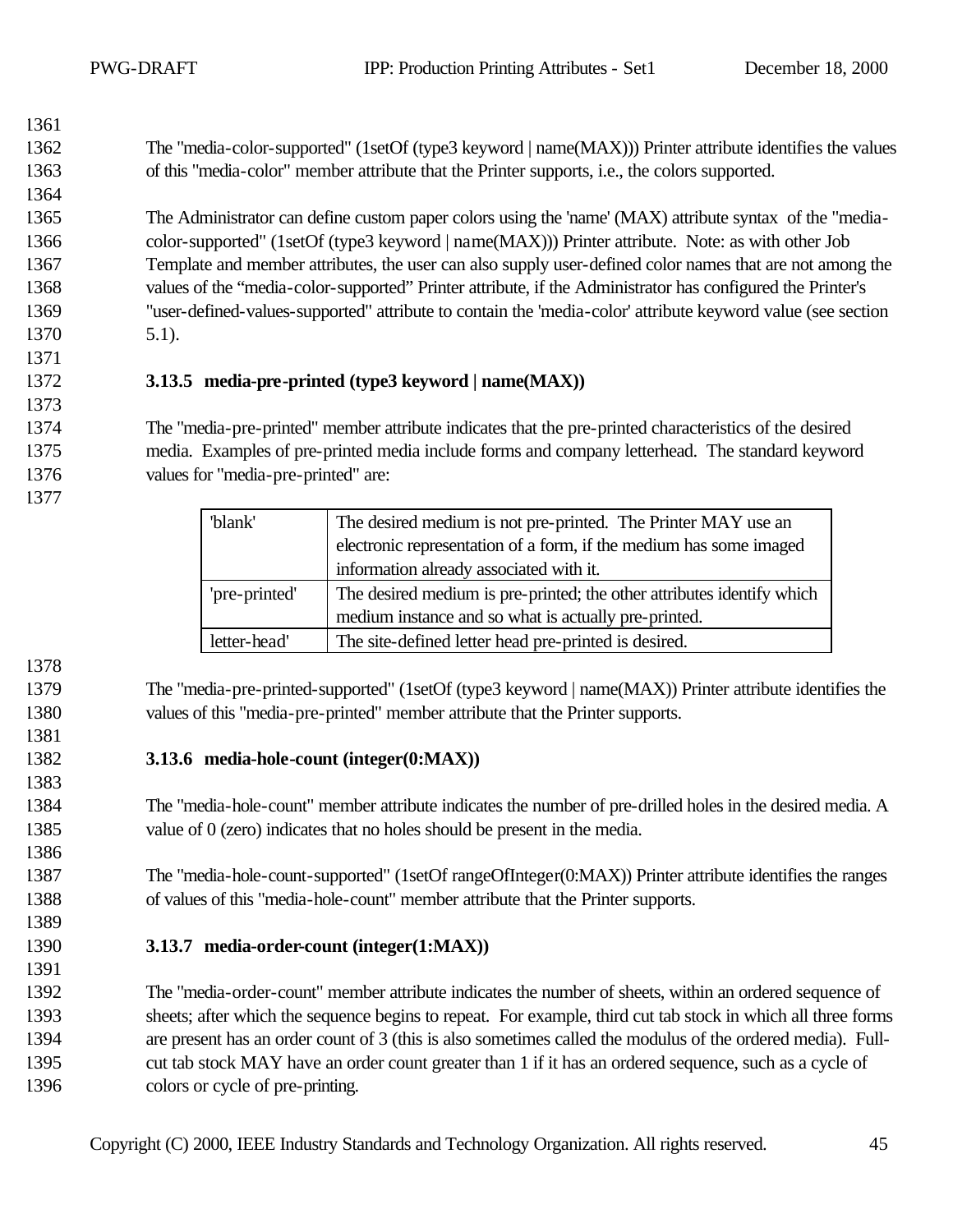| 1362 | The "media-color-supported" (1setOf (type3 keyword   name(MAX))) Printer attribute identifies the values |
|------|----------------------------------------------------------------------------------------------------------|
| 1363 | of this "media-color" member attribute that the Printer supports, i.e., the colors supported.            |
| 1364 |                                                                                                          |

 The Administrator can define custom paper colors using the 'name' (MAX) attribute syntax of the "media- color-supported" (1setOf (type3 keyword | name(MAX))) Printer attribute. Note: as with other Job Template and member attributes, the user can also supply user-defined color names that are not among the values of the "media-color-supported" Printer attribute, if the Administrator has configured the Printer's "user-defined-values-supported" attribute to contain the 'media-color' attribute keyword value (see section 5.1).

#### **3.13.5 media-pre-printed (type3 keyword | name(MAX))**

 The "media-pre-printed" member attribute indicates that the pre-printed characteristics of the desired media. Examples of pre-printed media include forms and company letterhead. The standard keyword values for "media-pre-printed" are:

| 'blank'       | The desired medium is not pre-printed. The Printer MAY use an          |
|---------------|------------------------------------------------------------------------|
|               | electronic representation of a form, if the medium has some imaged     |
|               | information already associated with it.                                |
| 'pre-printed' | The desired medium is pre-printed; the other attributes identify which |
|               | medium instance and so what is actually pre-printed.                   |
| letter-head'  | The site-defined letter head pre-printed is desired.                   |

 The "media-pre-printed-supported" (1setOf (type3 keyword | name(MAX)) Printer attribute identifies the values of this "media-pre-printed" member attribute that the Printer supports.

**3.13.6 media-hole-count (integer(0:MAX))**

 The "media-hole-count" member attribute indicates the number of pre-drilled holes in the desired media. A 1385 value of 0 (zero) indicates that no holes should be present in the media.

 The "media-hole-count-supported" (1setOf rangeOfInteger(0:MAX)) Printer attribute identifies the ranges of values of this "media-hole-count" member attribute that the Printer supports.

#### **3.13.7 media-order-count (integer(1:MAX))**

 The "media-order-count" member attribute indicates the number of sheets, within an ordered sequence of sheets; after which the sequence begins to repeat. For example, third cut tab stock in which all three forms are present has an order count of 3 (this is also sometimes called the modulus of the ordered media). Full- cut tab stock MAY have an order count greater than 1 if it has an ordered sequence, such as a cycle of colors or cycle of pre-printing.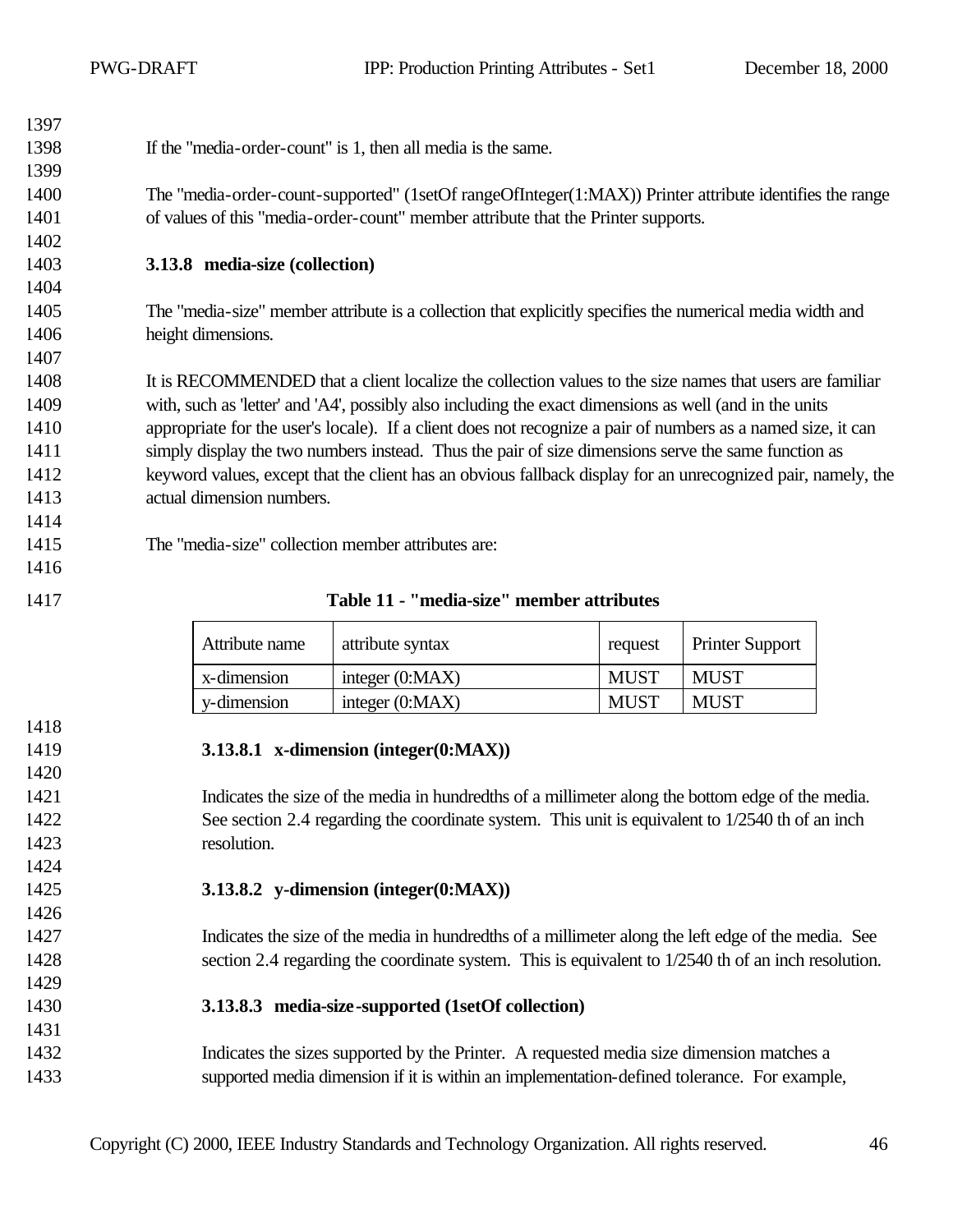| 1397 |                                                                                                              |
|------|--------------------------------------------------------------------------------------------------------------|
| 1398 | If the "media-order-count" is 1, then all media is the same.                                                 |
| 1399 |                                                                                                              |
| 1400 | The "media-order-count-supported" (1setOf rangeOfInteger(1:MAX)) Printer attribute identifies the range      |
| 1401 | of values of this "media-order-count" member attribute that the Printer supports.                            |
| 1402 |                                                                                                              |
| 1403 | 3.13.8 media-size (collection)                                                                               |
| 1404 |                                                                                                              |
| 1405 | The "media-size" member attribute is a collection that explicitly specifies the numerical media width and    |
| 1406 | height dimensions.                                                                                           |
| 1407 |                                                                                                              |
| 1408 | It is RECOMMENDED that a client localize the collection values to the size names that users are familiar     |
| 1409 | with, such as 'letter' and 'A4', possibly also including the exact dimensions as well (and in the units      |
| 1410 | appropriate for the user's locale). If a client does not recognize a pair of numbers as a named size, it can |
| 1411 | simply display the two numbers instead. Thus the pair of size dimensions serve the same function as          |
| 1412 | keyword values, except that the client has an obvious fallback display for an unrecognized pair, namely, the |
| 1413 | actual dimension numbers.                                                                                    |
| 1414 |                                                                                                              |
| 1415 | The "media-size" collection member attributes are:                                                           |
| 1416 |                                                                                                              |

#### **Table 11 - "media-size" member attributes**

| Attribute name | attribute syntax  | request     | <b>Printer Support</b> |
|----------------|-------------------|-------------|------------------------|
| x-dimension    | integer $(0:MAX)$ | <b>MUST</b> | <b>MUST</b>            |
| y-dimension    | integer $(0:MAX)$ | <b>MUST</b> | <b>MUST</b>            |

| 1419 | 3.13.8.1 x-dimension (integer $(0:MAX)$ )                                                           |
|------|-----------------------------------------------------------------------------------------------------|
| 1420 |                                                                                                     |
| 1421 | Indicates the size of the media in hundredths of a millimeter along the bottom edge of the media.   |
| 1422 | See section 2.4 regarding the coordinate system. This unit is equivalent to 1/2540 th of an inch    |
| 1423 | resolution.                                                                                         |
| 1424 |                                                                                                     |
| 1425 | 3.13.8.2 y-dimension (integer $(0:MAX)$ )                                                           |
| 1426 |                                                                                                     |
| 1427 | Indicates the size of the media in hundredths of a millimeter along the left edge of the media. See |
| 1428 | section 2.4 regarding the coordinate system. This is equivalent to 1/2540 th of an inch resolution. |
| 1429 |                                                                                                     |

#### **3.13.8.3 media-size-supported (1setOf collection)**

 Indicates the sizes supported by the Printer. A requested media size dimension matches a supported media dimension if it is within an implementation-defined tolerance. For example,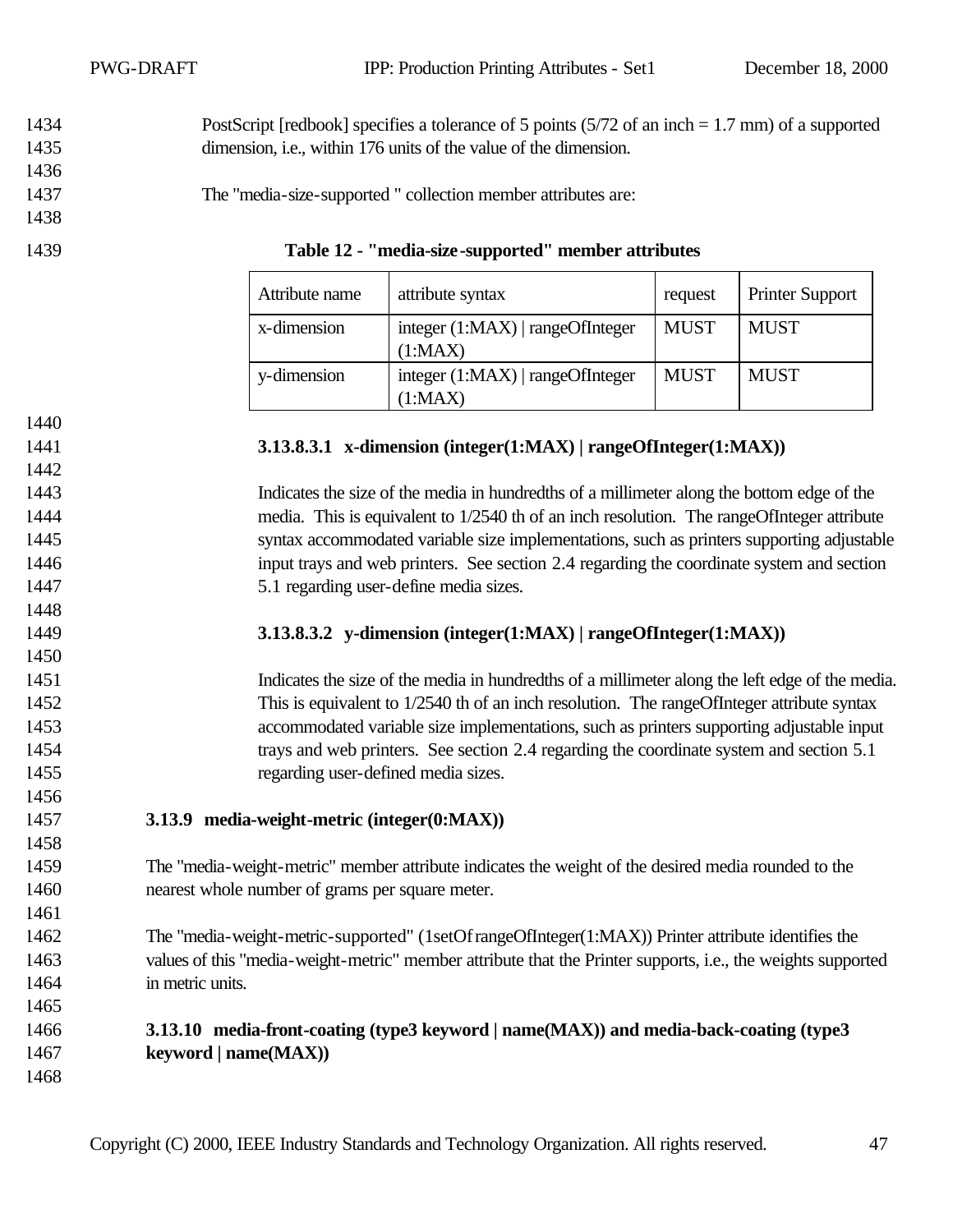PWG-DRAFT IPP: Production Printing Attributes - Set1 December 18, 2000

 PostScript [redbook] specifies a tolerance of 5 points (5/72 of an inch = 1.7 mm) of a supported dimension, i.e., within 176 units of the value of the dimension.

The "media-size-supported " collection member attributes are:

| 1439 |  | Table 12 - "media-size-supported" member attributes |  |
|------|--|-----------------------------------------------------|--|
|      |  |                                                     |  |

| Attribute name | attribute syntax                              | request     | <b>Printer Support</b> |
|----------------|-----------------------------------------------|-------------|------------------------|
| x-dimension    | integer $(1:MAX)$   rangeOfInteger<br>(1:MAX) | <b>MUST</b> | <b>MUST</b>            |
| y-dimension    | integer $(1:MAX)$   rangeOfInteger<br>(1:MAX) | <b>MUST</b> | <b>MUST</b>            |

| 1440    |  |
|---------|--|
| 1 4 4 1 |  |

#### **3.13.8.3.1 x-dimension (integer(1:MAX) | rangeOfInteger(1:MAX))**

 Indicates the size of the media in hundredths of a millimeter along the bottom edge of the media. This is equivalent to 1/2540 th of an inch resolution. The rangeOfInteger attribute syntax accommodated variable size implementations, such as printers supporting adjustable input trays and web printers. See section 2.4 regarding the coordinate system and section 5.1 regarding user-define media sizes.

#### **3.13.8.3.2 y-dimension (integer(1:MAX) | rangeOfInteger(1:MAX))**

 Indicates the size of the media in hundredths of a millimeter along the left edge of the media. This is equivalent to 1/2540 th of an inch resolution. The rangeOfInteger attribute syntax accommodated variable size implementations, such as printers supporting adjustable input trays and web printers. See section 2.4 regarding the coordinate system and section 5.1 regarding user-defined media sizes.

**3.13.9 media-weight-metric (integer(0:MAX))**

 The "media-weight-metric" member attribute indicates the weight of the desired media rounded to the nearest whole number of grams per square meter.

 The "media-weight-metric-supported" (1setOf rangeOfInteger(1:MAX)) Printer attribute identifies the values of this "media-weight-metric" member attribute that the Printer supports, i.e., the weights supported in metric units.

### **3.13.10 media-front-coating (type3 keyword | name(MAX)) and media-back-coating (type3 keyword | name(MAX))**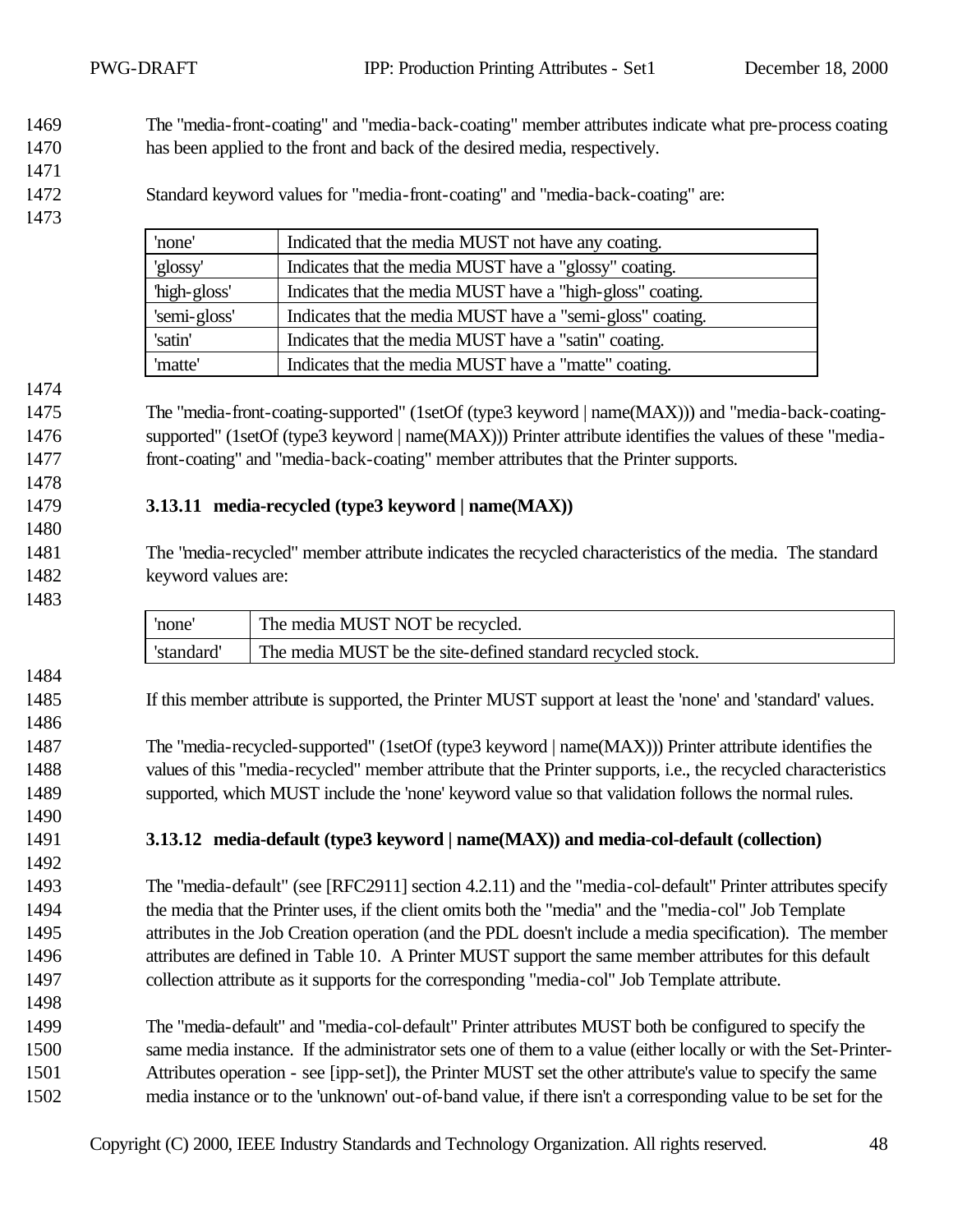The "media-front-coating" and "media-back-coating" member attributes indicate what pre-process coating has been applied to the front and back of the desired media, respectively.

- 
- Standard keyword values for "media-front-coating" and "media-back-coating" are:

| 'none'       | Indicated that the media MUST not have any coating.        |
|--------------|------------------------------------------------------------|
| 'glossy'     | Indicates that the media MUST have a "glossy" coating.     |
| 'high-gloss' | Indicates that the media MUST have a "high-gloss" coating. |
| 'semi-gloss' | Indicates that the media MUST have a "semi-gloss" coating. |
| 'satin'      | Indicates that the media MUST have a "satin" coating.      |
| 'matte'      | Indicates that the media MUST have a "matte" coating.      |

 The "media-front-coating-supported" (1setOf (type3 keyword | name(MAX))) and "media-back-coating- supported" (1setOf (type3 keyword | name(MAX))) Printer attribute identifies the values of these "media-front-coating" and "media-back-coating" member attributes that the Printer supports.

#### **3.13.11 media-recycled (type3 keyword | name(MAX))**

 The "media-recycled" member attribute indicates the recycled characteristics of the media. The standard keyword values are:

'none' The media MUST NOT be recycled. 'standard' The media MUST be the site-defined standard recycled stock. If this member attribute is supported, the Printer MUST support at least the 'none' and 'standard' values. The "media-recycled-supported" (1setOf (type3 keyword | name(MAX))) Printer attribute identifies the values of this "media-recycled" member attribute that the Printer supports, i.e., the recycled characteristics supported, which MUST include the 'none' keyword value so that validation follows the normal rules. **3.13.12 media-default (type3 keyword | name(MAX)) and media-col-default (collection)** The "media-default" (see [RFC2911] section 4.2.11) and the "media-col-default" Printer attributes specify the media that the Printer uses, if the client omits both the "media" and the "media-col" Job Template attributes in the Job Creation operation (and the PDL doesn't include a media specification). The member attributes are defined in Table 10. A Printer MUST support the same member attributes for this default collection attribute as it supports for the corresponding "media-col" Job Template attribute. The "media-default" and "media-col-default" Printer attributes MUST both be configured to specify the same media instance. If the administrator sets one of them to a value (either locally or with the Set-Printer- Attributes operation - see [ipp-set]), the Printer MUST set the other attribute's value to specify the same media instance or to the 'unknown' out-of-band value, if there isn't a corresponding value to be set for the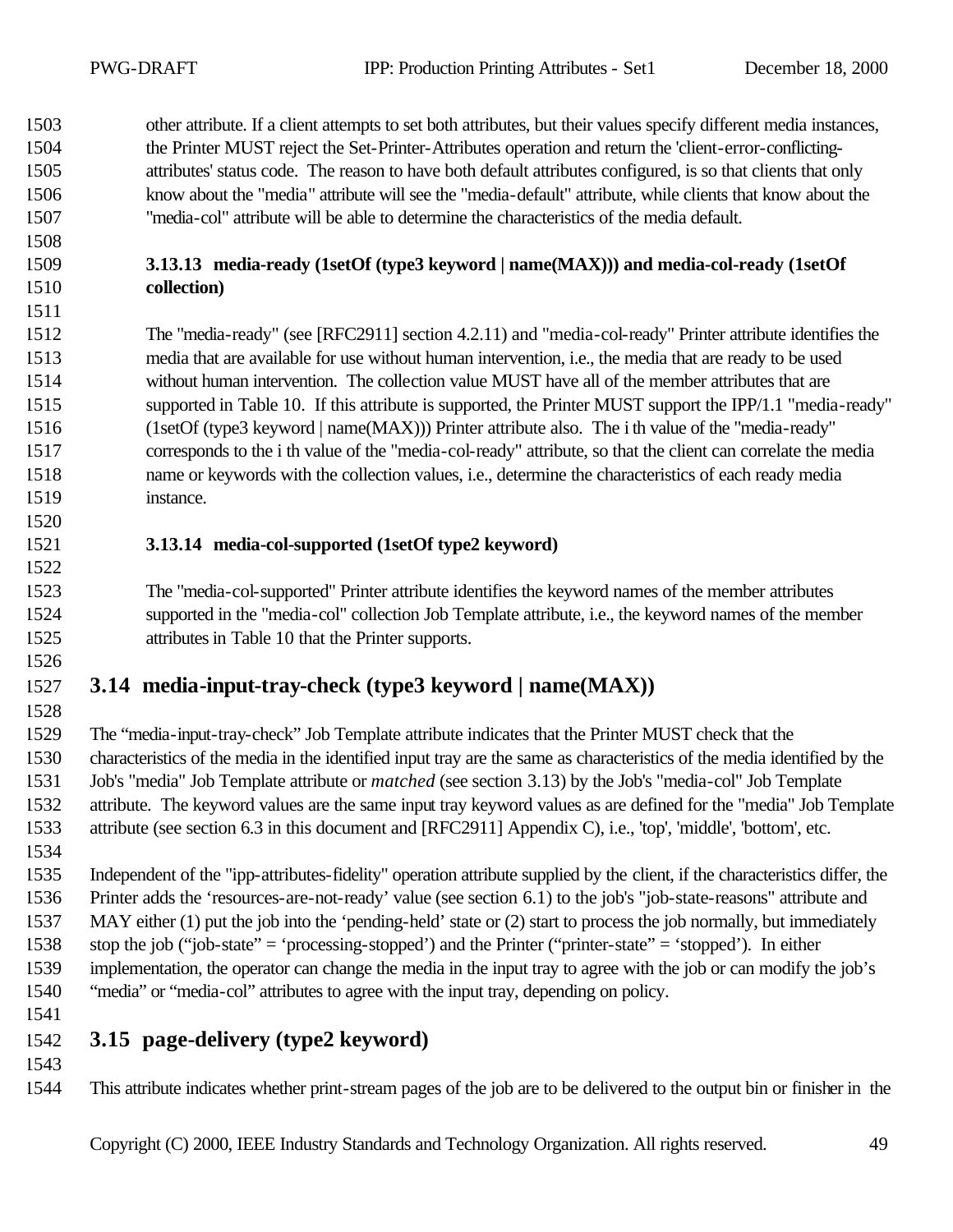other attribute. If a client attempts to set both attributes, but their values specify different media instances, the Printer MUST reject the Set-Printer-Attributes operation and return the 'client-error-conflicting- attributes' status code. The reason to have both default attributes configured, is so that clients that only know about the "media" attribute will see the "media-default" attribute, while clients that know about the "media-col" attribute will be able to determine the characteristics of the media default.

#### **3.13.13 media-ready (1setOf (type3 keyword | name(MAX))) and media-col-ready (1setOf collection)**

 The "media-ready" (see [RFC2911] section 4.2.11) and "media-col-ready" Printer attribute identifies the media that are available for use without human intervention, i.e., the media that are ready to be used without human intervention. The collection value MUST have all of the member attributes that are supported in Table 10. If this attribute is supported, the Printer MUST support the IPP/1.1 "media-ready" (1setOf (type3 keyword | name(MAX))) Printer attribute also. The i th value of the "media-ready" corresponds to the i th value of the "media-col-ready" attribute, so that the client can correlate the media name or keywords with the collection values, i.e., determine the characteristics of each ready media instance.

#### **3.13.14 media-col-supported (1setOf type2 keyword)**

 The "media-col-supported" Printer attribute identifies the keyword names of the member attributes supported in the "media-col" collection Job Template attribute, i.e., the keyword names of the member attributes in Table 10 that the Printer supports.

# **3.14 media-input-tray-check (type3 keyword | name(MAX))**

 The "media-input-tray-check" Job Template attribute indicates that the Printer MUST check that the characteristics of the media in the identified input tray are the same as characteristics of the media identified by the Job's "media" Job Template attribute or *matched* (see section 3.13) by the Job's "media-col" Job Template attribute. The keyword values are the same input tray keyword values as are defined for the "media" Job Template attribute (see section 6.3 in this document and [RFC2911] Appendix C), i.e., 'top', 'middle', 'bottom', etc. 

 Independent of the "ipp-attributes-fidelity" operation attribute supplied by the client, if the characteristics differ, the Printer adds the 'resources-are-not-ready' value (see section 6.1) to the job's "job-state-reasons" attribute and MAY either (1) put the job into the 'pending-held' state or (2) start to process the job normally, but immediately stop the job ("job-state" = 'processing-stopped') and the Printer ("printer-state" = 'stopped'). In either implementation, the operator can change the media in the input tray to agree with the job or can modify the job's "media" or "media-col" attributes to agree with the input tray, depending on policy.

# **3.15 page-delivery (type2 keyword)**

- 
- This attribute indicates whether print-stream pages of the job are to be delivered to the output bin or finisher in the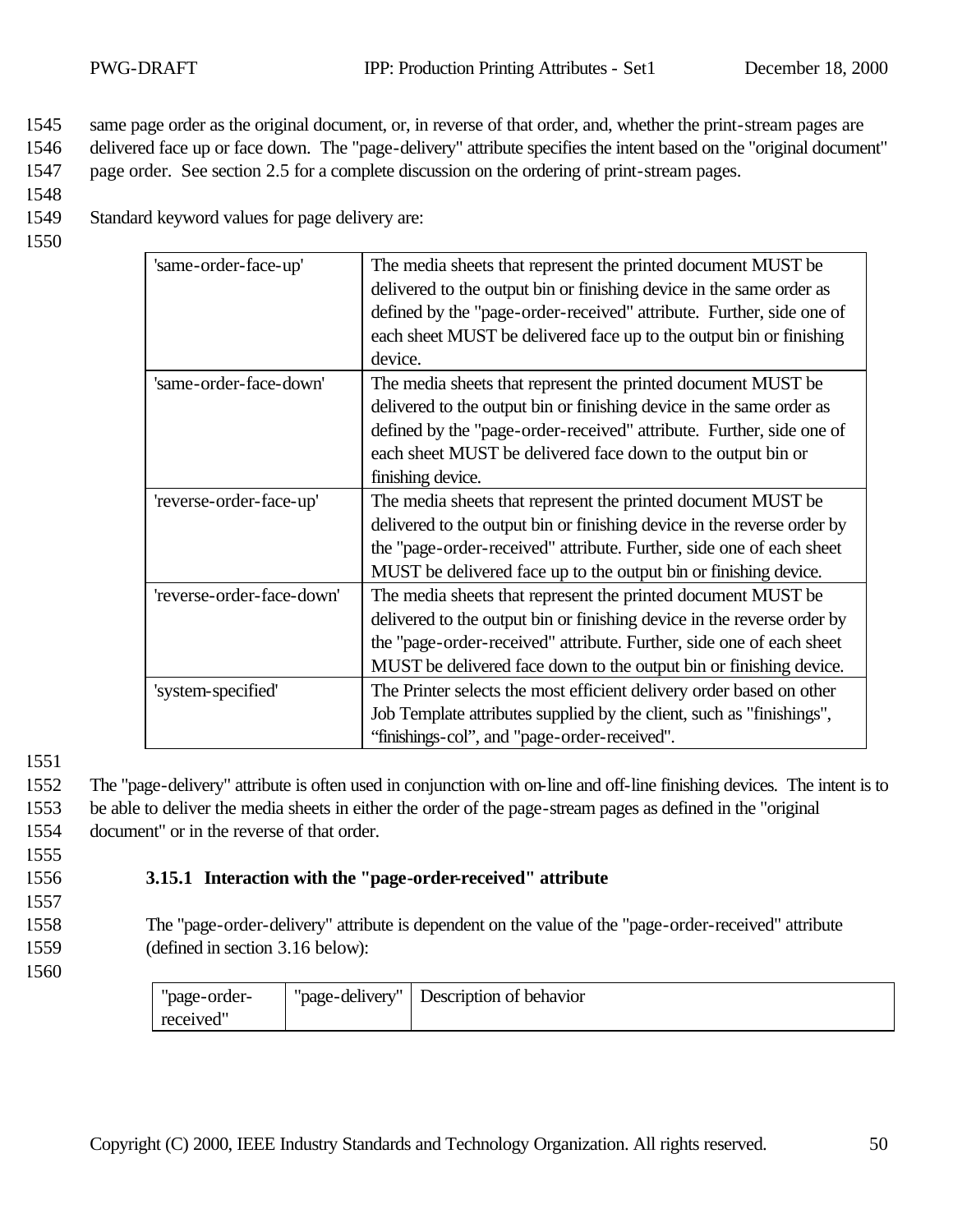1545 same page order as the original document, or, in reverse of that order, and, whether the print-stream pages are

1546 delivered face up or face down. The "page-delivery" attribute specifies the intent based on the "original document"

1547 page order. See section 2.5 for a complete discussion on the ordering of print-stream pages.

1548

1549 Standard keyword values for page delivery are:

1550

| 'same-order-face-up'      | The media sheets that represent the printed document MUST be<br>delivered to the output bin or finishing device in the same order as<br>defined by the "page-order-received" attribute. Further, side one of<br>each sheet MUST be delivered face up to the output bin or finishing<br>device.   |
|---------------------------|--------------------------------------------------------------------------------------------------------------------------------------------------------------------------------------------------------------------------------------------------------------------------------------------------|
| 'same-order-face-down'    | The media sheets that represent the printed document MUST be<br>delivered to the output bin or finishing device in the same order as<br>defined by the "page-order-received" attribute. Further, side one of<br>each sheet MUST be delivered face down to the output bin or<br>finishing device. |
| 'reverse-order-face-up'   | The media sheets that represent the printed document MUST be<br>delivered to the output bin or finishing device in the reverse order by<br>the "page-order-received" attribute. Further, side one of each sheet<br>MUST be delivered face up to the output bin or finishing device.              |
| 'reverse-order-face-down' | The media sheets that represent the printed document MUST be<br>delivered to the output bin or finishing device in the reverse order by<br>the "page-order-received" attribute. Further, side one of each sheet<br>MUST be delivered face down to the output bin or finishing device.            |
| 'system-specified'        | The Printer selects the most efficient delivery order based on other<br>Job Template attributes supplied by the client, such as "finishings",<br>"finishings-col", and "page-order-received".                                                                                                    |

1551

1552 The "page-delivery" attribute is often used in conjunction with on-line and off-line finishing devices. The intent is to 1553 be able to deliver the media sheets in either the order of the page-stream pages as defined in the "original 1554 document" or in the reverse of that order.

#### 1555

# 1556 **3.15.1 Interaction with the "page-order-received" attribute**

1557

1558 The "page-order-delivery" attribute is dependent on the value of the "page-order-received" attribute 1559 (defined in section 3.16 below):

| "page-order- | "page-delivery" | Description of behavior |
|--------------|-----------------|-------------------------|
| received"    |                 |                         |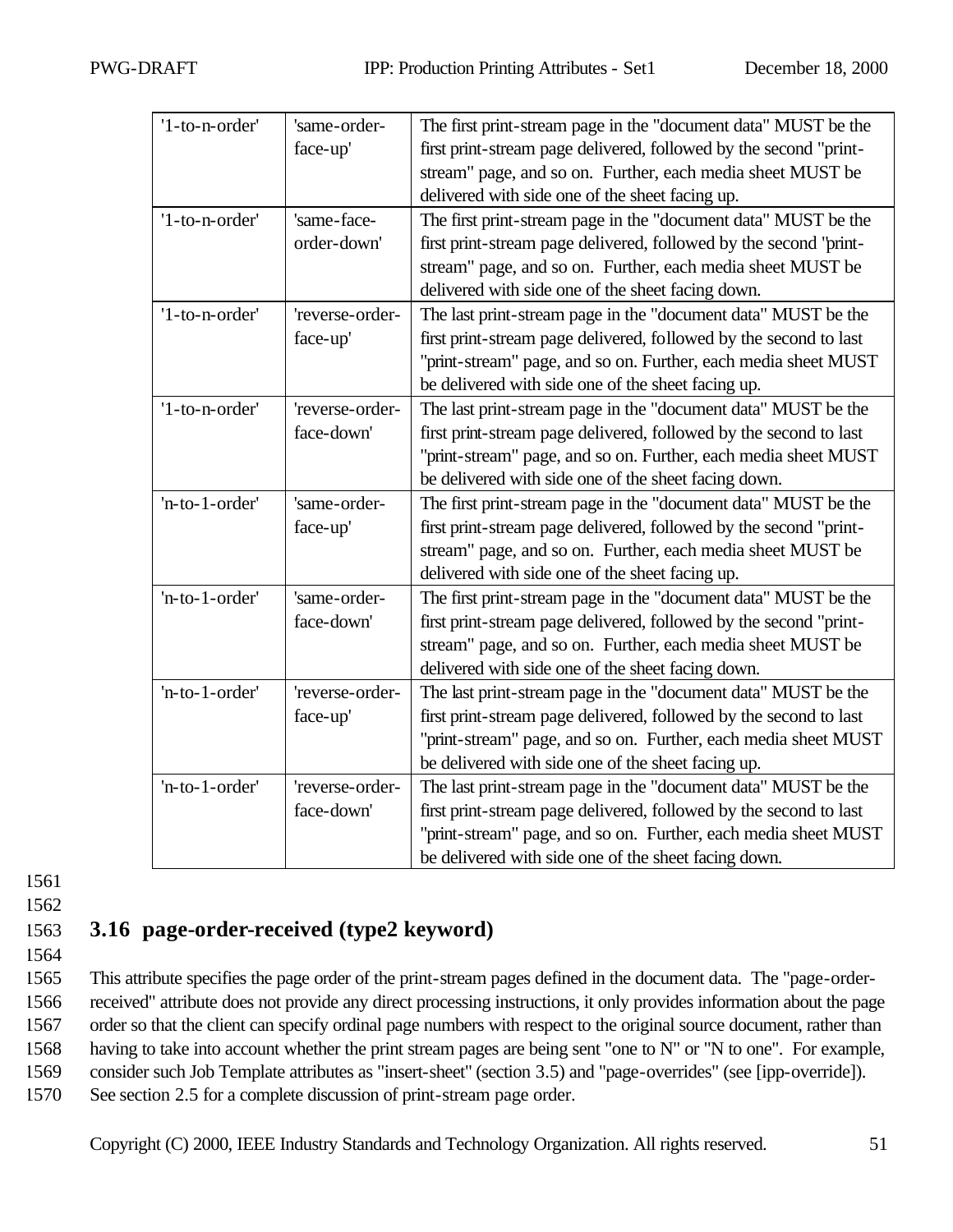| '1-to-n-order' | 'same-order-    | The first print-stream page in the "document data" MUST be the    |  |  |
|----------------|-----------------|-------------------------------------------------------------------|--|--|
| face-up'       |                 | first print-stream page delivered, followed by the second "print- |  |  |
|                |                 | stream" page, and so on. Further, each media sheet MUST be        |  |  |
|                |                 | delivered with side one of the sheet facing up.                   |  |  |
| '1-to-n-order' | 'same-face-     | The first print-stream page in the "document data" MUST be the    |  |  |
|                | order-down'     | first print-stream page delivered, followed by the second "print- |  |  |
|                |                 | stream" page, and so on. Further, each media sheet MUST be        |  |  |
|                |                 | delivered with side one of the sheet facing down.                 |  |  |
| '1-to-n-order' | 'reverse-order- | The last print-stream page in the "document data" MUST be the     |  |  |
|                | face-up'        | first print-stream page delivered, followed by the second to last |  |  |
|                |                 | "print-stream" page, and so on. Further, each media sheet MUST    |  |  |
|                |                 | be delivered with side one of the sheet facing up.                |  |  |
| '1-to-n-order' | 'reverse-order- | The last print-stream page in the "document data" MUST be the     |  |  |
|                | face-down'      | first print-stream page delivered, followed by the second to last |  |  |
|                |                 | "print-stream" page, and so on. Further, each media sheet MUST    |  |  |
|                |                 | be delivered with side one of the sheet facing down.              |  |  |
| 'n-to-1-order' | 'same-order-    | The first print-stream page in the "document data" MUST be the    |  |  |
|                | face-up'        | first print-stream page delivered, followed by the second "print- |  |  |
|                |                 | stream" page, and so on. Further, each media sheet MUST be        |  |  |
|                |                 | delivered with side one of the sheet facing up.                   |  |  |
| 'n-to-1-order' | 'same-order-    | The first print-stream page in the "document data" MUST be the    |  |  |
|                | face-down'      | first print-stream page delivered, followed by the second "print- |  |  |
|                |                 | stream" page, and so on. Further, each media sheet MUST be        |  |  |
|                |                 | delivered with side one of the sheet facing down.                 |  |  |
| 'n-to-1-order' | 'reverse-order- | The last print-stream page in the "document data" MUST be the     |  |  |
|                | face-up'        | first print-stream page delivered, followed by the second to last |  |  |
|                |                 | "print-stream" page, and so on. Further, each media sheet MUST    |  |  |
|                |                 | be delivered with side one of the sheet facing up.                |  |  |
| 'n-to-1-order' | 'reverse-order- | The last print-stream page in the "document data" MUST be the     |  |  |
|                | face-down'      | first print-stream page delivered, followed by the second to last |  |  |
|                |                 | "print-stream" page, and so on. Further, each media sheet MUST    |  |  |
|                |                 | be delivered with side one of the sheet facing down.              |  |  |
|                |                 |                                                                   |  |  |

# 1563 **3.16 page-order-received (type2 keyword)**

1564

1565 This attribute specifies the page order of the print-stream pages defined in the document data. The "page-order-

1566 received" attribute does not provide any direct processing instructions, it only provides information about the page

1567 order so that the client can specify ordinal page numbers with respect to the original source document, rather than

1568 having to take into account whether the print stream pages are being sent "one to N" or "N to one". For example,

1569 consider such Job Template attributes as "insert-sheet" (section 3.5) and "page-overrides" (see [ipp-override]).

1570 See section 2.5 for a complete discussion of print-stream page order.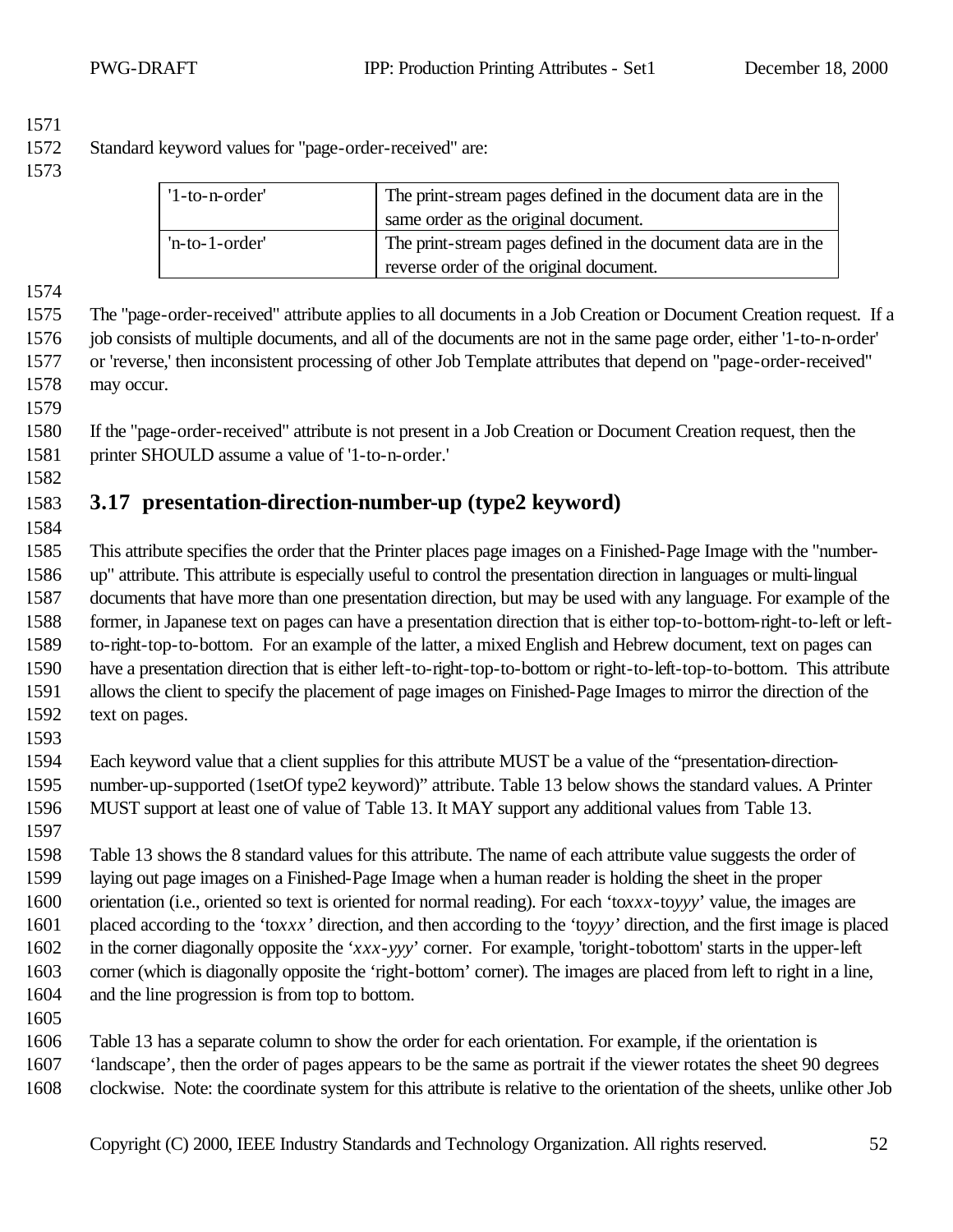Standard keyword values for "page-order-received" are:

| $'l$ -to-n-order' | The print-stream pages defined in the document data are in the<br>same order as the original document. |  |
|-------------------|--------------------------------------------------------------------------------------------------------|--|
| $'n-to-1-order'$  | The print-stream pages defined in the document data are in the                                         |  |
|                   | reverse order of the original document.                                                                |  |

 The "page-order-received" attribute applies to all documents in a Job Creation or Document Creation request. If a job consists of multiple documents, and all of the documents are not in the same page order, either '1-to-n-order' or 'reverse,' then inconsistent processing of other Job Template attributes that depend on "page-order-received" may occur.

 If the "page-order-received" attribute is not present in a Job Creation or Document Creation request, then the printer SHOULD assume a value of '1-to-n-order.'

# **3.17 presentation-direction-number-up (type2 keyword)**

- This attribute specifies the order that the Printer places page images on a Finished-Page Image with the "number- up" attribute. This attribute is especially useful to control the presentation direction in languages or multi-lingual documents that have more than one presentation direction, but may be used with any language. For example of the former, in Japanese text on pages can have a presentation direction that is either top-to-bottom-right-to-left or left- to-right-top-to-bottom. For an example of the latter, a mixed English and Hebrew document, text on pages can have a presentation direction that is either left-to-right-top-to-bottom or right-to-left-top-to-bottom. This attribute allows the client to specify the placement of page images on Finished-Page Images to mirror the direction of the text on pages.
- 

 Each keyword value that a client supplies for this attribute MUST be a value of the "presentation-direction- number-up-supported (1setOf type2 keyword)" attribute. Table 13 below shows the standard values. A Printer MUST support at least one of value of Table 13. It MAY support any additional values from Table 13.

 Table 13 shows the 8 standard values for this attribute. The name of each attribute value suggests the order of laying out page images on a Finished-Page Image when a human reader is holding the sheet in the proper orientation (i.e., oriented so text is oriented for normal reading). For each 'to*xxx*-to*yyy*' value, the images are placed according to the 'to*xxx'* direction, and then according to the 'to*yyy'* direction, and the first image is placed in the corner diagonally opposite the '*xxx*-*yyy*' corner. For example, 'toright-tobottom' starts in the upper-left corner (which is diagonally opposite the 'right-bottom' corner). The images are placed from left to right in a line, and the line progression is from top to bottom.

Table 13 has a separate column to show the order for each orientation. For example, if the orientation is

- 'landscape', then the order of pages appears to be the same as portrait if the viewer rotates the sheet 90 degrees
- clockwise. Note: the coordinate system for this attribute is relative to the orientation of the sheets, unlike other Job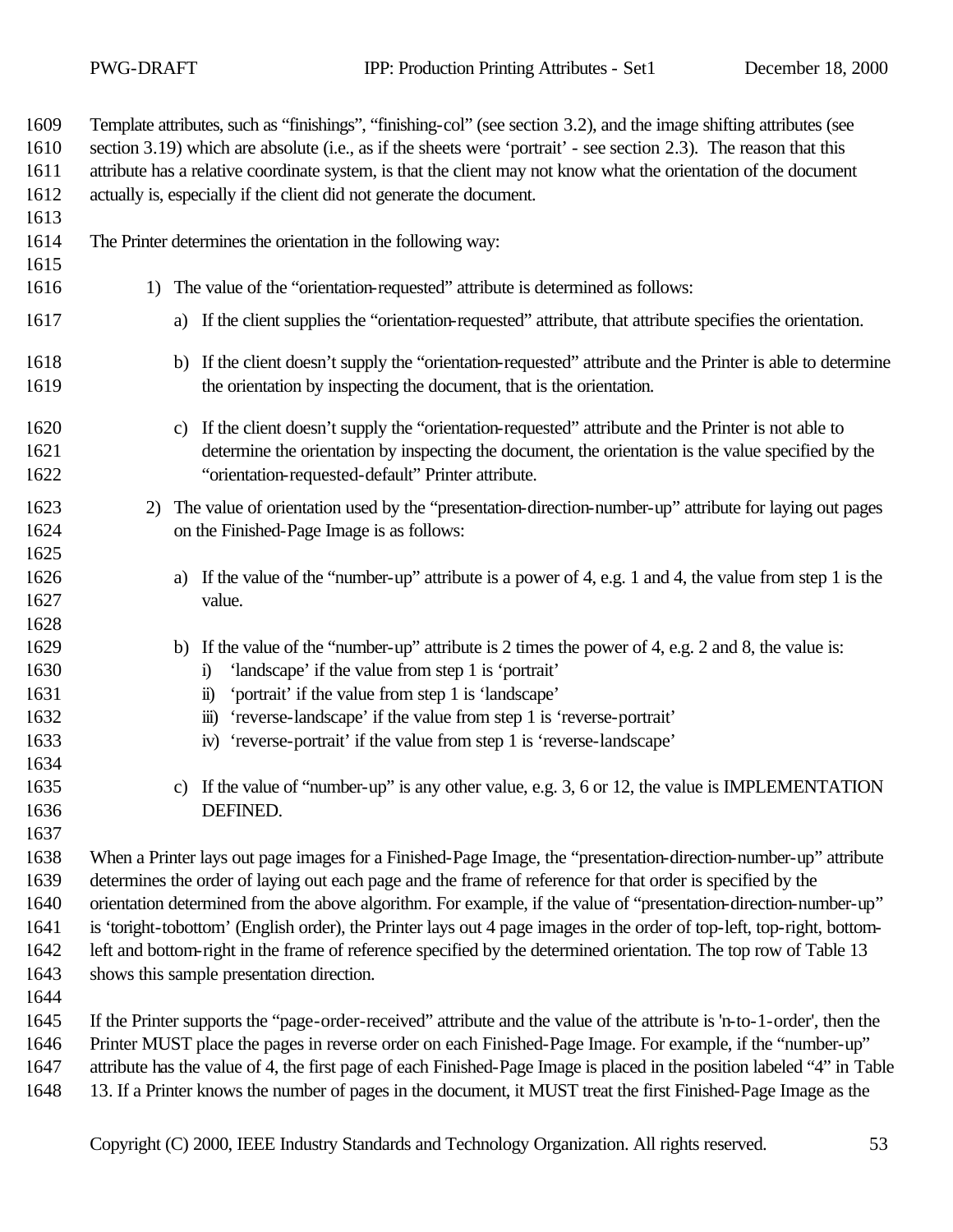| 1609<br>1610<br>1611                                 | Template attributes, such as "finishings", "finishing-col" (see section 3.2), and the image shifting attributes (see<br>section 3.19) which are absolute (i.e., as if the sheets were 'portrait' - see section 2.3). The reason that this<br>attribute has a relative coordinate system, is that the client may not know what the orientation of the document                                                                                                                                                                                                                                                                                |  |  |  |  |
|------------------------------------------------------|----------------------------------------------------------------------------------------------------------------------------------------------------------------------------------------------------------------------------------------------------------------------------------------------------------------------------------------------------------------------------------------------------------------------------------------------------------------------------------------------------------------------------------------------------------------------------------------------------------------------------------------------|--|--|--|--|
| 1612                                                 | actually is, especially if the client did not generate the document.                                                                                                                                                                                                                                                                                                                                                                                                                                                                                                                                                                         |  |  |  |  |
| 1613<br>1614<br>1615                                 | The Printer determines the orientation in the following way:                                                                                                                                                                                                                                                                                                                                                                                                                                                                                                                                                                                 |  |  |  |  |
| 1616                                                 | 1) The value of the "orientation-requested" attribute is determined as follows:                                                                                                                                                                                                                                                                                                                                                                                                                                                                                                                                                              |  |  |  |  |
| 1617                                                 | a) If the client supplies the "orientation-requested" attribute, that attribute specifies the orientation.                                                                                                                                                                                                                                                                                                                                                                                                                                                                                                                                   |  |  |  |  |
| 1618<br>1619                                         | b) If the client doesn't supply the "orientation-requested" attribute and the Printer is able to determine<br>the orientation by inspecting the document, that is the orientation.                                                                                                                                                                                                                                                                                                                                                                                                                                                           |  |  |  |  |
| 1620<br>1621<br>1622                                 | If the client doesn't supply the "orientation-requested" attribute and the Printer is not able to<br>C)<br>determine the orientation by inspecting the document, the orientation is the value specified by the<br>"orientation-requested-default" Printer attribute.                                                                                                                                                                                                                                                                                                                                                                         |  |  |  |  |
| 1623<br>1624<br>1625                                 | 2) The value of orientation used by the "presentation-direction-number-up" attribute for laying out pages<br>on the Finished-Page Image is as follows:                                                                                                                                                                                                                                                                                                                                                                                                                                                                                       |  |  |  |  |
| 1626<br>1627                                         | If the value of the "number-up" attribute is a power of 4, e.g. 1 and 4, the value from step 1 is the<br>a)<br>value.                                                                                                                                                                                                                                                                                                                                                                                                                                                                                                                        |  |  |  |  |
| 1628<br>1629<br>1630<br>1631<br>1632<br>1633         | If the value of the "number-up" attribute is 2 times the power of 4, e.g. 2 and 8, the value is:<br>b)<br>'landscape' if the value from step 1 is 'portrait'<br>$\ddot{\mathbf{i}}$<br>'portrait' if the value from step 1 is 'landscape'<br>$\ddot{\mathbf{n}}$<br>'reverse-landscape' if the value from step 1 is 'reverse-portrait'<br>$\dddot{\mathbf{m}}$ )<br>'reverse-portrait' if the value from step 1 is 'reverse-landscape'<br>iv)                                                                                                                                                                                                |  |  |  |  |
| 1634<br>1635<br>1636<br>1637                         | If the value of "number-up" is any other value, e.g. 3, 6 or 12, the value is IMPLEMENTATION<br>$\mathbf{c}$ )<br>DEFINED.                                                                                                                                                                                                                                                                                                                                                                                                                                                                                                                   |  |  |  |  |
| 1638<br>1639<br>1640<br>1641<br>1642<br>1643<br>1644 | When a Printer lays out page images for a Finished-Page Image, the "presentation-direction-number-up" attribute<br>determines the order of laying out each page and the frame of reference for that order is specified by the<br>orientation determined from the above algorithm. For example, if the value of "presentation-direction-number-up"<br>is 'toright-tobottom' (English order), the Printer lays out 4 page images in the order of top-left, top-right, bottom-<br>left and bottom-right in the frame of reference specified by the determined orientation. The top row of Table 13<br>shows this sample presentation direction. |  |  |  |  |
| 1645<br>1646<br>1647<br>1648                         | If the Printer supports the "page-order-received" attribute and the value of the attribute is 'n-to-1-order', then the<br>Printer MUST place the pages in reverse order on each Finished-Page Image. For example, if the "number-up"<br>attribute has the value of 4, the first page of each Finished-Page Image is placed in the position labeled "4" in Table<br>13. If a Printer knows the number of pages in the document, it MUST treat the first Finished-Page Image as the                                                                                                                                                            |  |  |  |  |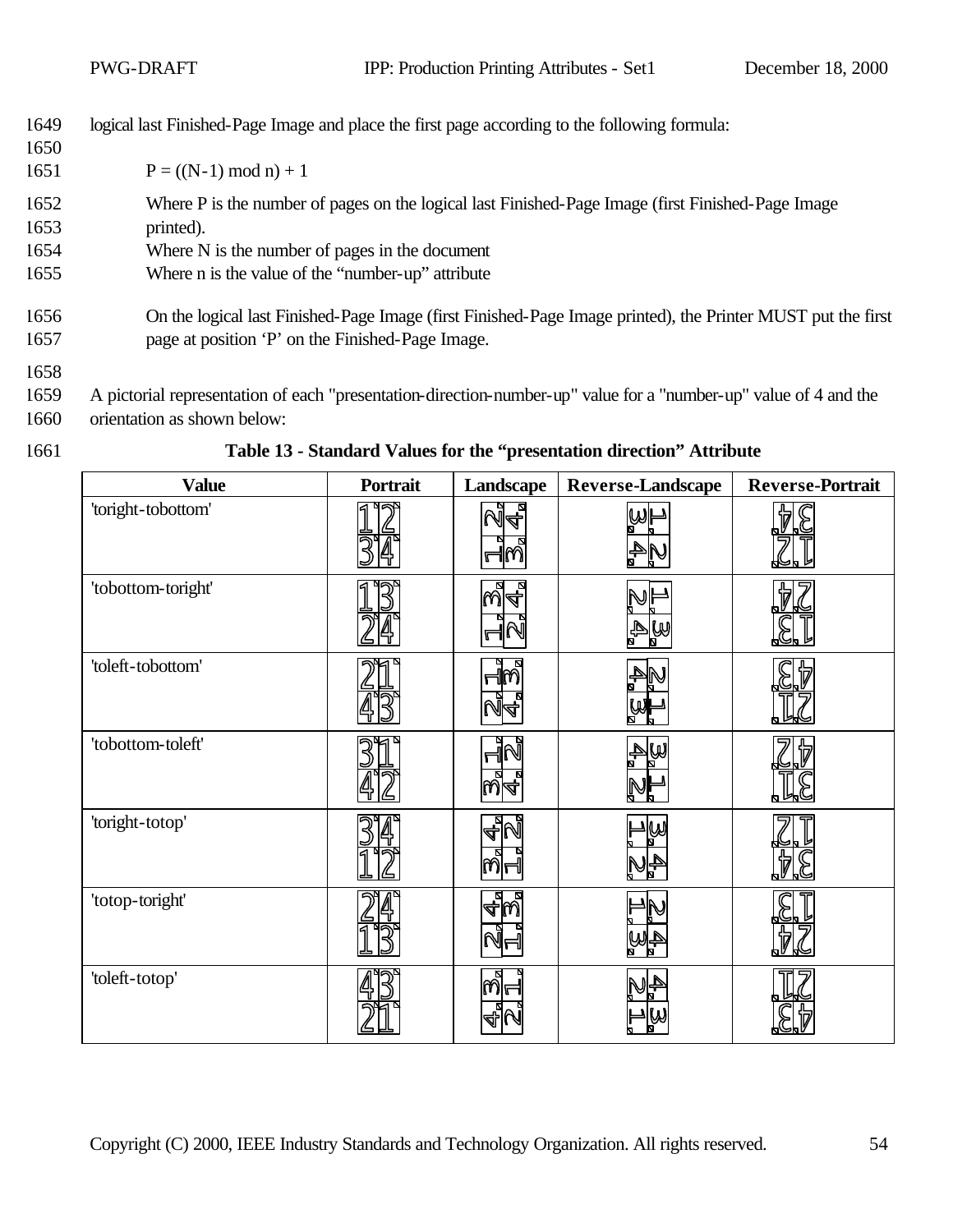| 1649<br>1650 | logical last Finished-Page Image and place the first page according to the following formula:               |
|--------------|-------------------------------------------------------------------------------------------------------------|
| 1651         | $P = ((N-1) \mod n) + 1$                                                                                    |
| 1652         | Where P is the number of pages on the logical last Finished-Page Image (first Finished-Page Image)          |
| 1653         | printed).                                                                                                   |
| 1654         | Where N is the number of pages in the document                                                              |
| 1655         | Where n is the value of the "number-up" attribute                                                           |
| 1656         | On the logical last Finished-Page Image (first Finished-Page Image printed), the Printer MUST put the first |
| 1657         | page at position 'P' on the Finished-Page Image.                                                            |
| 1658         |                                                                                                             |

- 1659 A pictorial representation of each "presentation-direction-number-up" value for a "number-up" value of 4 and the 1660 orientation as shown below:
- 

1661 **Table 13 - Standard Values for the "presentation direction" Attribute** 

| <b>Value</b>       | Portrait | Landscape  | Reverse-Landscape | <b>Reverse-Portrait</b> |
|--------------------|----------|------------|-------------------|-------------------------|
| 'toright-tobottom' | 9⊘⊅      | РT<br>Г    |                   |                         |
| 'tobottom-toright' |          | 2<br>4.    | WA                |                         |
| 'toleft-tobottom'  |          | $\sqrt{2}$ |                   |                         |
| 'tobottom-toleft'  |          | M          | WA                |                         |
| 'toright-totop'    |          | 4          |                   |                         |
| 'totop-toright'    |          |            |                   |                         |
| 'toleft-totop'     |          | നിം        |                   |                         |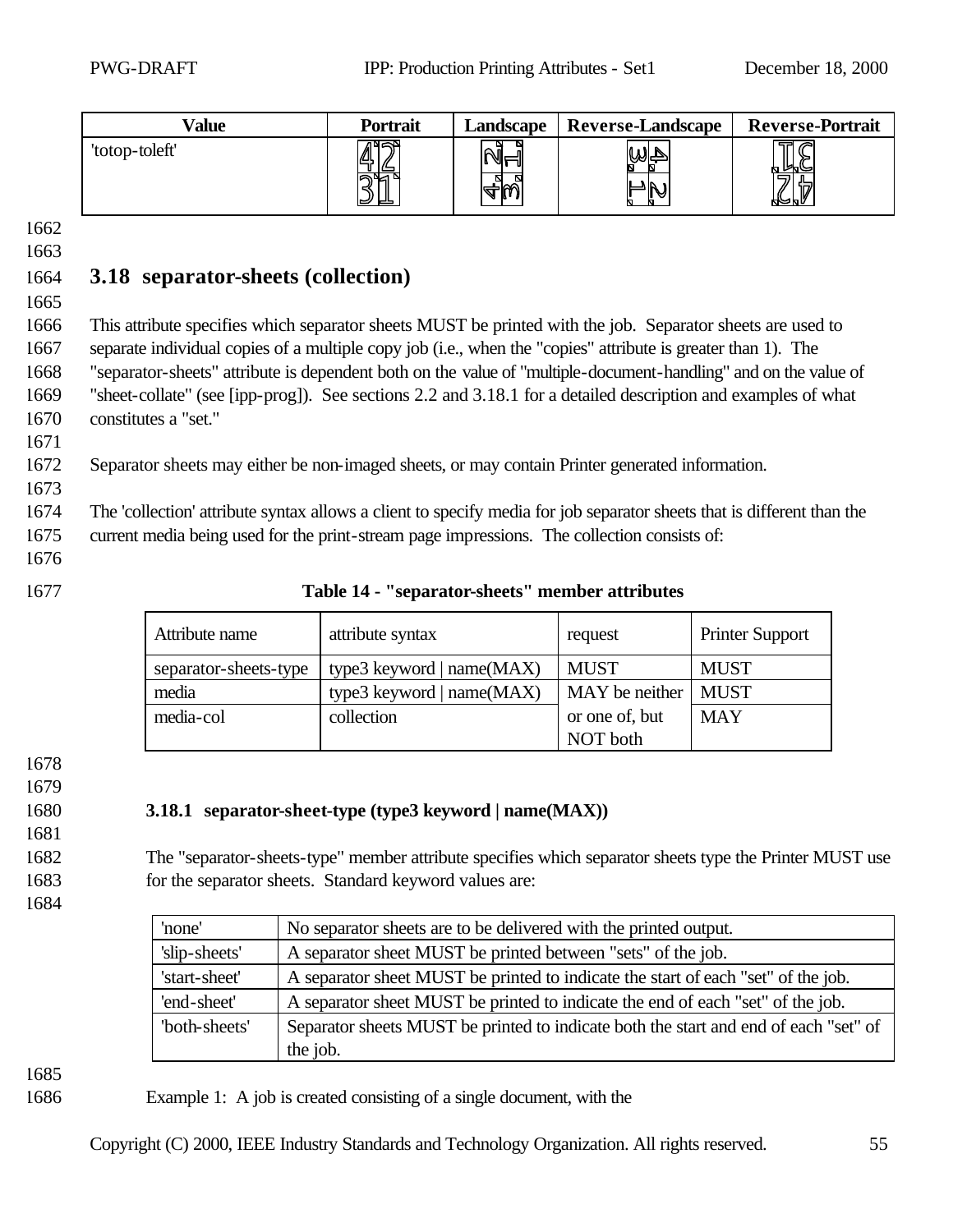| Value          | Portrait       | Landscape | <b>Reverse-Landscape</b> | <b>Reverse-Portrait</b>                    |
|----------------|----------------|-----------|--------------------------|--------------------------------------------|
| 'totop-toleft' | IД,<br>كك<br>ັ | ◥⊩<br>м   | N                        | $\triangleright$<br>56.<br>⊮⊌<br>ات<br>KV. |

# 1664 **3.18 separator-sheets (collection)**

1665

 This attribute specifies which separator sheets MUST be printed with the job. Separator sheets are used to separate individual copies of a multiple copy job (i.e., when the "copies" attribute is greater than 1). The "separator-sheets" attribute is dependent both on the value of "multiple-document-handling" and on the value of "sheet-collate" (see [ipp-prog]). See sections 2.2 and 3.18.1 for a detailed description and examples of what constitutes a "set."

1672 Separator sheets may either be non-imaged sheets, or may contain Printer generated information.

1674 The 'collection' attribute syntax allows a client to specify media for job separator sheets that is different than the 1675 current media being used for the print-stream page impressions. The collection consists of:

1676

1671

1673

#### 1677 **Table 14 - "separator-sheets" member attributes**

| Attribute name        | attribute syntax             | request        | <b>Printer Support</b> |
|-----------------------|------------------------------|----------------|------------------------|
| separator-sheets-type | type3 keyword   name $(MAX)$ | <b>MUST</b>    | <b>MUST</b>            |
| media                 | type3 keyword   name $(MAX)$ | MAY be neither | <b>MUST</b>            |
| media-col             | collection                   | or one of, but | <b>MAY</b>             |
|                       |                              | NOT both       |                        |

1678

1679

# 1681

#### 1680 **3.18.1 separator-sheet-type (type3 keyword | name(MAX))**

1682 The "separator-sheets-type" member attribute specifies which separator sheets type the Printer MUST use 1683 for the separator sheets. Standard keyword values are:

1684

| 'none'        | No separator sheets are to be delivered with the printed output.                     |
|---------------|--------------------------------------------------------------------------------------|
| 'slip-sheets' | A separator sheet MUST be printed between "sets" of the job.                         |
| 'start-sheet' | A separator sheet MUST be printed to indicate the start of each "set" of the job.    |
| 'end-sheet'   | A separator sheet MUST be printed to indicate the end of each "set" of the job.      |
| "both-sheets" | Separator sheets MUST be printed to indicate both the start and end of each "set" of |
|               | the job.                                                                             |

1685

1686 Example 1: A job is created consisting of a single document, with the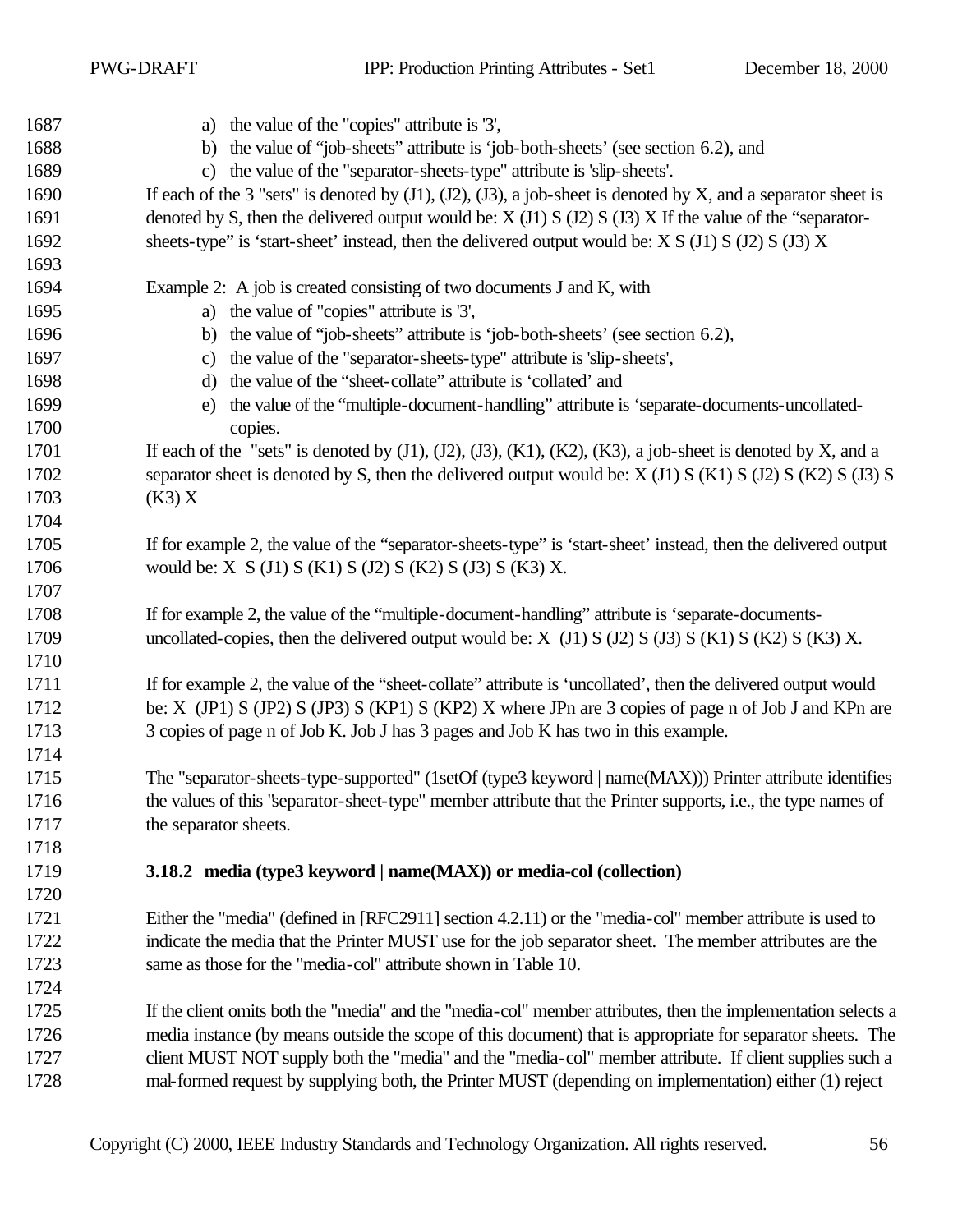PWG-DRAFT IPP: Production Printing Attributes - Set1 December 18, 2000

| 1687 | a) the value of the "copies" attribute is '3',                                                                               |
|------|------------------------------------------------------------------------------------------------------------------------------|
| 1688 | b) the value of "job-sheets" attribute is 'job-both-sheets' (see section 6.2), and                                           |
| 1689 | the value of the "separator-sheets-type" attribute is 'slip-sheets'.<br>$\mathbf{c}$                                         |
| 1690 | If each of the 3 "sets" is denoted by $(J1)$ , $(J2)$ , $(J3)$ , a job-sheet is denoted by X, and a separator sheet is       |
| 1691 | denoted by S, then the delivered output would be: $X(11) S(12) S(13) X$ If the value of the "separator-                      |
| 1692 | sheets-type" is 'start-sheet' instead, then the delivered output would be: $X S (J1) S (J2) S (J3) X$                        |
| 1693 |                                                                                                                              |
| 1694 | Example 2: A job is created consisting of two documents J and K, with                                                        |
| 1695 | a) the value of "copies" attribute is '3',                                                                                   |
| 1696 | b) the value of "job-sheets" attribute is 'job-both-sheets' (see section 6.2),                                               |
| 1697 | the value of the "separator-sheets-type" attribute is 'slip-sheets',<br>C)                                                   |
| 1698 | the value of the "sheet-collate" attribute is 'collated' and<br>$\mathbf{d}$                                                 |
| 1699 | the value of the "multiple-document-handling" attribute is 'separate-documents-uncollated-<br>e)                             |
| 1700 | copies.                                                                                                                      |
| 1701 | If each of the "sets" is denoted by $(J1)$ , $(J2)$ , $(J3)$ , $(K1)$ , $(K2)$ , $(K3)$ , a job-sheet is denoted by X, and a |
| 1702 | separator sheet is denoted by S, then the delivered output would be: $X(1)$ S (K1) S (J2) S (K2) S (J3) S                    |
| 1703 | (K3)X                                                                                                                        |
| 1704 |                                                                                                                              |
| 1705 | If for example 2, the value of the "separator-sheets-type" is 'start-sheet' instead, then the delivered output               |
| 1706 | would be: $X S(J1) S(K1) S(J2) S(K2) S(J3) S(K3) X$ .                                                                        |
| 1707 |                                                                                                                              |
| 1708 | If for example 2, the value of the "multiple-document-handling" attribute is 'separate-documents-                            |
| 1709 | uncollated-copies, then the delivered output would be: $X$ (J1) $S$ (J2) $S$ (J3) $S$ (K1) $S$ (K2) $S$ (K3) $X$ .           |
| 1710 |                                                                                                                              |
| 1711 | If for example 2, the value of the "sheet-collate" attribute is 'uncollated', then the delivered output would                |
| 1712 | be: X (JP1) S (JP2) S (JP3) S (KP1) S (KP2) X where JPn are 3 copies of page n of Job J and KPn are                          |
| 1713 | 3 copies of page n of Job K. Job J has 3 pages and Job K has two in this example.                                            |
| 1714 |                                                                                                                              |
| 1715 | The "separator-sheets-type-supported" (1setOf (type3 keyword   name(MAX))) Printer attribute identifies                      |
| 1716 | the values of this "separator-sheet-type" member attribute that the Printer supports, i.e., the type names of                |
| 1717 | the separator sheets.                                                                                                        |
| 1718 |                                                                                                                              |
| 1719 | 3.18.2 media (type3 keyword   name(MAX)) or media-col (collection)                                                           |
| 1720 |                                                                                                                              |
| 1721 | Either the "media" (defined in [RFC2911] section 4.2.11) or the "media-col" member attribute is used to                      |
| 1722 | indicate the media that the Printer MUST use for the job separator sheet. The member attributes are the                      |
| 1723 | same as those for the "media-col" attribute shown in Table 10.                                                               |
| 1724 |                                                                                                                              |
| 1725 | If the client omits both the "media" and the "media-col" member attributes, then the implementation selects a                |
| 1726 | media instance (by means outside the scope of this document) that is appropriate for separator sheets. The                   |
| 1727 | client MUST NOT supply both the "media" and the "media-col" member attribute. If client supplies such a                      |
| 1728 | mal-formed request by supplying both, the Printer MUST (depending on implementation) either (1) reject                       |
|      |                                                                                                                              |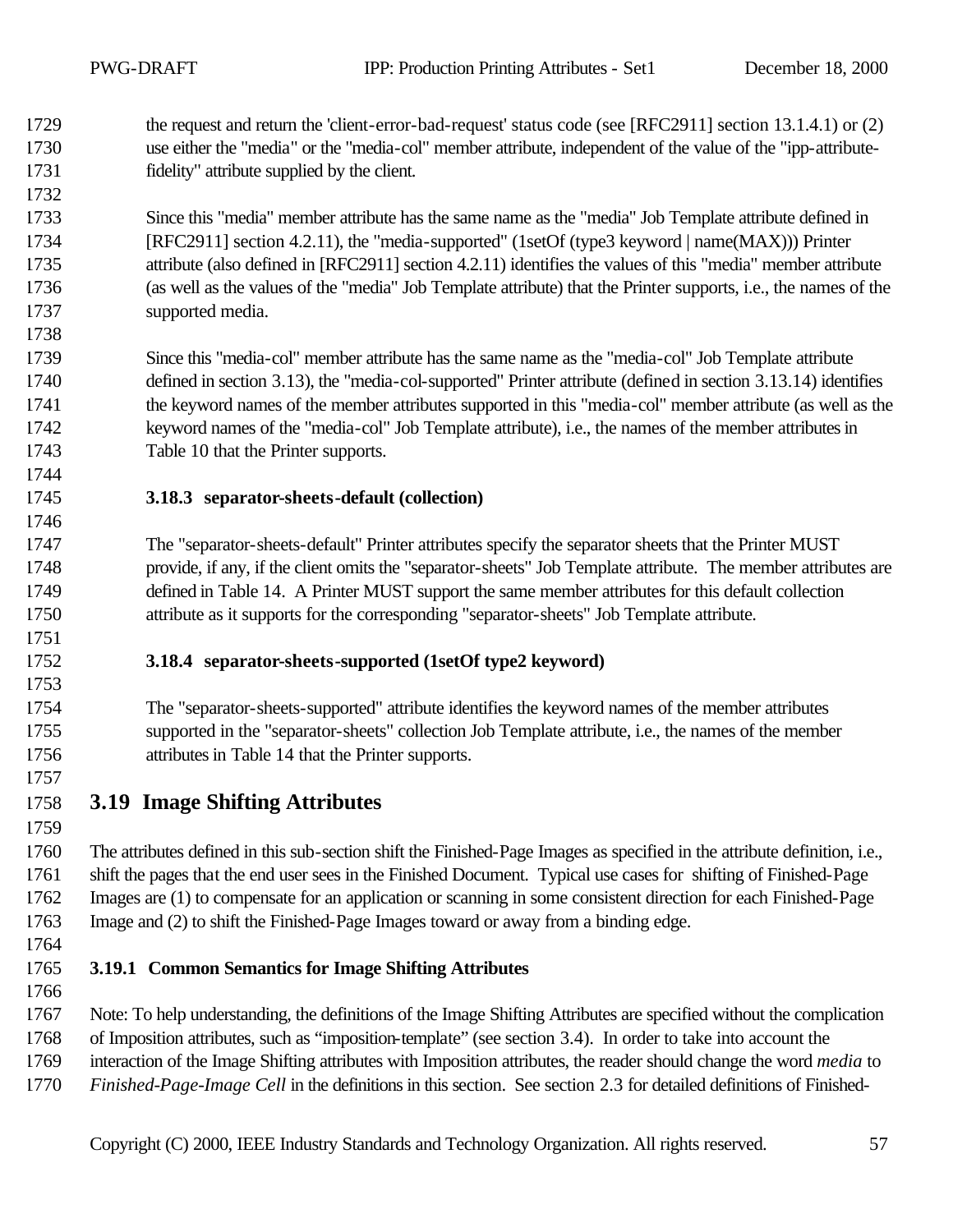the request and return the 'client-error-bad-request' status code (see [RFC2911] section 13.1.4.1) or (2) use either the "media" or the "media-col" member attribute, independent of the value of the "ipp-attribute-fidelity" attribute supplied by the client.

 Since this "media" member attribute has the same name as the "media" Job Template attribute defined in [RFC2911] section 4.2.11), the "media-supported" (1setOf (type3 keyword | name(MAX))) Printer attribute (also defined in [RFC2911] section 4.2.11) identifies the values of this "media" member attribute (as well as the values of the "media" Job Template attribute) that the Printer supports, i.e., the names of the supported media.

 Since this "media-col" member attribute has the same name as the "media-col" Job Template attribute defined in section 3.13), the "media-col-supported" Printer attribute (defined in section 3.13.14) identifies the keyword names of the member attributes supported in this "media-col" member attribute (as well as the keyword names of the "media-col" Job Template attribute), i.e., the names of the member attributes in Table 10 that the Printer supports.

**3.18.3 separator-sheets-default (collection)**

 The "separator-sheets-default" Printer attributes specify the separator sheets that the Printer MUST provide, if any, if the client omits the "separator-sheets" Job Template attribute. The member attributes are defined in Table 14. A Printer MUST support the same member attributes for this default collection attribute as it supports for the corresponding "separator-sheets" Job Template attribute.

**3.18.4 separator-sheets-supported (1setOf type2 keyword)**

 The "separator-sheets-supported" attribute identifies the keyword names of the member attributes supported in the "separator-sheets" collection Job Template attribute, i.e., the names of the member attributes in Table 14 that the Printer supports.

**3.19 Image Shifting Attributes**

 The attributes defined in this sub-section shift the Finished-Page Images as specified in the attribute definition, i.e., shift the pages that the end user sees in the Finished Document. Typical use cases for shifting of Finished-Page Images are (1) to compensate for an application or scanning in some consistent direction for each Finished-Page Image and (2) to shift the Finished-Page Images toward or away from a binding edge.

**3.19.1 Common Semantics for Image Shifting Attributes**

 Note: To help understanding, the definitions of the Image Shifting Attributes are specified without the complication of Imposition attributes, such as "imposition-template" (see section 3.4). In order to take into account the

interaction of the Image Shifting attributes with Imposition attributes, the reader should change the word *media* to

*Finished-Page-Image Cell* in the definitions in this section. See section 2.3 for detailed definitions of Finished-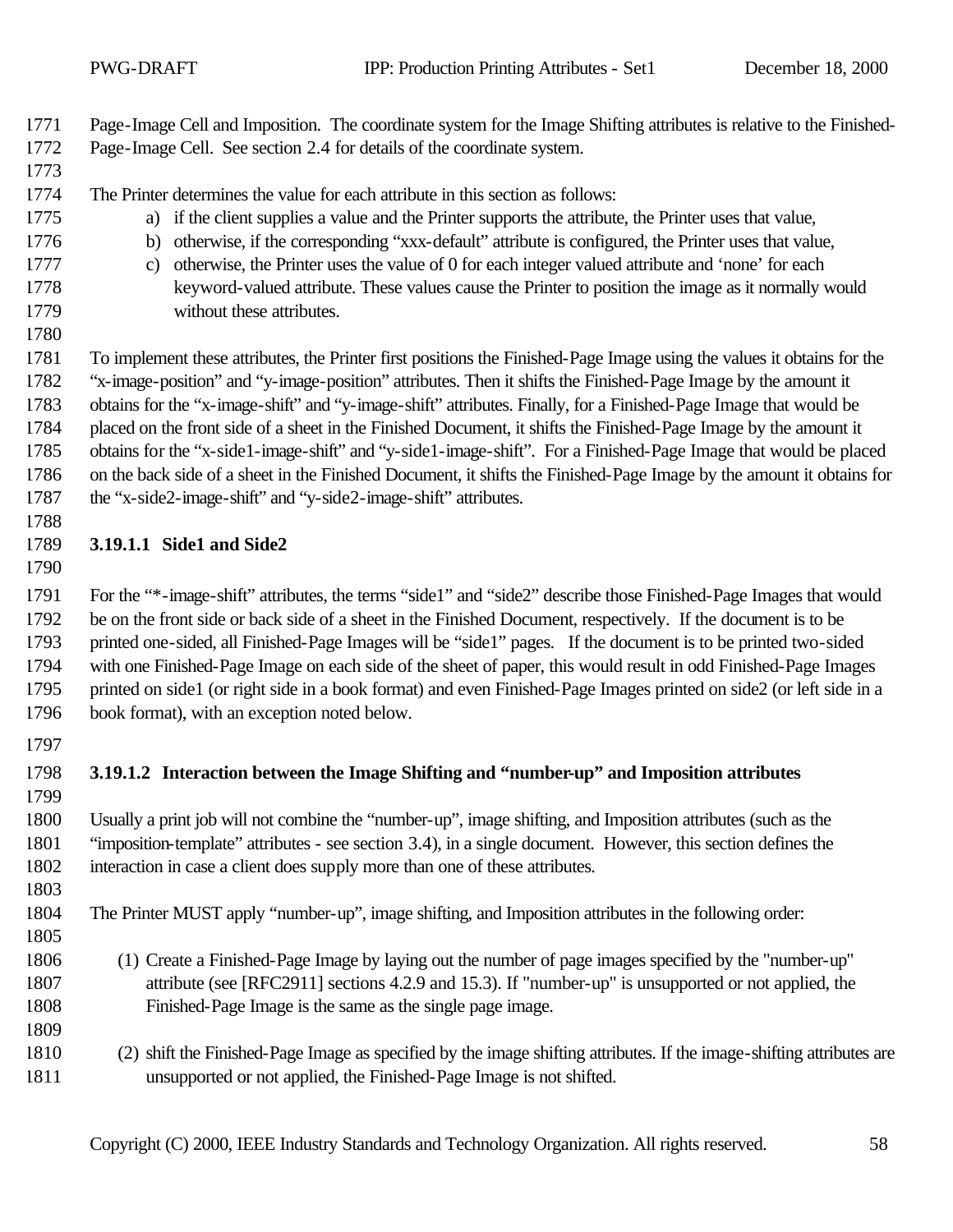Page-Image Cell and Imposition. The coordinate system for the Image Shifting attributes is relative to the Finished-Page-Image Cell. See section 2.4 for details of the coordinate system.

- The Printer determines the value for each attribute in this section as follows:
- a) if the client supplies a value and the Printer supports the attribute, the Printer uses that value,
- b) otherwise, if the corresponding "xxx-default" attribute is configured, the Printer uses that value,
- c) otherwise, the Printer uses the value of 0 for each integer valued attribute and 'none' for each keyword-valued attribute. These values cause the Printer to position the image as it normally would without these attributes.
- 

 To implement these attributes, the Printer first positions the Finished-Page Image using the values it obtains for the "x-image-position" and "y-image-position" attributes. Then it shifts the Finished-Page Image by the amount it obtains for the "x-image-shift" and "y-image-shift" attributes. Finally, for a Finished-Page Image that would be placed on the front side of a sheet in the Finished Document, it shifts the Finished-Page Image by the amount it obtains for the "x-side1-image-shift" and "y-side1-image-shift". For a Finished-Page Image that would be placed on the back side of a sheet in the Finished Document, it shifts the Finished-Page Image by the amount it obtains for the "x-side2-image-shift" and "y-side2-image-shift" attributes.

#### **3.19.1.1 Side1 and Side2**

 For the "\*-image-shift" attributes, the terms "side1" and "side2" describe those Finished-Page Images that would be on the front side or back side of a sheet in the Finished Document, respectively. If the document is to be printed one-sided, all Finished-Page Images will be "side1" pages. If the document is to be printed two-sided with one Finished-Page Image on each side of the sheet of paper, this would result in odd Finished-Page Images printed on side1 (or right side in a book format) and even Finished-Page Images printed on side2 (or left side in a book format), with an exception noted below.

#### **3.19.1.2 Interaction between the Image Shifting and "number-up" and Imposition attributes**

 Usually a print job will not combine the "number-up", image shifting, and Imposition attributes (such as the "imposition-template" attributes - see section 3.4), in a single document. However, this section defines the interaction in case a client does supply more than one of these attributes.

The Printer MUST apply "number-up", image shifting, and Imposition attributes in the following order:

- (1) Create a Finished-Page Image by laying out the number of page images specified by the "number-up" attribute (see [RFC2911] sections 4.2.9 and 15.3). If "number-up" is unsupported or not applied, the Finished-Page Image is the same as the single page image.
- (2) shift the Finished-Page Image as specified by the image shifting attributes. If the image-shifting attributes are unsupported or not applied, the Finished-Page Image is not shifted.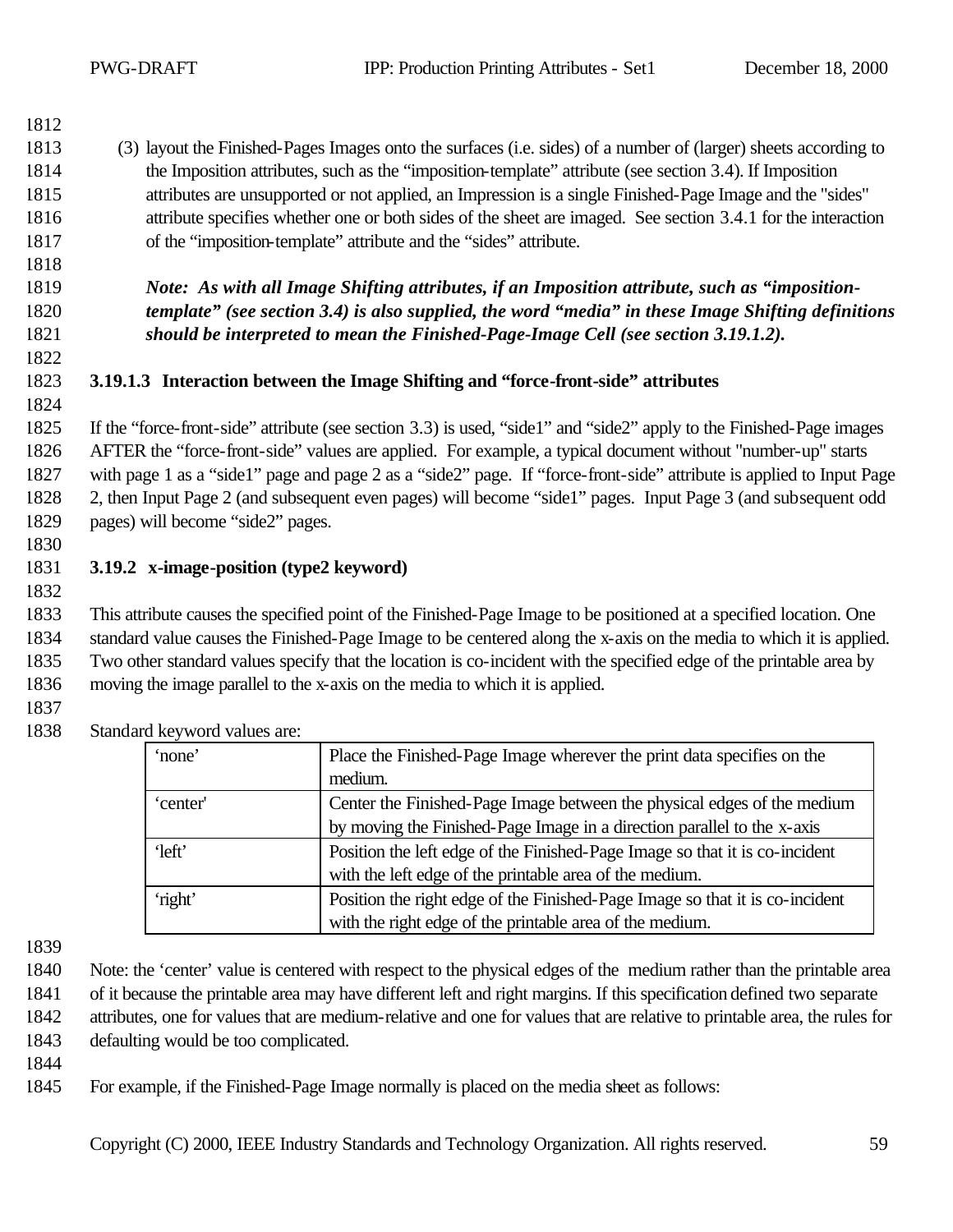#### (3) layout the Finished-Pages Images onto the surfaces (i.e. sides) of a number of (larger) sheets according to the Imposition attributes, such as the "imposition-template" attribute (see section 3.4). If Imposition attributes are unsupported or not applied, an Impression is a single Finished-Page Image and the "sides" attribute specifies whether one or both sides of the sheet are imaged. See section 3.4.1 for the interaction of the "imposition-template" attribute and the "sides" attribute.

 *Note: As with all Image Shifting attributes, if an Imposition attribute, such as "imposition- template" (see section 3.4) is also supplied, the word "media" in these Image Shifting definitions should be interpreted to mean the Finished-Page-Image Cell (see section 3.19.1.2).*

#### **3.19.1.3 Interaction between the Image Shifting and "force-front-side" attributes**

 If the "force-front-side" attribute (see section 3.3) is used, "side1" and "side2" apply to the Finished-Page images AFTER the "force-front-side" values are applied. For example, a typical document without "number-up" starts with page 1 as a "side1" page and page 2 as a "side2" page. If "force-front-side" attribute is applied to Input Page 2, then Input Page 2 (and subsequent even pages) will become "side1" pages. Input Page 3 (and subsequent odd pages) will become "side2" pages.

#### 

#### **3.19.2 x-image-position (type2 keyword)**

 This attribute causes the specified point of the Finished-Page Image to be positioned at a specified location. One standard value causes the Finished-Page Image to be centered along the x-axis on the media to which it is applied. Two other standard values specify that the location is co-incident with the specified edge of the printable area by moving the image parallel to the x-axis on the media to which it is applied.

| 'none'   | Place the Finished-Page Image wherever the print data specifies on the       |
|----------|------------------------------------------------------------------------------|
|          | medium.                                                                      |
| 'center' | Center the Finished-Page Image between the physical edges of the medium      |
|          | by moving the Finished-Page Image in a direction parallel to the x-axis      |
| 'left'   | Position the left edge of the Finished-Page Image so that it is co-incident  |
|          | with the left edge of the printable area of the medium.                      |
| 'right'  | Position the right edge of the Finished-Page Image so that it is co-incident |
|          | with the right edge of the printable area of the medium.                     |

Standard keyword values are:

Note: the 'center' value is centered with respect to the physical edges of the medium rather than the printable area

 of it because the printable area may have different left and right margins. If this specification defined two separate attributes, one for values that are medium-relative and one for values that are relative to printable area, the rules for

defaulting would be too complicated.

- 
- For example, if the Finished-Page Image normally is placed on the media sheet as follows: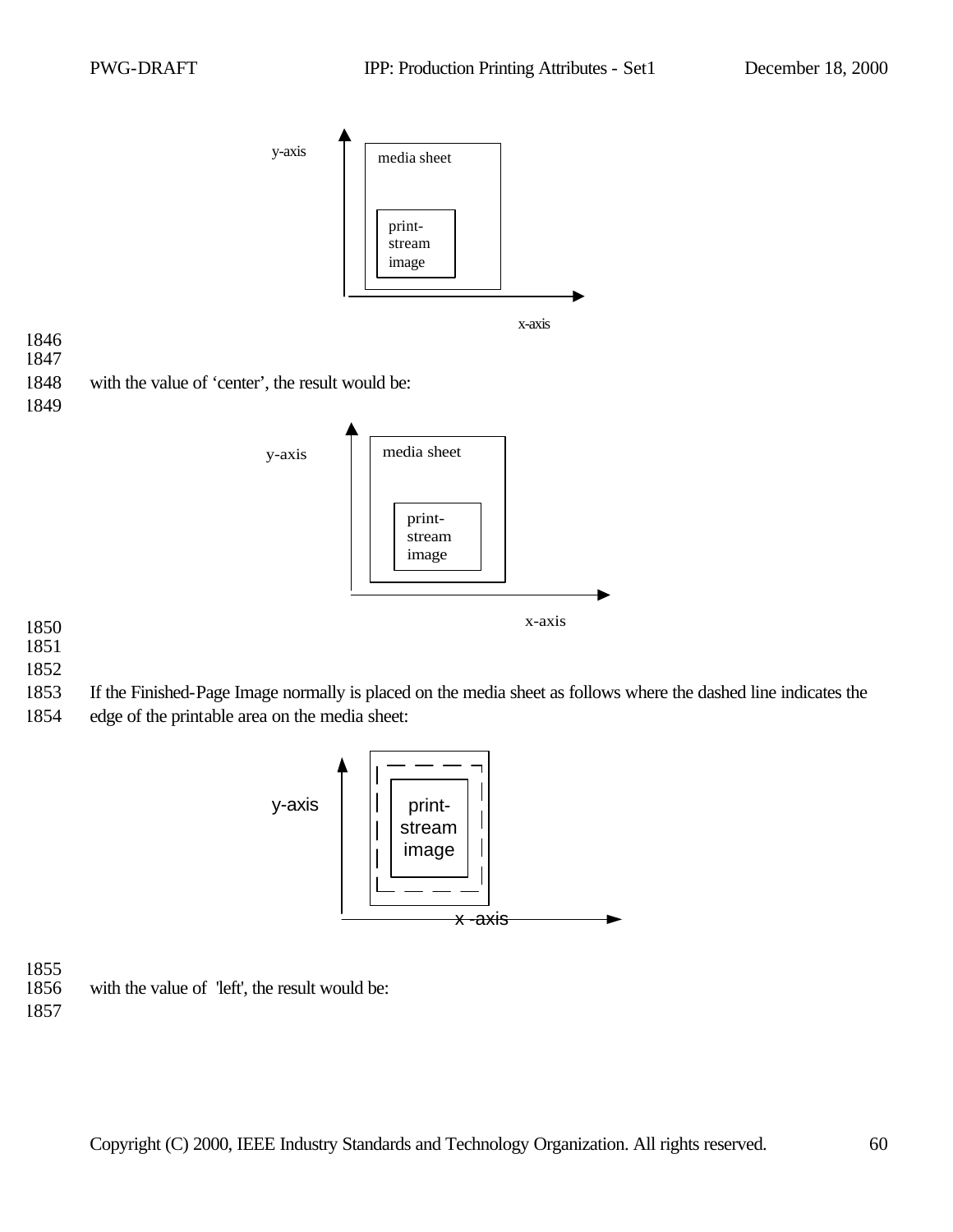

- 1852
- 1853 If the Finished-Page Image normally is placed on the media sheet as follows where the dashed line indicates the

x-axis

1854 edge of the printable area on the media sheet:



1855

with the value of 'left', the result would be: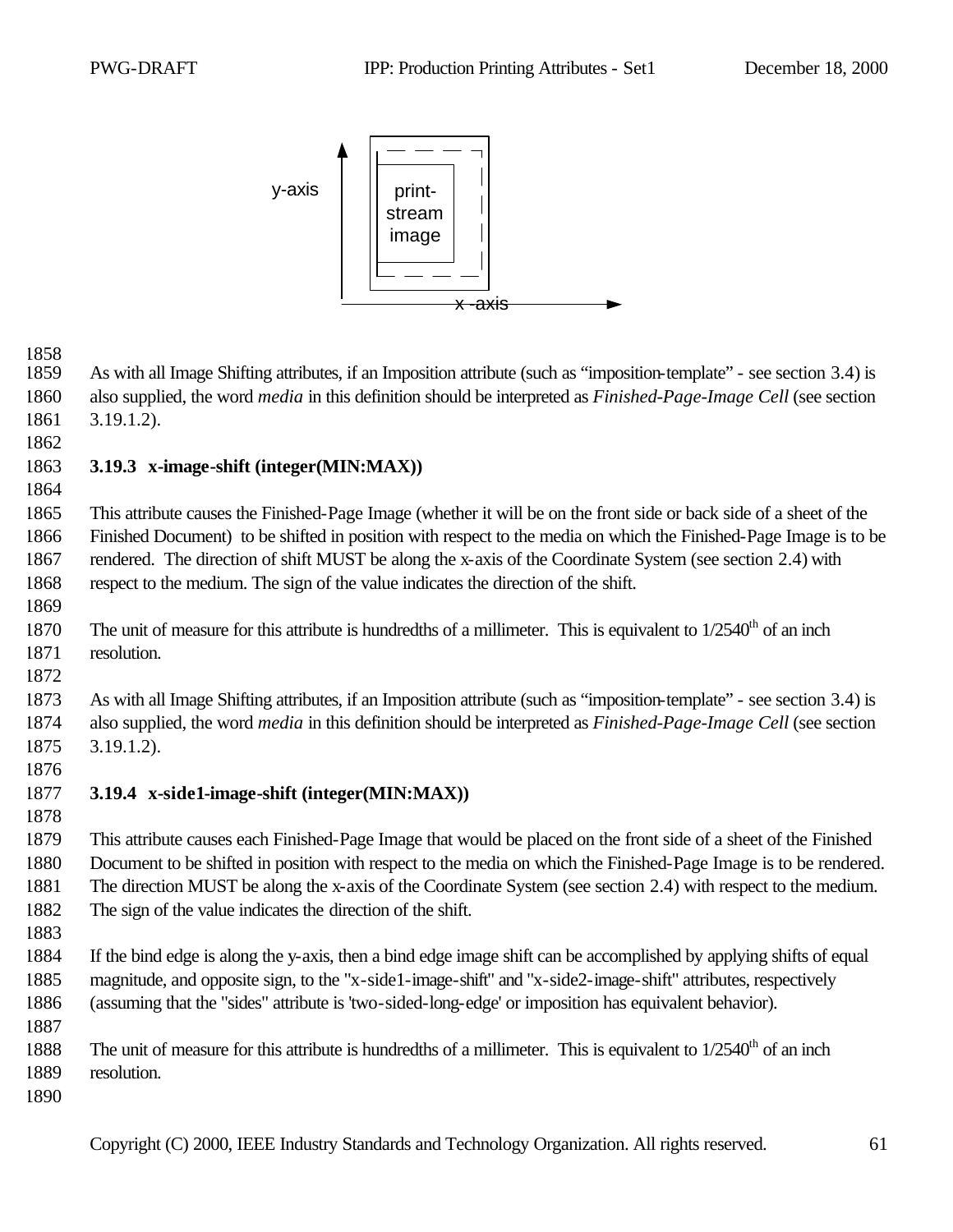

 As with all Image Shifting attributes, if an Imposition attribute (such as "imposition-template" - see section 3.4) is also supplied, the word *media* in this definition should be interpreted as *Finished-Page-Image Cell* (see section 3.19.1.2).

#### **3.19.3 x-image-shift (integer(MIN:MAX))**

 This attribute causes the Finished-Page Image (whether it will be on the front side or back side of a sheet of the Finished Document) to be shifted in position with respect to the media on which the Finished-Page Image is to be rendered. The direction of shift MUST be along the x-axis of the Coordinate System (see section 2.4) with respect to the medium. The sign of the value indicates the direction of the shift.

- 1870 The unit of measure for this attribute is hundredths of a millimeter. This is equivalent to  $1/2540<sup>th</sup>$  of an inch resolution.
- 

 As with all Image Shifting attributes, if an Imposition attribute (such as "imposition-template" - see section 3.4) is also supplied, the word *media* in this definition should be interpreted as *Finished-Page-Image Cell* (see section 3.19.1.2).

#### **3.19.4 x-side1-image-shift (integer(MIN:MAX))**

 This attribute causes each Finished-Page Image that would be placed on the front side of a sheet of the Finished Document to be shifted in position with respect to the media on which the Finished-Page Image is to be rendered. The direction MUST be along the x-axis of the Coordinate System (see section 2.4) with respect to the medium. The sign of the value indicates the direction of the shift.

- 
- If the bind edge is along the y-axis, then a bind edge image shift can be accomplished by applying shifts of equal magnitude, and opposite sign, to the "x-side1-image-shift" and "x-side2-image-shift" attributes, respectively (assuming that the "sides" attribute is 'two-sided-long-edge' or imposition has equivalent behavior).
- 1888 The unit of measure for this attribute is hundredths of a millimeter. This is equivalent to  $1/2540<sup>th</sup>$  of an inch resolution.
-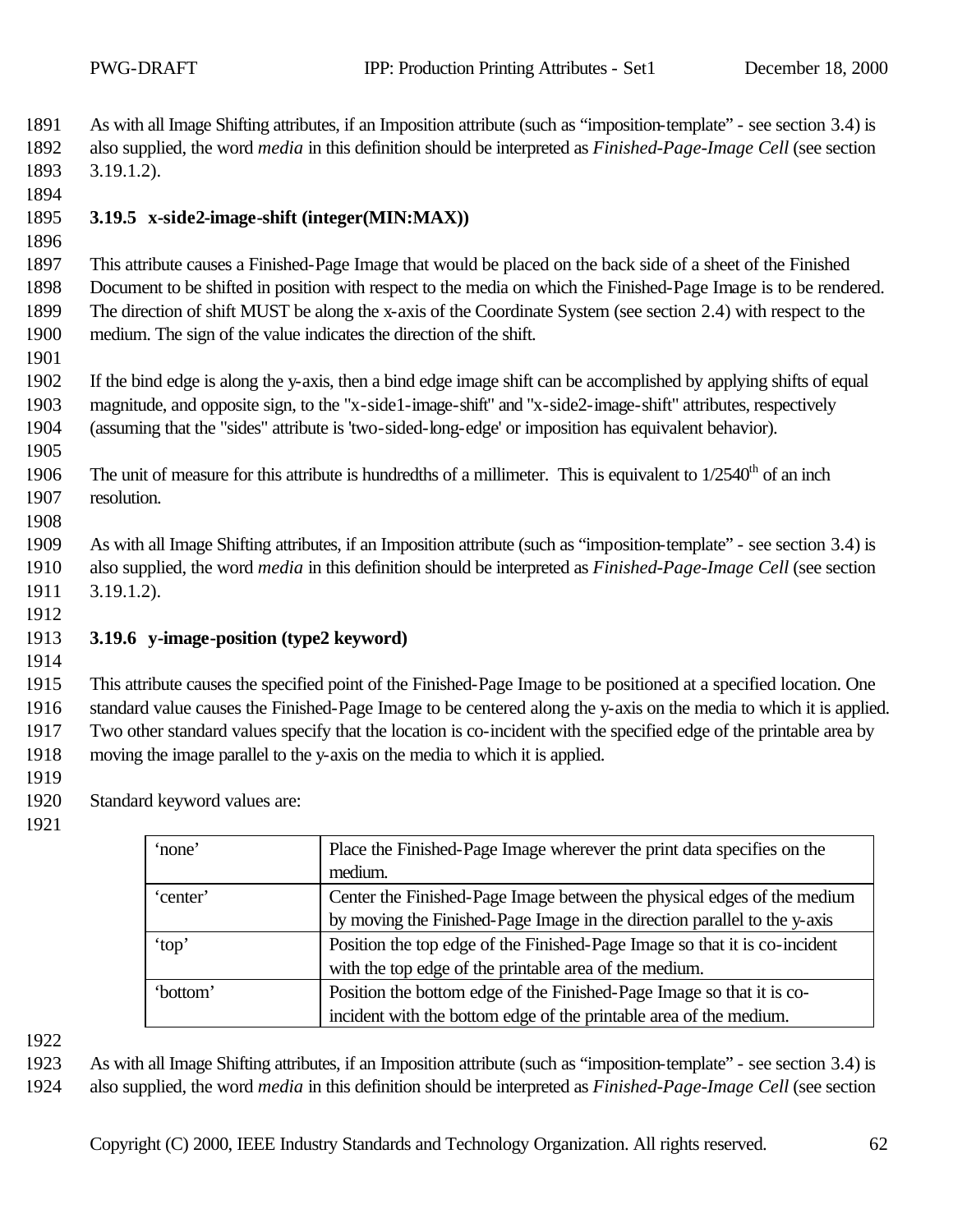As with all Image Shifting attributes, if an Imposition attribute (such as "imposition-template" - see section 3.4) is also supplied, the word *media* in this definition should be interpreted as *Finished-Page-Image Cell* (see section 3.19.1.2).

#### **3.19.5 x-side2-image-shift (integer(MIN:MAX))**

 This attribute causes a Finished-Page Image that would be placed on the back side of a sheet of the Finished Document to be shifted in position with respect to the media on which the Finished-Page Image is to be rendered. The direction of shift MUST be along the x-axis of the Coordinate System (see section 2.4) with respect to the medium. The sign of the value indicates the direction of the shift.

 If the bind edge is along the y-axis, then a bind edge image shift can be accomplished by applying shifts of equal magnitude, and opposite sign, to the "x-side1-image-shift" and "x-side2-image-shift" attributes, respectively (assuming that the "sides" attribute is 'two-sided-long-edge' or imposition has equivalent behavior).

1906 The unit of measure for this attribute is hundredths of a millimeter. This is equivalent to  $1/2540<sup>th</sup>$  of an inch resolution.

 As with all Image Shifting attributes, if an Imposition attribute (such as "imposition-template" - see section 3.4) is also supplied, the word *media* in this definition should be interpreted as *Finished-Page-Image Cell* (see section 3.19.1.2).

#### **3.19.6 y-image-position (type2 keyword)**

 This attribute causes the specified point of the Finished-Page Image to be positioned at a specified location. One standard value causes the Finished-Page Image to be centered along the y-axis on the media to which it is applied. Two other standard values specify that the location is co-incident with the specified edge of the printable area by moving the image parallel to the y-axis on the media to which it is applied.

Standard keyword values are:

| 'none'   | Place the Finished-Page Image wherever the print data specifies on the     |
|----------|----------------------------------------------------------------------------|
|          | medium.                                                                    |
| 'center' | Center the Finished-Page Image between the physical edges of the medium    |
|          | by moving the Finished-Page Image in the direction parallel to the y-axis  |
| 'top'    | Position the top edge of the Finished-Page Image so that it is co-incident |
|          | with the top edge of the printable area of the medium.                     |
| 'bottom' | Position the bottom edge of the Finished-Page Image so that it is co-      |
|          | incident with the bottom edge of the printable area of the medium.         |

 As with all Image Shifting attributes, if an Imposition attribute (such as "imposition-template" - see section 3.4) is also supplied, the word *media* in this definition should be interpreted as *Finished-Page-Image Cell* (see section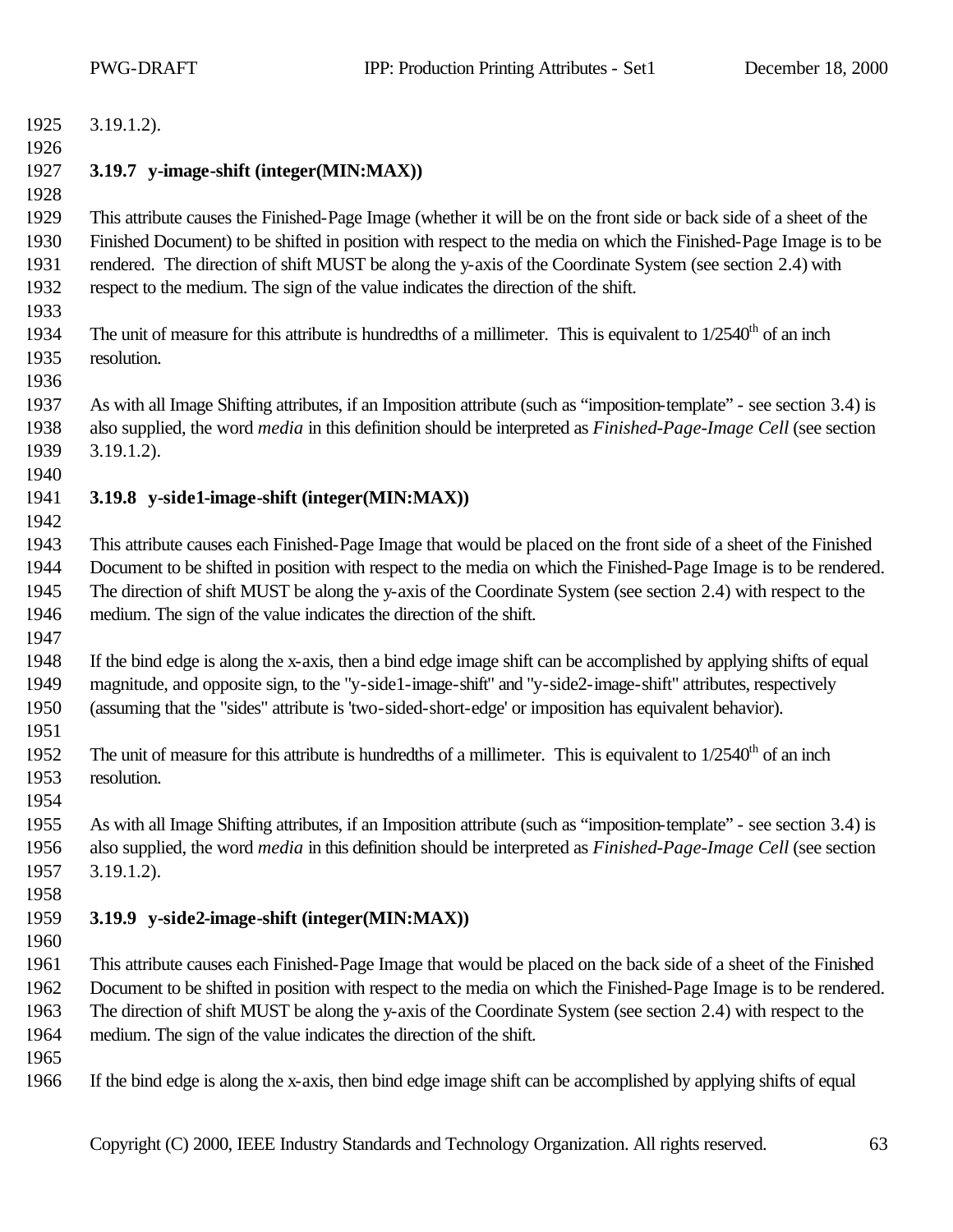| 1925 | $3.19.1.2$ ).                                                                                                                 |
|------|-------------------------------------------------------------------------------------------------------------------------------|
| 1926 |                                                                                                                               |
| 1927 | 3.19.7 y-image-shift (integer(MIN:MAX))                                                                                       |
| 1928 |                                                                                                                               |
| 1929 | This attribute causes the Finished-Page Image (whether it will be on the front side or back side of a sheet of the            |
| 1930 | Finished Document) to be shifted in position with respect to the media on which the Finished-Page Image is to be              |
| 1931 | rendered. The direction of shift MUST be along the y-axis of the Coordinate System (see section 2.4) with                     |
| 1932 | respect to the medium. The sign of the value indicates the direction of the shift.                                            |
| 1933 |                                                                                                                               |
| 1934 | The unit of measure for this attribute is hundredths of a millimeter. This is equivalent to $1/2540th$ of an inch             |
| 1935 | resolution.                                                                                                                   |
| 1936 |                                                                                                                               |
| 1937 | As with all Image Shifting attributes, if an Imposition attribute (such as "imposition-template" - see section 3.4) is        |
| 1938 | also supplied, the word <i>media</i> in this definition should be interpreted as <i>Finished-Page-Image Cell</i> (see section |
| 1939 | $3.19.1.2$ ).                                                                                                                 |
| 1940 |                                                                                                                               |
| 1941 | 3.19.8 y-side1-image-shift (integer(MIN:MAX))                                                                                 |
| 1942 |                                                                                                                               |
| 1943 | This attribute causes each Finished-Page Image that would be placed on the front side of a sheet of the Finished              |
| 1944 | Document to be shifted in position with respect to the media on which the Finished-Page Image is to be rendered.              |
| 1945 | The direction of shift MUST be along the y-axis of the Coordinate System (see section 2.4) with respect to the                |
| 1946 | medium. The sign of the value indicates the direction of the shift.                                                           |
| 1947 |                                                                                                                               |
| 1948 | If the bind edge is along the x-axis, then a bind edge image shift can be accomplished by applying shifts of equal            |
| 1949 | magnitude, and opposite sign, to the "y-side1-image-shift" and "y-side2-image-shift" attributes, respectively                 |
| 1950 | (assuming that the "sides" attribute is 'two-sided-short-edge' or imposition has equivalent behavior).                        |
| 1951 |                                                                                                                               |
| 1952 | The unit of measure for this attribute is hundredths of a millimeter. This is equivalent to $1/2540th$ of an inch             |
| 1953 | resolution.                                                                                                                   |
| 1954 |                                                                                                                               |
| 1955 | As with all Image Shifting attributes, if an Imposition attribute (such as "imposition-template" - see section 3.4) is        |
| 1956 | also supplied, the word <i>media</i> in this definition should be interpreted as <i>Finished-Page-Image Cell</i> (see section |
| 1957 | $3.19.1.2$ ).                                                                                                                 |
| 1958 |                                                                                                                               |
| 1959 | 3.19.9 y-side2-image-shift (integer(MIN:MAX))                                                                                 |
| 1960 |                                                                                                                               |
| 1961 | This attribute causes each Finished-Page Image that would be placed on the back side of a sheet of the Finished               |
| 1962 | Document to be shifted in position with respect to the media on which the Finished-Page Image is to be rendered.              |
| 1963 | The direction of shift MUST be along the y-axis of the Coordinate System (see section 2.4) with respect to the                |
| 1964 | medium. The sign of the value indicates the direction of the shift.                                                           |
| 1965 |                                                                                                                               |
| 1966 | If the bind edge is along the x-axis, then bind edge image shift can be accomplished by applying shifts of equal              |
|      |                                                                                                                               |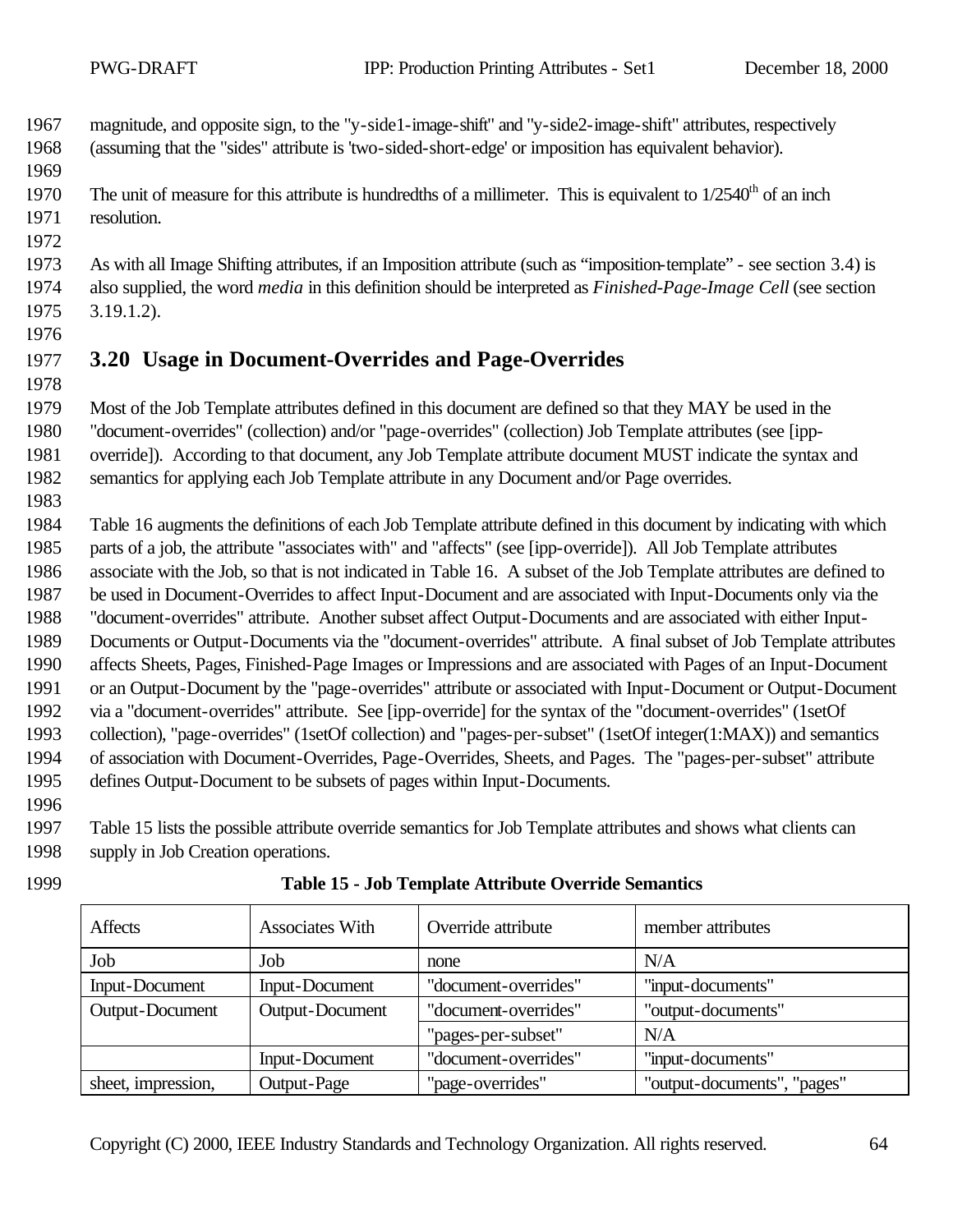magnitude, and opposite sign, to the "y-side1-image-shift" and "y-side2-image-shift" attributes, respectively (assuming that the "sides" attribute is 'two-sided-short-edge' or imposition has equivalent behavior).

1970 The unit of measure for this attribute is hundredths of a millimeter. This is equivalent to  $1/2540<sup>th</sup>$  of an inch resolution.

 As with all Image Shifting attributes, if an Imposition attribute (such as "imposition-template" - see section 3.4) is also supplied, the word *media* in this definition should be interpreted as *Finished-Page-Image Cell* (see section 3.19.1.2).

# **3.20 Usage in Document-Overrides and Page-Overrides**

 Most of the Job Template attributes defined in this document are defined so that they MAY be used in the "document-overrides" (collection) and/or "page-overrides" (collection) Job Template attributes (see [ipp-override]). According to that document, any Job Template attribute document MUST indicate the syntax and

semantics for applying each Job Template attribute in any Document and/or Page overrides.

 Table 16 augments the definitions of each Job Template attribute defined in this document by indicating with which parts of a job, the attribute "associates with" and "affects" (see [ipp-override]). All Job Template attributes associate with the Job, so that is not indicated in Table 16. A subset of the Job Template attributes are defined to be used in Document-Overrides to affect Input-Document and are associated with Input-Documents only via the "document-overrides" attribute. Another subset affect Output-Documents and are associated with either Input- Documents or Output-Documents via the "document-overrides" attribute. A final subset of Job Template attributes affects Sheets, Pages, Finished-Page Images or Impressions and are associated with Pages of an Input-Document or an Output-Document by the "page-overrides" attribute or associated with Input-Document or Output-Document via a "document-overrides" attribute. See [ipp-override] for the syntax of the "document-overrides" (1setOf collection), "page-overrides" (1setOf collection) and "pages-per-subset" (1setOf integer(1:MAX)) and semantics of association with Document-Overrides, Page-Overrides, Sheets, and Pages. The "pages-per-subset" attribute defines Output-Document to be subsets of pages within Input-Documents.

 Table 15 lists the possible attribute override semantics for Job Template attributes and shows what clients can supply in Job Creation operations.

| Affects            | <b>Associates With</b> | Override attribute   | member attributes           |
|--------------------|------------------------|----------------------|-----------------------------|
| Job                | Job                    | none                 | N/A                         |
| Input-Document     | <b>Input-Document</b>  | "document-overrides" | "input-documents"           |
| Output-Document    | Output-Document        | "document-overrides" | "output-documents"          |
|                    |                        | "pages-per-subset"   | N/A                         |
|                    | <b>Input-Document</b>  | "document-overrides" | "input-documents"           |
| sheet, impression, | Output-Page            | "page-overrides"     | "output-documents", "pages" |

#### **Table 15 - Job Template Attribute Override Semantics**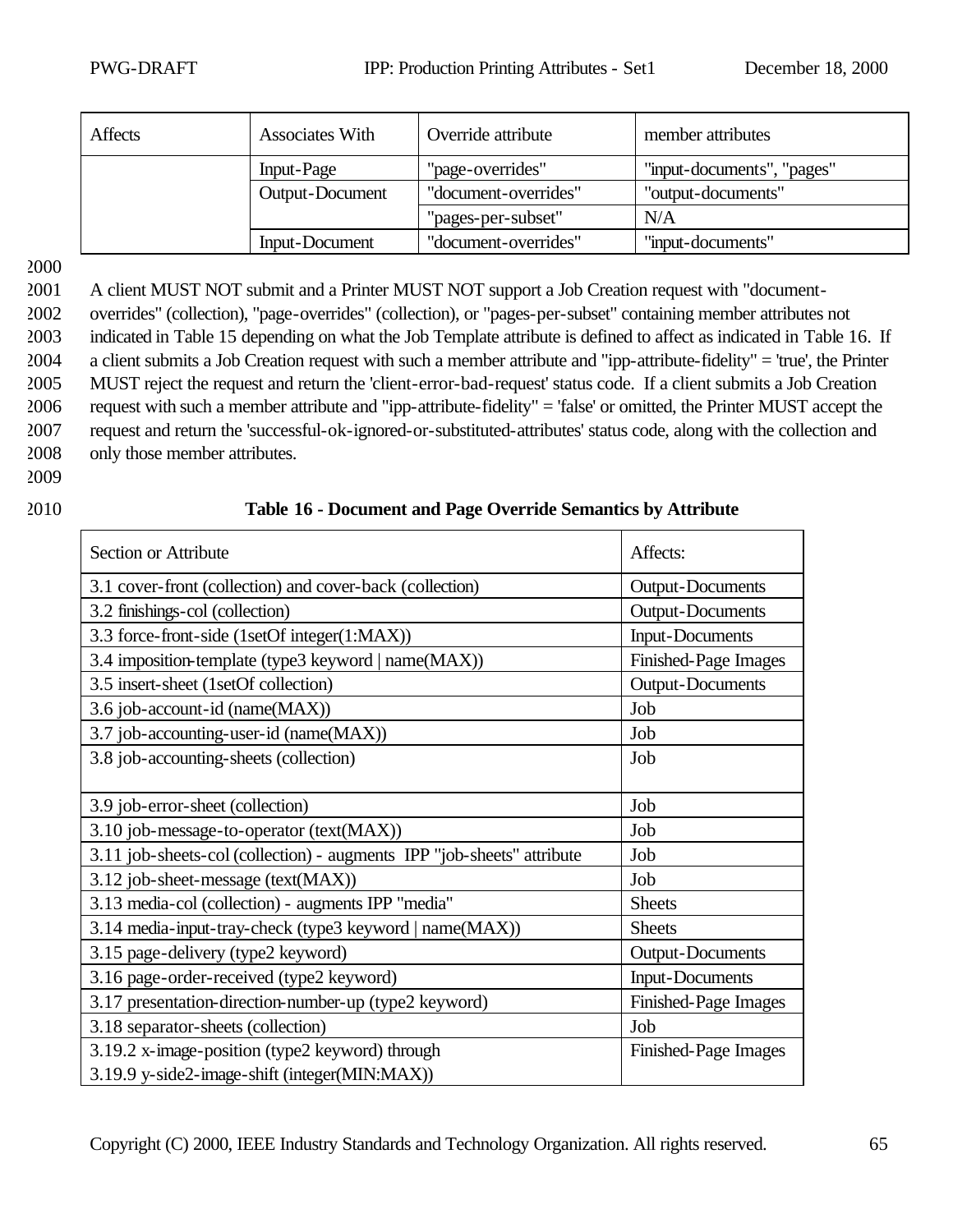| <b>Affects</b> | <b>Associates With</b> | Override attribute   | member attributes          |
|----------------|------------------------|----------------------|----------------------------|
|                | Input-Page             | "page-overrides"     | "input-documents", "pages" |
|                | Output-Document        | "document-overrides" | "output-documents"         |
|                |                        | "pages-per-subset"   | N/A                        |
|                | Input-Document         | "document-overrides" | "input-documents"          |

2001 A client MUST NOT submit and a Printer MUST NOT support a Job Creation request with "document-

 overrides" (collection), "page-overrides" (collection), or "pages-per-subset" containing member attributes not indicated in Table 15 depending on what the Job Template attribute is defined to affect as indicated in Table 16. If a client submits a Job Creation request with such a member attribute and "ipp-attribute-fidelity" = 'true', the Printer MUST reject the request and return the 'client-error-bad-request' status code. If a client submits a Job Creation request with such a member attribute and "ipp-attribute-fidelity" = 'false' or omitted, the Printer MUST accept the request and return the 'successful-ok-ignored-or-substituted-attributes' status code, along with the collection and only those member attributes.

2009

#### 2010 **Table 16 - Document and Page Override Semantics by Attribute**

| Section or Attribute                                                   | Affects:                |
|------------------------------------------------------------------------|-------------------------|
| 3.1 cover-front (collection) and cover-back (collection)               | <b>Output-Documents</b> |
| 3.2 finishings-col (collection)                                        | <b>Output-Documents</b> |
| 3.3 force-front-side (1setOf integer(1:MAX))                           | <b>Input-Documents</b>  |
| 3.4 imposition-template (type3 keyword   name(MAX))                    | Finished-Page Images    |
| 3.5 insert-sheet (1setOf collection)                                   | <b>Output-Documents</b> |
| 3.6 job-account-id (name(MAX))                                         | Job                     |
| 3.7 job-accounting-user-id (name(MAX))                                 | Job                     |
| 3.8 job-accounting-sheets (collection)                                 | Job                     |
|                                                                        |                         |
| 3.9 job-error-sheet (collection)                                       | Job                     |
| 3.10 job-message-to-operator (text(MAX))                               | Job                     |
| 3.11 job-sheets-col (collection) - augments IPP "job-sheets" attribute | Job                     |
| 3.12 job-sheet-message (text(MAX))                                     | Job                     |
| 3.13 media-col (collection) - augments IPP "media"                     | <b>Sheets</b>           |
| 3.14 media-input-tray-check (type3 keyword   name(MAX))                | <b>Sheets</b>           |
| 3.15 page-delivery (type2 keyword)                                     | <b>Output-Documents</b> |
| 3.16 page-order-received (type2 keyword)                               | <b>Input-Documents</b>  |
| 3.17 presentation-direction-number-up (type2 keyword)                  | Finished-Page Images    |
| 3.18 separator-sheets (collection)                                     | Job                     |
| 3.19.2 x-image-position (type2 keyword) through                        | Finished-Page Images    |
| 3.19.9 y-side2-image-shift (integer(MIN:MAX))                          |                         |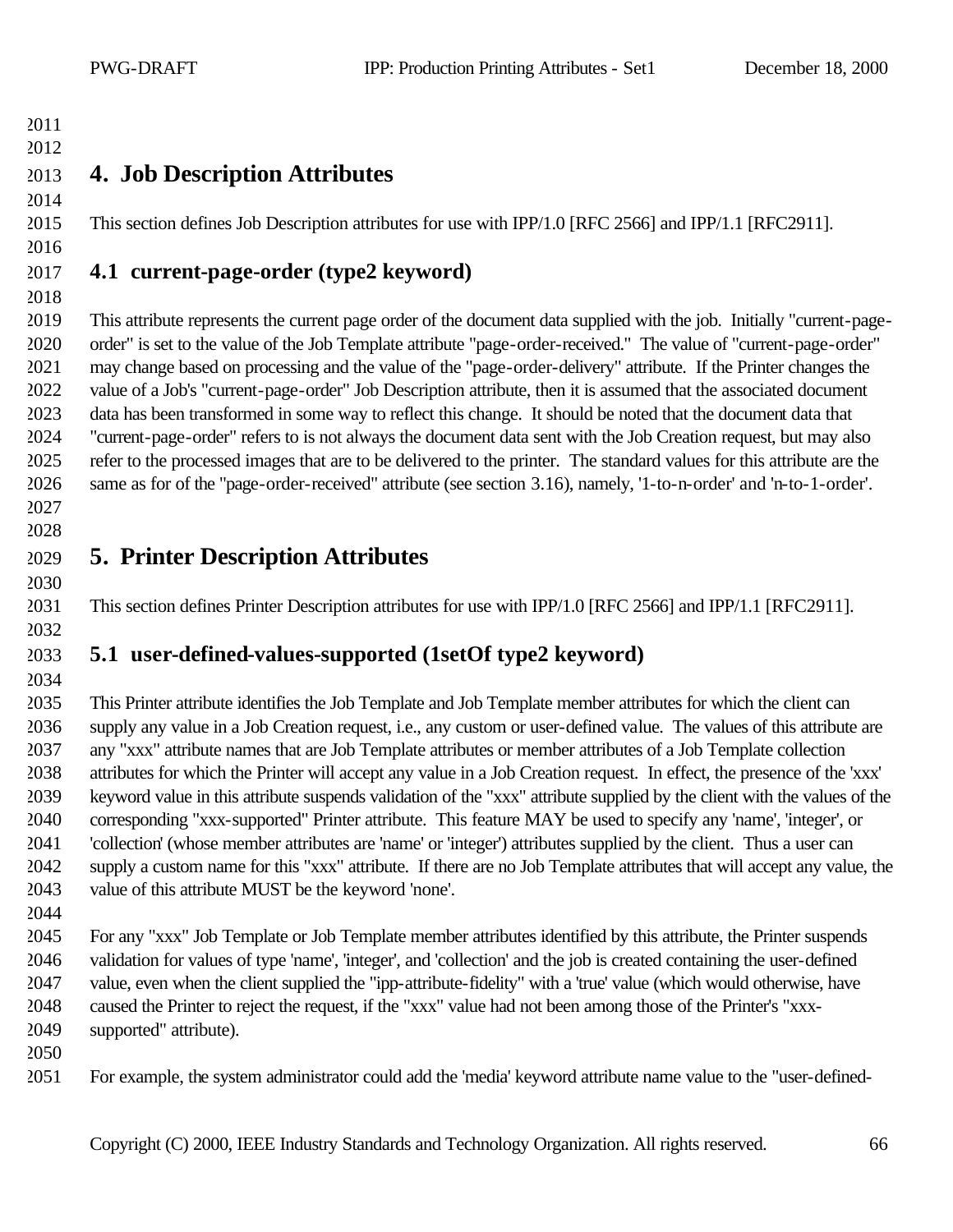# 

#### **4. Job Description Attributes**

This section defines Job Description attributes for use with IPP/1.0 [RFC 2566] and IPP/1.1 [RFC2911].

# **4.1 current-page-order (type2 keyword)**

 This attribute represents the current page order of the document data supplied with the job. Initially "current-page- order" is set to the value of the Job Template attribute "page-order-received." The value of "current-page-order" may change based on processing and the value of the "page-order-delivery" attribute. If the Printer changes the value of a Job's "current-page-order" Job Description attribute, then it is assumed that the associated document data has been transformed in some way to reflect this change. It should be noted that the document data that "current-page-order" refers to is not always the document data sent with the Job Creation request, but may also refer to the processed images that are to be delivered to the printer. The standard values for this attribute are the same as for of the "page-order-received" attribute (see section 3.16), namely, '1-to-n-order' and 'n-to-1-order'. 

# **5. Printer Description Attributes**

This section defines Printer Description attributes for use with IPP/1.0 [RFC 2566] and IPP/1.1 [RFC2911].

# **5.1 user-defined-values-supported (1setOf type2 keyword)**

 This Printer attribute identifies the Job Template and Job Template member attributes for which the client can supply any value in a Job Creation request, i.e., any custom or user-defined value. The values of this attribute are any "xxx" attribute names that are Job Template attributes or member attributes of a Job Template collection attributes for which the Printer will accept any value in a Job Creation request. In effect, the presence of the 'xxx' keyword value in this attribute suspends validation of the "xxx" attribute supplied by the client with the values of the corresponding "xxx-supported" Printer attribute. This feature MAY be used to specify any 'name', 'integer', or 'collection' (whose member attributes are 'name' or 'integer') attributes supplied by the client. Thus a user can supply a custom name for this "xxx" attribute. If there are no Job Template attributes that will accept any value, the value of this attribute MUST be the keyword 'none'.

 For any "xxx" Job Template or Job Template member attributes identified by this attribute, the Printer suspends validation for values of type 'name', 'integer', and 'collection' and the job is created containing the user-defined value, even when the client supplied the "ipp-attribute-fidelity" with a 'true' value (which would otherwise, have caused the Printer to reject the request, if the "xxx" value had not been among those of the Printer's "xxx-supported" attribute).

- 
- For example, the system administrator could add the 'media' keyword attribute name value to the "user-defined-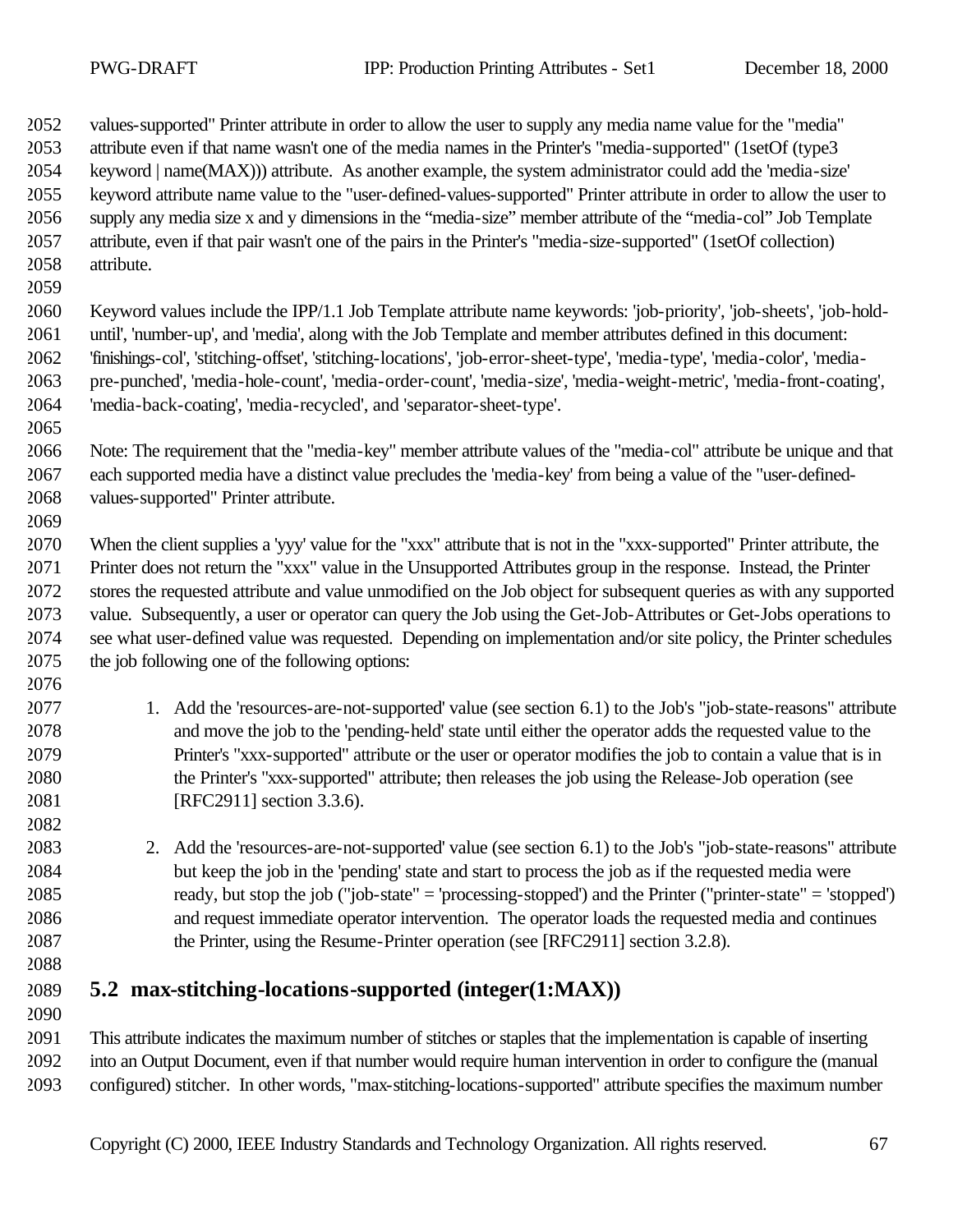values-supported" Printer attribute in order to allow the user to supply any media name value for the "media" attribute even if that name wasn't one of the media names in the Printer's "media-supported" (1setOf (type3 keyword | name(MAX))) attribute. As another example, the system administrator could add the 'media-size' keyword attribute name value to the "user-defined-values-supported" Printer attribute in order to allow the user to supply any media size x and y dimensions in the "media-size" member attribute of the "media-col" Job Template attribute, even if that pair wasn't one of the pairs in the Printer's "media-size-supported" (1setOf collection) attribute.

 Keyword values include the IPP/1.1 Job Template attribute name keywords: 'job-priority', 'job-sheets', 'job-hold- until', 'number-up', and 'media', along with the Job Template and member attributes defined in this document: 'finishings-col', 'stitching-offset', 'stitching-locations', 'job-error-sheet-type', 'media-type', 'media-color', 'media- pre-punched', 'media-hole-count', 'media-order-count', 'media-size', 'media-weight-metric', 'media-front-coating', 'media-back-coating', 'media-recycled', and 'separator-sheet-type'.

 Note: The requirement that the "media-key" member attribute values of the "media-col" attribute be unique and that each supported media have a distinct value precludes the 'media-key' from being a value of the "user-defined-values-supported" Printer attribute.

 When the client supplies a 'yyy' value for the "xxx" attribute that is not in the "xxx-supported" Printer attribute, the Printer does not return the "xxx" value in the Unsupported Attributes group in the response. Instead, the Printer stores the requested attribute and value unmodified on the Job object for subsequent queries as with any supported value. Subsequently, a user or operator can query the Job using the Get-Job-Attributes or Get-Jobs operations to see what user-defined value was requested. Depending on implementation and/or site policy, the Printer schedules the job following one of the following options:

- 1. Add the 'resources-are-not-supported' value (see section 6.1) to the Job's "job-state-reasons" attribute and move the job to the 'pending-held' state until either the operator adds the requested value to the Printer's "xxx-supported" attribute or the user or operator modifies the job to contain a value that is in the Printer's "xxx-supported" attribute; then releases the job using the Release-Job operation (see [RFC2911] section 3.3.6).
- 2. Add the 'resources-are-not-supported' value (see section 6.1) to the Job's "job-state-reasons" attribute but keep the job in the 'pending' state and start to process the job as if the requested media were ready, but stop the job ("job-state" = 'processing-stopped') and the Printer ("printer-state" = 'stopped') and request immediate operator intervention. The operator loads the requested media and continues the Printer, using the Resume-Printer operation (see [RFC2911] section 3.2.8).
- 

**5.2 max-stitching-locations-supported (integer(1:MAX))**

 This attribute indicates the maximum number of stitches or staples that the implementation is capable of inserting into an Output Document, even if that number would require human intervention in order to configure the (manual configured) stitcher. In other words, "max-stitching-locations-supported" attribute specifies the maximum number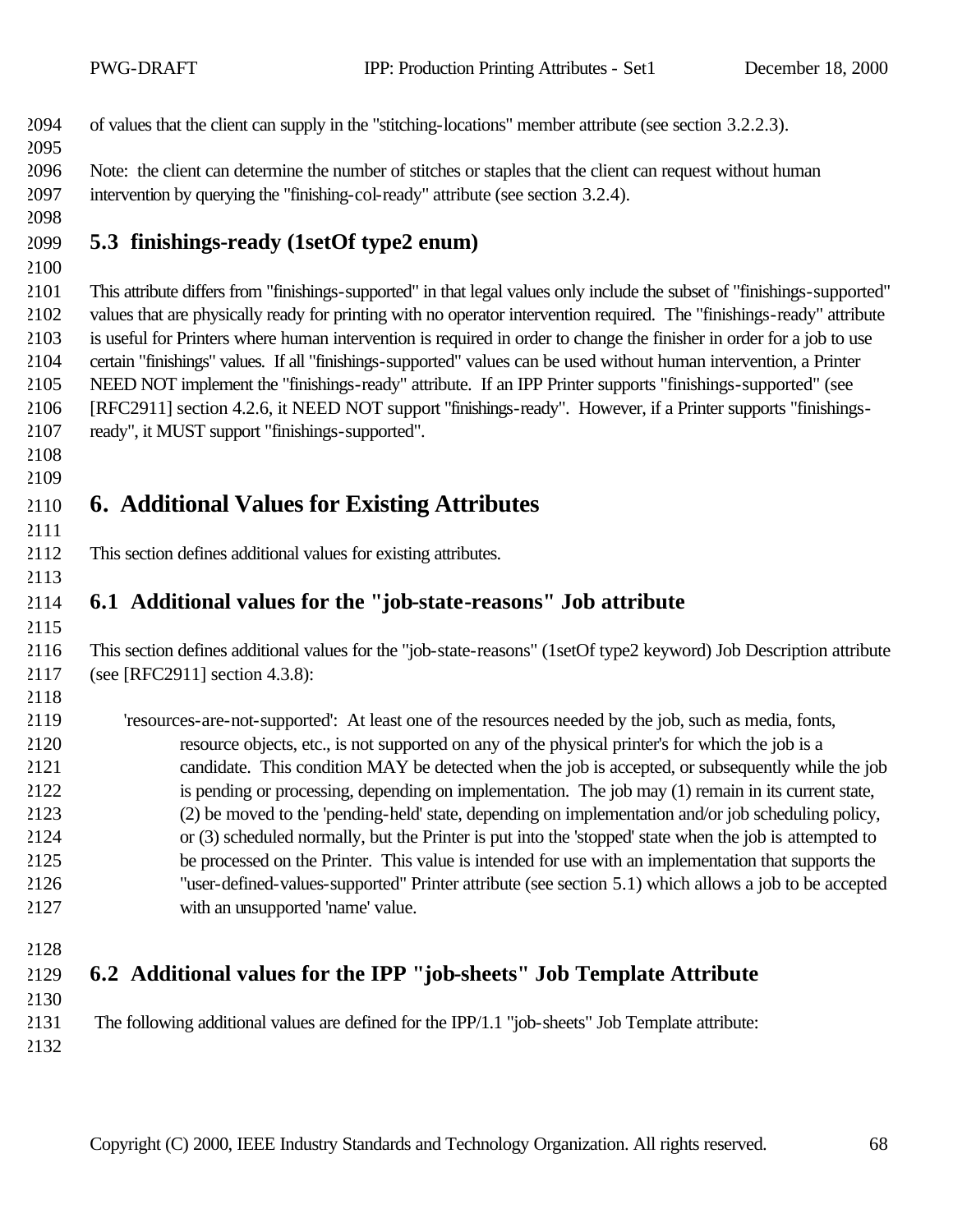| 2094 | of values that the client can supply in the "stitching-locations" member attribute (see section 3.2.2.3). |
|------|-----------------------------------------------------------------------------------------------------------|
| 2095 |                                                                                                           |

 Note: the client can determine the number of stitches or staples that the client can request without human intervention by querying the "finishing-col-ready" attribute (see section 3.2.4).

#### **5.3 finishings-ready (1setOf type2 enum)**

 This attribute differs from "finishings-supported" in that legal values only include the subset of "finishings-supported" values that are physically ready for printing with no operator intervention required. The "finishings-ready" attribute is useful for Printers where human intervention is required in order to change the finisher in order for a job to use certain "finishings" values. If all "finishings-supported" values can be used without human intervention, a Printer NEED NOT implement the "finishings-ready" attribute. If an IPP Printer supports "finishings-supported" (see [RFC2911] section 4.2.6, it NEED NOT support "finishings-ready". However, if a Printer supports "finishings-ready", it MUST support "finishings-supported".

#### 

# **6. Additional Values for Existing Attributes**

This section defines additional values for existing attributes.

# **6.1 Additional values for the "job-state-reasons" Job attribute**

 This section defines additional values for the "job-state-reasons" (1setOf type2 keyword) Job Description attribute (see [RFC2911] section 4.3.8):

 'resources-are-not-supported': At least one of the resources needed by the job, such as media, fonts, resource objects, etc., is not supported on any of the physical printer's for which the job is a candidate. This condition MAY be detected when the job is accepted, or subsequently while the job is pending or processing, depending on implementation. The job may (1) remain in its current state, (2) be moved to the 'pending-held' state, depending on implementation and/or job scheduling policy, or (3) scheduled normally, but the Printer is put into the 'stopped' state when the job is attempted to be processed on the Printer. This value is intended for use with an implementation that supports the "user-defined-values-supported" Printer attribute (see section 5.1) which allows a job to be accepted with an unsupported 'name' value.

# **6.2 Additional values for the IPP "job-sheets" Job Template Attribute**

2131 The following additional values are defined for the IPP/1.1 "job-sheets" Job Template attribute: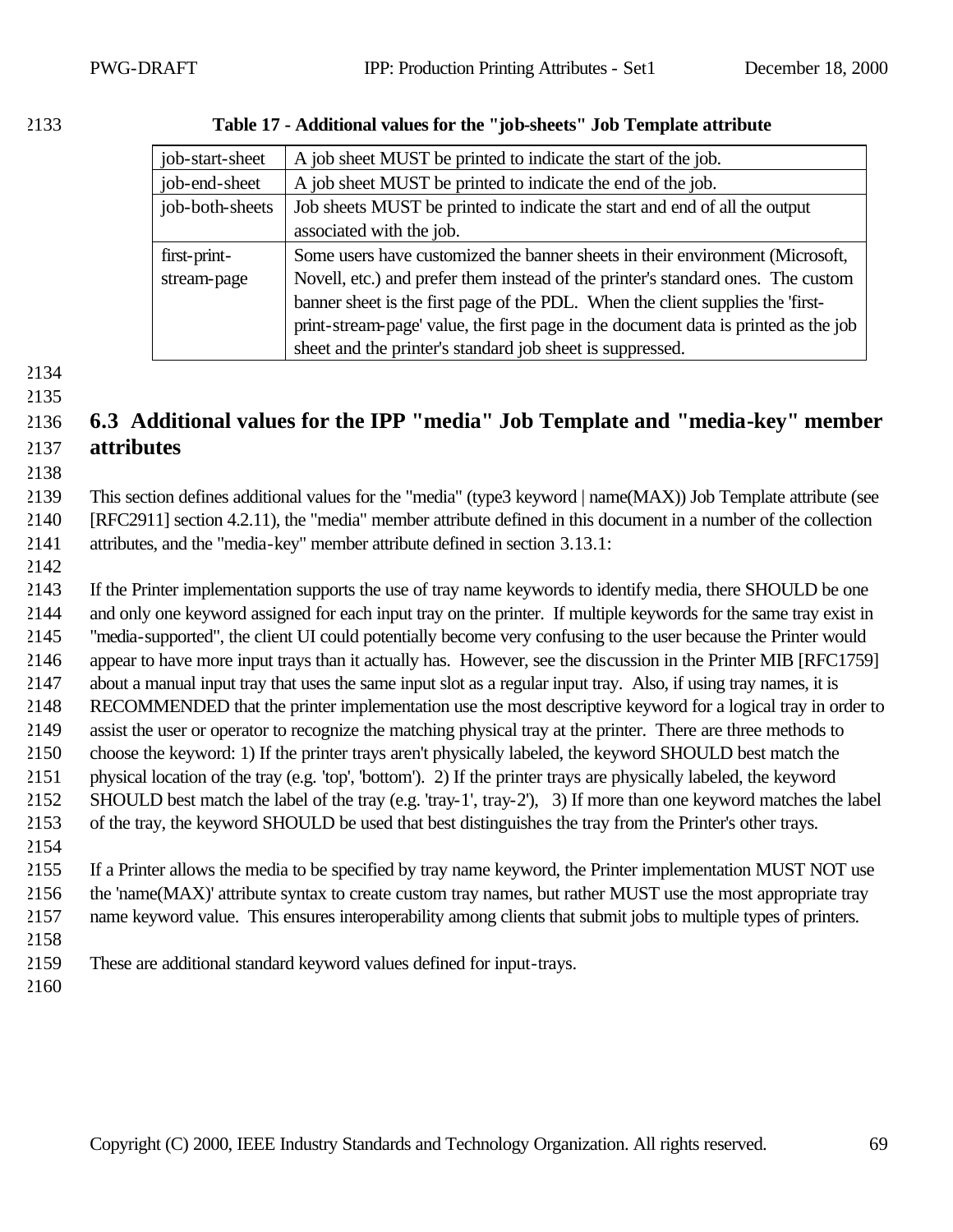| job-start-sheet | A job sheet MUST be printed to indicate the start of the job.                       |
|-----------------|-------------------------------------------------------------------------------------|
| job-end-sheet   | A job sheet MUST be printed to indicate the end of the job.                         |
| job-both-sheets | Job sheets MUST be printed to indicate the start and end of all the output          |
|                 | associated with the job.                                                            |
| first-print-    | Some users have customized the banner sheets in their environment (Microsoft,       |
| stream-page     | Novell, etc.) and prefer them instead of the printer's standard ones. The custom    |
|                 | banner sheet is the first page of the PDL. When the client supplies the 'first-     |
|                 | print-stream-page' value, the first page in the document data is printed as the job |
|                 | sheet and the printer's standard job sheet is suppressed.                           |

#### **Table 17 - Additional values for the "job-sheets" Job Template attribute**

 

# **6.3 Additional values for the IPP "media" Job Template and "media-key" member attributes**

 This section defines additional values for the "media" (type3 keyword | name(MAX)) Job Template attribute (see [RFC2911] section 4.2.11), the "media" member attribute defined in this document in a number of the collection attributes, and the "media-key" member attribute defined in section 3.13.1:

 If the Printer implementation supports the use of tray name keywords to identify media, there SHOULD be one and only one keyword assigned for each input tray on the printer. If multiple keywords for the same tray exist in "media-supported", the client UI could potentially become very confusing to the user because the Printer would appear to have more input trays than it actually has. However, see the discussion in the Printer MIB [RFC1759] about a manual input tray that uses the same input slot as a regular input tray. Also, if using tray names, it is RECOMMENDED that the printer implementation use the most descriptive keyword for a logical tray in order to assist the user or operator to recognize the matching physical tray at the printer. There are three methods to choose the keyword: 1) If the printer trays aren't physically labeled, the keyword SHOULD best match the physical location of the tray (e.g. 'top', 'bottom'). 2) If the printer trays are physically labeled, the keyword SHOULD best match the label of the tray (e.g. 'tray-1', tray-2'), 3) If more than one keyword matches the label of the tray, the keyword SHOULD be used that best distinguishes the tray from the Printer's other trays. If a Printer allows the media to be specified by tray name keyword, the Printer implementation MUST NOT use

 the 'name(MAX)' attribute syntax to create custom tray names, but rather MUST use the most appropriate tray name keyword value. This ensures interoperability among clients that submit jobs to multiple types of printers.

These are additional standard keyword values defined for input-trays.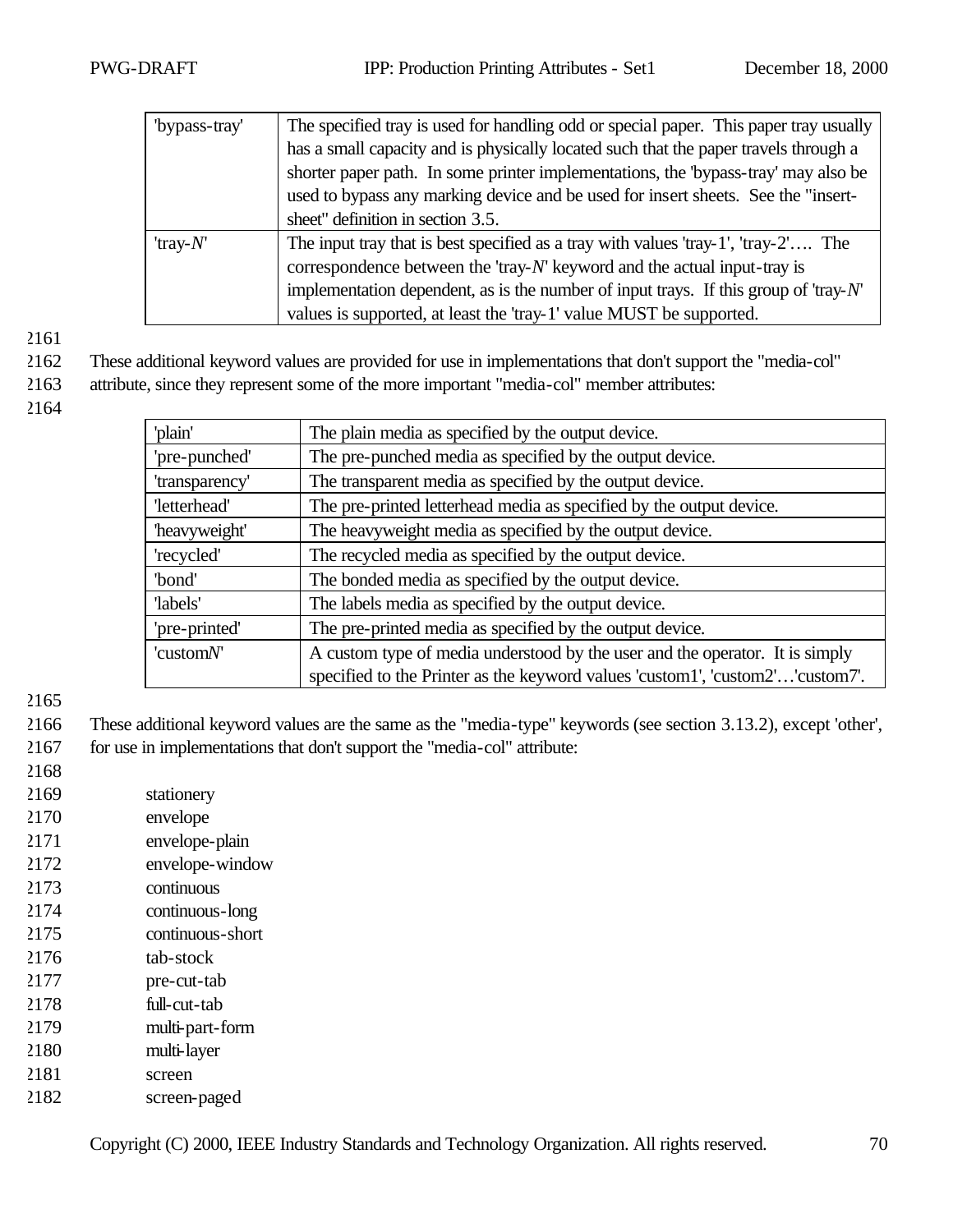| "bypass-tray" | The specified tray is used for handling odd or special paper. This paper tray usually     |
|---------------|-------------------------------------------------------------------------------------------|
|               | has a small capacity and is physically located such that the paper travels through a      |
|               | shorter paper path. In some printer implementations, the 'bypass-tray' may also be        |
|               | used to bypass any marking device and be used for insert sheets. See the "insert-         |
|               | sheet" definition in section 3.5.                                                         |
| 'tray- $N'$   | The input tray that is best specified as a tray with values 'tray-1', 'tray-2' The        |
|               | correspondence between the 'tray- $N$ ' keyword and the actual input-tray is              |
|               | implementation dependent, as is the number of input trays. If this group of 'tray- $N'$ ' |
|               | values is supported, at least the 'tray-1' value MUST be supported.                       |

- 2162 These additional keyword values are provided for use in implementations that don't support the "media-col"
- 2163 attribute, since they represent some of the more important "media-col" member attributes:
- 2164

| 'plain'        | The plain media as specified by the output device.                            |  |
|----------------|-------------------------------------------------------------------------------|--|
| 'pre-punched'  | The pre-punched media as specified by the output device.                      |  |
| 'transparency' | The transparent media as specified by the output device.                      |  |
| 'letterhead'   | The pre-printed letterhead media as specified by the output device.           |  |
| 'heavyweight'  | The heavyweight media as specified by the output device.                      |  |
| 'recycled'     | The recycled media as specified by the output device.                         |  |
| 'bond'         | The bonded media as specified by the output device.                           |  |
| 'labels'       | The labels media as specified by the output device.                           |  |
| 'pre-printed'  | The pre-printed media as specified by the output device.                      |  |
| 'customN'      | A custom type of media understood by the user and the operator. It is simply  |  |
|                | specified to the Printer as the keyword values 'custom1', 'custom2''custom7'. |  |

- 2166 These additional keyword values are the same as the "media-type" keywords (see section 3.13.2), except 'other', 2167 for use in implementations that don't support the "media-col" attribute:
- 2168
- 2169 stationery
- 2170 envelope
- 2171 envelope-plain
- 2172 envelope-window
- 2173 continuous
- 2174 continuous-long
- 2175 continuous-short
- 2176 tab-stock
- 2177 pre-cut-tab
- 2178 full-cut-tab
- 2179 multi-part-form
- 2180 multi-layer
- 2181 screen
- 2182 screen-paged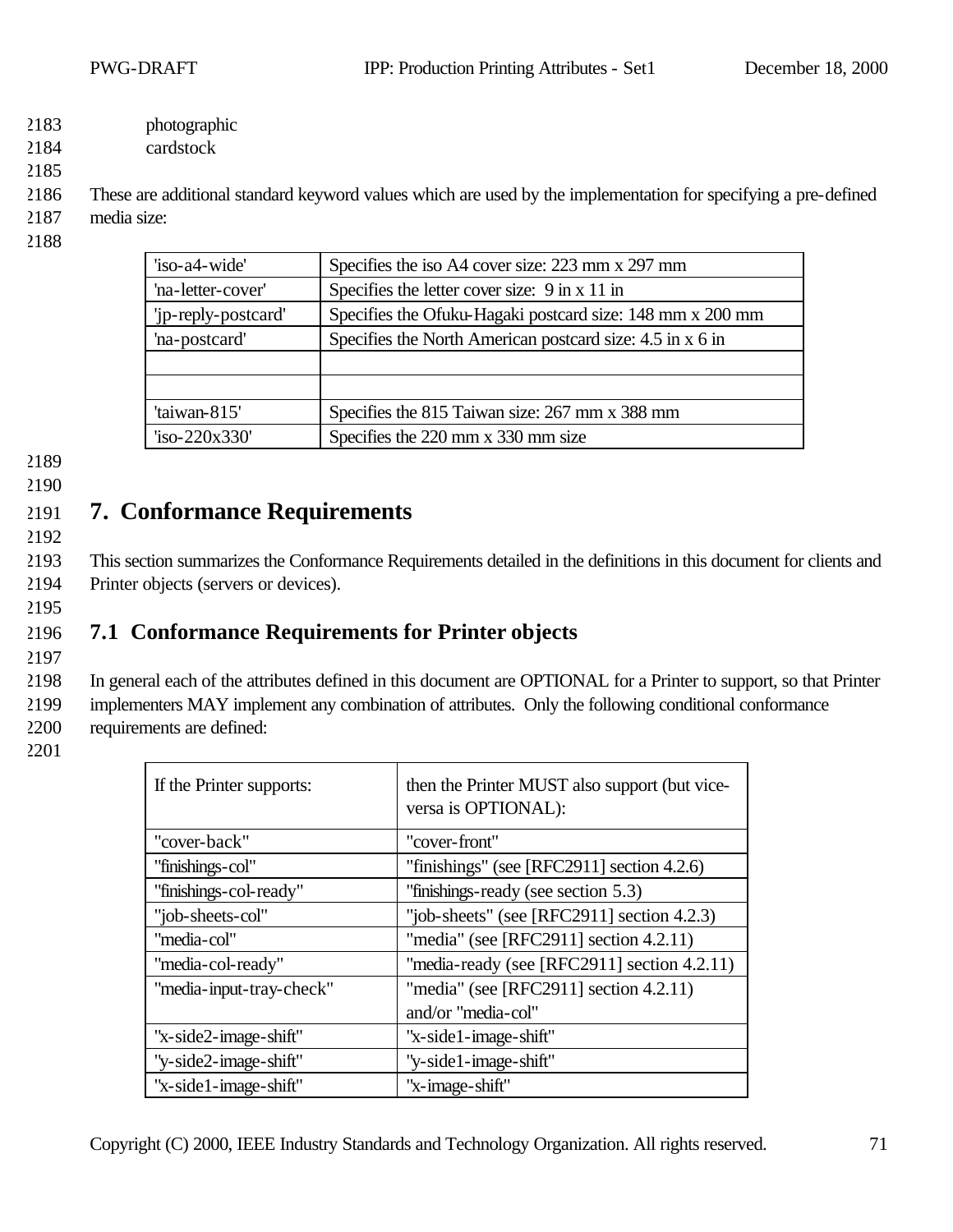- 2183 photographic
- 2184 cardstock
- 2185

2186 These are additional standard keyword values which are used by the implementation for specifying a pre-defined 2187 media size:

2188

| 'iso-a4-wide'       | Specifies the iso A4 cover size: 223 mm x 297 mm          |  |
|---------------------|-----------------------------------------------------------|--|
| 'na-letter-cover'   | Specifies the letter cover size: 9 in x 11 in             |  |
| 'ip-reply-postcard' | Specifies the Ofuku-Hagaki postcard size: 148 mm x 200 mm |  |
| 'na-postcard'       | Specifies the North American postcard size: 4.5 in x 6 in |  |
|                     |                                                           |  |
|                     |                                                           |  |
| 'taiwan-815'        | Specifies the 815 Taiwan size: 267 mm x 388 mm            |  |
| $iso-220x330'$      | Specifies the 220 mm x 330 mm size                        |  |

- 2189
- 2190

# 2191 **7. Conformance Requirements**

2192

2193 This section summarizes the Conformance Requirements detailed in the definitions in this document for clients and 2194 Printer objects (servers or devices).

2195

# 2196 **7.1 Conformance Requirements for Printer objects**

2197

2198 In general each of the attributes defined in this document are OPTIONAL for a Printer to support, so that Printer 2199 implementers MAY implement any combination of attributes. Only the following conditional conformance 2200 requirements are defined:

| If the Printer supports: | then the Printer MUST also support (but vice-<br>versa is OPTIONAL): |
|--------------------------|----------------------------------------------------------------------|
| "cover-back"             | "cover-front"                                                        |
| "finishings-col"         | "finishings" (see [RFC2911] section $4.2.6$ )                        |
| "finishings-col-ready"   | "finishings-ready (see section 5.3)                                  |
| "job-sheets-col"         | "job-sheets" (see [RFC2911] section $4.2.3$ )                        |
| "media-col"              | "media" (see [RFC2911] section $4.2.11$ )                            |
| "media-col-ready"        | "media-ready (see [RFC2911] section 4.2.11)                          |
| "media-input-tray-check" | "media" (see [RFC2911] section $4.2.11$ )                            |
|                          | and/or "media-col"                                                   |
| "x-side2-image-shift"    | "x-side1-image-shift"                                                |
| "y-side2-image-shift"    | "y-side1-image-shift"                                                |
| "x-side1-image-shift"    | "x-image-shift"                                                      |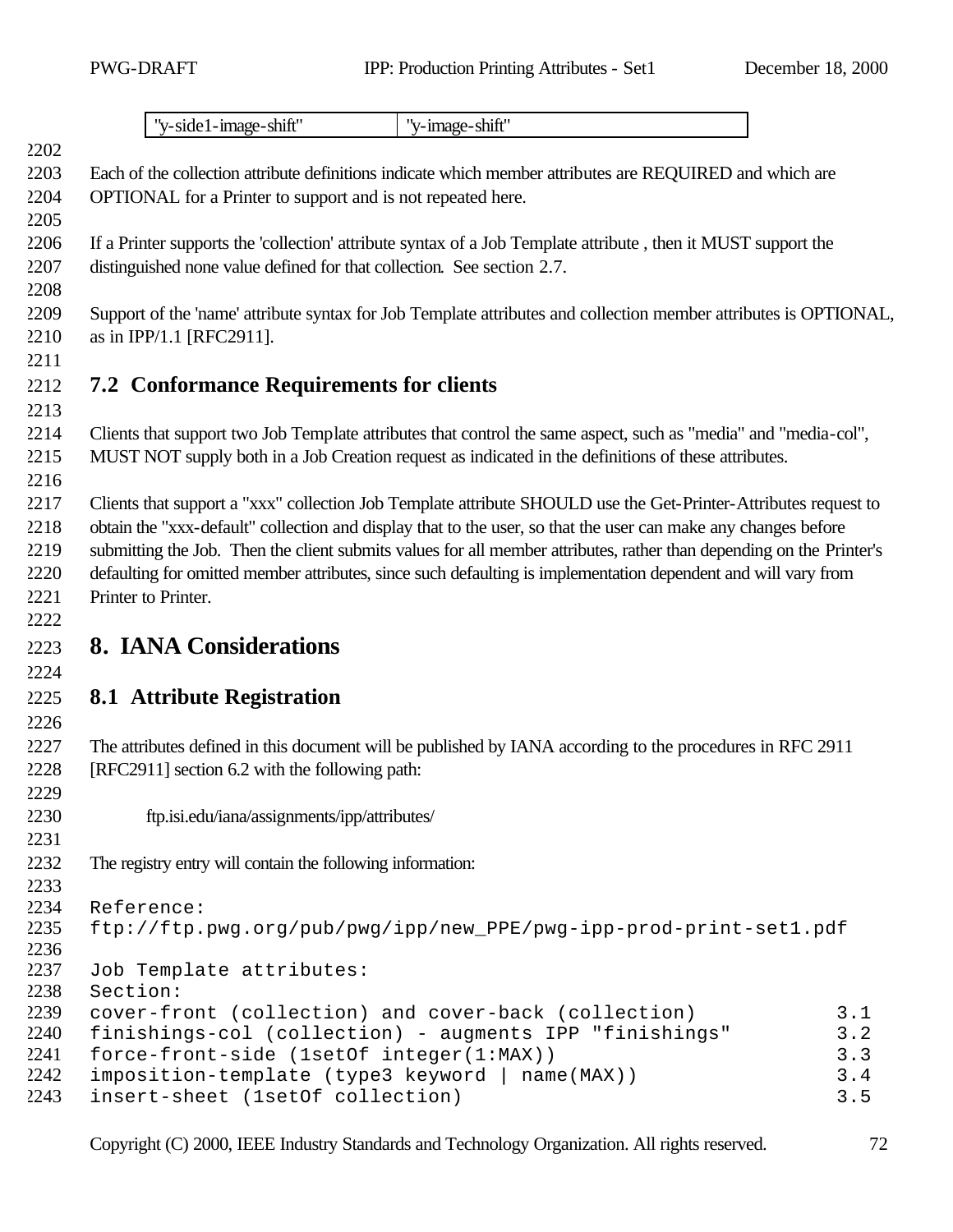"y-side1-image-shift" "y-image-shift" Each of the collection attribute definitions indicate which member attributes are REQUIRED and which are OPTIONAL for a Printer to support and is not repeated here. If a Printer supports the 'collection' attribute syntax of a Job Template attribute , then it MUST support the distinguished none value defined for that collection. See section 2.7. Support of the 'name' attribute syntax for Job Template attributes and collection member attributes is OPTIONAL, as in IPP/1.1 [RFC2911]. **7.2 Conformance Requirements for clients** Clients that support two Job Template attributes that control the same aspect, such as "media" and "media-col", MUST NOT supply both in a Job Creation request as indicated in the definitions of these attributes. 2217 Clients that support a "xxx" collection Job Template attribute SHOULD use the Get-Printer-Attributes request to obtain the "xxx-default" collection and display that to the user, so that the user can make any changes before submitting the Job. Then the client submits values for all member attributes, rather than depending on the Printer's defaulting for omitted member attributes, since such defaulting is implementation dependent and will vary from Printer to Printer. **8. IANA Considerations 8.1 Attribute Registration** The attributes defined in this document will be published by IANA according to the procedures in RFC 2911 [RFC2911] section 6.2 with the following path: ftp.isi.edu/iana/assignments/ipp/attributes/ The registry entry will contain the following information: Reference: ftp://ftp.pwg.org/pub/pwg/ipp/new\_PPE/pwg-ipp-prod-print-set1.pdf Job Template attributes: Section: cover-front (collection) and cover-back (collection) 3.1 finishings-col (collection) - augments IPP "finishings" 3.2 force-front-side (1setOf integer(1:MAX)) 3.3 imposition-template (type3 keyword | name(MAX)) 3.4 insert-sheet (1setOf collection) 3.5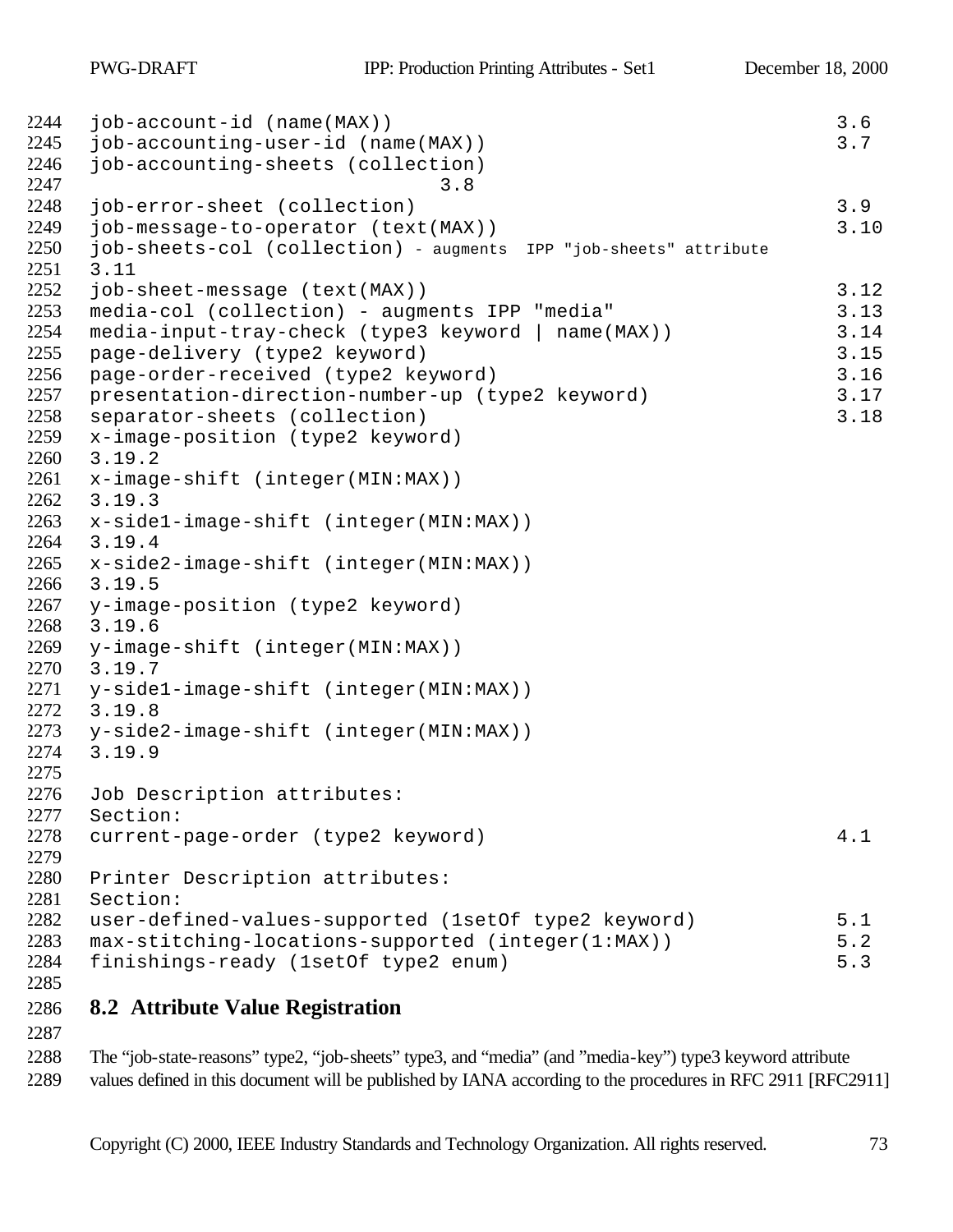```
2244 job-account-id (name(MAX)) 3.6
2245 job-accounting-user-id (name(MAX))<br>2246 iob-accounting-sheets (collection)
    job-accounting-sheets (collection)
2247 3.8
2248 job-error-sheet (collection) 3.9
2249 job-message-to-operator (text(MAX))<br>2250 job-sheets-col (collection) - augments IPP "job-sheets" attribute
    job-sheets-col (collection) - augments IPP "job-sheets" attribute
2251 3.11
2252 job-sheet-message (text(MAX))<br>2253 media-col (collection) - augments IPP "media" 3.13
    media-col (collection) - augments IPP "media" 3.13
2254 media-input-tray-check (type3 keyword | name(MAX)) 3.14
2255 page-delivery (type2 keyword) 3.15
2256 page-order-received (type2 keyword) 3.16
2257 presentation-direction-number-up (type2 keyword) 3.17
2258 separator-sheets (collection)<br>2259 x-image-position (type2 keyword)
    x-image-position (type2 keyword)
2260 3.19.2
2261 x-image-shift (integer(MIN:MAX)) 
2262 3.19.3
2263 x-side1-image-shift (integer(MIN:MAX)) 
2264 3.19.4
2265 x-side2-image-shift (integer(MIN:MAX)) 
2266 3.19.5
2267 y-image-position (type2 keyword) 
2268 3.19.6
2269 y-image-shift (integer(MIN:MAX))<br>2270 3.19.7
    3.19.7
2271 y-side1-image-shift (integer(MIN:MAX)) 
2272 3.19.8
2273 y-side2-image-shift (integer(MIN:MAX)) 
2274 3.19.9
2275
2276 Job Description attributes: 
2277 Section:
2278 current-page-order (type2 keyword) 4.1
2279
2280 Printer Description attributes:<br>2281 Section:
    Section:
2282 user-defined-values-supported (1setOf type2 keyword) 5.1
2283 max-stitching-locations-supported (integer(1:MAX)) 5.2
2284 finishings-ready (1setOf type2 enum) 5.3
```
## **8.2 Attribute Value Registration**

 The "job-state-reasons" type2, "job-sheets" type3, and "media" (and "media-key") type3 keyword attribute values defined in this document will be published by IANA according to the procedures in RFC 2911 [RFC2911]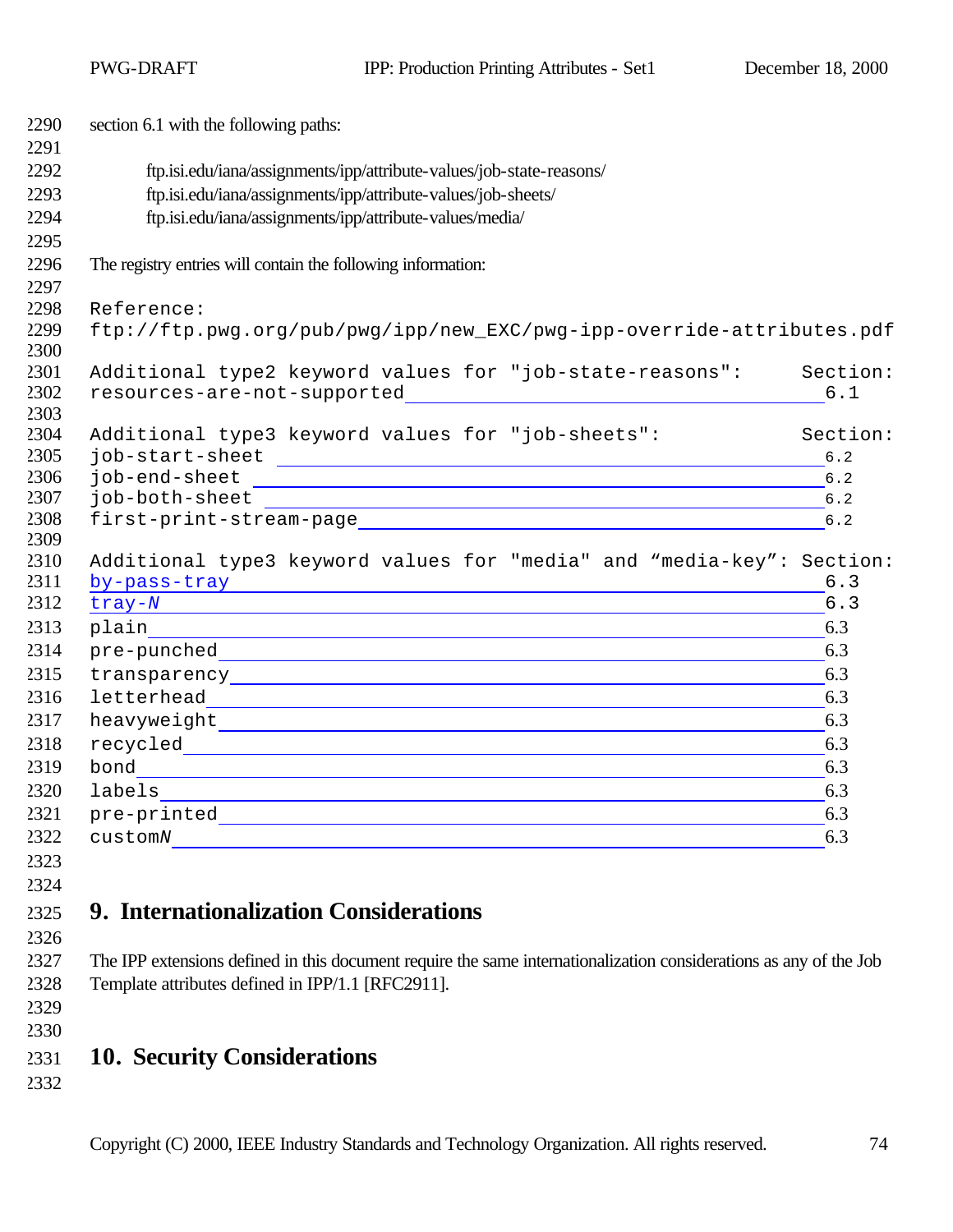PWG-DRAFT IPP: Production Printing Attributes - Set1 December 18, 2000

| 2290         | section 6.1 with the following paths:                                                                                                                                                                                          |              |
|--------------|--------------------------------------------------------------------------------------------------------------------------------------------------------------------------------------------------------------------------------|--------------|
| 2291         |                                                                                                                                                                                                                                |              |
| 2292         | ftp.isi.edu/iana/assignments/ipp/attribute-values/job-state-reasons/                                                                                                                                                           |              |
| 2293         | ftp.isi.edu/iana/assignments/ipp/attribute-values/job-sheets/                                                                                                                                                                  |              |
| 2294         | ftp.isi.edu/iana/assignments/ipp/attribute-values/media/                                                                                                                                                                       |              |
| 2295<br>2296 |                                                                                                                                                                                                                                |              |
| 2297         | The registry entries will contain the following information:                                                                                                                                                                   |              |
| 2298         | Reference:                                                                                                                                                                                                                     |              |
| 2299         | ftp://ftp.pwg.org/pub/pwg/ipp/new_EXC/pwg-ipp-override-attributes.pdf                                                                                                                                                          |              |
| 2300         |                                                                                                                                                                                                                                |              |
| 2301         | Additional type2 keyword values for "job-state-reasons": Section:                                                                                                                                                              |              |
| 2302         |                                                                                                                                                                                                                                | 6.1          |
| 2303         |                                                                                                                                                                                                                                |              |
| 2304<br>2305 | Additional type3 keyword values for "job-sheets":                                                                                                                                                                              | Section:     |
| 2306         |                                                                                                                                                                                                                                | 6.2<br>$6.2$ |
| 2307         |                                                                                                                                                                                                                                | $6.2$        |
| 2308         |                                                                                                                                                                                                                                | $6.2$        |
| 2309         |                                                                                                                                                                                                                                |              |
| 2310         | Additional type3 keyword values for "media" and "media-key": Section:                                                                                                                                                          |              |
| 2311         | by-pass-tray and the set of the set of the set of the set of the set of the set of the set of the set of the set of the set of the set of the set of the set of the set of the set of the set of the set of the set of the set | 6.3          |
| 2312         | tray-N transfer that the contract of the contract of the contract of the contract of the contract of the contract of the contract of the contract of the contract of the contract of the contract of the contract of the contr | 6.3          |
| 2313         |                                                                                                                                                                                                                                | 6.3          |
| 2314         |                                                                                                                                                                                                                                | 6.3          |
| 2315         |                                                                                                                                                                                                                                | 6.3          |
| 2316         |                                                                                                                                                                                                                                | 6.3          |
| 2317         |                                                                                                                                                                                                                                | 6.3          |
| 2318         |                                                                                                                                                                                                                                | 6.3          |
| 2319         |                                                                                                                                                                                                                                | 6.3          |
| 2320         |                                                                                                                                                                                                                                | 6.3          |
| 2321         |                                                                                                                                                                                                                                | 6.3          |
| 2322         |                                                                                                                                                                                                                                | 6.3          |
| 2323         |                                                                                                                                                                                                                                |              |
| 2324         |                                                                                                                                                                                                                                |              |
| 2325         | 9. Internationalization Considerations                                                                                                                                                                                         |              |
| 2326         |                                                                                                                                                                                                                                |              |
| 2327         | The IPP extensions defined in this document require the same internationalization considerations as any of the Job                                                                                                             |              |
| 2328         | Template attributes defined in IPP/1.1 [RFC2911].                                                                                                                                                                              |              |
| 2329         |                                                                                                                                                                                                                                |              |
| 2330         |                                                                                                                                                                                                                                |              |
| 2331         | <b>10. Security Considerations</b>                                                                                                                                                                                             |              |
| 2332         |                                                                                                                                                                                                                                |              |
|              |                                                                                                                                                                                                                                |              |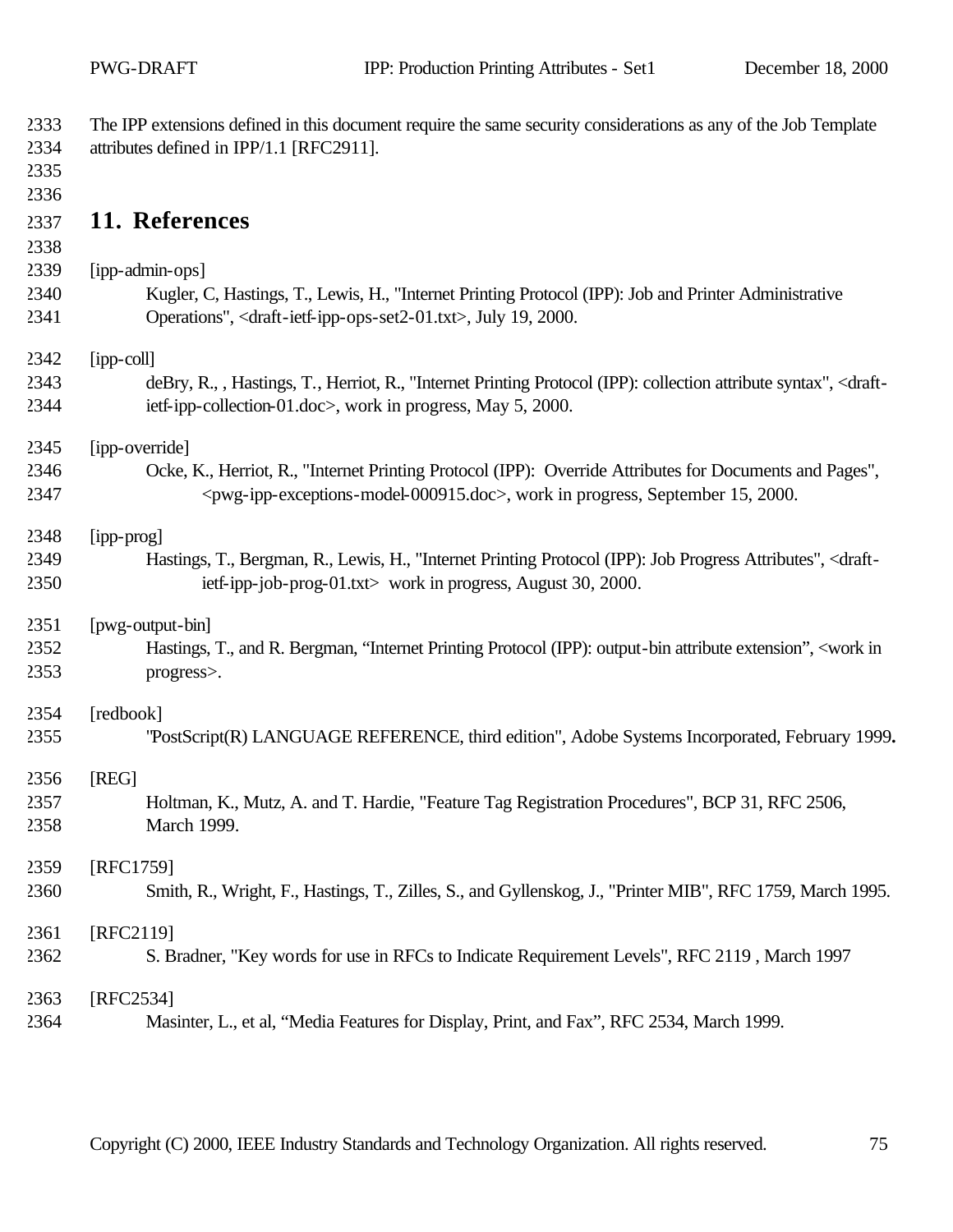| 2333<br>2334<br>2335<br>2336 | The IPP extensions defined in this document require the same security considerations as any of the Job Template<br>attributes defined in IPP/1.1 [RFC2911].                                             |
|------------------------------|---------------------------------------------------------------------------------------------------------------------------------------------------------------------------------------------------------|
| 2337<br>2338                 | 11. References                                                                                                                                                                                          |
| 2339                         | [ipp-admin-ops]                                                                                                                                                                                         |
| 2340<br>2341                 | Kugler, C, Hastings, T., Lewis, H., "Internet Printing Protocol (IPP): Job and Printer Administrative<br>Operations", <draft-ietf-ipp-ops-set2-01.txt>, July 19, 2000.</draft-ietf-ipp-ops-set2-01.txt> |
| 2342                         | [ipp-coll]                                                                                                                                                                                              |
| 2343<br>2344                 | deBry, R., , Hastings, T., Herriot, R., "Internet Printing Protocol (IPP): collection attribute syntax", <draft-<br>ietf-ipp-collection-01.doc&gt;, work in progress, May 5, 2000.</draft-<br>          |
| 2345                         | [ipp-override]                                                                                                                                                                                          |
| 2346                         | Ocke, K., Herriot, R., "Internet Printing Protocol (IPP): Override Attributes for Documents and Pages",                                                                                                 |
| 2347                         | <pwg-ipp-exceptions-model-000915.doc>, work in progress, September 15, 2000.</pwg-ipp-exceptions-model-000915.doc>                                                                                      |
| 2348                         | [ipp-prog]                                                                                                                                                                                              |
| 2349                         | Hastings, T., Bergman, R., Lewis, H., "Internet Printing Protocol (IPP): Job Progress Attributes", <draft-< td=""></draft-<>                                                                            |
| 2350                         | ietf-ipp-job-prog-01.txt> work in progress, August 30, 2000.                                                                                                                                            |
| 2351                         | [pwg-output-bin]                                                                                                                                                                                        |
| 2352<br>2353                 | Hastings, T., and R. Bergman, "Internet Printing Protocol (IPP): output-bin attribute extension", <work in<br="">progress&gt;.</work>                                                                   |
| 2354                         | [redbook]                                                                                                                                                                                               |
| 2355                         | "PostScript(R) LANGUAGE REFERENCE, third edition", Adobe Systems Incorporated, February 1999.                                                                                                           |
| 2356                         | [REG]                                                                                                                                                                                                   |
| 2357                         | Holtman, K., Mutz, A. and T. Hardie, "Feature Tag Registration Procedures", BCP 31, RFC 2506,                                                                                                           |
| 2358                         | March 1999.                                                                                                                                                                                             |
| 2359                         | [RFC1759]                                                                                                                                                                                               |
| 2360                         | Smith, R., Wright, F., Hastings, T., Zilles, S., and Gyllenskog, J., "Printer MIB", RFC 1759, March 1995.                                                                                               |
| 2361                         | [RFC2119]                                                                                                                                                                                               |
| 2362                         | S. Bradner, "Key words for use in RFCs to Indicate Requirement Levels", RFC 2119, March 1997                                                                                                            |
| 2363                         | [RFC2534]                                                                                                                                                                                               |
| 2364                         | Masinter, L., et al, "Media Features for Display, Print, and Fax", RFC 2534, March 1999.                                                                                                                |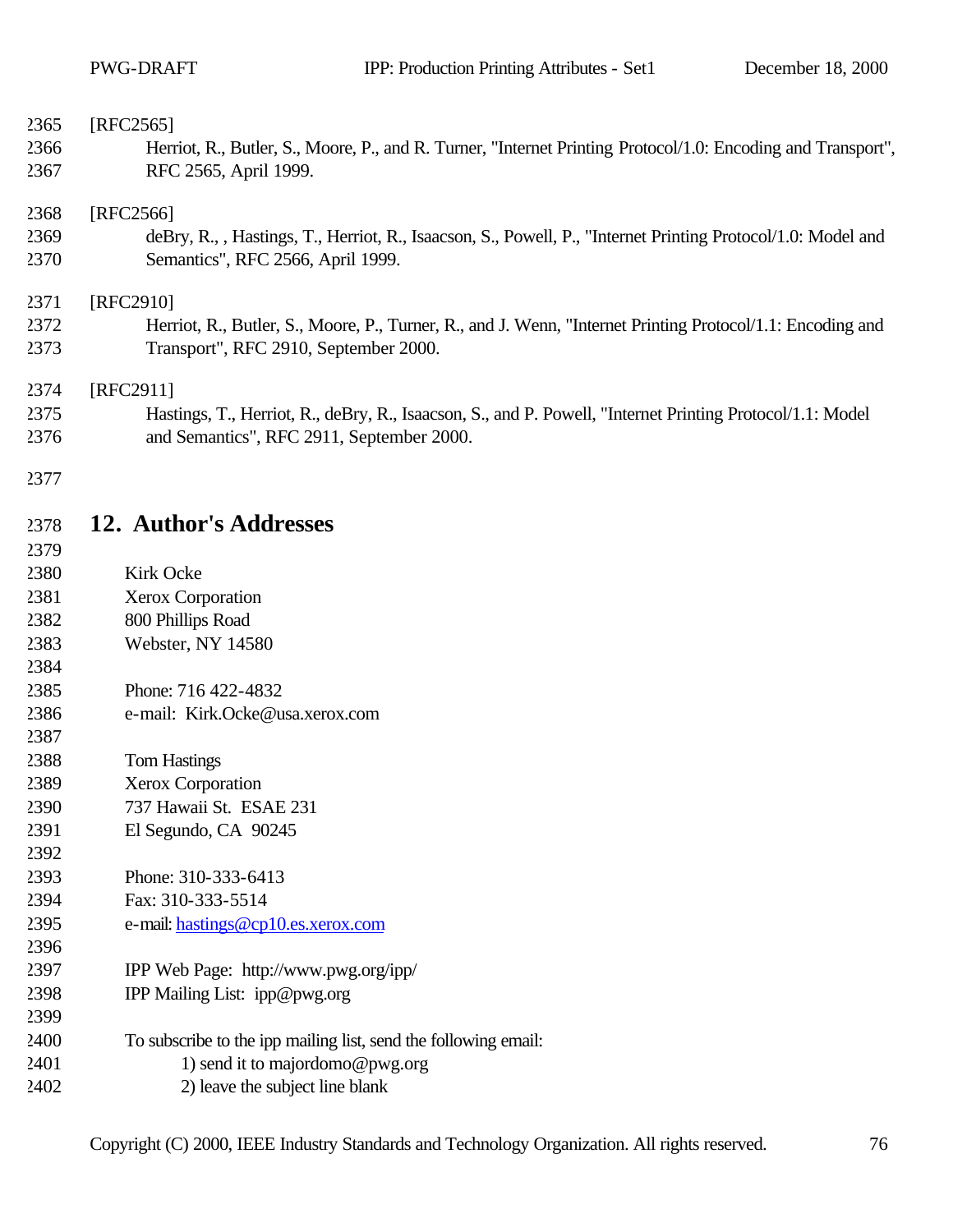| 2365<br>2366<br>2367 | [RFC2565]<br>Herriot, R., Butler, S., Moore, P., and R. Turner, "Internet Printing Protocol/1.0: Encoding and Transport",<br>RFC 2565, April 1999.             |
|----------------------|----------------------------------------------------------------------------------------------------------------------------------------------------------------|
| 2368<br>2369<br>2370 | [RFC2566]<br>deBry, R., , Hastings, T., Herriot, R., Isaacson, S., Powell, P., "Internet Printing Protocol/1.0: Model and<br>Semantics", RFC 2566, April 1999. |
| 2371                 | [RFC2910]                                                                                                                                                      |
| 2372<br>2373         | Herriot, R., Butler, S., Moore, P., Turner, R., and J. Wenn, "Internet Printing Protocol/1.1: Encoding and<br>Transport", RFC 2910, September 2000.            |
| 2374                 | [RFC2911]                                                                                                                                                      |
| 2375<br>2376         | Hastings, T., Herriot, R., deBry, R., Isaacson, S., and P. Powell, "Internet Printing Protocol/1.1: Model<br>and Semantics", RFC 2911, September 2000.         |
| 2377                 |                                                                                                                                                                |
| 2378<br>2379         | 12. Author's Addresses                                                                                                                                         |
| 2380                 | Kirk Ocke                                                                                                                                                      |
| 2381                 | Xerox Corporation                                                                                                                                              |
| 2382                 | 800 Phillips Road                                                                                                                                              |
| 2383                 | Webster, NY 14580                                                                                                                                              |
| 2384                 |                                                                                                                                                                |
| 2385                 | Phone: 716 422-4832                                                                                                                                            |
| 2386                 | e-mail: Kirk.Ocke@usa.xerox.com                                                                                                                                |
| 2387                 |                                                                                                                                                                |
| 2388                 | <b>Tom Hastings</b>                                                                                                                                            |

- Xerox Corporation 737 Hawaii St. ESAE 231
- El Segundo, CA 90245
- Phone: 310-333-6413
- Fax: 310-333-5514

- e-mail: hastings@cp10.es.xerox.com
- IPP Web Page: http://www.pwg.org/ipp/
- IPP Mailing List: ipp@pwg.org
- To subscribe to the ipp mailing list, send the following email:
- 1) send it to majordomo@pwg.org
- 2) leave the subject line blank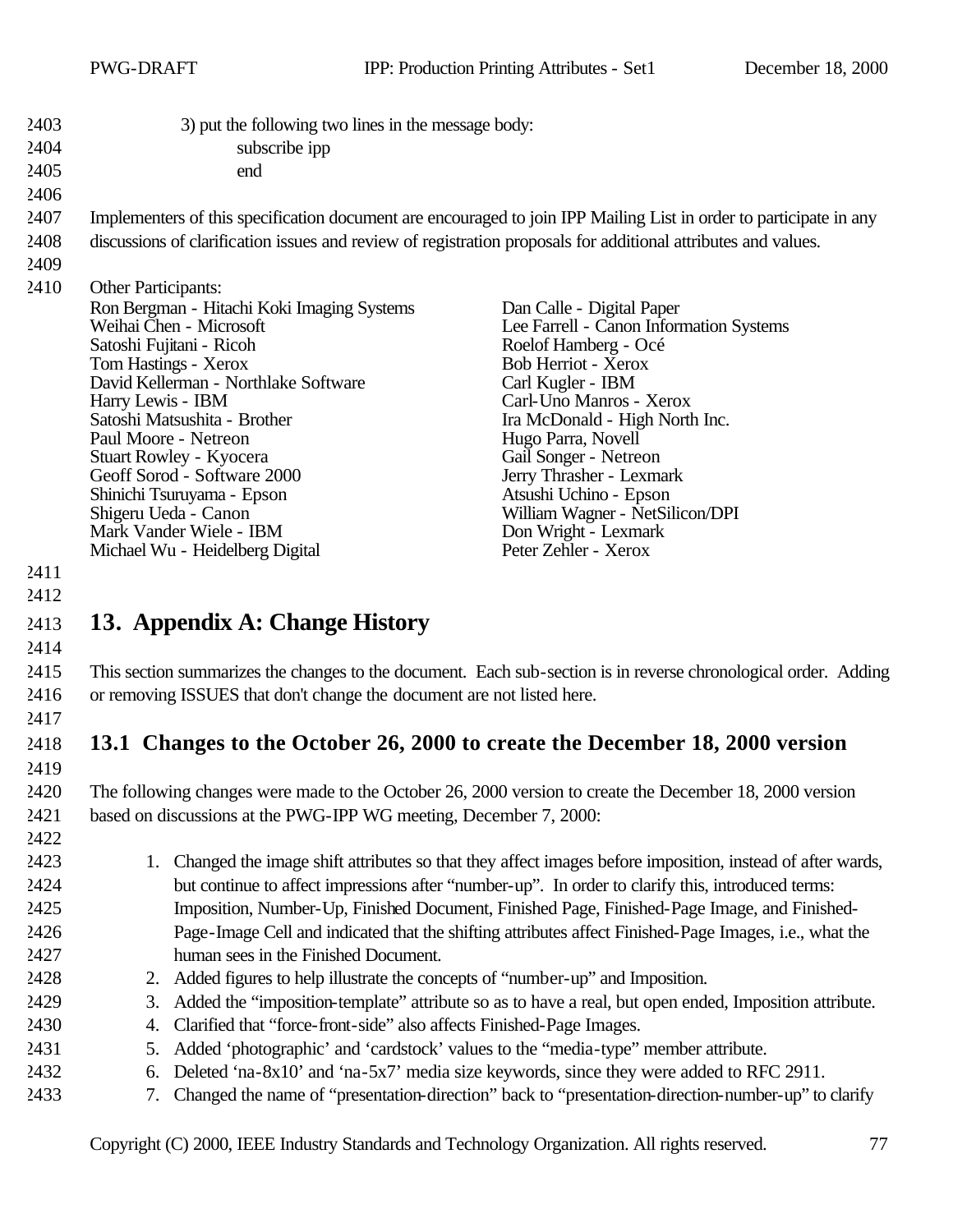| 2403 | 3) put the following two lines in the message body:                                                            |                                                                                                                    |
|------|----------------------------------------------------------------------------------------------------------------|--------------------------------------------------------------------------------------------------------------------|
| 2404 | subscribe ipp                                                                                                  |                                                                                                                    |
| 2405 | end                                                                                                            |                                                                                                                    |
| 2406 |                                                                                                                |                                                                                                                    |
| 2407 |                                                                                                                | Implementers of this specification document are encouraged to join IPP Mailing List in order to participate in any |
| 2408 | discussions of clarification issues and review of registration proposals for additional attributes and values. |                                                                                                                    |
| 2409 |                                                                                                                |                                                                                                                    |
| 2410 | <b>Other Participants:</b>                                                                                     |                                                                                                                    |
|      | Ron Bergman - Hitachi Koki Imaging Systems                                                                     | Dan Calle - Digital Paper                                                                                          |
|      | Weihai Chen - Microsoft                                                                                        | Lee Farrell - Canon Information Systems                                                                            |
|      | Satoshi Fujitani - Ricoh                                                                                       | Roelof Hamberg - Océ                                                                                               |
|      | Tom Hastings - Xerox<br>David Kellerman - Northlake Software                                                   | Bob Herriot - Xerox<br>Carl Kugler - IBM                                                                           |
|      | Harry Lewis - IBM                                                                                              | Carl-Uno Manros - Xerox                                                                                            |
|      | Satoshi Matsushita - Brother                                                                                   | Ira McDonald - High North Inc.                                                                                     |
|      | Paul Moore - Netreon                                                                                           | Hugo Parra, Novell                                                                                                 |
|      | Stuart Rowley - Kyocera                                                                                        | Gail Songer - Netreon                                                                                              |
|      | Geoff Sorod - Software 2000<br>Shinichi Tsuruyama - Epson                                                      | Jerry Thrasher - Lexmark<br>Atsushi Uchino - Epson                                                                 |
|      | Shigeru Ueda - Canon                                                                                           | William Wagner - NetSilicon/DPI                                                                                    |
|      | Mark Vander Wiele - IBM                                                                                        | Don Wright - Lexmark                                                                                               |
|      | Michael Wu - Heidelberg Digital                                                                                | Peter Zehler - Xerox                                                                                               |
| 2411 |                                                                                                                |                                                                                                                    |
| 2412 |                                                                                                                |                                                                                                                    |
| 2413 | 13. Appendix A: Change History                                                                                 |                                                                                                                    |
| 2414 |                                                                                                                |                                                                                                                    |
| 2415 |                                                                                                                | This section summarizes the changes to the document. Each sub-section is in reverse chronological order. Adding    |
| 2416 | or removing ISSUES that don't change the document are not listed here.                                         |                                                                                                                    |
| 2417 |                                                                                                                |                                                                                                                    |
| 2418 |                                                                                                                | 13.1 Changes to the October 26, 2000 to create the December 18, 2000 version                                       |
| 2419 |                                                                                                                |                                                                                                                    |
| 2420 |                                                                                                                | The following changes were made to the October 26, 2000 version to create the December 18, 2000 version            |
| 2421 | based on discussions at the PWG-IPP WG meeting, December 7, 2000:                                              |                                                                                                                    |
| 2422 |                                                                                                                |                                                                                                                    |
| 2423 | 1.                                                                                                             | Changed the image shift attributes so that they affect images before imposition, instead of after wards,           |
| 2424 |                                                                                                                | but continue to affect impressions after "number-up". In order to clarify this, introduced terms:                  |
| 2425 |                                                                                                                | Imposition, Number-Up, Finished Document, Finished Page, Finished-Page Image, and Finished-                        |
| 2426 |                                                                                                                | Page-Image Cell and indicated that the shifting attributes affect Finished-Page Images, i.e., what the             |
| 2427 | human sees in the Finished Document.                                                                           |                                                                                                                    |
| 2428 | Added figures to help illustrate the concepts of "number-up" and Imposition.<br>2.                             |                                                                                                                    |
| 2429 | 3.                                                                                                             | Added the "imposition-template" attribute so as to have a real, but open ended, Imposition attribute.              |
| 2430 | Clarified that "force-front-side" also affects Finished-Page Images.<br>4.                                     |                                                                                                                    |
| 2431 | 5.                                                                                                             | Added 'photographic' and 'cardstock' values to the "media-type" member attribute.                                  |
| 2432 | 6.                                                                                                             | Deleted 'na-8x10' and 'na-5x7' media size keywords, since they were added to RFC 2911.                             |
| 2433 | 7.                                                                                                             | Changed the name of "presentation-direction" back to "presentation-direction-number-up" to clarify                 |
|      |                                                                                                                |                                                                                                                    |

Copyright (C) 2000, IEEE Industry Standards and Technology Organization. All rights reserved. 77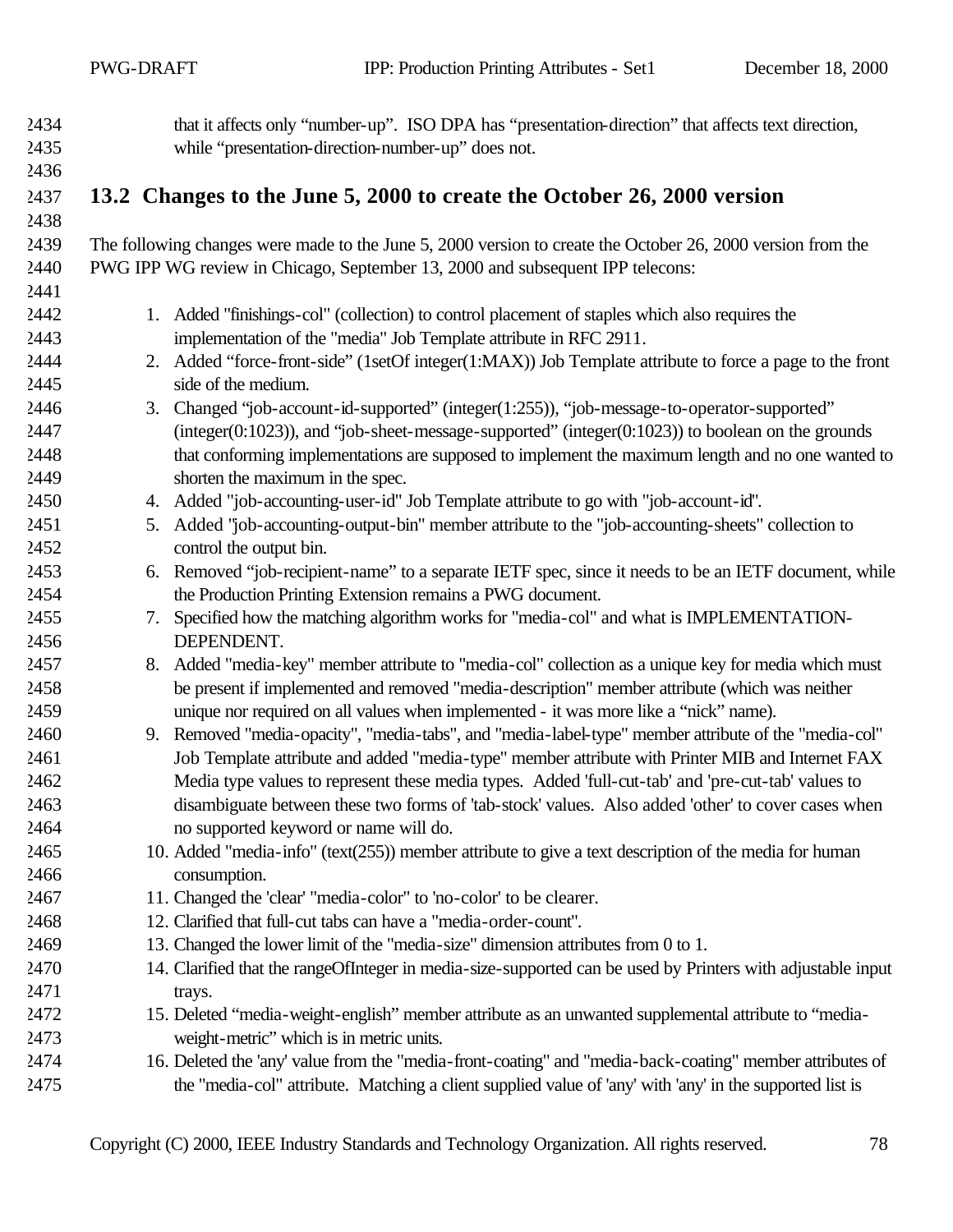| 2434         |    | that it affects only "number-up". ISO DPA has "presentation-direction" that affects text direction,                                    |
|--------------|----|----------------------------------------------------------------------------------------------------------------------------------------|
| 2435         |    | while "presentation-direction-number-up" does not.                                                                                     |
| 2436         |    |                                                                                                                                        |
| 2437         |    | 13.2 Changes to the June 5, 2000 to create the October 26, 2000 version                                                                |
| 2438         |    |                                                                                                                                        |
| 2439         |    | The following changes were made to the June 5, 2000 version to create the October 26, 2000 version from the                            |
| 2440         |    | PWG IPP WG review in Chicago, September 13, 2000 and subsequent IPP telecons:                                                          |
| 2441         |    |                                                                                                                                        |
| 2442         |    | 1. Added "finishings-col" (collection) to control placement of staples which also requires the                                         |
| 2443         |    | implementation of the "media" Job Template attribute in RFC 2911.                                                                      |
| 2444         |    | 2. Added "force-front-side" (1setOf integer(1:MAX)) Job Template attribute to force a page to the front                                |
| 2445         |    | side of the medium.                                                                                                                    |
| 2446         |    | 3. Changed "job-account-id-supported" (integer(1:255)), "job-message-to-operator-supported"                                            |
| 2447         |    | $(integer(0:1023))$ , and "job-sheet-message-supported" $(integer(0:1023))$ to boolean on the grounds                                  |
| 2448         |    | that conforming implementations are supposed to implement the maximum length and no one wanted to                                      |
| 2449         |    | shorten the maximum in the spec.                                                                                                       |
| 2450         |    | 4. Added "job-accounting-user-id" Job Template attribute to go with "job-account-id".                                                  |
| 2451         |    | 5. Added "job-accounting-output-bin" member attribute to the "job-accounting-sheets" collection to                                     |
| 2452         |    | control the output bin.                                                                                                                |
| 2453         | 6. | Removed "job-recipient-name" to a separate IETF spec, since it needs to be an IETF document, while                                     |
| 2454         |    | the Production Printing Extension remains a PWG document.                                                                              |
| 2455         |    | 7. Specified how the matching algorithm works for "media-col" and what is IMPLEMENTATION-                                              |
| 2456         |    | DEPENDENT.                                                                                                                             |
| 2457         | 8. | Added "media-key" member attribute to "media-col" collection as a unique key for media which must                                      |
| 2458         |    | be present if implemented and removed "media-description" member attribute (which was neither                                          |
| 2459         |    | unique nor required on all values when implemented - it was more like a "nick" name).                                                  |
| 2460         |    | 9. Removed "media-opacity", "media-tabs", and "media-label-type" member attribute of the "media-col"                                   |
| 2461         |    | Job Template attribute and added "media-type" member attribute with Printer MIB and Internet FAX                                       |
| 2462         |    | Media type values to represent these media types. Added 'full-cut-tab' and 'pre-cut-tab' values to                                     |
| 2463         |    | disambiguate between these two forms of 'tab-stock' values. Also added 'other' to cover cases when                                     |
| 2464         |    | no supported keyword or name will do.                                                                                                  |
| 2465         |    | 10. Added "media-info" (text(255)) member attribute to give a text description of the media for human                                  |
| 2466         |    | consumption.                                                                                                                           |
| 2467         |    | 11. Changed the 'clear' "media-color" to 'no-color' to be clearer.<br>12. Clarified that full-cut tabs can have a "media-order-count". |
| 2468<br>2469 |    | 13. Changed the lower limit of the "media-size" dimension attributes from 0 to 1.                                                      |
| 2470         |    | 14. Clarified that the rangeOfInteger in media-size-supported can be used by Printers with adjustable input                            |
| 2471         |    |                                                                                                                                        |
| 2472         |    | trays.<br>15. Deleted "media-weight-english" member attribute as an unwanted supplemental attribute to "media-                         |
| 2473         |    | weight-metric" which is in metric units.                                                                                               |
| 2474         |    | 16. Deleted the 'any' value from the "media-front-coating" and "media-back-coating" member attributes of                               |
| 2475         |    | the "media-col" attribute. Matching a client supplied value of 'any' with 'any' in the supported list is                               |
|              |    |                                                                                                                                        |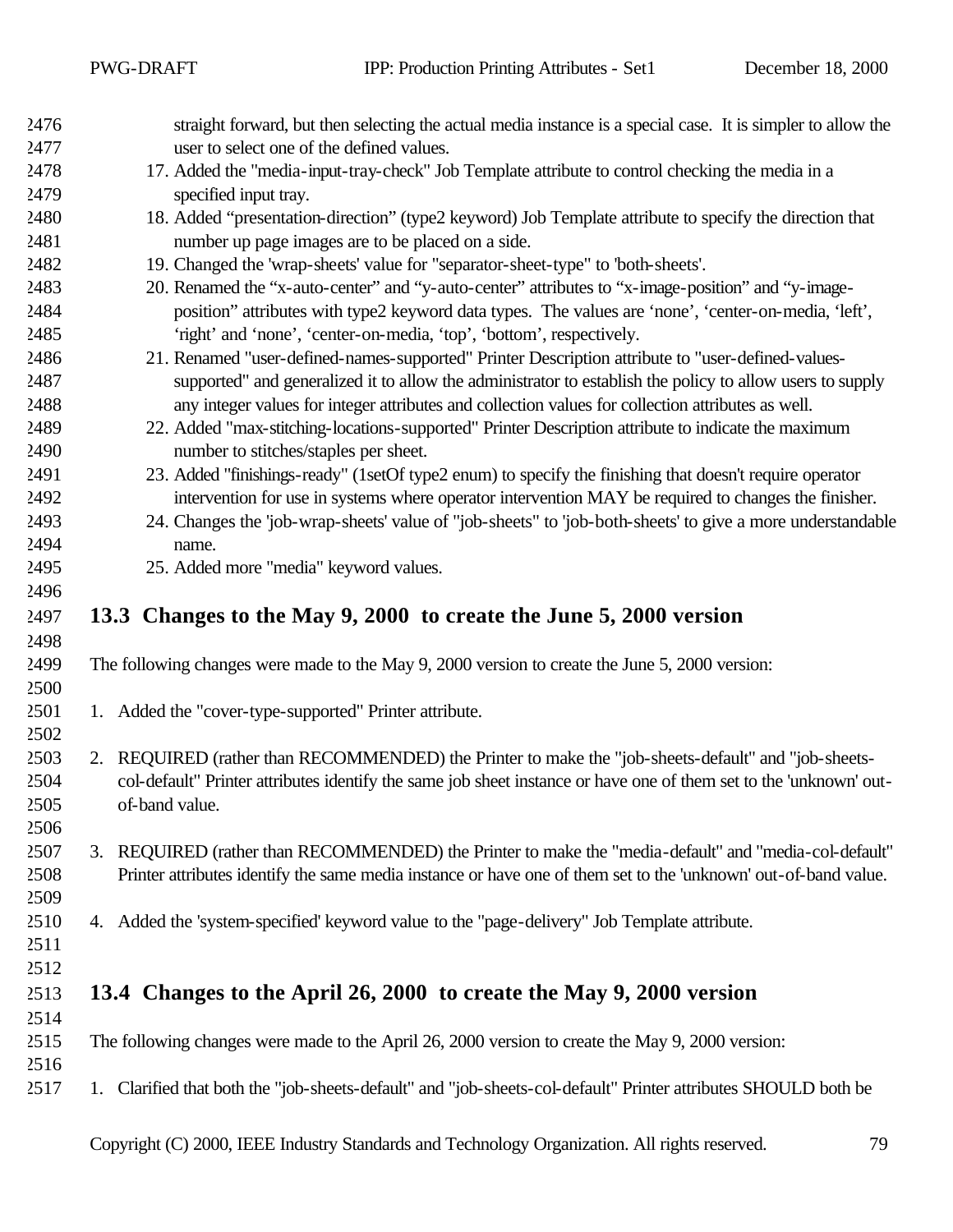| 2476 | straight forward, but then selecting the actual media instance is a special case. It is simpler to allow the       |
|------|--------------------------------------------------------------------------------------------------------------------|
| 2477 | user to select one of the defined values.                                                                          |
| 2478 | 17. Added the "media-input-tray-check" Job Template attribute to control checking the media in a                   |
| 2479 | specified input tray.                                                                                              |
| 2480 | 18. Added "presentation-direction" (type2 keyword) Job Template attribute to specify the direction that            |
| 2481 | number up page images are to be placed on a side.                                                                  |
| 2482 | 19. Changed the 'wrap-sheets' value for "separator-sheet-type" to 'both-sheets'.                                   |
| 2483 | 20. Renamed the "x-auto-center" and "y-auto-center" attributes to "x-image-position" and "y-image-                 |
| 2484 | position" attributes with type2 keyword data types. The values are 'none', 'center-on-media, 'left',               |
| 2485 | 'right' and 'none', 'center-on-media, 'top', 'bottom', respectively.                                               |
| 2486 | 21. Renamed "user-defined-names-supported" Printer Description attribute to "user-defined-values-                  |
| 2487 | supported" and generalized it to allow the administrator to establish the policy to allow users to supply          |
| 2488 | any integer values for integer attributes and collection values for collection attributes as well.                 |
| 2489 | 22. Added "max-stitching-locations-supported" Printer Description attribute to indicate the maximum                |
| 2490 | number to stitches/staples per sheet.                                                                              |
| 2491 | 23. Added "finishings-ready" (1setOf type2 enum) to specify the finishing that doesn't require operator            |
| 2492 | intervention for use in systems where operator intervention MAY be required to changes the finisher.               |
| 2493 | 24. Changes the 'job-wrap-sheets' value of "job-sheets" to 'job-both-sheets' to give a more understandable         |
| 2494 | name.                                                                                                              |
| 2495 | 25. Added more "media" keyword values.                                                                             |
| 2496 |                                                                                                                    |
| 2497 | 13.3 Changes to the May 9, 2000 to create the June 5, 2000 version                                                 |
| 2498 |                                                                                                                    |
| 2499 | The following changes were made to the May 9, 2000 version to create the June 5, 2000 version:                     |
| 2500 |                                                                                                                    |
| 2501 | 1. Added the "cover-type-supported" Printer attribute.                                                             |
| 2502 |                                                                                                                    |
| 2503 | 2. REQUIRED (rather than RECOMMENDED) the Printer to make the "job-sheets-default" and "job-sheets-                |
| 2504 | col-default" Printer attributes identify the same job sheet instance or have one of them set to the 'unknown' out- |
| 2505 | of-band value.                                                                                                     |
| 2506 |                                                                                                                    |
| 2507 | 3. REQUIRED (rather than RECOMMENDED) the Printer to make the "media-default" and "media-col-default"              |
| 2508 | Printer attributes identify the same media instance or have one of them set to the 'unknown' out-of-band value.    |
| 2509 |                                                                                                                    |
| 2510 | 4. Added the 'system-specified' keyword value to the "page-delivery" Job Template attribute.                       |
| 2511 |                                                                                                                    |
| 2512 |                                                                                                                    |
| 2513 | 13.4 Changes to the April 26, 2000 to create the May 9, 2000 version                                               |
|      |                                                                                                                    |
| 2514 |                                                                                                                    |
| 2515 | The following changes were made to the April 26, 2000 version to create the May 9, 2000 version:                   |
| 2516 |                                                                                                                    |
| 2517 | 1. Clarified that both the "job-sheets-default" and "job-sheets-col-default" Printer attributes SHOULD both be     |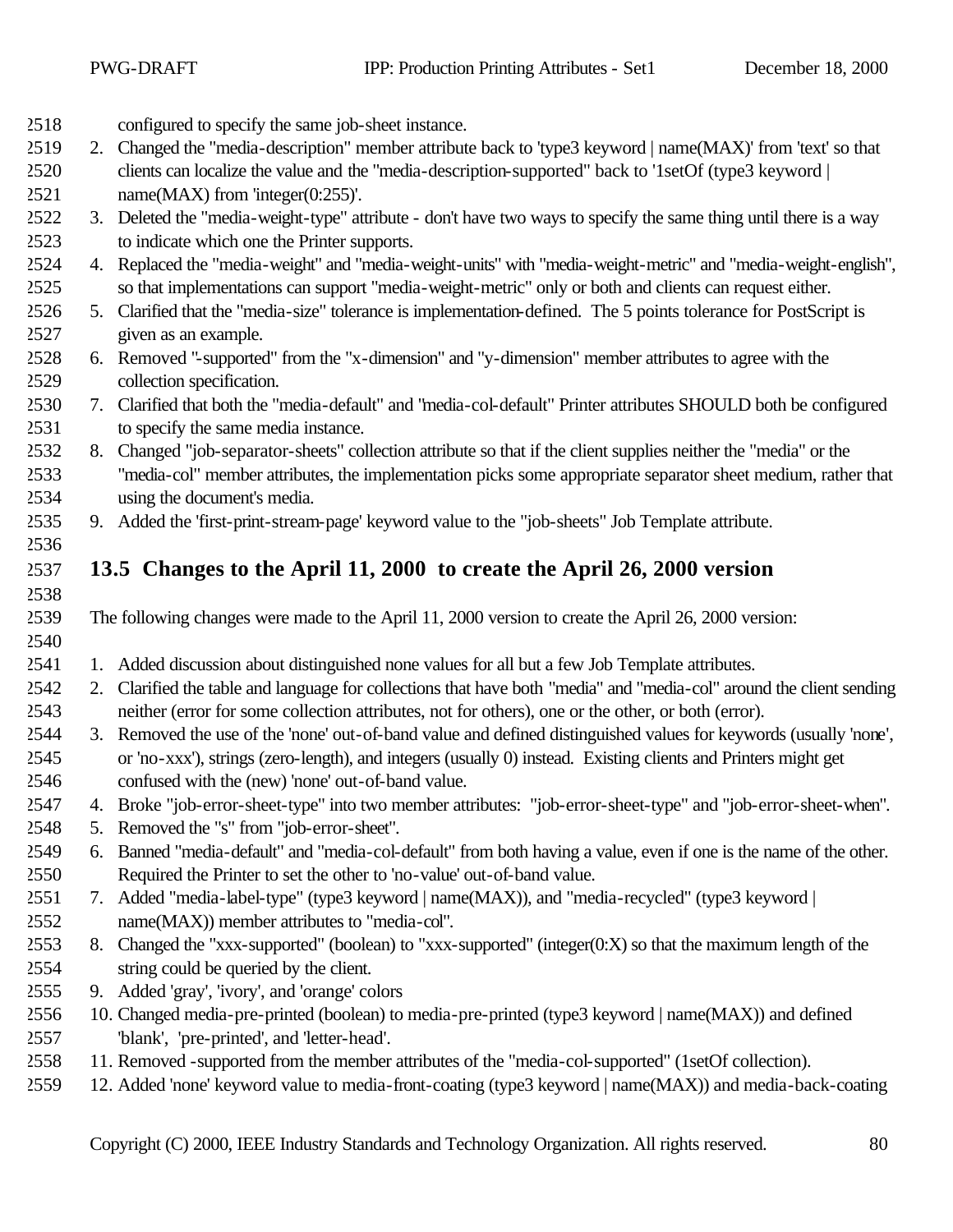| 2518 |    | configured to specify the same job-sheet instance.                                                                |
|------|----|-------------------------------------------------------------------------------------------------------------------|
| 2519 | 2. | Changed the "media-description" member attribute back to 'type3 keyword   name(MAX)' from 'text' so that          |
| 2520 |    | clients can localize the value and the "media-description-supported" back to '1setOf (type3 keyword               |
| 2521 |    | name $(MAX)$ from 'integer $(0:255)'$ .                                                                           |
| 2522 |    | 3. Deleted the "media-weight-type" attribute - don't have two ways to specify the same thing until there is a way |
| 2523 |    | to indicate which one the Printer supports.                                                                       |
| 2524 |    | 4. Replaced the "media-weight" and "media-weight-units" with "media-weight-metric" and "media-weight-english",    |
| 2525 |    | so that implementations can support "media-weight-metric" only or both and clients can request either.            |
| 2526 |    | 5. Clarified that the "media-size" tolerance is implementation-defined. The 5 points tolerance for PostScript is  |
| 2527 |    | given as an example.                                                                                              |
| 2528 |    | 6. Removed "-supported" from the "x-dimension" and "y-dimension" member attributes to agree with the              |
| 2529 |    | collection specification.                                                                                         |
| 2530 |    | 7. Clarified that both the "media-default" and "media-col-default" Printer attributes SHOULD both be configured   |
| 2531 |    | to specify the same media instance.                                                                               |
| 2532 | 8. | Changed "job-separator-sheets" collection attribute so that if the client supplies neither the "media" or the     |
| 2533 |    | "media-col" member attributes, the implementation picks some appropriate separator sheet medium, rather that      |
| 2534 |    | using the document's media.                                                                                       |
| 2535 |    | 9. Added the 'first-print-stream-page' keyword value to the "job-sheets" Job Template attribute.                  |
| 2536 |    |                                                                                                                   |
| 2537 |    | 13.5 Changes to the April 11, 2000 to create the April 26, 2000 version                                           |
| 2538 |    |                                                                                                                   |
| 2539 |    | The following changes were made to the April 11, 2000 version to create the April 26, 2000 version:               |
| 2540 |    |                                                                                                                   |
| 2541 |    | 1. Added discussion about distinguished none values for all but a few Job Template attributes.                    |
| 2542 | 2. | Clarified the table and language for collections that have both "media" and "media-col" around the client sending |
| 2543 |    | neither (error for some collection attributes, not for others), one or the other, or both (error).                |
| 2544 |    | 3. Removed the use of the 'none' out-of-band value and defined distinguished values for keywords (usually 'none', |
| 2545 |    | or 'no-xxx'), strings (zero-length), and integers (usually 0) instead. Existing clients and Printers might get    |
| 2546 |    | confused with the (new) 'none' out-of-band value.                                                                 |
| 2547 |    | 4. Broke "job-error-sheet-type" into two member attributes: "job-error-sheet-type" and "job-error-sheet-when".    |
| 2548 |    | 5. Removed the "s" from "job-error-sheet".                                                                        |
| 2549 |    | 6. Banned "media-default" and "media-col-default" from both having a value, even if one is the name of the other. |
| 2550 |    | Required the Printer to set the other to 'no-value' out-of-band value.                                            |
| 2551 |    | 7. Added "media-label-type" (type3 keyword   name(MAX)), and "media-recycled" (type3 keyword                      |
| 2552 |    | name(MAX)) member attributes to "media-col".                                                                      |
| 2553 |    | 8. Changed the "xxx-supported" (boolean) to "xxx-supported" (integer(0:X) so that the maximum length of the       |
| 2554 |    | string could be queried by the client.                                                                            |
| 2555 |    | 9. Added 'gray', 'ivory', and 'orange' colors                                                                     |
| 2556 |    | 10. Changed media-pre-printed (boolean) to media-pre-printed (type3 keyword   name(MAX)) and defined              |
| 2557 |    | 'blank', 'pre-printed', and 'letter-head'.                                                                        |
| 2558 |    | 11. Removed -supported from the member attributes of the "media-col-supported" (1setOf collection).               |
| 2559 |    | 12. Added 'none' keyword value to media-front-coating (type3 keyword   name(MAX)) and media-back-coating          |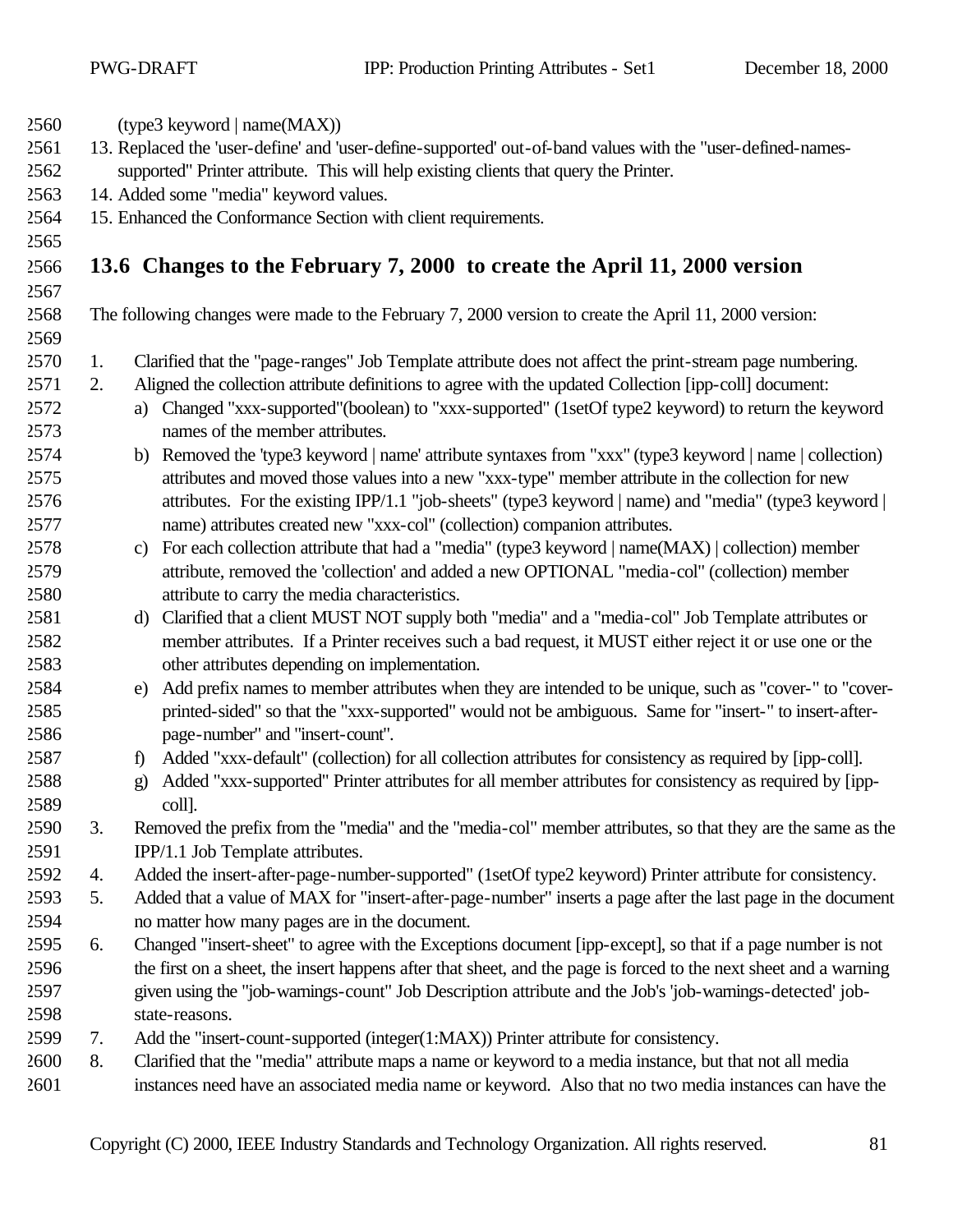| 2560 |    | $(type3$ keyword   name $(MAX)$ )                                                                                         |
|------|----|---------------------------------------------------------------------------------------------------------------------------|
| 2561 |    | 13. Replaced the 'user-define' and 'user-define-supported' out-of-band values with the "user-defined-names-               |
| 2562 |    | supported" Printer attribute. This will help existing clients that query the Printer.                                     |
| 2563 |    | 14. Added some "media" keyword values.                                                                                    |
| 2564 |    | 15. Enhanced the Conformance Section with client requirements.                                                            |
| 2565 |    |                                                                                                                           |
| 2566 |    | 13.6 Changes to the February 7, 2000 to create the April 11, 2000 version                                                 |
| 2567 |    |                                                                                                                           |
| 2568 |    | The following changes were made to the February 7, 2000 version to create the April 11, 2000 version:                     |
| 2569 |    |                                                                                                                           |
| 2570 | 1. | Clarified that the "page-ranges" Job Template attribute does not affect the print-stream page numbering.                  |
| 2571 | 2. | Aligned the collection attribute definitions to agree with the updated Collection [ipp-coll] document:                    |
| 2572 |    | a) Changed "xxx-supported" (boolean) to "xxx-supported" (1setOf type2 keyword) to return the keyword                      |
| 2573 |    | names of the member attributes.                                                                                           |
| 2574 |    | b) Removed the 'type3 keyword   name' attribute syntaxes from "xxx" (type3 keyword   name   collection)                   |
| 2575 |    | attributes and moved those values into a new "xxx-type" member attribute in the collection for new                        |
| 2576 |    | attributes. For the existing IPP/1.1 "job-sheets" (type3 keyword   name) and "media" (type3 keyword                       |
| 2577 |    | name) attributes created new "xxx-col" (collection) companion attributes.                                                 |
| 2578 |    | For each collection attribute that had a "media" (type3 keyword   name(MAX)   collection) member<br>c)                    |
| 2579 |    | attribute, removed the 'collection' and added a new OPTIONAL "media-col" (collection) member                              |
| 2580 |    | attribute to carry the media characteristics.                                                                             |
| 2581 |    | Clarified that a client MUST NOT supply both "media" and a "media-col" Job Template attributes or<br>d)                   |
| 2582 |    | member attributes. If a Printer receives such a bad request, it MUST either reject it or use one or the                   |
| 2583 |    | other attributes depending on implementation.                                                                             |
| 2584 |    | Add prefix names to member attributes when they are intended to be unique, such as "cover-" to "cover-<br>e)              |
| 2585 |    | printed-sided" so that the "xxx-supported" would not be ambiguous. Same for "insert-" to insert-after-                    |
| 2586 |    | page-number" and "insert-count".                                                                                          |
| 2587 |    | Added "xxx-default" (collection) for all collection attributes for consistency as required by [ipp-coll].<br>$\mathbf{f}$ |
| 2588 |    | Added "xxx-supported" Printer attributes for all member attributes for consistency as required by [ipp-<br>$\mathbf{g}$   |
| 2589 |    | coll].                                                                                                                    |
| 2590 | 3. | Removed the prefix from the "media" and the "media-col" member attributes, so that they are the same as the               |
| 2591 |    | IPP/1.1 Job Template attributes.                                                                                          |
| 2592 | 4. | Added the insert-after-page-number-supported" (1setOf type2 keyword) Printer attribute for consistency.                   |
| 2593 | 5. | Added that a value of MAX for "insert-after-page-number" inserts a page after the last page in the document               |
| 2594 |    | no matter how many pages are in the document.                                                                             |
| 2595 | 6. | Changed "insert-sheet" to agree with the Exceptions document [ipp-except], so that if a page number is not                |
| 2596 |    | the first on a sheet, the insert happens after that sheet, and the page is forced to the next sheet and a warning         |
| 2597 |    | given using the "job-warnings-count" Job Description attribute and the Job's 'job-warnings-detected' job-                 |
| 2598 |    | state-reasons.                                                                                                            |
| 2599 | 7. | Add the "insert-count-supported (integer(1:MAX)) Printer attribute for consistency.                                       |
| 2600 | 8. | Clarified that the "media" attribute maps a name or keyword to a media instance, but that not all media                   |
| 2601 |    | instances need have an associated media name or keyword. Also that no two media instances can have the                    |
|      |    |                                                                                                                           |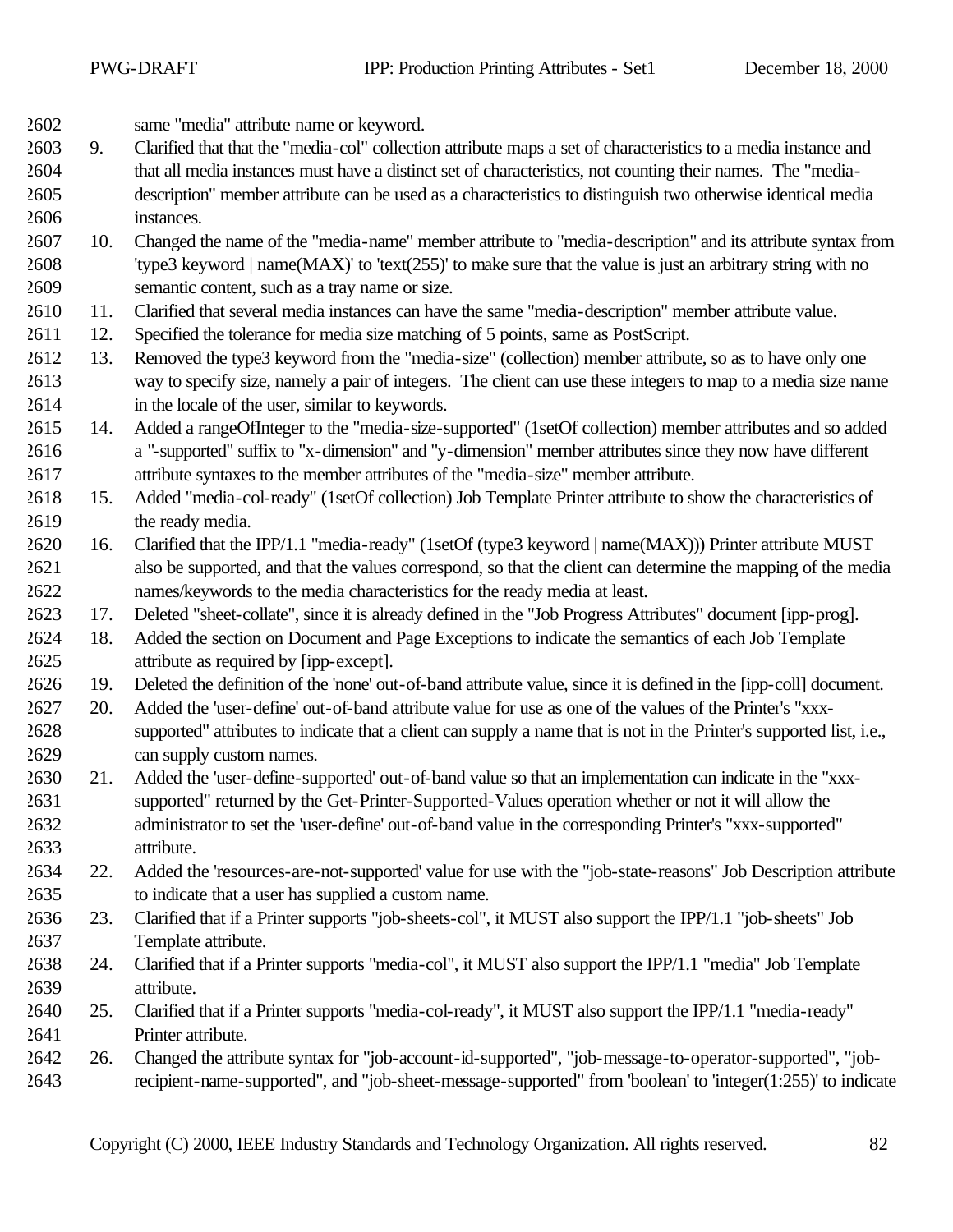same "media" attribute name or keyword.

- 9. Clarified that that the "media-col" collection attribute maps a set of characteristics to a media instance and that all media instances must have a distinct set of characteristics, not counting their names. The "media- description" member attribute can be used as a characteristics to distinguish two otherwise identical media instances.
- 10. Changed the name of the "media-name" member attribute to "media-description" and its attribute syntax from 'type3 keyword | name(MAX)' to 'text(255)' to make sure that the value is just an arbitrary string with no semantic content, such as a tray name or size.
- 11. Clarified that several media instances can have the same "media-description" member attribute value.
- 12. Specified the tolerance for media size matching of 5 points, same as PostScript.
- 13. Removed the type3 keyword from the "media-size" (collection) member attribute, so as to have only one way to specify size, namely a pair of integers. The client can use these integers to map to a media size name in the locale of the user, similar to keywords.
- 14. Added a rangeOfInteger to the "media-size-supported" (1setOf collection) member attributes and so added a "-supported" suffix to "x-dimension" and "y-dimension" member attributes since they now have different attribute syntaxes to the member attributes of the "media-size" member attribute.
- 15. Added "media-col-ready" (1setOf collection) Job Template Printer attribute to show the characteristics of the ready media.
- 16. Clarified that the IPP/1.1 "media-ready" (1setOf (type3 keyword | name(MAX))) Printer attribute MUST also be supported, and that the values correspond, so that the client can determine the mapping of the media names/keywords to the media characteristics for the ready media at least.
- 17. Deleted "sheet-collate", since it is already defined in the "Job Progress Attributes" document [ipp-prog].
- 18. Added the section on Document and Page Exceptions to indicate the semantics of each Job Template attribute as required by [ipp-except].
- 19. Deleted the definition of the 'none' out-of-band attribute value, since it is defined in the [ipp-coll] document.
- 20. Added the 'user-define' out-of-band attribute value for use as one of the values of the Printer's "xxx- supported" attributes to indicate that a client can supply a name that is not in the Printer's supported list, i.e., can supply custom names.
- 21. Added the 'user-define-supported' out-of-band value so that an implementation can indicate in the "xxx- supported" returned by the Get-Printer-Supported-Values operation whether or not it will allow the administrator to set the 'user-define' out-of-band value in the corresponding Printer's "xxx-supported" attribute.
- 22. Added the 'resources-are-not-supported' value for use with the "job-state-reasons" Job Description attribute to indicate that a user has supplied a custom name.
- 23. Clarified that if a Printer supports "job-sheets-col", it MUST also support the IPP/1.1 "job-sheets" Job Template attribute.
- 24. Clarified that if a Printer supports "media-col", it MUST also support the IPP/1.1 "media" Job Template attribute.
- 25. Clarified that if a Printer supports "media-col-ready", it MUST also support the IPP/1.1 "media-ready" Printer attribute.
- 26. Changed the attribute syntax for "job-account-id-supported", "job-message-to-operator-supported", "job-recipient-name-supported", and "job-sheet-message-supported" from 'boolean' to 'integer(1:255)' to indicate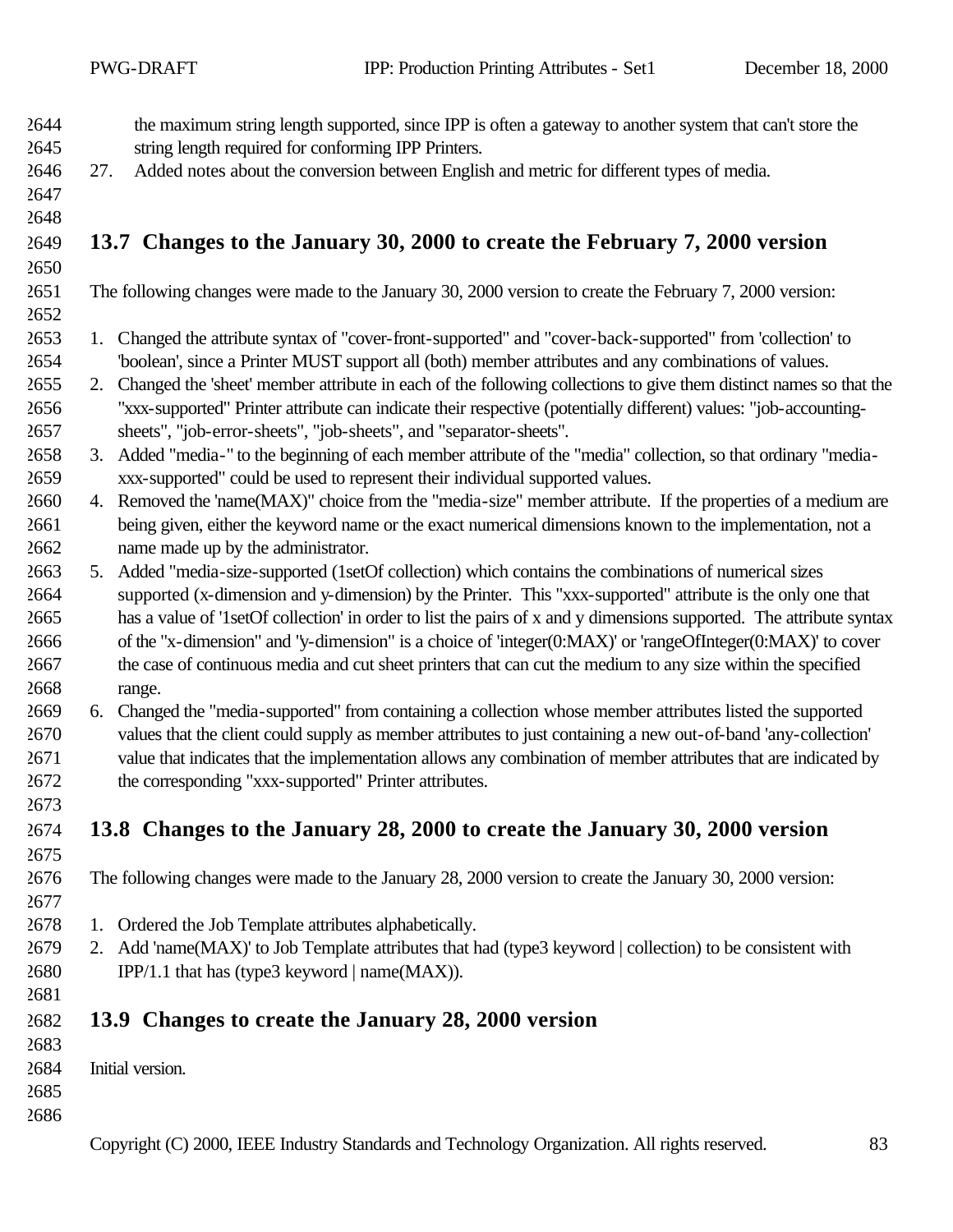| 2644         |     | the maximum string length supported, since IPP is often a gateway to another system that can't store the             |
|--------------|-----|----------------------------------------------------------------------------------------------------------------------|
| 2645         |     | string length required for conforming IPP Printers.                                                                  |
| 2646         | 27. | Added notes about the conversion between English and metric for different types of media.                            |
| 2647         |     |                                                                                                                      |
| 2648         |     |                                                                                                                      |
| 2649         |     | 13.7 Changes to the January 30, 2000 to create the February 7, 2000 version                                          |
| 2650         |     |                                                                                                                      |
| 2651<br>2652 |     | The following changes were made to the January 30, 2000 version to create the February 7, 2000 version:              |
| 2653         | 1.  | Changed the attribute syntax of "cover-front-supported" and "cover-back-supported" from 'collection' to              |
| 2654         |     | "boolean', since a Printer MUST support all (both) member attributes and any combinations of values.                 |
| 2655         |     | 2. Changed the 'sheet' member attribute in each of the following collections to give them distinct names so that the |
| 2656         |     | "xxx-supported" Printer attribute can indicate their respective (potentially different) values: "job-accounting-     |
| 2657         |     | sheets", "job-error-sheets", "job-sheets", and "separator-sheets".                                                   |
| 2658         |     | 3. Added "media-" to the beginning of each member attribute of the "media" collection, so that ordinary "media-      |
| 2659         |     | xxx-supported" could be used to represent their individual supported values.                                         |
| 2660         |     | 4. Removed the 'name(MAX)" choice from the "media-size" member attribute. If the properties of a medium are          |
| 2661         |     | being given, either the keyword name or the exact numerical dimensions known to the implementation, not a            |
| 2662         |     | name made up by the administrator.                                                                                   |
| 2663         |     | 5. Added "media-size-supported (1setOf collection) which contains the combinations of numerical sizes                |
| 2664         |     | supported (x-dimension and y-dimension) by the Printer. This "xxx-supported" attribute is the only one that          |
| 2665         |     | has a value of '1setOf collection' in order to list the pairs of x and y dimensions supported. The attribute syntax  |
| 2666         |     | of the "x-dimension" and "y-dimension" is a choice of 'integer(0:MAX)' or 'rangeOfInteger(0:MAX)' to cover           |
| 2667         |     | the case of continuous media and cut sheet printers that can cut the medium to any size within the specified         |
| 2668         |     | range.                                                                                                               |
| 2669         | 6.  | Changed the "media-supported" from containing a collection whose member attributes listed the supported              |
| 2670         |     | values that the client could supply as member attributes to just containing a new out-of-band 'any-collection'       |
| 2671         |     | value that indicates that the implementation allows any combination of member attributes that are indicated by       |
| 2672<br>2673 |     | the corresponding "xxx-supported" Printer attributes.                                                                |
| 2674         |     | 13.8 Changes to the January 28, 2000 to create the January 30, 2000 version                                          |
| 2675         |     |                                                                                                                      |
| 2676         |     | The following changes were made to the January 28, 2000 version to create the January 30, 2000 version:              |
| 2677         |     |                                                                                                                      |
| 2678         |     | 1. Ordered the Job Template attributes alphabetically.                                                               |
| 2679         |     | 2. Add 'name(MAX)' to Job Template attributes that had (type3 keyword   collection) to be consistent with            |
| 2680         |     | IPP/1.1 that has (type3 keyword $  name(MAX) $ ).                                                                    |
| 2681         |     |                                                                                                                      |
| 2682         |     | 13.9 Changes to create the January 28, 2000 version                                                                  |
| 2683         |     |                                                                                                                      |
| 2684         |     | Initial version.                                                                                                     |
| 2685         |     |                                                                                                                      |
| 2686         |     |                                                                                                                      |
|              |     | Copyright (C) 2000, IEEE Industry Standards and Technology Organization. All rights reserved.<br>83                  |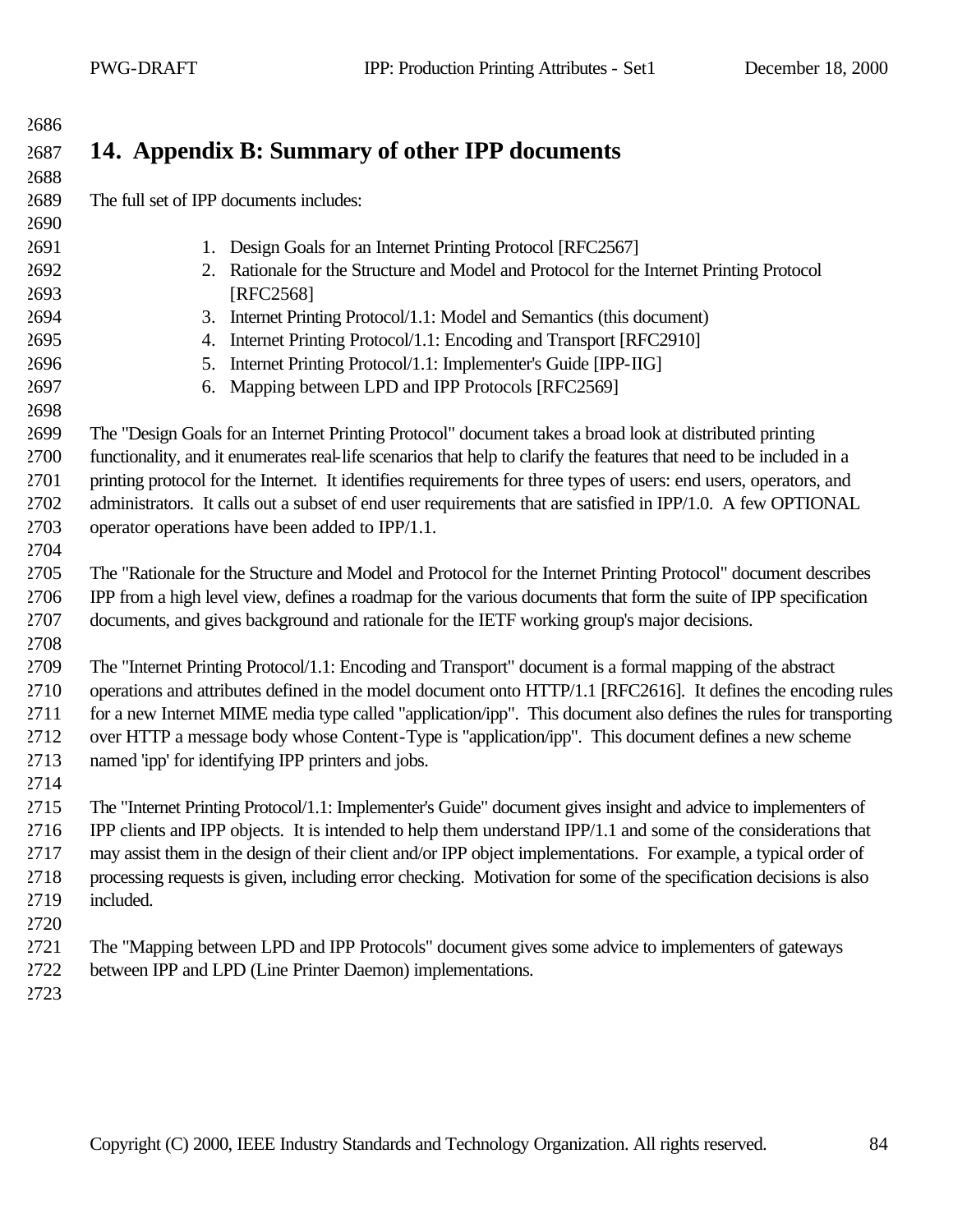## **14. Appendix B: Summary of other IPP documents** The full set of IPP documents includes: 1. Design Goals for an Internet Printing Protocol [RFC2567] 2. Rationale for the Structure and Model and Protocol for the Internet Printing Protocol [RFC2568] 3. Internet Printing Protocol/1.1: Model and Semantics (this document) 4. Internet Printing Protocol/1.1: Encoding and Transport [RFC2910] 5. Internet Printing Protocol/1.1: Implementer's Guide [IPP-IIG] 6. Mapping between LPD and IPP Protocols [RFC2569] The "Design Goals for an Internet Printing Protocol" document takes a broad look at distributed printing functionality, and it enumerates real-life scenarios that help to clarify the features that need to be included in a printing protocol for the Internet. It identifies requirements for three types of users: end users, operators, and administrators. It calls out a subset of end user requirements that are satisfied in IPP/1.0. A few OPTIONAL operator operations have been added to IPP/1.1. The "Rationale for the Structure and Model and Protocol for the Internet Printing Protocol" document describes IPP from a high level view, defines a roadmap for the various documents that form the suite of IPP specification documents, and gives background and rationale for the IETF working group's major decisions. The "Internet Printing Protocol/1.1: Encoding and Transport" document is a formal mapping of the abstract operations and attributes defined in the model document onto HTTP/1.1 [RFC2616]. It defines the encoding rules for a new Internet MIME media type called "application/ipp". This document also defines the rules for transporting over HTTP a message body whose Content-Type is "application/ipp". This document defines a new scheme named 'ipp' for identifying IPP printers and jobs. The "Internet Printing Protocol/1.1: Implementer's Guide" document gives insight and advice to implementers of IPP clients and IPP objects. It is intended to help them understand IPP/1.1 and some of the considerations that may assist them in the design of their client and/or IPP object implementations. For example, a typical order of processing requests is given, including error checking. Motivation for some of the specification decisions is also included. The "Mapping between LPD and IPP Protocols" document gives some advice to implementers of gateways between IPP and LPD (Line Printer Daemon) implementations.